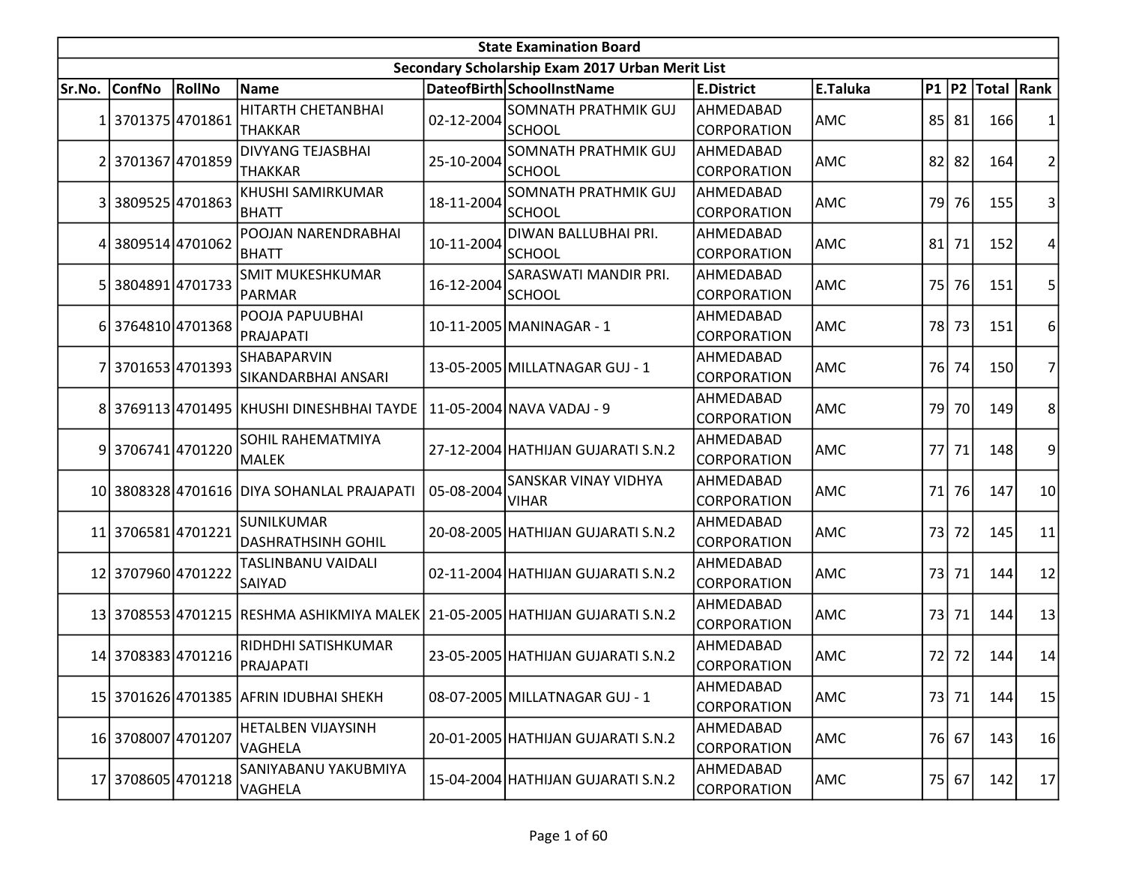|        | <b>State Examination Board</b> |                 |                                                                              |            |                                                  |                                 |            |                 |           |                        |                 |  |  |
|--------|--------------------------------|-----------------|------------------------------------------------------------------------------|------------|--------------------------------------------------|---------------------------------|------------|-----------------|-----------|------------------------|-----------------|--|--|
|        |                                |                 |                                                                              |            | Secondary Scholarship Exam 2017 Urban Merit List |                                 |            |                 |           |                        |                 |  |  |
| Sr.No. | <b>ConfNo</b>                  | RollNo          | Name                                                                         |            | DateofBirth SchoolInstName                       | <b>E.District</b>               | E.Taluka   |                 |           | P1   P2   Total   Rank |                 |  |  |
| 11     | 37013754701861                 |                 | <b>HITARTH CHETANBHAI</b><br><b>THAKKAR</b>                                  | 02-12-2004 | <b>SOMNATH PRATHMIK GUJ</b><br>lschool           | AHMEDABAD<br><b>CORPORATION</b> | AMC        |                 | 85 81     | 166                    | 1               |  |  |
| 21     | 3701367 4701859                |                 | <b>DIVYANG TEJASBHAI</b><br><b>THAKKAR</b>                                   | 25-10-2004 | <b>SOMNATH PRATHMIK GUJ</b><br><b>SCHOOL</b>     | AHMEDABAD<br><b>CORPORATION</b> | <b>AMC</b> |                 | $82$   82 | 164                    | $\overline{2}$  |  |  |
| 3      |                                | 3809525 4701863 | KHUSHI SAMIRKUMAR<br>BHATT                                                   | 18-11-2004 | <b>SOMNATH PRATHMIK GUJ</b><br><b>SCHOOL</b>     | AHMEDABAD<br>CORPORATION        | AMC        | 79 <sub>l</sub> | 76        | 155                    | 3               |  |  |
| 4      |                                | 3809514 4701062 | POOJAN NARENDRABHAI<br><b>BHATT</b>                                          | 10-11-2004 | DIWAN BALLUBHAI PRI.<br><b>SCHOOL</b>            | AHMEDABAD<br><b>CORPORATION</b> | AMC        | 81              | 71        | 152                    | 4               |  |  |
| 5      |                                | 3804891 4701733 | <b>SMIT MUKESHKUMAR</b><br>PARMAR                                            | 16-12-2004 | SARASWATI MANDIR PRI.<br><b>SCHOOL</b>           | AHMEDABAD<br><b>CORPORATION</b> | AMC        | <b>75</b>       | 76        | 151                    | 5               |  |  |
| 6      |                                | 3764810 4701368 | POOJA PAPUUBHAI<br>PRAJAPATI                                                 |            | 10-11-2005 MANINAGAR - 1                         | AHMEDABAD<br>CORPORATION        | AMC        | 78              | 73        | 151                    | $6 \mid$        |  |  |
|        | 3701653 4701393                |                 | SHABAPARVIN<br>SIKANDARBHAI ANSARI                                           |            | 13-05-2005 MILLATNAGAR GUJ - 1                   | AHMEDABAD<br>CORPORATION        | AMC        | 76 <sup> </sup> | 74        | 150                    | $\overline{7}$  |  |  |
| 81     |                                |                 | 3769113 4701495  KHUSHI DINESHBHAI TAYDE   11-05-2004 NAVA VADAJ - 9         |            |                                                  | AHMEDABAD<br>CORPORATION        | <b>AMC</b> | 79              | 70        | 149                    | 8               |  |  |
| 91     | 3706741 4701220                |                 | SOHIL RAHEMATMIYA<br>MALEK                                                   |            | 27-12-2004 HATHIJAN GUJARATI S.N.2               | AHMEDABAD<br><b>CORPORATION</b> | AMC        |                 | 77 71     | 148                    | $\overline{9}$  |  |  |
|        |                                |                 | 10 3808328 4701616 DIYA SOHANLAL PRAJAPATI                                   | 05-08-2004 | SANSKAR VINAY VIDHYA<br><b>VIHAR</b>             | AHMEDABAD<br><b>CORPORATION</b> | AMC        | 71              | 76        | 147                    | 10 <sup>1</sup> |  |  |
|        | 11 3706581 4701221             |                 | SUNILKUMAR<br><b>DASHRATHSINH GOHIL</b>                                      |            | 20-08-2005 HATHIJAN GUJARATI S.N.2               | AHMEDABAD<br><b>CORPORATION</b> | AMC        | 73              | 72        | 145                    | 11              |  |  |
|        | 12 3707960 4701222             |                 | TASLINBANU VAIDALI<br>SAIYAD                                                 |            | 02-11-2004 HATHIJAN GUJARATI S.N.2               | AHMEDABAD<br><b>CORPORATION</b> | AMC        | 73              | 71        | 144                    | 12              |  |  |
|        |                                |                 | 13 3708553 4701215 RESHMA ASHIKMIYA MALEK 21-05-2005 HATHIJAN GUJARATI S.N.2 |            |                                                  | AHMEDABAD<br><b>CORPORATION</b> | AMC        | 73              | 71        | 144                    | 13              |  |  |
|        | 14 3708383 4701216             |                 | RIDHDHI SATISHKUMAR<br>PRAJAPATI                                             |            | 23-05-2005 HATHIJAN GUJARATI S.N.2               | AHMEDABAD<br><b>CORPORATION</b> | AMC        |                 | 72 72     | 144                    | 14              |  |  |
|        |                                |                 | 15 3701626 4701385 AFRIN IDUBHAI SHEKH                                       |            | 08-07-2005 MILLATNAGAR GUJ - 1                   | AHMEDABAD<br>CORPORATION        | AMC        |                 | 73 71     | 144                    | 15              |  |  |
|        | 16 3708007 4701207             |                 | HETALBEN VIJAYSINH<br>VAGHELA                                                |            | 20-01-2005 HATHIJAN GUJARATI S.N.2               | AHMEDABAD<br><b>CORPORATION</b> | AMC        |                 | 76 67     | 143                    | 16              |  |  |
|        | 17 3708605 4701218             |                 | SANIYABANU YAKUBMIYA<br>VAGHELA                                              |            | 15-04-2004 HATHIJAN GUJARATI S.N.2               | AHMEDABAD<br><b>CORPORATION</b> | AMC        |                 | $75$ 67   | 142                    | 17              |  |  |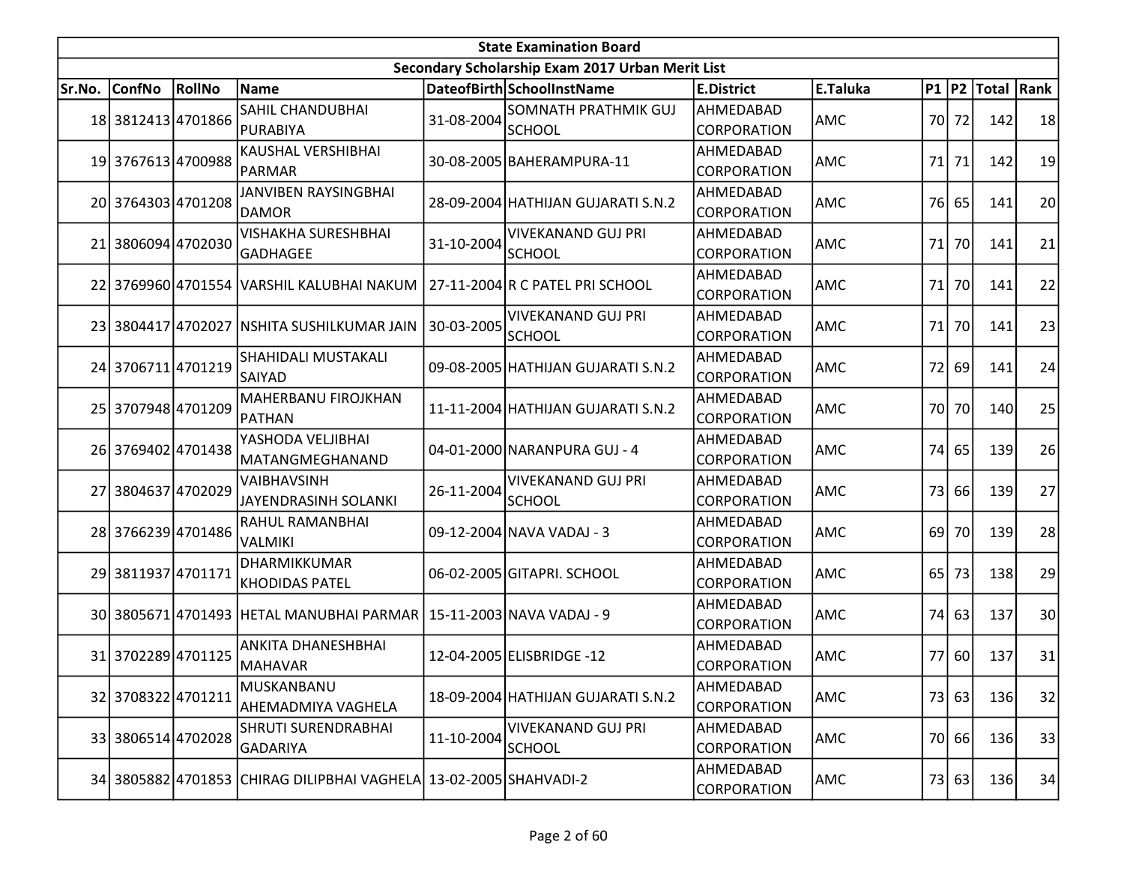|        |                    |        |                                                                    |            | <b>State Examination Board</b>                   |                          |            |                 |       |                        |    |
|--------|--------------------|--------|--------------------------------------------------------------------|------------|--------------------------------------------------|--------------------------|------------|-----------------|-------|------------------------|----|
|        |                    |        |                                                                    |            | Secondary Scholarship Exam 2017 Urban Merit List |                          |            |                 |       |                        |    |
| Sr.No. | <b>ConfNo</b>      | RollNo | <b>Name</b>                                                        |            | DateofBirth SchoolInstName                       | <b>E.District</b>        | E.Taluka   |                 |       | P1   P2   Total   Rank |    |
|        | 18 3812413 4701866 |        | <b>SAHIL CHANDUBHAI</b><br>PURABIYA                                | 31-08-2004 | <b>SOMNATH PRATHMIK GUJ</b><br><b>SCHOOL</b>     | AHMEDABAD<br>CORPORATION | AMC        | 70 <sup> </sup> | 72    | 142                    | 18 |
|        | 19 3767613 4700988 |        | KAUSHAL VERSHIBHAI<br><b>PARMAR</b>                                |            | 30-08-2005 BAHERAMPURA-11                        | AHMEDABAD<br>CORPORATION | AMC        |                 | 71 71 | 142                    | 19 |
|        | 20 3764303 4701208 |        | JANVIBEN RAYSINGBHAI<br><b>DAMOR</b>                               |            | 28-09-2004 HATHIJAN GUJARATI S.N.2               | AHMEDABAD<br>CORPORATION | AMC        | 76              | 65    | 141                    | 20 |
|        | 21 3806094 4702030 |        | <b>VISHAKHA SURESHBHAI</b><br><b>GADHAGEE</b>                      | 31-10-2004 | <b>VIVEKANAND GUJ PRI</b><br>SCHOOL              | AHMEDABAD<br>CORPORATION | AMC        | 71              | 70    | 141                    | 21 |
|        |                    |        | 22 3769960 4701554 VARSHIL KALUBHAI NAKUM                          |            | 27-11-2004 R C PATEL PRI SCHOOL                  | AHMEDABAD<br>CORPORATION | <b>AMC</b> | 71              | 70    | 141                    | 22 |
|        |                    |        | 23 3804417 4702027 NSHITA SUSHILKUMAR JAIN                         | 30-03-2005 | <b>VIVEKANAND GUJ PRI</b><br>SCHOOL              | AHMEDABAD<br>CORPORATION | AMC        | 71              | 70    | 141                    | 23 |
|        | 24 3706711 4701219 |        | <b>SHAHIDALI MUSTAKALI</b><br><b>SAIYAD</b>                        |            | 09-08-2005 HATHIJAN GUJARATI S.N.2               | AHMEDABAD<br>CORPORATION | AMC        | 72              | 69    | 141                    | 24 |
|        | 25 3707948 4701209 |        | MAHERBANU FIROJKHAN<br>PATHAN                                      |            | 11-11-2004 HATHIJAN GUJARATI S.N.2               | AHMEDABAD<br>CORPORATION | AMC        |                 | 70 70 | 140                    | 25 |
|        | 26 3769402 4701438 |        | YASHODA VELJIBHAI<br>MATANGMEGHANAND                               |            | 04-01-2000 NARANPURA GUJ - 4                     | AHMEDABAD<br>CORPORATION | AMC        | 74              | 65    | 139                    | 26 |
|        | 27 3804637 4702029 |        | VAIBHAVSINH<br>JAYENDRASINH SOLANKI                                | 26-11-2004 | VIVEKANAND GUJ PRI<br>SCHOOL                     | AHMEDABAD<br>CORPORATION | AMC        | 73              | 66    | 139                    | 27 |
|        | 28 3766239 4701486 |        | RAHUL RAMANBHAI<br><b>VALMIKI</b>                                  |            | 09-12-2004 NAVA VADAJ - 3                        | AHMEDABAD<br>CORPORATION | AMC        | 69              | 70    | 139                    | 28 |
|        | 29 3811937 4701171 |        | DHARMIKKUMAR<br><b>KHODIDAS PATEL</b>                              |            | 06-02-2005 GITAPRI. SCHOOL                       | AHMEDABAD<br>CORPORATION | AMC        | 65              | 73    | 138                    | 29 |
|        |                    |        | 30 3805671 4701493 HETAL MANUBHAI PARMAR 15-11-2003 NAVA VADAJ - 9 |            |                                                  | AHMEDABAD<br>CORPORATION | AMC        | 74              | 63    | 137                    | 30 |
|        | 31 3702289 4701125 |        | <b>ANKITA DHANESHBHAI</b><br><b>MAHAVAR</b>                        |            | 12-04-2005 ELISBRIDGE -12                        | AHMEDABAD<br>CORPORATION | AMC        |                 | 77 60 | 137                    | 31 |
|        | 32 3708322 4701211 |        | MUSKANBANU<br>AHEMADMIYA VAGHELA                                   |            | 18-09-2004 HATHIJAN GUJARATI S.N.2               | AHMEDABAD<br>CORPORATION | AMC        |                 | 73 63 | 136                    | 32 |
|        | 33 3806514 4702028 |        | <b>SHRUTI SURENDRABHAI</b><br><b>GADARIYA</b>                      | 11-10-2004 | <b>VIVEKANAND GUJ PRI</b><br><b>SCHOOL</b>       | AHMEDABAD<br>CORPORATION | AMC        | 70              | 66    | 136                    | 33 |
|        |                    |        | 34 3805882 4701853 CHIRAG DILIPBHAI VAGHELA 13-02-2005 SHAHVADI-2  |            |                                                  | AHMEDABAD<br>CORPORATION | AMC        |                 | 73 63 | 136                    | 34 |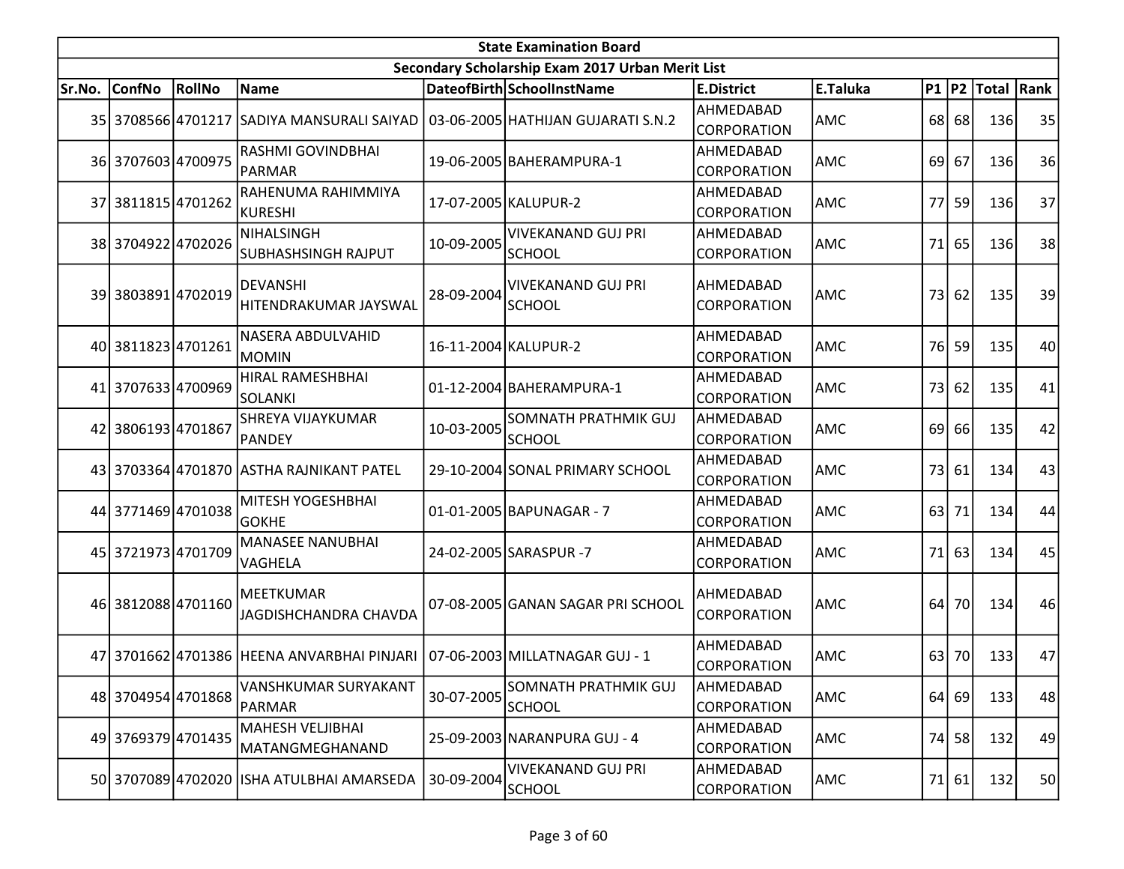|        | <b>State Examination Board</b><br>Secondary Scholarship Exam 2017 Urban Merit List |        |                                                                             |            |                                              |                                        |            |    |         |                        |    |  |  |
|--------|------------------------------------------------------------------------------------|--------|-----------------------------------------------------------------------------|------------|----------------------------------------------|----------------------------------------|------------|----|---------|------------------------|----|--|--|
|        |                                                                                    |        |                                                                             |            |                                              |                                        |            |    |         |                        |    |  |  |
| Sr.No. | ConfNo                                                                             | RollNo | Name                                                                        |            | DateofBirth SchoolInstName                   | <b>E.District</b>                      | E.Taluka   |    |         | P1   P2   Total   Rank |    |  |  |
|        | 35 3708566 4701217                                                                 |        | SADIYA MANSURALI SAIYAD                                                     |            | 03-06-2005 HATHIJAN GUJARATI S.N.2           | AHMEDABAD<br><b>CORPORATION</b>        | AMC        |    | $68$ 68 | 136                    | 35 |  |  |
|        | 36 3707603 4700975                                                                 |        | RASHMI GOVINDBHAI<br><b>PARMAR</b>                                          |            | 19-06-2005 BAHERAMPURA-1                     | AHMEDABAD<br><b>CORPORATION</b>        | AMC        | 69 | 67      | 136                    | 36 |  |  |
|        | 37 3811815 4701262                                                                 |        | RAHENUMA RAHIMMIYA<br>KURESHI                                               |            | 17-07-2005 KALUPUR-2                         | AHMEDABAD<br><b>CORPORATION</b>        | <b>AMC</b> | 77 | 59      | 136                    | 37 |  |  |
|        | 38 3704922 4702026                                                                 |        | <b>NIHALSINGH</b><br><b>SUBHASHSINGH RAJPUT</b>                             | 10-09-2005 | <b>VIVEKANAND GUJ PRI</b><br>SCHOOL          | AHMEDABAD<br>CORPORATION               | AMC        | 71 | 65      | 136                    | 38 |  |  |
|        | 39 3803891 4702019                                                                 |        | <b>DEVANSHI</b><br>HITENDRAKUMAR JAYSWAL                                    | 28-09-2004 | <b>VIVEKANAND GUJ PRI</b><br>SCHOOL          | AHMEDABAD<br>CORPORATION               | <b>AMC</b> | 73 | 62      | 135                    | 39 |  |  |
|        | 40 3811823 4701261                                                                 |        | NASERA ABDULVAHID<br><b>MOMIN</b>                                           |            | 16-11-2004 KALUPUR-2                         | AHMEDABAD<br>CORPORATION               | <b>AMC</b> | 76 | 59      | 135                    | 40 |  |  |
|        | 41 3707633 4700969                                                                 |        | <b>HIRAL RAMESHBHAI</b><br>SOLANKI                                          |            | 01-12-2004 BAHERAMPURA-1                     | AHMEDABAD<br><b>CORPORATION</b>        | AMC        | 73 | 62      | 135                    | 41 |  |  |
|        | 42 3806193 4701867                                                                 |        | <b>SHREYA VIJAYKUMAR</b><br>PANDEY                                          | 10-03-2005 | <b>SOMNATH PRATHMIK GUJ</b><br><b>SCHOOL</b> | AHMEDABAD<br><b>CORPORATION</b>        | <b>AMC</b> | 69 | 66      | 135                    | 42 |  |  |
|        |                                                                                    |        | 43 3703364 4701870 ASTHA RAJNIKANT PATEL                                    |            | 29-10-2004 SONAL PRIMARY SCHOOL              | AHMEDABAD<br><b>CORPORATION</b>        | <b>AMC</b> | 73 | 61      | 134                    | 43 |  |  |
|        | 44 3771469 4701038                                                                 |        | MITESH YOGESHBHAI<br><b>GOKHE</b>                                           |            | 01-01-2005 BAPUNAGAR - 7                     | AHMEDABAD<br><b>CORPORATION</b>        | AMC        |    | $63$ 71 | 134                    | 44 |  |  |
|        | 45 3721973 4701709                                                                 |        | <b>MANASEE NANUBHAI</b><br>VAGHELA                                          |            | 24-02-2005 SARASPUR -7                       | AHMEDABAD<br>CORPORATION               | AMC        |    | $71$ 63 | 134                    | 45 |  |  |
|        | 46 3812088 4701160                                                                 |        | <b>MEETKUMAR</b><br>JAGDISHCHANDRA CHAVDA                                   |            | 07-08-2005 GANAN SAGAR PRI SCHOOL            | AHMEDABAD<br>CORPORATION               | AMC        | 64 | 70      | 134                    | 46 |  |  |
|        |                                                                                    |        | 47 3701662 4701386 HEENA ANVARBHAI PINJARI   07-06-2003 MILLATNAGAR GUJ - 1 |            |                                              | AHMEDABAD<br><i><b>CORPORATION</b></i> | AMC        |    | 63 70   | 133                    | 47 |  |  |
|        | 48 3704954 4701868                                                                 |        | <b>VANSHKUMAR SURYAKANT</b><br><b>PARMAR</b>                                | 30-07-2005 | SOMNATH PRATHMIK GUJ<br><b>SCHOOL</b>        | AHMEDABAD<br>CORPORATION               | AMC        |    | 64 69   | 133                    | 48 |  |  |
|        | 49 3769379 4701435                                                                 |        | MAHESH VELJIBHAI<br>MATANGMEGHANAND                                         |            | 25-09-2003 NARANPURA GUJ - 4                 | AHMEDABAD<br>CORPORATION               | AMC        | 74 | 58      | 132                    | 49 |  |  |
|        |                                                                                    |        | 50 3707089 4702020 ISHA ATULBHAI AMARSEDA                                   | 30-09-2004 | <b>VIVEKANAND GUJ PRI</b><br><b>SCHOOL</b>   | AHMEDABAD<br>CORPORATION               | AMC        |    | 71 61   | 132                    | 50 |  |  |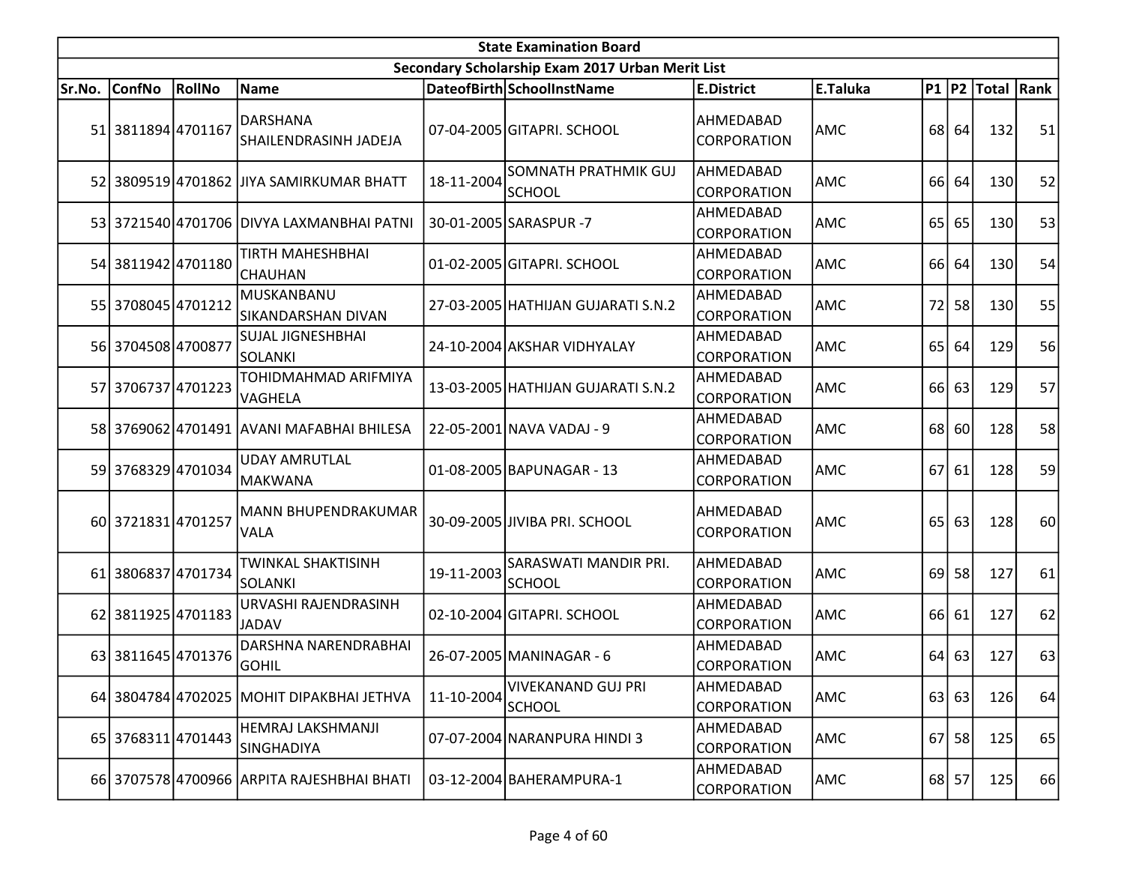|        |                      |               |                                             |            | <b>State Examination Board</b>                   |                                 |            |                 |       |                        |    |
|--------|----------------------|---------------|---------------------------------------------|------------|--------------------------------------------------|---------------------------------|------------|-----------------|-------|------------------------|----|
|        |                      |               |                                             |            | Secondary Scholarship Exam 2017 Urban Merit List |                                 |            |                 |       |                        |    |
| Sr.No. | <b>ConfNo</b>        | <b>RollNo</b> | Name                                        |            | DateofBirth SchoolInstName                       | <b>E.District</b>               | E.Taluka   |                 |       | P1   P2   Total   Rank |    |
|        | 51 3811894 4701167   |               | DARSHANA<br>SHAILENDRASINH JADEJA           |            | 07-04-2005 GITAPRI. SCHOOL                       | AHMEDABAD<br><b>CORPORATION</b> | AMC        | 68              | 64    | 132                    | 51 |
|        |                      |               | 52 3809519 4701862 JJIYA SAMIRKUMAR BHATT   | 18-11-2004 | SOMNATH PRATHMIK GUJ<br><b>SCHOOL</b>            | AHMEDABAD<br>CORPORATION        | AMC        | 66              | 64    | 130                    | 52 |
|        |                      |               | 53 3721540 4701706 DIVYA LAXMANBHAI PATNI   |            | 30-01-2005 SARASPUR -7                           | AHMEDABAD<br>CORPORATION        | <b>AMC</b> | 65              | 65    | 130                    | 53 |
|        | 54 3811942 4701180   |               | TIRTH MAHESHBHAI<br><b>CHAUHAN</b>          |            | 01-02-2005 GITAPRI. SCHOOL                       | AHMEDABAD<br>CORPORATION        | <b>AMC</b> | 66 <sup> </sup> | 64    | 130                    | 54 |
|        | 55 3708045 4701212   |               | MUSKANBANU<br>SIKANDARSHAN DIVAN            |            | 27-03-2005   HATHIJAN GUJARATI S.N.2             | AHMEDABAD<br>CORPORATION        | <b>AMC</b> | 72              | 58    | 130                    | 55 |
|        | 56 3704508 4700877   |               | <b>SUJAL JIGNESHBHAI</b><br>SOLANKI         |            | 24-10-2004 AKSHAR VIDHYALAY                      | AHMEDABAD<br><b>CORPORATION</b> | <b>AMC</b> | 65              | 64    | 129                    | 56 |
|        | 57 3706737 4701223   |               | TOHIDMAHMAD ARIFMIYA<br>VAGHELA             |            | 13-03-2005 HATHIJAN GUJARATI S.N.2               | AHMEDABAD<br>CORPORATION        | AMC        | 66              | 63    | 129                    | 57 |
|        |                      |               | 58 3769062 4701491 AVANI MAFABHAI BHILESA   |            | 22-05-2001 NAVA VADAJ - 9                        | AHMEDABAD<br>CORPORATION        | <b>AMC</b> | 68              | 60    | 128                    | 58 |
|        | 59 3768329 4701034   |               | <b>UDAY AMRUTLAL</b><br>MAKWANA             |            | 01-08-2005 BAPUNAGAR - 13                        | AHMEDABAD<br>CORPORATION        | <b>AMC</b> | 67              | 61    | 128                    | 59 |
|        | 60 3721831 4701257   |               | MANN BHUPENDRAKUMAR<br><b>VALA</b>          |            | 30-09-2005 JIVIBA PRI. SCHOOL                    | AHMEDABAD<br>CORPORATION        | <b>AMC</b> | 65              | 63    | 128                    | 60 |
|        | 61 380 6837 470 1734 |               | <b>TWINKAL SHAKTISINH</b><br><b>SOLANKI</b> | 19-11-2003 | SARASWATI MANDIR PRI.<br><b>SCHOOL</b>           | AHMEDABAD<br>CORPORATION        | AMC        | 69              | 58    | 127                    | 61 |
|        | 62 3811925 4701183   |               | URVASHI RAJENDRASINH<br>JADAV               |            | 02-10-2004 GITAPRI. SCHOOL                       | AHMEDABAD<br>CORPORATION        | <b>AMC</b> | 66              | 61    | 127                    | 62 |
|        | 63 3811645 4701376   |               | DARSHNA NARENDRABHAI<br><b>GOHIL</b>        |            | 26-07-2005 MANINAGAR - 6                         | AHMEDABAD<br><b>CORPORATION</b> | AMC        | 64              | 63    | 127                    | 63 |
|        |                      |               | 64 3804784 4702025 MOHIT DIPAKBHAI JETHVA   | 11-10-2004 | <b>VIVEKANAND GUJ PRI</b><br><b>SCHOOL</b>       | AHMEDABAD<br><b>CORPORATION</b> | AMC        | 63              | 63    | 126                    | 64 |
|        | 65 3768311 4701443   |               | HEMRAJ LAKSHMANJI<br>SINGHADIYA             |            | 07-07-2004 NARANPURA HINDI 3                     | AHMEDABAD<br>CORPORATION        | AMC        | 67              | 58    | 125                    | 65 |
|        |                      |               | 66 3707578 4700966 ARPITA RAJESHBHAI BHATI  |            | 03-12-2004 BAHERAMPURA-1                         | AHMEDABAD<br>CORPORATION        | AMC        |                 | 68 57 | 125                    | 66 |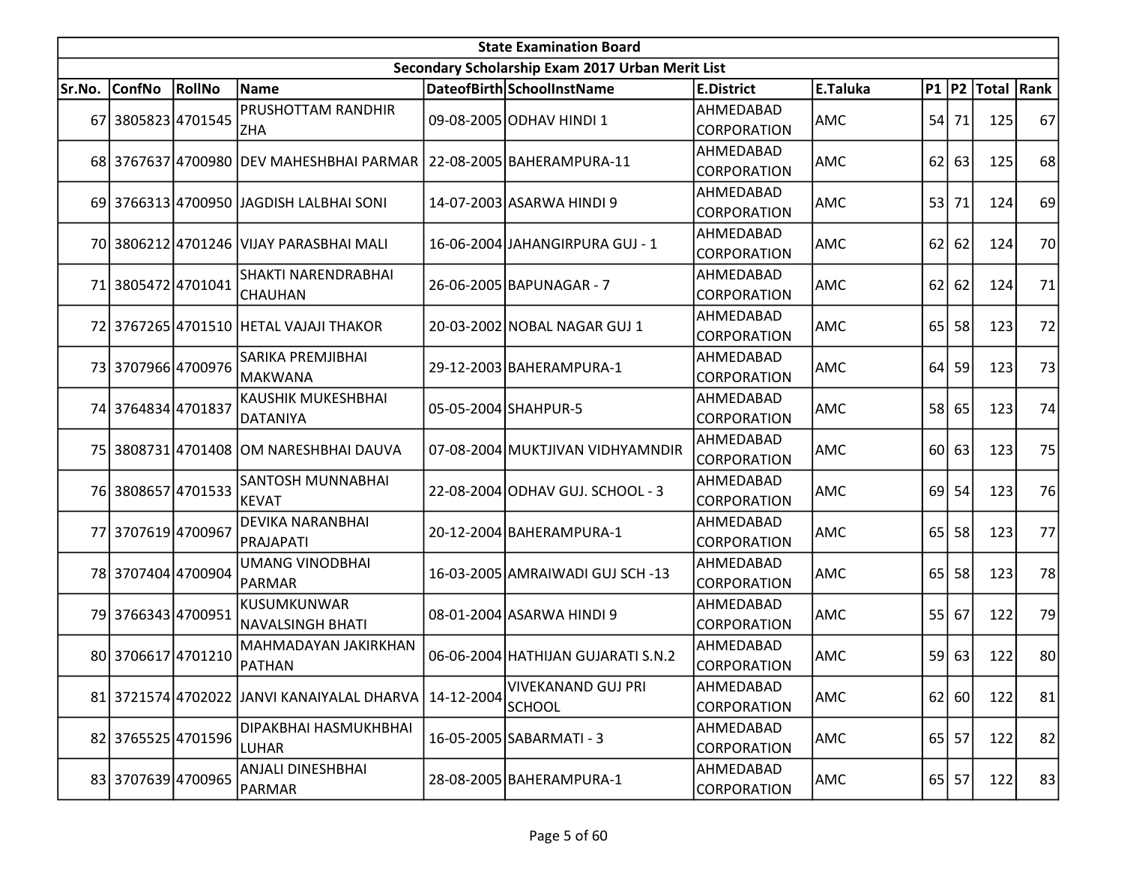|        |                    |        |                                             |            | <b>State Examination Board</b>                   |                                 |            |    |           |                        |    |
|--------|--------------------|--------|---------------------------------------------|------------|--------------------------------------------------|---------------------------------|------------|----|-----------|------------------------|----|
|        |                    |        |                                             |            | Secondary Scholarship Exam 2017 Urban Merit List |                                 |            |    |           |                        |    |
| Sr.No. | <b>ConfNo</b>      | RollNo | Name                                        |            | DateofBirth SchoolInstName                       | <b>E.District</b>               | E.Taluka   |    |           | P1   P2   Total   Rank |    |
|        | 67 3805823 4701545 |        | PRUSHOTTAM RANDHIR<br><b>ZHA</b>            |            | 09-08-2005 ODHAV HINDI 1                         | AHMEDABAD<br>CORPORATION        | AMC        | 54 | 71        | 125                    | 67 |
|        |                    |        | 68 3767637 4700980 DEV MAHESHBHAI PARMAR    |            | 22-08-2005 BAHERAMPURA-11                        | AHMEDABAD<br>CORPORATION        | AMC        | 62 | 63        | 125                    | 68 |
|        |                    |        | 69 3766313 4700950 JAGDISH LALBHAI SONI     |            | 14-07-2003 ASARWA HINDI 9                        | AHMEDABAD<br>CORPORATION        | AMC        | 53 | 71        | 124                    | 69 |
|        |                    |        | 70 3806212 4701246 VIJAY PARASBHAI MALI     |            | 16-06-2004 JAHANGIRPURA GUJ - 1                  | AHMEDABAD<br>CORPORATION        | AMC        | 62 | 62        | 124                    | 70 |
|        | 71 3805472 4701041 |        | SHAKTI NARENDRABHAI<br><b>CHAUHAN</b>       |            | 26-06-2005 BAPUNAGAR - 7                         | AHMEDABAD<br>CORPORATION        | AMC        | 62 | 62        | 124                    | 71 |
|        |                    |        | 72 3767265 4701510 HETAL VAJAJI THAKOR      |            | 20-03-2002 NOBAL NAGAR GUJ 1                     | AHMEDABAD<br>CORPORATION        | AMC        | 65 | 58        | 123                    | 72 |
|        | 73 3707966 4700976 |        | SARIKA PREMJIBHAI<br><b>MAKWANA</b>         |            | 29-12-2003 BAHERAMPURA-1                         | AHMEDABAD<br>CORPORATION        | AMC        | 64 | 59        | 123                    | 73 |
|        | 74 3764834 4701837 |        | <b>KAUSHIK MUKESHBHAI</b><br>DATANIYA       |            | 05-05-2004 SHAHPUR-5                             | AHMEDABAD<br>CORPORATION        | <b>AMC</b> |    | 58 65     | 123                    | 74 |
|        |                    |        | 75 3808731 4701408 OM NARESHBHAI DAUVA      |            | 07-08-2004 MUKTJIVAN VIDHYAMNDIR                 | AHMEDABAD<br>CORPORATION        | AMC        |    | $60$ 63   | 123                    | 75 |
|        | 76 3808657 4701533 |        | SANTOSH MUNNABHAI<br>KEVAT                  |            | 22-08-2004 ODHAV GUJ. SCHOOL - 3                 | AHMEDABAD<br>CORPORATION        | AMC        | 69 | 54        | 123                    | 76 |
|        | 77 3707619 4700967 |        | <b>DEVIKA NARANBHAI</b><br>PRAJAPATI        |            | 20-12-2004 BAHERAMPURA-1                         | AHMEDABAD<br>CORPORATION        | AMC        | 65 | 58        | 123                    | 77 |
|        | 78 3707404 4700904 |        | <b>UMANG VINODBHAI</b><br>PARMAR            |            | 16-03-2005 AMRAIWADI GUJ SCH -13                 | AHMEDABAD<br><b>CORPORATION</b> | <b>AMC</b> | 65 | 58        | 123                    | 78 |
|        | 79 3766343 4700951 |        | KUSUMKUNWAR<br>NAVALSINGH BHATI             |            | 08-01-2004 ASARWA HINDI 9                        | AHMEDABAD<br>CORPORATION        | AMC        | 55 | 67        | 122                    | 79 |
|        | 80 3706617 4701210 |        | MAHMADAYAN JAKIRKHAN<br><b>PATHAN</b>       |            | 06-06-2004 HATHIJAN GUJARATI S.N.2               | AHMEDABAD<br>CORPORATION        | AMC        | 59 | 63        | 122                    | 80 |
|        |                    |        | 81 3721574 4702022 JJANVI KANAIYALAL DHARVA | 14-12-2004 | VIVEKANAND GUJ PRI<br><b>SCHOOL</b>              | AHMEDABAD<br>CORPORATION        | AMC        |    | 62 60     | 122                    | 81 |
|        | 82 3765525 4701596 |        | DIPAKBHAI HASMUKHBHAI<br><b>LUHAR</b>       |            | 16-05-2005 SABARMATI - 3                         | AHMEDABAD<br>CORPORATION        | AMC        | 65 | 57        | 122                    | 82 |
|        | 83 3707639 4700965 |        | <b>ANJALI DINESHBHAI</b><br>PARMAR          |            | 28-08-2005 BAHERAMPURA-1                         | AHMEDABAD<br>CORPORATION        | AMC        |    | $65$   57 | 122                    | 83 |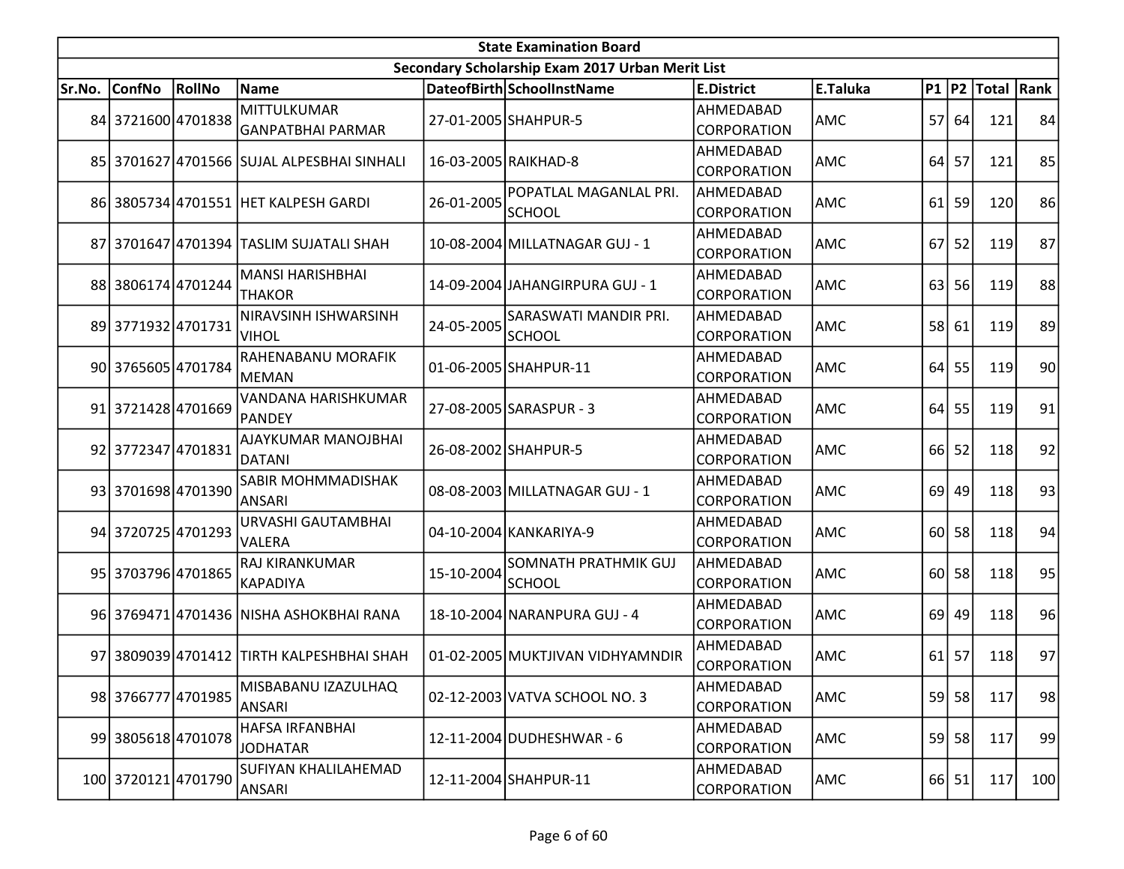|        |                     |               |                                             |            | <b>State Examination Board</b>                   |                                 |            |                 |         |                        |                 |
|--------|---------------------|---------------|---------------------------------------------|------------|--------------------------------------------------|---------------------------------|------------|-----------------|---------|------------------------|-----------------|
|        |                     |               |                                             |            | Secondary Scholarship Exam 2017 Urban Merit List |                                 |            |                 |         |                        |                 |
| Sr.No. | <b>ConfNo</b>       | <b>RollNo</b> | Name                                        |            | DateofBirth SchoolInstName                       | <b>E.District</b>               | E.Taluka   |                 |         | P1   P2   Total   Rank |                 |
|        | 84 3721600 4701838  |               | MITTULKUMAR<br>GANPATBHAI PARMAR            |            | 27-01-2005 SHAHPUR-5                             | AHMEDABAD<br>CORPORATION        | AMC        |                 | 57 64   | 121                    | 84              |
|        |                     |               | 85 3701627 4701566 SUJAL ALPESBHAI SINHALI  |            | 16-03-2005 RAIKHAD-8                             | AHMEDABAD<br>CORPORATION        | AMC        | 64              | 57      | 121                    | 85              |
|        |                     |               | 86 3805734 4701551 HET KALPESH GARDI        | 26-01-2005 | POPATLAL MAGANLAL PRI.<br>SCHOOL                 | AHMEDABAD<br>CORPORATION        | AMC        | 61              | 59      | 120                    | 86              |
|        |                     |               | 87 3701647 4701394 TASLIM SUJATALI SHAH     |            | 10-08-2004 MILLATNAGAR GUJ - 1                   | AHMEDABAD<br>CORPORATION        | AMC        | 67              | 52      | 119                    | 87              |
|        | 88 3806174 4701244  |               | <b>MANSI HARISHBHAI</b><br><b>THAKOR</b>    |            | 14-09-2004 JAHANGIRPURA GUJ - 1                  | AHMEDABAD<br>CORPORATION        | AMC        | 63              | 56      | 119                    | 88              |
|        | 89 3771932 4701731  |               | NIRAVSINH ISHWARSINH<br><b>VIHOL</b>        | 24-05-2005 | SARASWATI MANDIR PRI.<br>SCHOOL                  | AHMEDABAD<br>CORPORATION        | AMC        | 58              | 61      | 119                    | 89              |
|        | 90 3765605 4701784  |               | RAHENABANU MORAFIK<br>MEMAN                 |            | 01-06-2005 SHAHPUR-11                            | AHMEDABAD<br>CORPORATION        | AMC        | 64              | 55      | 119                    | 90 <sub>l</sub> |
|        | 91 3721428 4701669  |               | VANDANA HARISHKUMAR<br>PANDEY               |            | 27-08-2005 SARASPUR - 3                          | AHMEDABAD<br>CORPORATION        | <b>AMC</b> | 64              | 55      | 119                    | 91              |
|        | 92 3772347 4701831  |               | <b>AJAYKUMAR MANOJBHAI</b><br><b>DATANI</b> |            | 26-08-2002 SHAHPUR-5                             | AHMEDABAD<br><b>CORPORATION</b> | AMC        | 66              | 52      | 118                    | 92              |
|        | 93 3701698 4701390  |               | SABIR MOHMMADISHAK<br>ANSARI                |            | 08-08-2003 MILLATNAGAR GUJ - 1                   | AHMEDABAD<br>CORPORATION        | AMC        | 69              | 49      | 118                    | 93              |
|        | 94 3720725 4701293  |               | URVASHI GAUTAMBHAI<br>VALERA                |            | 04-10-2004 KANKARIYA-9                           | AHMEDABAD<br>CORPORATION        | AMC        |                 | 60 58   | 118                    | 94              |
|        | 95 3703796 4701865  |               | RAJ KIRANKUMAR<br>KAPADIYA                  | 15-10-2004 | SOMNATH PRATHMIK GUJ<br><b>SCHOOL</b>            | AHMEDABAD<br>CORPORATION        | <b>AMC</b> | 60 <sup>1</sup> | 58      | 118                    | 95              |
|        |                     |               | 96 3769471 4701436 NISHA ASHOKBHAI RANA     |            | 18-10-2004 NARANPURA GUJ - 4                     | AHMEDABAD<br>CORPORATION        | AMC        | 69 l            | 49      | 118                    | 96              |
|        |                     |               | 97 3809039 4701412 TIRTH KALPESHBHAI SHAH   |            | 01-02-2005 MUKTJIVAN VIDHYAMNDIR                 | AHMEDABAD<br>CORPORATION        | AMC        |                 | $61$ 57 | 118                    | 97              |
|        | 98 3766777 4701985  |               | MISBABANU IZAZULHAQ<br>ANSARI               |            | 02-12-2003 VATVA SCHOOL NO. 3                    | AHMEDABAD<br><b>CORPORATION</b> | AMC        |                 | 59 58   | 117                    | 98              |
|        | 99 3805618 4701078  |               | <b>HAFSA IRFANBHAI</b><br><b>JODHATAR</b>   |            | 12-11-2004 DUDHESHWAR - 6                        | AHMEDABAD<br>CORPORATION        | AMC        | 59              | 58      | 117                    | 99              |
|        | 100 3720121 4701790 |               | <b>SUFIYAN KHALILAHEMAD</b><br>ANSARI       |            | 12-11-2004 SHAHPUR-11                            | AHMEDABAD<br>CORPORATION        | AMC        |                 | $66$ 51 | 117                    | 100             |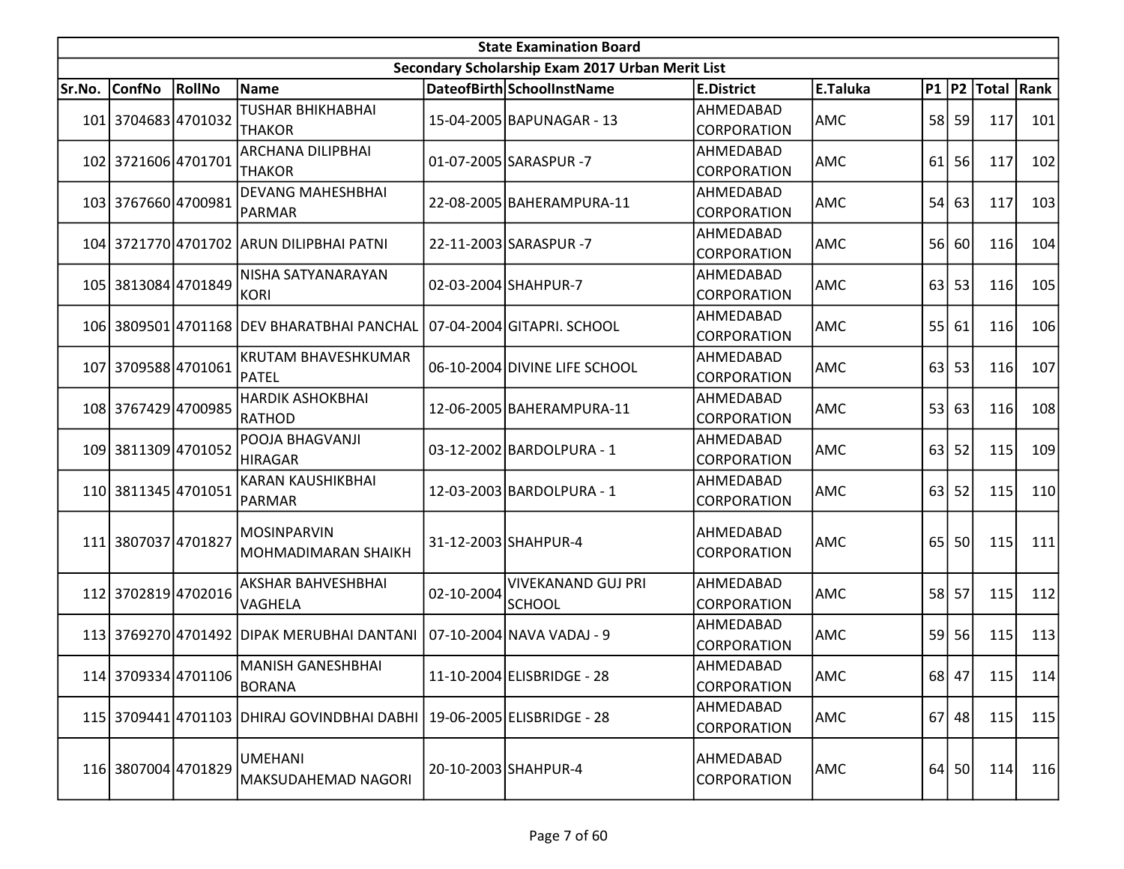|        | <b>State Examination Board</b><br>Secondary Scholarship Exam 2017 Urban Merit List |        |                                                                        |            |                                     |                                 |            |    |           |                        |     |  |  |  |
|--------|------------------------------------------------------------------------------------|--------|------------------------------------------------------------------------|------------|-------------------------------------|---------------------------------|------------|----|-----------|------------------------|-----|--|--|--|
|        |                                                                                    |        |                                                                        |            |                                     |                                 |            |    |           |                        |     |  |  |  |
| Sr.No. | ConfNo                                                                             | RollNo | Name                                                                   |            | DateofBirth SchoolInstName          | <b>E.District</b>               | E.Taluka   |    |           | P1   P2   Total   Rank |     |  |  |  |
|        | 101 3704683 4701032                                                                |        | <b>TUSHAR BHIKHABHAI</b><br><b>THAKOR</b>                              |            | 15-04-2005 BAPUNAGAR - 13           | AHMEDABAD<br><b>CORPORATION</b> | AMC        |    | 58 59     | 117                    | 101 |  |  |  |
|        | 102 3721606 4701701                                                                |        | <b>ARCHANA DILIPBHAI</b><br><b>THAKOR</b>                              |            | 01-07-2005 SARASPUR -7              | AHMEDABAD<br>CORPORATION        | AMC        | 61 | 56        | 117                    | 102 |  |  |  |
|        | 103 3767660 4700981                                                                |        | <b>DEVANG MAHESHBHAI</b><br>PARMAR                                     |            | 22-08-2005 BAHERAMPURA-11           | AHMEDABAD<br><b>CORPORATION</b> | <b>AMC</b> |    | $54$ 63   | 117                    | 103 |  |  |  |
|        |                                                                                    |        | 104 3721770 4701702 ARUN DILIPBHAI PATNI                               |            | 22-11-2003 SARASPUR -7              | AHMEDABAD<br>CORPORATION        | AMC        |    | 56 60     | 116                    | 104 |  |  |  |
|        | 105 3813084 4701849                                                                |        | NISHA SATYANARAYAN<br><b>KORI</b>                                      |            | 02-03-2004 SHAHPUR-7                | AHMEDABAD<br><b>CORPORATION</b> | AMC        | 63 | 53        | 116                    | 105 |  |  |  |
|        |                                                                                    |        | 106 3809501 4701168 DEV BHARATBHAI PANCHAL                             |            | 07-04-2004 GITAPRI. SCHOOL          | AHMEDABAD<br><b>CORPORATION</b> | <b>AMC</b> |    | 55 61     | 116                    | 106 |  |  |  |
|        | 107 3709588 4701061                                                                |        | <b>KRUTAM BHAVESHKUMAR</b><br>PATEL                                    |            | 06-10-2004 DIVINE LIFE SCHOOL       | AHMEDABAD<br>CORPORATION        | AMC        |    | $63$ 53   | 116                    | 107 |  |  |  |
|        | 108 3767429 4700985                                                                |        | <b>HARDIK ASHOKBHAI</b><br>RATHOD                                      |            | 12-06-2005 BAHERAMPURA-11           | AHMEDABAD<br><b>CORPORATION</b> | AMC        |    | 53 63     | 116                    | 108 |  |  |  |
|        | 109 3811309 4701052                                                                |        | POOJA BHAGVANJI<br><b>HIRAGAR</b>                                      |            | 03-12-2002 BARDOLPURA - 1           | AHMEDABAD<br>CORPORATION        | AMC        | 63 | 52        | 115                    | 109 |  |  |  |
|        | 110 3811345 4701051                                                                |        | KARAN KAUSHIKBHAI<br>PARMAR                                            |            | 12-03-2003 BARDOLPURA - 1           | AHMEDABAD<br>CORPORATION        | <b>AMC</b> | 63 | 52        | 115                    | 110 |  |  |  |
|        | 111 3807037 4701827                                                                |        | <b>MOSINPARVIN</b><br>MOHMADIMARAN SHAIKH                              |            | 31-12-2003 SHAHPUR-4                | AHMEDABAD<br>CORPORATION        | <b>AMC</b> | 65 | 50        | 115                    | 111 |  |  |  |
|        | 112 3702819 4702016                                                                |        | AKSHAR BAHVESHBHAI<br>VAGHELA                                          | 02-10-2004 | <b>VIVEKANAND GUJ PRI</b><br>SCHOOL | AHMEDABAD<br>CORPORATION        | AMC        |    | 58 57     | 115                    | 112 |  |  |  |
|        |                                                                                    |        | 113 3769270 4701492 DIPAK MERUBHAI DANTANI   07-10-2004 NAVA VADAJ - 9 |            |                                     | AHMEDABAD<br><b>CORPORATION</b> | <b>AMC</b> |    | 59 56     | 115                    | 113 |  |  |  |
|        | 114 3709334 4701106                                                                |        | MANISH GANESHBHAI<br>BORANA                                            |            | 11-10-2004 ELISBRIDGE - 28          | AHMEDABAD<br><b>CORPORATION</b> | <b>AMC</b> |    | 68 47     | 115                    | 114 |  |  |  |
|        |                                                                                    |        | 115 3709441 4701103 DHIRAJ GOVINDBHAI DABHI 19-06-2005 ELISBRIDGE - 28 |            |                                     | AHMEDABAD<br><b>CORPORATION</b> | AMC        |    | $67$   48 | 115                    | 115 |  |  |  |
|        | 116 3807004 4701829                                                                |        | <b>UMEHANI</b><br>MAKSUDAHEMAD NAGORI                                  |            | 20-10-2003 SHAHPUR-4                | AHMEDABAD<br>CORPORATION        | AMC        |    | 64 50     | 114                    | 116 |  |  |  |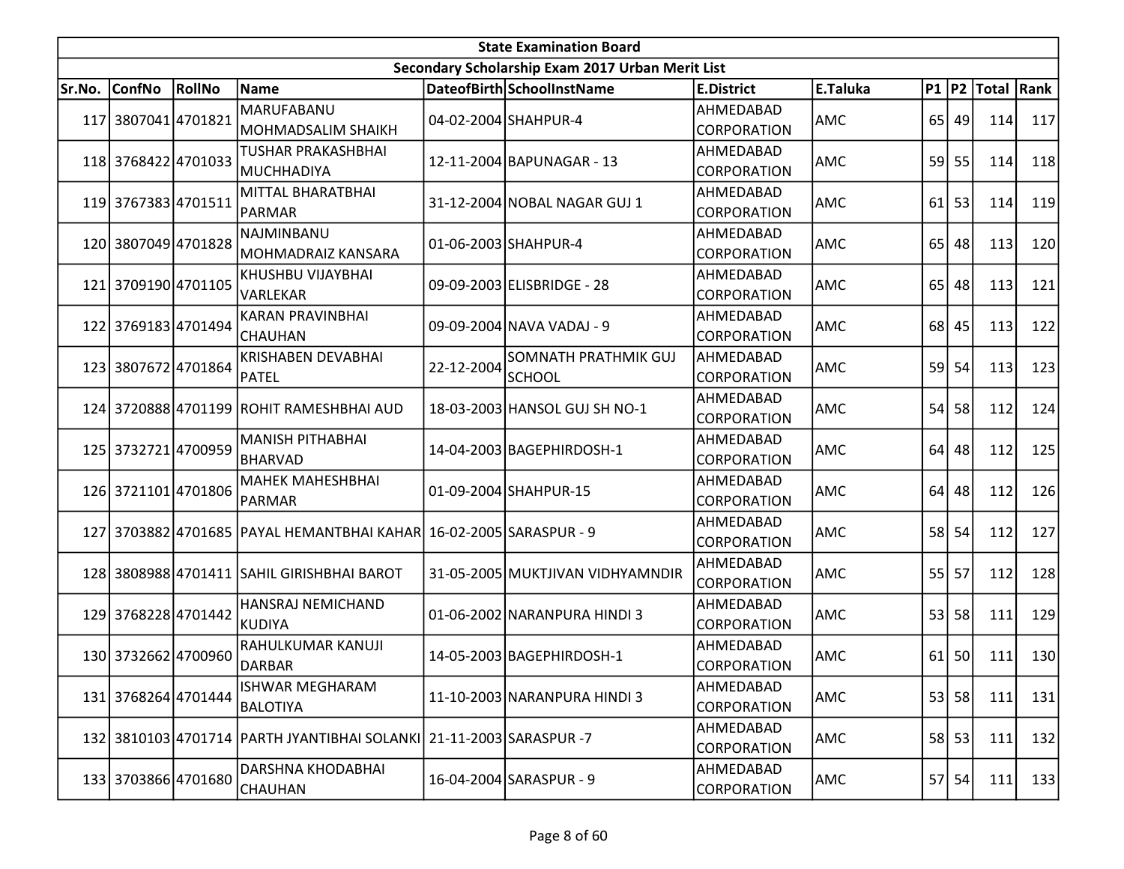|        |                     |               |                                                                               |            | <b>State Examination Board</b>                   |                                 |            |    |           |                        |     |
|--------|---------------------|---------------|-------------------------------------------------------------------------------|------------|--------------------------------------------------|---------------------------------|------------|----|-----------|------------------------|-----|
|        |                     |               |                                                                               |            | Secondary Scholarship Exam 2017 Urban Merit List |                                 |            |    |           |                        |     |
| Sr.No. | <b>ConfNo</b>       | <b>RollNo</b> | Name                                                                          |            | DateofBirth SchoolInstName                       | <b>E.District</b>               | E.Taluka   |    |           | P1   P2   Total   Rank |     |
|        | 117 3807041 4701821 |               | MARUFABANU<br>MOHMADSALIM SHAIKH                                              |            | 04-02-2004 SHAHPUR-4                             | AHMEDABAD<br>CORPORATION        | AMC        |    | $65$   49 | 114                    | 117 |
|        | 118 3768422 4701033 |               | <b>TUSHAR PRAKASHBHAI</b><br><b>MUCHHADIYA</b>                                |            | 12-11-2004 BAPUNAGAR - 13                        | AHMEDABAD<br>CORPORATION        | AMC        |    | 59 55     | 114                    | 118 |
|        | 119 3767383 4701511 |               | MITTAL BHARATBHAI<br>PARMAR                                                   |            | 31-12-2004 NOBAL NAGAR GUJ 1                     | AHMEDABAD<br>CORPORATION        | AMC        | 61 | 53        | 114                    | 119 |
|        | 120 3807049 4701828 |               | NAJMINBANU<br>MOHMADRAIZ KANSARA                                              |            | 01-06-2003 SHAHPUR-4                             | AHMEDABAD<br>CORPORATION        | AMC        |    | 65 48     | 113                    | 120 |
|        | 121 3709190 4701105 |               | KHUSHBU VIJAYBHAI<br>VARLEKAR                                                 |            | 09-09-2003 ELISBRIDGE - 28                       | AHMEDABAD<br>CORPORATION        | <b>AMC</b> | 65 | 48        | 113                    | 121 |
|        | 122 3769183 4701494 |               | <b>KARAN PRAVINBHAI</b><br><b>CHAUHAN</b>                                     |            | 09-09-2004 NAVA VADAJ - 9                        | AHMEDABAD<br>CORPORATION        | AMC        |    | 68 45     | 113                    | 122 |
|        | 123 3807672 4701864 |               | <b>KRISHABEN DEVABHAI</b><br><b>PATEL</b>                                     | 22-12-2004 | SOMNATH PRATHMIK GUJ<br><b>SCHOOL</b>            | AHMEDABAD<br>CORPORATION        | AMC        | 59 | 54        | 113                    | 123 |
|        |                     |               | 124 3720888 4701199 ROHIT RAMESHBHAI AUD                                      |            | 18-03-2003 HANSOL GUJ SH NO-1                    | AHMEDABAD<br>CORPORATION        | AMC        | 54 | 58        | 112                    | 124 |
|        | 125 3732721 4700959 |               | <b>MANISH PITHABHAI</b><br><b>BHARVAD</b>                                     |            | 14-04-2003 BAGEPHIRDOSH-1                        | AHMEDABAD<br>CORPORATION        | AMC        |    | $64$ 48   | 112                    | 125 |
|        | 126 3721101 4701806 |               | <b>MAHEK MAHESHBHAI</b><br><b>PARMAR</b>                                      |            | 01-09-2004 SHAHPUR-15                            | AHMEDABAD<br>CORPORATION        | AMC        | 64 | 48        | 112                    | 126 |
|        |                     |               | 127 3703882 4701685 PAYAL HEMANTBHAI KAHAR 16-02-2005 SARASPUR - 9            |            |                                                  | AHMEDABAD<br>CORPORATION        | AMC        |    | 58 54     | 112                    | 127 |
|        |                     |               | 128 3808988 4701411 SAHIL GIRISHBHAI BAROT                                    |            | 31-05-2005 MUKTJIVAN VIDHYAMNDIR                 | AHMEDABAD<br><b>CORPORATION</b> | AMC        | 55 | 57        | 112                    | 128 |
|        | 129 3768228 4701442 |               | HANSRAJ NEMICHAND<br><b>KUDIYA</b>                                            |            | 01-06-2002 NARANPURA HINDI 3                     | AHMEDABAD<br>CORPORATION        | <b>AMC</b> | 53 | 58        | 111                    | 129 |
|        | 130 3732662 4700960 |               | RAHULKUMAR KANUJI<br>DARBAR                                                   |            | 14-05-2003 BAGEPHIRDOSH-1                        | AHMEDABAD<br>CORPORATION        | AMC        |    | $61$ 50   | 111                    | 130 |
|        | 131 3768264 4701444 |               | <b>ISHWAR MEGHARAM</b><br><b>BALOTIYA</b>                                     |            | 11-10-2003 NARANPURA HINDI 3                     | AHMEDABAD<br><b>CORPORATION</b> | AMC        |    | 53 58     | 111                    | 131 |
|        |                     |               | 132   3810103   4701714   PARTH JYANTIBHAI SOLANKI   21-11-2003   SARASPUR -7 |            |                                                  | AHMEDABAD<br><b>CORPORATION</b> | AMC        |    | $58$ 53   | 111                    | 132 |
|        | 133 3703866 4701680 |               | DARSHNA KHODABHAI<br><b>CHAUHAN</b>                                           |            | 16-04-2004 SARASPUR - 9                          | AHMEDABAD<br>CORPORATION        | AMC        |    | 57 54     | 111                    | 133 |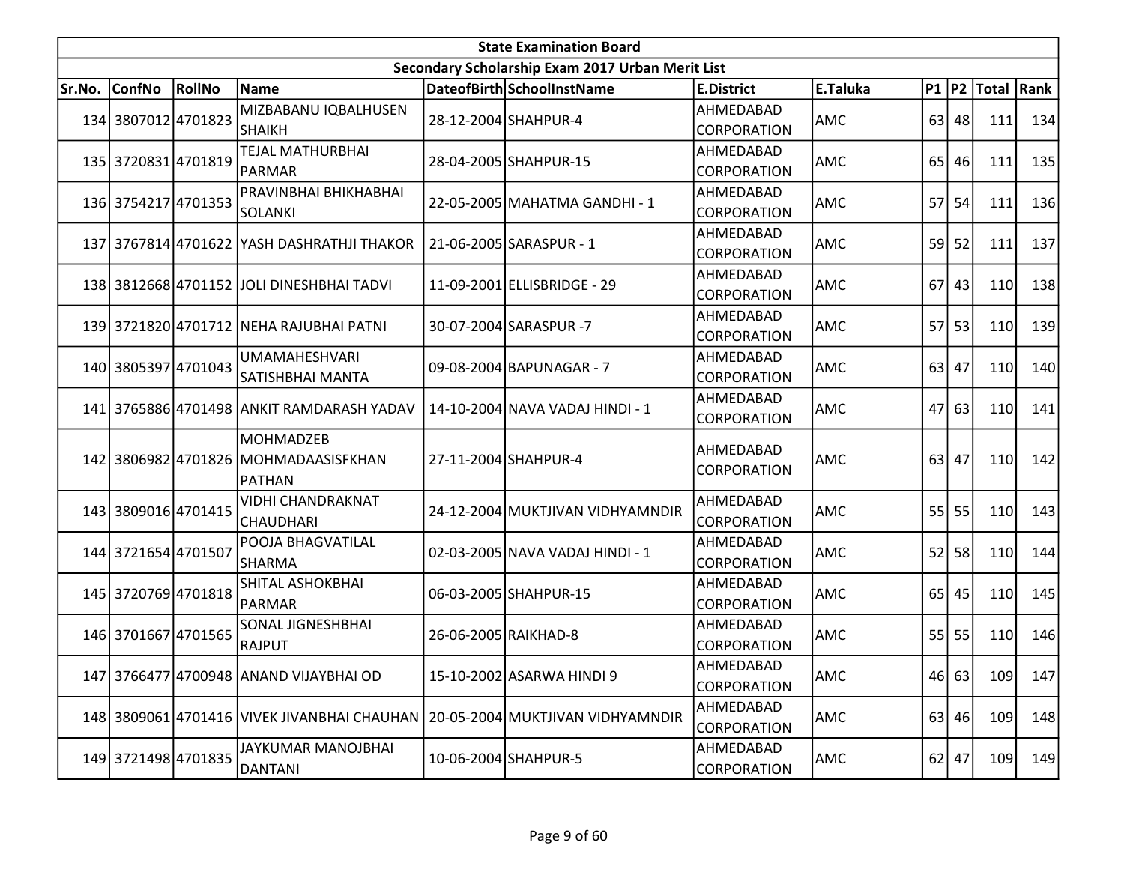|        |                     |        |                                                                           | <b>State Examination Board</b>                   |                                 |            |    |           |                        |     |
|--------|---------------------|--------|---------------------------------------------------------------------------|--------------------------------------------------|---------------------------------|------------|----|-----------|------------------------|-----|
|        |                     |        |                                                                           | Secondary Scholarship Exam 2017 Urban Merit List |                                 |            |    |           |                        |     |
| Sr.No. | ConfNo              | RollNo | Name                                                                      | DateofBirth SchoolInstName                       | <b>E.District</b>               | E.Taluka   |    |           | P1   P2   Total   Rank |     |
|        | 134 3807012 4701823 |        | MIZBABANU IQBALHUSEN<br><b>SHAIKH</b>                                     | 28-12-2004 SHAHPUR-4                             | AHMEDABAD<br><b>CORPORATION</b> | AMC        |    | $63$   48 | 111                    | 134 |
|        | 135 3720831 4701819 |        | <b>TEJAL MATHURBHAI</b><br>PARMAR                                         | 28-04-2005 SHAHPUR-15                            | AHMEDABAD<br>CORPORATION        | AMC        |    | 65 46     | 111                    | 135 |
|        | 136 3754217 4701353 |        | PRAVINBHAI BHIKHABHAI<br>SOLANKI                                          | 22-05-2005 MAHATMA GANDHI - 1                    | AHMEDABAD<br><b>CORPORATION</b> | <b>AMC</b> | 57 | 54        | 111                    | 136 |
|        |                     |        | 137 3767814 4701622 YASH DASHRATHJI THAKOR                                | 21-06-2005 SARASPUR - 1                          | AHMEDABAD<br><b>CORPORATION</b> | AMC        |    | 59 52     | 111                    | 137 |
|        |                     |        | 138 3812668 4701152 JOLI DINESHBHAI TADVI                                 | 11-09-2001 ELLISBRIDGE - 29                      | AHMEDABAD<br><b>CORPORATION</b> | AMC        | 67 | 43        | 110                    | 138 |
|        |                     |        | 139 3721820 4701712 NEHA RAJUBHAI PATNI                                   | 30-07-2004 SARASPUR -7                           | AHMEDABAD<br><b>CORPORATION</b> | <b>AMC</b> |    | $57$ 53   | 110                    | 139 |
|        | 140 3805397 4701043 |        | <b>UMAMAHESHVARI</b><br>SATISHBHAI MANTA                                  | 09-08-2004 BAPUNAGAR - 7                         | AHMEDABAD<br><b>CORPORATION</b> | AMC        |    | 63 47     | 110                    | 140 |
|        |                     |        | 141 3765886 4701498 ANKIT RAMDARASH YADAV                                 | 14-10-2004 NAVA VADAJ HINDI - 1                  | AHMEDABAD<br>CORPORATION        | AMC        |    | 47 63     | 110                    | 141 |
|        |                     |        | <b>MOHMADZEB</b><br>142 3806982 4701826 MOHMADAASISFKHAN<br><b>PATHAN</b> | 27-11-2004 SHAHPUR-4                             | AHMEDABAD<br><b>CORPORATION</b> | AMC        |    | $63$ 47   | 110                    | 142 |
|        | 143 3809016 4701415 |        | <b>VIDHI CHANDRAKNAT</b><br><b>CHAUDHARI</b>                              | 24-12-2004 MUKTJIVAN VIDHYAMNDIR                 | AHMEDABAD<br><b>CORPORATION</b> | AMC        |    | 55 55     | 110                    | 143 |
|        | 144 3721654 4701507 |        | POOJA BHAGVATILAL<br><b>SHARMA</b>                                        | 02-03-2005 NAVA VADAJ HINDI - 1                  | AHMEDABAD<br><b>CORPORATION</b> | AMC        |    | 52 58     | 110                    | 144 |
|        | 145 3720769 4701818 |        | SHITAL ASHOKBHAI<br>PARMAR                                                | 06-03-2005 SHAHPUR-15                            | AHMEDABAD<br>CORPORATION        | AMC        |    | 65 45     | 110                    | 145 |
|        | 146 3701667 4701565 |        | SONAL JIGNESHBHAI<br><b>RAJPUT</b>                                        | 26-06-2005 RAIKHAD-8                             | AHMEDABAD<br>CORPORATION        | <b>AMC</b> |    | $55$ 55   | 110                    | 146 |
|        |                     |        | 147 3766477 4700948 ANAND VIJAYBHAI OD                                    | 15-10-2002 ASARWA HINDI 9                        | AHMEDABAD<br><b>CORPORATION</b> | <b>AMC</b> |    | 46 63     | 109                    | 147 |
|        |                     |        | 148 3809061 4701416 VIVEK JIVANBHAI CHAUHAN                               | 20-05-2004 MUKTJIVAN VIDHYAMNDIR                 | AHMEDABAD<br><b>CORPORATION</b> | AMC        |    | $63$   46 | 109                    | 148 |
|        | 149 3721498 4701835 |        | JAYKUMAR MANOJBHAI<br>DANTANI                                             | 10-06-2004 SHAHPUR-5                             | AHMEDABAD<br><b>CORPORATION</b> | AMC        |    | $62$ 47   | 109                    | 149 |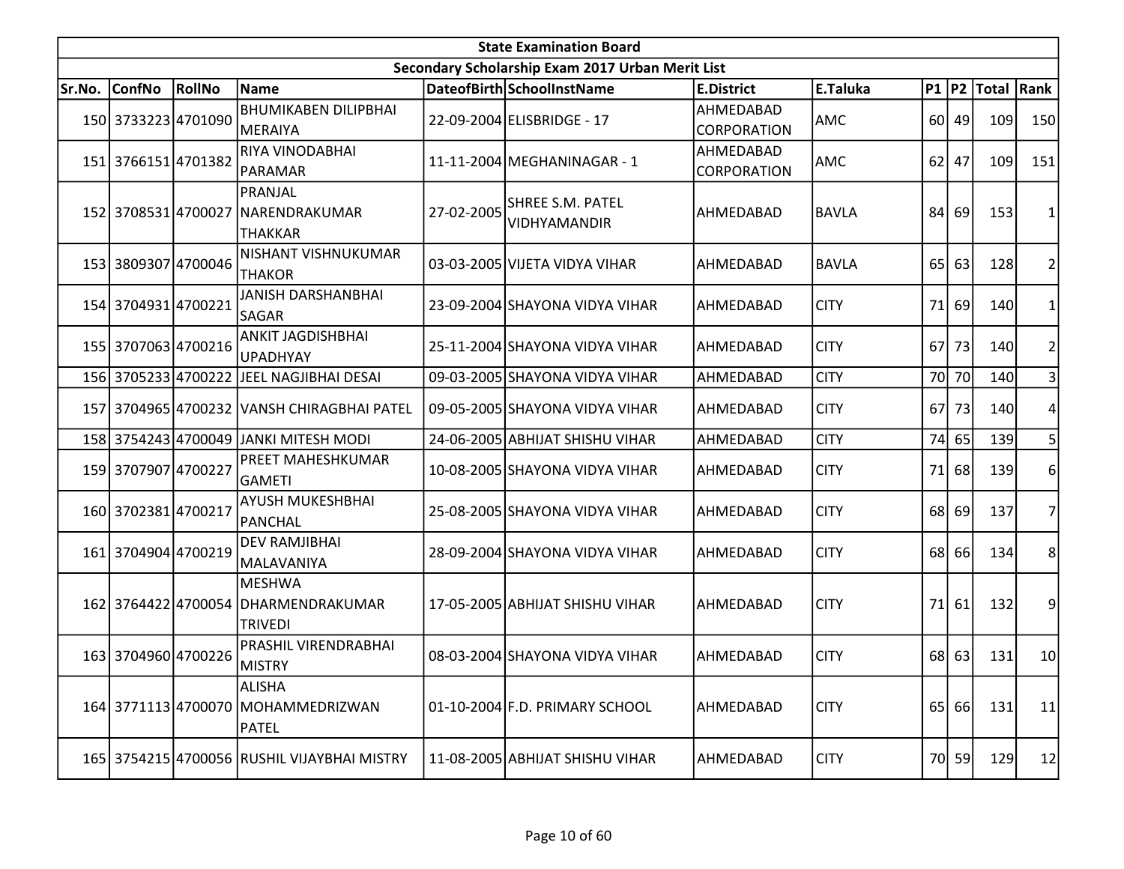|        | <b>State Examination Board</b> |        |                                                                        |            |                                                  |                          |              |           |           |                  |                |  |  |
|--------|--------------------------------|--------|------------------------------------------------------------------------|------------|--------------------------------------------------|--------------------------|--------------|-----------|-----------|------------------|----------------|--|--|
|        |                                |        |                                                                        |            | Secondary Scholarship Exam 2017 Urban Merit List |                          |              |           |           |                  |                |  |  |
| Sr.No. | ConfNo                         | RollNo | <b>Name</b>                                                            |            | DateofBirth SchoolInstName                       | <b>E.District</b>        | E.Taluka     |           |           | P1 P2 Total Rank |                |  |  |
|        | 150 3733223 4701090            |        | <b>BHUMIKABEN DILIPBHAI</b><br>MERAIYA                                 |            | 22-09-2004 ELISBRIDGE - 17                       | AHMEDABAD<br>CORPORATION | <b>AMC</b>   |           | 60 49     | 109              | 150            |  |  |
|        | 151 3766151 4701382            |        | RIYA VINODABHAI<br>PARAMAR                                             |            | 11-11-2004 MEGHANINAGAR - 1                      | AHMEDABAD<br>CORPORATION | AMC          |           | $62$ 47   | 109              | 151            |  |  |
|        |                                |        | PRANJAL<br>152 3708531 4700027 NARENDRAKUMAR<br>THAKKAR                | 27-02-2005 | <b>SHREE S.M. PATEL</b><br>VIDHYAMANDIR          | AHMEDABAD                | <b>BAVLA</b> | 84        | 69        | 153              | 1              |  |  |
|        | 153 3809307 4700046            |        | NISHANT VISHNUKUMAR<br><b>THAKOR</b>                                   |            | 03-03-2005 VIJETA VIDYA VIHAR                    | AHMEDABAD                | <b>BAVLA</b> |           | 65 63     | 128              | $\overline{c}$ |  |  |
|        | 154 3704931 4700221            |        | <b>JANISH DARSHANBHAI</b><br><b>SAGAR</b>                              |            | 23-09-2004 SHAYONA VIDYA VIHAR                   | AHMEDABAD                | <b>CITY</b>  | <b>71</b> | 69        | 140              | 1              |  |  |
|        | 155 3707063 4700216            |        | <b>ANKIT JAGDISHBHAI</b><br><b>UPADHYAY</b>                            |            | 25-11-2004 SHAYONA VIDYA VIHAR                   | AHMEDABAD                | <b>CITY</b>  | 67        | 73        | 140              | $\overline{c}$ |  |  |
|        | 156 3705233 4700222            |        | JEEL NAGJIBHAI DESAI                                                   |            | 09-03-2005 SHAYONA VIDYA VIHAR                   | AHMEDABAD                | <b>CITY</b>  |           | 70 70     | 140              | 3              |  |  |
|        |                                |        | 157 3704965 4700232 VANSH CHIRAGBHAI PATEL                             |            | 09-05-2005 SHAYONA VIDYA VIHAR                   | AHMEDABAD                | <b>CITY</b>  | 67        | 73        | 140              | 4              |  |  |
|        |                                |        | 158 3754243 4700049 JANKI MITESH MODI                                  |            | 24-06-2005 ABHIJAT SHISHU VIHAR                  | AHMEDABAD                | <b>CITY</b>  | 74        | 65        | 139              | 5              |  |  |
|        | 159 3707907 4700227            |        | PREET MAHESHKUMAR<br><b>GAMETI</b>                                     |            | 10-08-2005 SHAYONA VIDYA VIHAR                   | AHMEDABAD                | <b>CITY</b>  | 71        | 68        | 139              | 6              |  |  |
|        | 160 3702381 4700217            |        | <b>AYUSH MUKESHBHAI</b><br>PANCHAL                                     |            | 25-08-2005 SHAYONA VIDYA VIHAR                   | AHMEDABAD                | <b>CITY</b>  |           | 68 69     | 137              | 7              |  |  |
|        | 161 3704904 4700219            |        | <b>DEV RAMJIBHAI</b><br>MALAVANIYA                                     |            | 28-09-2004 SHAYONA VIDYA VIHAR                   | AHMEDABAD                | <b>CITY</b>  |           | 68 66     | 134              | 8              |  |  |
|        |                                |        | <b>MESHWA</b><br>162 3764422 4700054 DHARMENDRAKUMAR<br><b>TRIVEDI</b> |            | 17-05-2005 ABHIJAT SHISHU VIHAR                  | AHMEDABAD                | <b>CITY</b>  | 71        | 61        | 132              | 9              |  |  |
|        | 163 3704960 4700226            |        | PRASHIL VIRENDRABHAI<br><b>MISTRY</b>                                  |            | 08-03-2004 SHAYONA VIDYA VIHAR                   | AHMEDABAD                | <b>CITY</b>  |           | 68 63     | 131              | 10             |  |  |
|        |                                |        | ALISHA<br>164 3771113 4700070 MOHAMMEDRIZWAN<br>PATEL                  |            | 01-10-2004 F.D. PRIMARY SCHOOL                   | AHMEDABAD                | <b>CITY</b>  | 65        | <b>66</b> | 131              | 11             |  |  |
|        |                                |        | 165 3754215 4700056 RUSHIL VIJAYBHAI MISTRY                            |            | 11-08-2005 ABHIJAT SHISHU VIHAR                  | AHMEDABAD                | <b>CITY</b>  |           | 70 59     | 129              | 12             |  |  |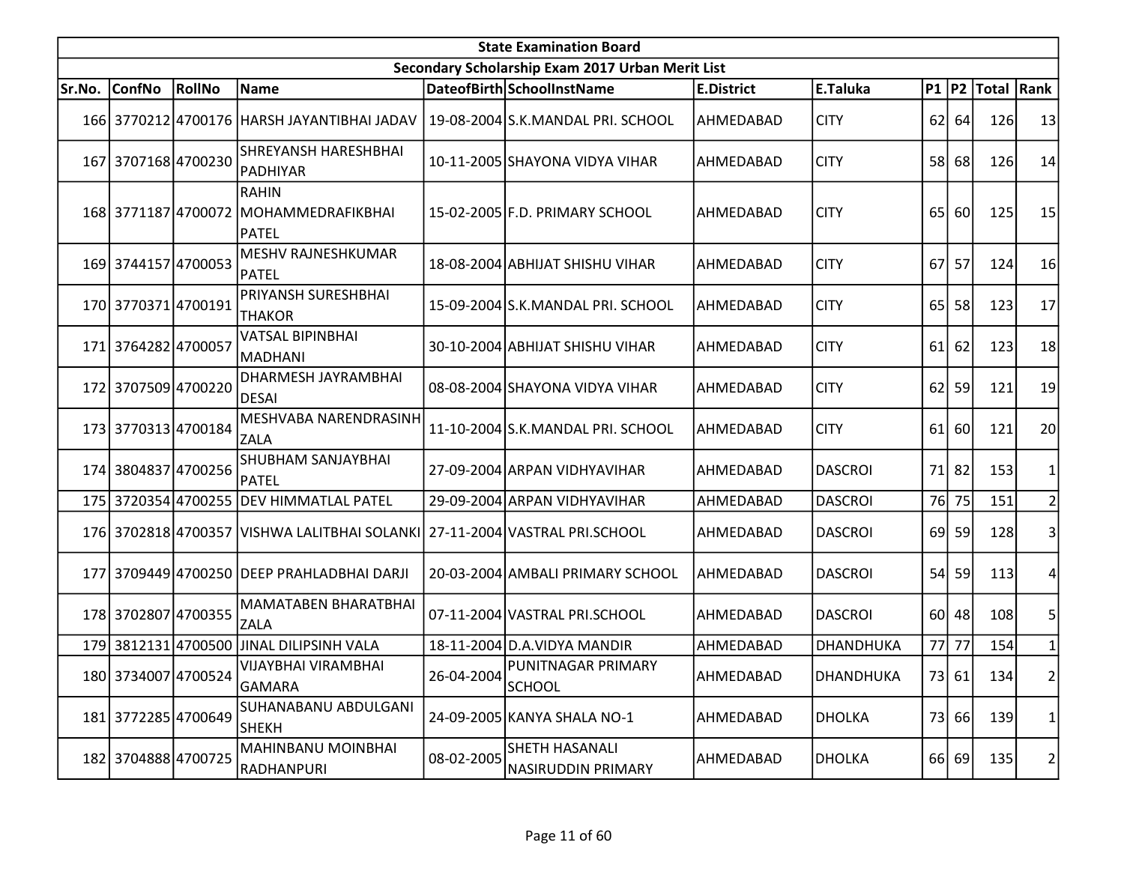|        | <b>State Examination Board</b> |        |                                                                |            |                                                  |                   |                  |      |           |                  |    |  |  |
|--------|--------------------------------|--------|----------------------------------------------------------------|------------|--------------------------------------------------|-------------------|------------------|------|-----------|------------------|----|--|--|
|        |                                |        |                                                                |            | Secondary Scholarship Exam 2017 Urban Merit List |                   |                  |      |           |                  |    |  |  |
| Sr.No. | ConfNo                         | RollNo | Name                                                           |            | DateofBirth SchoolInstName                       | <b>E.District</b> | E.Taluka         |      |           | P1 P2 Total Rank |    |  |  |
|        |                                |        | 166 3770212 4700176 HARSH JAYANTIBHAI JADAV                    |            | 19-08-2004 S.K.MANDAL PRI. SCHOOL                | AHMEDABAD         | <b>CITY</b>      |      | $62$   64 | 126              | 13 |  |  |
|        | 167 3707168 4700230            |        | <b>SHREYANSH HARESHBHAI</b><br>PADHIYAR                        |            | 10-11-2005 SHAYONA VIDYA VIHAR                   | AHMEDABAD         | <b>CITY</b>      |      | 58 68     | 126              | 14 |  |  |
|        |                                |        | <b>RAHIN</b><br>168 3771187 4700072 MOHAMMEDRAFIKBHAI<br>PATEL |            | 15-02-2005 F.D. PRIMARY SCHOOL                   | AHMEDABAD         | <b>CITY</b>      | 65   | 60        | 125              | 15 |  |  |
|        | 169 3744157 4700053            |        | MESHV RAJNESHKUMAR<br><b>PATEL</b>                             |            | 18-08-2004 ABHIJAT SHISHU VIHAR                  | AHMEDABAD         | <b>CITY</b>      |      | 67 57     | 124              | 16 |  |  |
|        | 170 3770371 4700191            |        | PRIYANSH SURESHBHAI<br><b>THAKOR</b>                           |            | 15-09-2004 S.K.MANDAL PRI. SCHOOL                | AHMEDABAD         | <b>CITY</b>      | 65 l | 58        | 123              | 17 |  |  |
|        | 171 3764282 4700057            |        | <b>VATSAL BIPINBHAI</b><br>MADHANI                             |            | 30-10-2004 ABHIJAT SHISHU VIHAR                  | AHMEDABAD         | <b>CITY</b>      | 61   | 62        | 123              | 18 |  |  |
|        | 172 3707509 4700220            |        | DHARMESH JAYRAMBHAI<br>DESAI                                   |            | 08-08-2004 SHAYONA VIDYA VIHAR                   | AHMEDABAD         | <b>CITY</b>      | 62   | 59        | 121              | 19 |  |  |
|        | 173 3770313 4700184            |        | MESHVABA NARENDRASINH<br><b>ZALA</b>                           |            | 11-10-2004 S.K.MANDAL PRI. SCHOOL                | AHMEDABAD         | <b>CITY</b>      | 61   | <b>60</b> | 121              | 20 |  |  |
|        | 174 3804837 4700256            |        | SHUBHAM SANJAYBHAI<br>PATEL                                    |            | 27-09-2004 ARPAN VIDHYAVIHAR                     | AHMEDABAD         | <b>DASCROI</b>   |      | 71 82     | 153              |    |  |  |
|        |                                |        | 175 3720354 4700255 DEV HIMMATLAL PATEL                        |            | 29-09-2004 ARPAN VIDHYAVIHAR                     | AHMEDABAD         | <b>DASCROI</b>   |      | 76 75     | 151              |    |  |  |
|        |                                |        | 176 3702818 4700357 VISHWA LALITBHAI SOLANKI                   |            | 27-11-2004 VASTRAL PRI.SCHOOL                    | AHMEDABAD         | <b>DASCROI</b>   |      | 69 59     | 128              | 3  |  |  |
|        |                                |        | 177 3709449 4700250 DEEP PRAHLADBHAI DARJI                     |            | 20-03-2004 AMBALI PRIMARY SCHOOL                 | AHMEDABAD         | <b>DASCROI</b>   | 54   | 59        | 113              |    |  |  |
|        | 178 3702807 4700355            |        | MAMATABEN BHARATBHAI<br><b>ZALA</b>                            |            | 07-11-2004 VASTRAL PRI.SCHOOL                    | AHMEDABAD         | <b>DASCROI</b>   |      | 60 48     | 108              | 5  |  |  |
|        |                                |        | 179 3812131 4700500 JJINAL DILIPSINH VALA                      |            | 18-11-2004 D.A. VIDYA MANDIR                     | AHMEDABAD         | <b>DHANDHUKA</b> | 77   | 77        | 154              |    |  |  |
|        | 180 3734007 4700524            |        | VIJAYBHAI VIRAMBHAI<br>GAMARA                                  | 26-04-2004 | PUNITNAGAR PRIMARY<br>SCHOOL                     | AHMEDABAD         | <b>DHANDHUKA</b> |      | 73 61     | 134              | 2  |  |  |
|        | 181 3772285 4700649            |        | SUHANABANU ABDULGANI<br><b>SHEKH</b>                           |            | 24-09-2005 KANYA SHALA NO-1                      | AHMEDABAD         | <b>DHOLKA</b>    |      | 73 66     | 139              | 1  |  |  |
|        | 182 3704888 4700725            |        | MAHINBANU MOINBHAI<br> RADHANPURI                              | 08-02-2005 | SHETH HASANALI<br><b>NASIRUDDIN PRIMARY</b>      | AHMEDABAD         | <b>DHOLKA</b>    |      | 66 69     | 135              | 2  |  |  |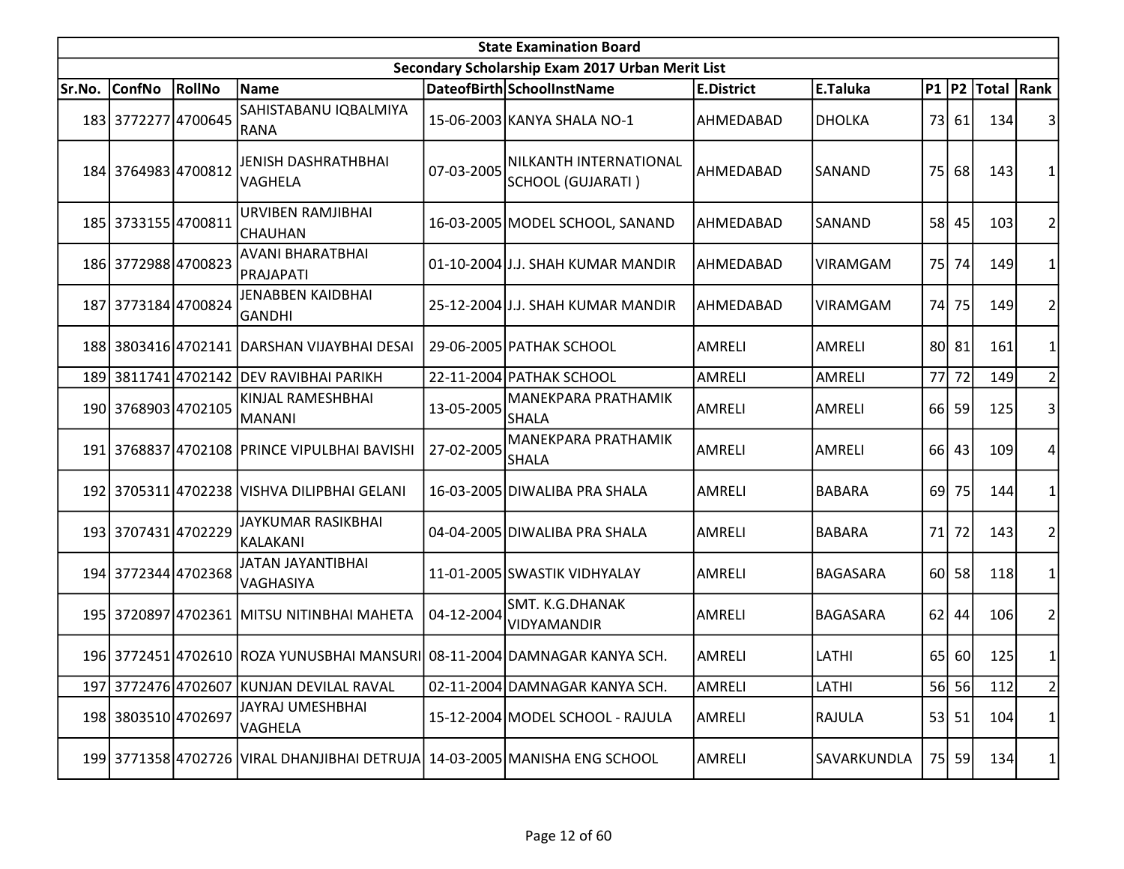| <b>State Examination Board</b> |                     |               |                                                                            |            |                                                  |                   |                 |                 |       |                  |                |  |
|--------------------------------|---------------------|---------------|----------------------------------------------------------------------------|------------|--------------------------------------------------|-------------------|-----------------|-----------------|-------|------------------|----------------|--|
|                                |                     |               |                                                                            |            | Secondary Scholarship Exam 2017 Urban Merit List |                   |                 |                 |       |                  |                |  |
| Sr.No.                         | <b>ConfNo</b>       | <b>RollNo</b> | Name                                                                       |            | DateofBirth SchoolInstName                       | <b>E.District</b> | E.Taluka        |                 |       | P1 P2 Total Rank |                |  |
|                                | 183 3772277 4700645 |               | SAHISTABANU IQBALMIYA<br>RANA                                              |            | 15-06-2003 KANYA SHALA NO-1                      | AHMEDABAD         | <b>DHOLKA</b>   |                 | 73 61 | 134              |                |  |
|                                | 184 3764983 4700812 |               | JENISH DASHRATHBHAI<br>VAGHELA                                             | 07-03-2005 | NILKANTH INTERNATIONAL<br>SCHOOL (GUJARATI)      | AHMEDABAD         | SANAND          | 75 <sup> </sup> | 68    | 143              |                |  |
|                                | 185 3733155 4700811 |               | URVIBEN RAMJIBHAI<br>CHAUHAN                                               |            | 16-03-2005 MODEL SCHOOL, SANAND                  | AHMEDABAD         | SANAND          |                 | 58 45 | 103              | 2              |  |
|                                | 186 3772988 4700823 |               | <b>AVANI BHARATBHAI</b><br> PRAJAPATI                                      |            | 01-10-2004 J.J. SHAH KUMAR MANDIR                | AHMEDABAD         | <b>VIRAMGAM</b> | 75 I            | 74    | 149              |                |  |
|                                | 187 3773184 4700824 |               | JENABBEN KAIDBHAI<br><b>GANDHI</b>                                         |            | 25-12-2004 J.J. SHAH KUMAR MANDIR                | AHMEDABAD         | <b>VIRAMGAM</b> | 74I             | 75    | 149              | 2              |  |
|                                |                     |               | 188 3803416 4702141 DARSHAN VIJAYBHAI DESAI                                |            | 29-06-2005 PATHAK SCHOOL                         | AMRELI            | <b>AMRELI</b>   |                 | 80 81 | 161              | 1              |  |
|                                |                     |               | 189 3811741 4702142 DEV RAVIBHAI PARIKH                                    |            | 22-11-2004 PATHAK SCHOOL                         | AMRELI            | <b>AMRELI</b>   |                 | 77 72 | 149              | $\overline{2}$ |  |
|                                | 190 3768903 4702105 |               | KINJAL RAMESHBHAI<br>MANANI]                                               | 13-05-2005 | <b>MANEKPARA PRATHAMIK</b><br><b>SHALA</b>       | <b>AMRELI</b>     | AMRELI          |                 | 66 59 | 125              | 3              |  |
|                                |                     |               | 191 3768837 4702108 PRINCE VIPULBHAI BAVISHI                               | 27-02-2005 | <b>MANEKPARA PRATHAMIK</b><br><b>SHALA</b>       | <b>AMRELI</b>     | AMRELI          |                 | 66 43 | 109              | 4              |  |
|                                |                     |               | 192 3705311 4702238 VISHVA DILIPBHAI GELANI                                |            | 16-03-2005 DIWALIBA PRA SHALA                    | <b>AMRELI</b>     | <b>BABARA</b>   | 69 <sup> </sup> | 75    | 144              |                |  |
|                                | 193 3707431 4702229 |               | JAYKUMAR RASIKBHAI<br>KALAKANI                                             |            | 04-04-2005 DIWALIBA PRA SHALA                    | <b>AMRELI</b>     | <b>BABARA</b>   | 71              | 72    | 143              | 2              |  |
|                                | 194 3772344 4702368 |               | JATAN JAYANTIBHAI<br>VAGHASIYA                                             |            | 11-01-2005 SWASTIK VIDHYALAY                     | <b>AMRELI</b>     | <b>BAGASARA</b> | 60l             | 58    | 118              |                |  |
|                                |                     |               | 195 3720897 4702361 MITSU NITINBHAI MAHETA                                 | 04-12-2004 | SMT. K.G.DHANAK<br><b>VIDYAMANDIR</b>            | AMRELI            | <b>BAGASARA</b> | 62              | 44    | 106              | 2              |  |
|                                |                     |               | 196 3772451 4702610 ROZA YUNUSBHAI MANSURI 08-11-2004 DAMNAGAR KANYA SCH.  |            |                                                  | AMRELI            | LATHI           |                 | 65 60 | 125              |                |  |
|                                |                     |               | 197 3772476 4702607 KUNJAN DEVILAL RAVAL                                   |            | 02-11-2004 DAMNAGAR KANYA SCH.                   | AMRELI            | LATHI           |                 | 56 56 | 112              | $\overline{2}$ |  |
|                                | 198 3803510 4702697 |               | <b>JAYRAJ UMESHBHAI</b><br>VAGHELA                                         |            | 15-12-2004 MODEL SCHOOL - RAJULA                 | AMRELI            | RAJULA          |                 | 53 51 | 104              | 1              |  |
|                                |                     |               | 199 3771358 4702726 VIRAL DHANJIBHAI DETRUJA 14-03-2005 MANISHA ENG SCHOOL |            |                                                  | AMRELI            | SAVARKUNDLA     |                 | 75 59 | 134              | 1              |  |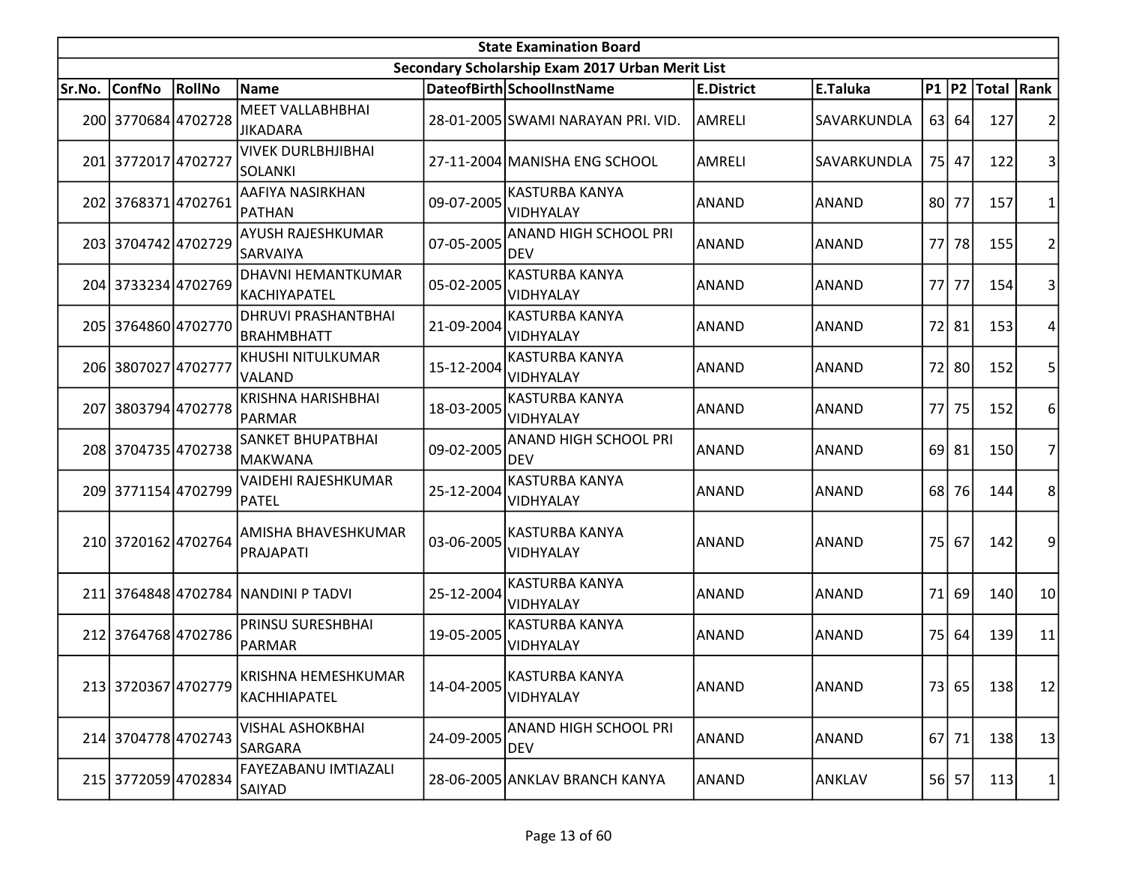|        | <b>State Examination Board</b> |        |                                             |            |                                                  |                   |              |           |           |                  |                |  |  |
|--------|--------------------------------|--------|---------------------------------------------|------------|--------------------------------------------------|-------------------|--------------|-----------|-----------|------------------|----------------|--|--|
|        |                                |        |                                             |            | Secondary Scholarship Exam 2017 Urban Merit List |                   |              |           |           |                  |                |  |  |
| Sr.No. | <b>ConfNo</b>                  | RollNo | Name                                        |            | DateofBirth SchoolInstName                       | <b>E.District</b> | E.Taluka     |           |           | P1 P2 Total Rank |                |  |  |
|        | 200 3770684 4702728            |        | <b>MEET VALLABHBHAI</b><br><b>JIKADARA</b>  |            | 28-01-2005 SWAMI NARAYAN PRI. VID.               | AMRELI            | SAVARKUNDLA  |           | 63 64     | 127              | 2              |  |  |
|        | 201 3772017 4702727            |        | <b>VIVEK DURLBHJIBHAI</b><br><b>SOLANKI</b> |            | 27-11-2004 MANISHA ENG SCHOOL                    | AMRELI            | SAVARKUNDLA  |           | 75 47     | 122              | 3              |  |  |
|        | 202 3768371 4702761            |        | AAFIYA NASIRKHAN<br>PATHAN                  | 09-07-2005 | KASTURBA KANYA<br>VIDHYALAY                      | <b>ANAND</b>      | <b>ANAND</b> | 80 l      | 77        | 157              | 1              |  |  |
|        | 203 3704742 4702729            |        | <b>AYUSH RAJESHKUMAR</b><br><b>SARVAIYA</b> | 07-05-2005 | <b>ANAND HIGH SCHOOL PRI</b><br><b>DEV</b>       | ANAND             | <b>ANAND</b> | 77        | 78        | 155              | $\overline{2}$ |  |  |
|        | 204 3733234 4702769            |        | DHAVNI HEMANTKUMAR<br>KACHIYAPATEL          | 05-02-2005 | <b>KASTURBA KANYA</b><br>VIDHYALAY               | <b>ANAND</b>      | <b>ANAND</b> | 77        | 77        | 154              | 3              |  |  |
|        | 205 3764860 4702770            |        | DHRUVI PRASHANTBHAI<br><b>BRAHMBHATT</b>    | 21-09-2004 | <b>KASTURBA KANYA</b><br>VIDHYALAY               | ANAND             | ANAND        |           | 72 81     | 153              | 4              |  |  |
|        | 206 3807027 4702777            |        | KHUSHI NITULKUMAR<br><b>VALAND</b>          | 15-12-2004 | <b>KASTURBA KANYA</b><br>VIDHYALAY               | ANAND             | <b>ANAND</b> | 72        | 80        | 152              | 5              |  |  |
|        | 207 3803794 4702778            |        | <b>KRISHNA HARISHBHAI</b><br>PARMAR         | 18-03-2005 | <b>KASTURBA KANYA</b><br>VIDHYALAY               | <b>ANAND</b>      | <b>ANAND</b> | 77        | 75        | 152              | 6              |  |  |
|        | 208 3704735 4702738            |        | <b>SANKET BHUPATBHAI</b><br>MAKWANA         | 09-02-2005 | <b>ANAND HIGH SCHOOL PRI</b><br><b>DEV</b>       | ANAND             | <b>ANAND</b> |           | $69$   81 | 150              | $\overline{7}$ |  |  |
|        | 209 3771154 4702799            |        | VAIDEHI RAJESHKUMAR<br>PATEL                | 25-12-2004 | <b>KASTURBA KANYA</b><br>VIDHYALAY               | <b>ANAND</b>      | <b>ANAND</b> | 68        | 76        | 144              | 8              |  |  |
|        | 210 3720162 4702764            |        | AMISHA BHAVESHKUMAR<br>PRAJAPATI            | 03-06-2005 | <b>KASTURBA KANYA</b><br>VIDHYALAY               | ANAND             | <b>ANAND</b> | <b>75</b> | 67        | 142              | 9              |  |  |
|        |                                |        | 211 3764848 4702784 NANDINI P TADVI         | 25-12-2004 | <b>KASTURBA KANYA</b><br>VIDHYALAY               | <b>ANAND</b>      | <b>ANAND</b> | 71        | 69        | 140              | 10             |  |  |
|        | 212 3764768 4702786            |        | PRINSU SURESHBHAI<br>PARMAR                 | 19-05-2005 | <b>KASTURBA KANYA</b><br>VIDHYALAY               | ANAND             | <b>ANAND</b> | 75        | 64        | 139              | 11             |  |  |
|        | 213 3720367 4702779            |        | KRISHNA HEMESHKUMAR<br>KACHHIAPATEL         | 14-04-2005 | <b>KASTURBA KANYA</b><br>VIDHYALAY               | ANAND             | <b>ANAND</b> |           | 73 65     | 138              | 12             |  |  |
|        | 214 3704778 4702743            |        | <b>VISHAL ASHOKBHAI</b><br><b>SARGARA</b>   | 24-09-2005 | ANAND HIGH SCHOOL PRI<br><b>DEV</b>              | ANAND             | ANAND        |           | $67$   71 | 138              | 13             |  |  |
|        | 215 3772059 4702834            |        | FAYEZABANU IMTIAZALI<br>SAIYAD              |            | 28-06-2005 ANKLAV BRANCH KANYA                   | ANAND             | ANKLAV       |           | 56 57     | 113              | 1              |  |  |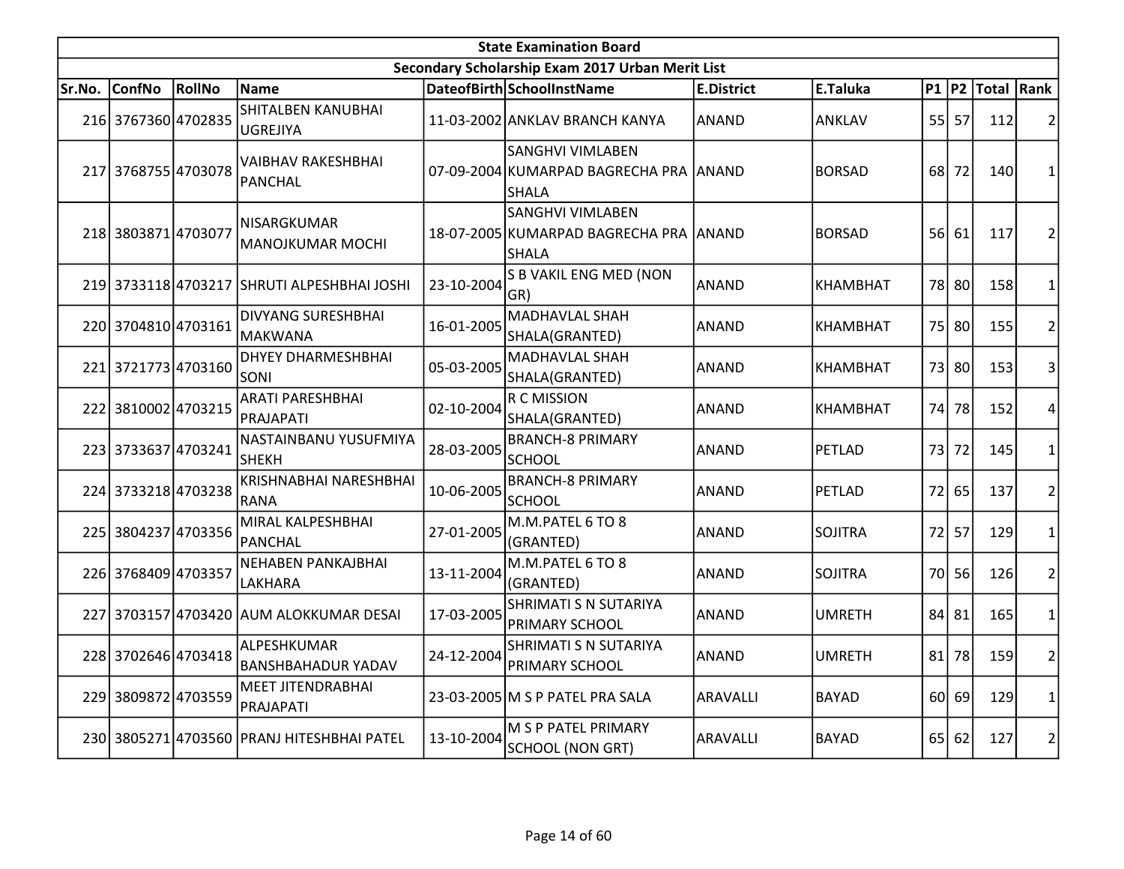|        | <b>State Examination Board</b><br>Secondary Scholarship Exam 2017 Urban Merit List |               |                                              |            |                                                                                   |                   |                 |                 |             |                  |                         |  |  |
|--------|------------------------------------------------------------------------------------|---------------|----------------------------------------------|------------|-----------------------------------------------------------------------------------|-------------------|-----------------|-----------------|-------------|------------------|-------------------------|--|--|
|        |                                                                                    |               |                                              |            |                                                                                   |                   |                 |                 |             |                  |                         |  |  |
| Sr.No. | <b>ConfNo</b>                                                                      | <b>RollNo</b> | Name                                         |            | DateofBirth SchoolInstName                                                        | <b>E.District</b> | E.Taluka        |                 |             | P1 P2 Total Rank |                         |  |  |
|        | 216 3767360 4702835                                                                |               | <b>SHITALBEN KANUBHAI</b><br><b>UGREJIYA</b> |            | 11-03-2002 ANKLAV BRANCH KANYA                                                    | <b>ANAND</b>      | <b>ANKLAV</b>   |                 | $55$ 57     | 112              | $\overline{2}$          |  |  |
|        | 217 3768755 4703078                                                                |               | VAIBHAV RAKESHBHAI<br>PANCHAL                |            | <b>SANGHVI VIMLABEN</b><br>07-09-2004 KUMARPAD BAGRECHA PRA ANAND<br><b>SHALA</b> |                   | <b>BORSAD</b>   | 68              | 72          | 140              | 1                       |  |  |
|        | 218 3803871 4703077                                                                |               | NISARGKUMAR<br>MANOJKUMAR MOCHI              |            | <b>SANGHVI VIMLABEN</b><br>18-07-2005 KUMARPAD BAGRECHA PRA ANAND<br><b>SHALA</b> |                   | <b>BORSAD</b>   |                 | 56 61       | 117              | 2                       |  |  |
|        |                                                                                    |               | 219 3733118 4703217 SHRUTI ALPESHBHAI JOSHI  | 23-10-2004 | S B VAKIL ENG MED (NON<br>GR)                                                     | <b>ANAND</b>      | <b>KHAMBHAT</b> |                 | 78 80       | 158              | 1                       |  |  |
|        | 220 3704810 4703161                                                                |               | <b>DIVYANG SURESHBHAI</b><br>MAKWANA         | 16-01-2005 | <b>MADHAVLAL SHAH</b><br>SHALA(GRANTED)                                           | <b>ANAND</b>      | <b>KHAMBHAT</b> |                 | 75 80       | 155              | $\overline{c}$          |  |  |
|        | 221 3721773 4703160                                                                |               | <b>DHYEY DHARMESHBHAI</b><br>Isoni           | 05-03-2005 | MADHAVLAL SHAH<br>SHALA(GRANTED)                                                  | <b>ANAND</b>      | <b>KHAMBHAT</b> |                 | 73 80       | 153              | 3                       |  |  |
|        | 222 3810002 4703215                                                                |               | <b>ARATI PARESHBHAI</b><br>PRAJAPATI         | 02-10-2004 | <b>R C MISSION</b><br>SHALA(GRANTED)                                              | <b>ANAND</b>      | <b>KHAMBHAT</b> | 74              | 78          | 152              | 4                       |  |  |
|        | 223 3733637 4703241                                                                |               | NASTAINBANU YUSUFMIYA<br><b>SHEKH</b>        | 28-03-2005 | <b>BRANCH-8 PRIMARY</b><br><b>SCHOOL</b>                                          | <b>ANAND</b>      | PETLAD          | 73              | 72          | 145              | $\mathbf{1}$            |  |  |
|        | 224 3733218 4703238                                                                |               | KRISHNABHAI NARESHBHAI<br>RANA               | 10-06-2005 | <b>BRANCH-8 PRIMARY</b><br><b>SCHOOL</b>                                          | ANAND             | PETLAD          |                 | 72 65       | 137              | $\overline{2}$          |  |  |
| 225    | 3804237 4703356                                                                    |               | MIRAL KALPESHBHAI<br>PANCHAL                 | 27-01-2005 | M.M.PATEL 6 TO 8<br>(GRANTED)                                                     | <b>ANAND</b>      | <b>SOJITRA</b>  | 72              | 57          | 129              | $\mathbf{1}$            |  |  |
|        | 226 3768409 4703357                                                                |               | <b>NEHABEN PANKAJBHAI</b><br>LAKHARA         | 13-11-2004 | M.M.PATEL 6 TO 8<br>(GRANTED)                                                     | <b>ANAND</b>      | <b>SOJITRA</b>  | 70I             | 56          | 126              | $\overline{2}$          |  |  |
|        |                                                                                    |               | 227 3703157 4703420 AUM ALOKKUMAR DESAI      | 17-03-2005 | <b>SHRIMATI S N SUTARIYA</b><br>PRIMARY SCHOOL                                    | <b>ANAND</b>      | <b>UMRETH</b>   |                 | $84$   $81$ | 165              | $\mathbf{1}$            |  |  |
|        | 228 3702646 4703418                                                                |               | ALPESHKUMAR<br><b>BANSHBAHADUR YADAV</b>     | 24-12-2004 | SHRIMATI S N SUTARIYA<br>PRIMARY SCHOOL                                           | ANAND             | <b>UMRETH</b>   | 81              | 78          | 159              | 2                       |  |  |
|        | 229 3809872 4703559                                                                |               | MEET JITENDRABHAI<br>PRAJAPATI               |            | 23-03-2005 M S P PATEL PRA SALA                                                   | ARAVALLI          | <b>BAYAD</b>    |                 | $60$ 69     | 129              | 1                       |  |  |
|        |                                                                                    |               | 230 3805271 4703560 PRANJ HITESHBHAI PATEL   | 13-10-2004 | M S P PATEL PRIMARY<br><b>SCHOOL (NON GRT)</b>                                    | <b>ARAVALLI</b>   | <b>BAYAD</b>    | 65 <sup> </sup> | 62          | 127              | $\overline{\mathbf{c}}$ |  |  |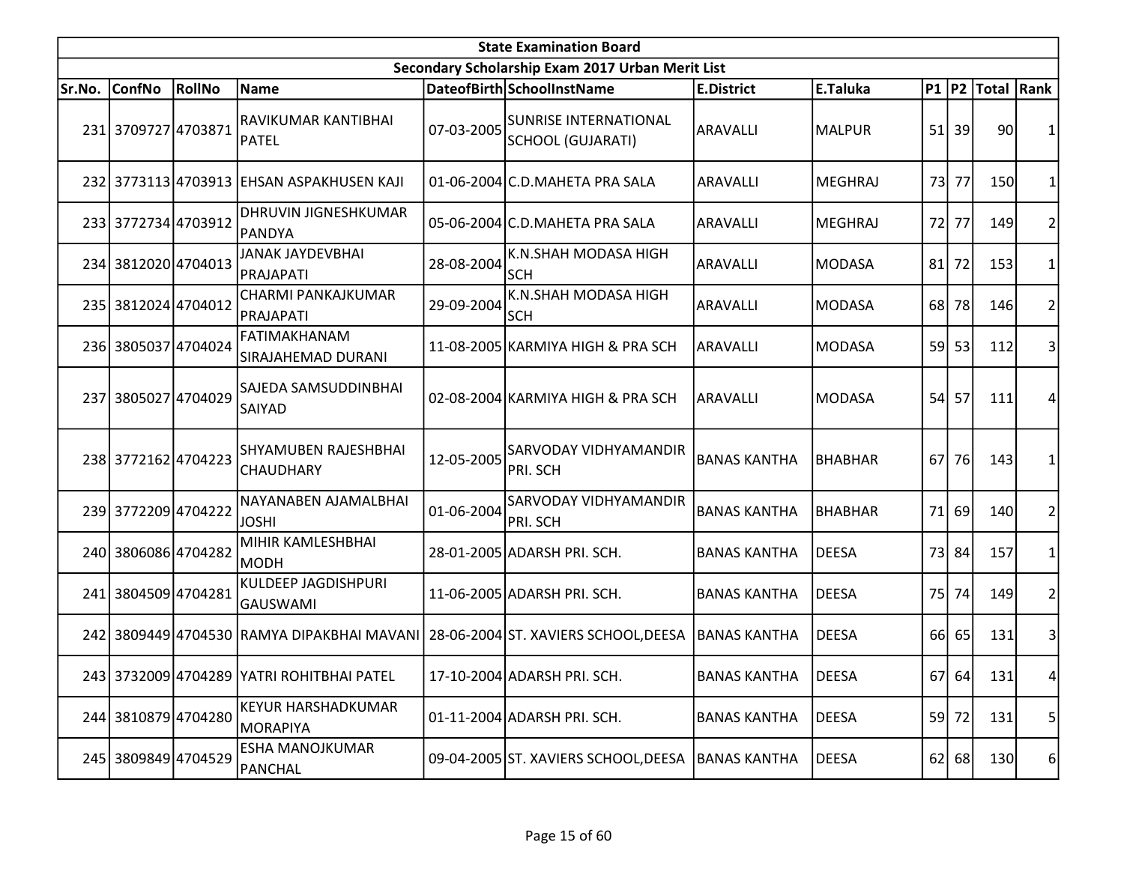|        | <b>State Examination Board</b> |        |                                                 |            |                                                   |                     |                |      |           |                  |                |  |  |
|--------|--------------------------------|--------|-------------------------------------------------|------------|---------------------------------------------------|---------------------|----------------|------|-----------|------------------|----------------|--|--|
|        |                                |        |                                                 |            | Secondary Scholarship Exam 2017 Urban Merit List  |                     |                |      |           |                  |                |  |  |
| Sr.No. | <b>ConfNo</b>                  | RollNo | Name                                            |            | DateofBirth SchoolInstName                        | <b>E.District</b>   | E.Taluka       |      |           | P1 P2 Total Rank |                |  |  |
|        | 231 3709727 4703871            |        | RAVIKUMAR KANTIBHAI<br>PATEL                    | 07-03-2005 | <b>SUNRISE INTERNATIONAL</b><br>SCHOOL (GUJARATI) | ARAVALLI            | <b>MALPUR</b>  |      | $51$ 39   | 90               |                |  |  |
|        |                                |        | 232 3773113 4703913 EHSAN ASPAKHUSEN KAJI       |            | 01-06-2004 C.D. MAHETA PRA SALA                   | ARAVALLI            | <b>MEGHRAJ</b> | 73   | 77        | 150              |                |  |  |
|        | 233 3772734 4703912            |        | <b>DHRUVIN JIGNESHKUMAR</b><br><b>PANDYA</b>    |            | 05-06-2004 C.D. MAHETA PRA SALA                   | ARAVALLI            | <b>MEGHRAJ</b> | 72   | 77        | 149              | 2              |  |  |
|        | 234 3812020 4704013            |        | JANAK JAYDEVBHAI<br>PRAJAPATI                   | 28-08-2004 | K.N.SHAH MODASA HIGH<br><b>SCH</b>                | ARAVALLI            | <b>MODASA</b>  | 81   | 72        | 153              |                |  |  |
|        | 235 3812024 4704012            |        | CHARMI PANKAJKUMAR<br>PRAJAPATI                 | 29-09-2004 | K.N.SHAH MODASA HIGH<br><b>SCH</b>                | ARAVALLI            | <b>MODASA</b>  |      | 68 78     | 146              | 2              |  |  |
|        | 236 3805037 4704024            |        | FATIMAKHANAM<br>SIRAJAHEMAD DURANI              |            | 11-08-2005 KARMIYA HIGH & PRA SCH                 | ARAVALLI            | <b>MODASA</b>  |      | 59 53     | 112              | 3              |  |  |
|        | 237 3805027 4704029            |        | SAJEDA SAMSUDDINBHAI<br>SAIYAD                  |            | 02-08-2004 KARMIYA HIGH & PRA SCH                 | ARAVALLI            | <b>MODASA</b>  | 54   | 57        | 111              | 4              |  |  |
|        | 238 3772162 4704223            |        | <b>SHYAMUBEN RAJESHBHAI</b><br><b>CHAUDHARY</b> | 12-05-2005 | <b>SARVODAY VIDHYAMANDIR</b><br>PRI. SCH          | <b>BANAS KANTHA</b> | <b>BHABHAR</b> | 67 I | <b>76</b> | 143              |                |  |  |
|        | 239 3772209 4704222            |        | NAYANABEN AJAMALBHAI<br><b>JOSHI</b>            | 01-06-2004 | <b>SARVODAY VIDHYAMANDIR</b><br><b>PRI. SCH</b>   | <b>BANAS KANTHA</b> | <b>BHABHAR</b> | 71   | 69        | 140              | 2              |  |  |
|        | 240 3806086 4704282            |        | MIHIR KAMLESHBHAI<br> морн                      |            | 28-01-2005 ADARSH PRI. SCH.                       | <b>BANAS KANTHA</b> | <b>DEESA</b>   |      | 73 84     | 157              | 1              |  |  |
|        | 241 3804509 4704281            |        | KULDEEP JAGDISHPURI<br>GAUSWAMI                 |            | 11-06-2005 ADARSH PRI. SCH.                       | <b>BANAS KANTHA</b> | <b>DEESA</b>   | 75 l | 74        | 149              | $\overline{2}$ |  |  |
|        |                                |        | 242 3809449 4704530 RAMYA DIPAKBHAI MAVANI      |            | 28-06-2004 ST. XAVIERS SCHOOL,DEESA               | <b>BANAS KANTHA</b> | <b>DEESA</b>   |      | 66 65     | 131              | 3              |  |  |
|        |                                |        | 243 3732009 4704289 YATRI ROHITBHAI PATEL       |            | 17-10-2004 ADARSH PRI. SCH.                       | <b>BANAS KANTHA</b> | <b>DEESA</b>   |      | 67 64     | 131              | 4              |  |  |
|        | 244 3810879 4704280            |        | <b>KEYUR HARSHADKUMAR</b><br> MORAPIYA          |            | 01-11-2004 ADARSH PRI. SCH.                       | <b>BANAS KANTHA</b> | <b>DEESA</b>   |      | 59 72     | 131              | 5 <sup>1</sup> |  |  |
|        | 245 3809849 4704529            |        | <b>ESHA MANOJKUMAR</b><br>PANCHAL               |            | 09-04-2005 ST. XAVIERS SCHOOL, DEESA              | <b>BANAS KANTHA</b> | <b>DEESA</b>   |      | $62$ 68   | 130              | $6 \mid$       |  |  |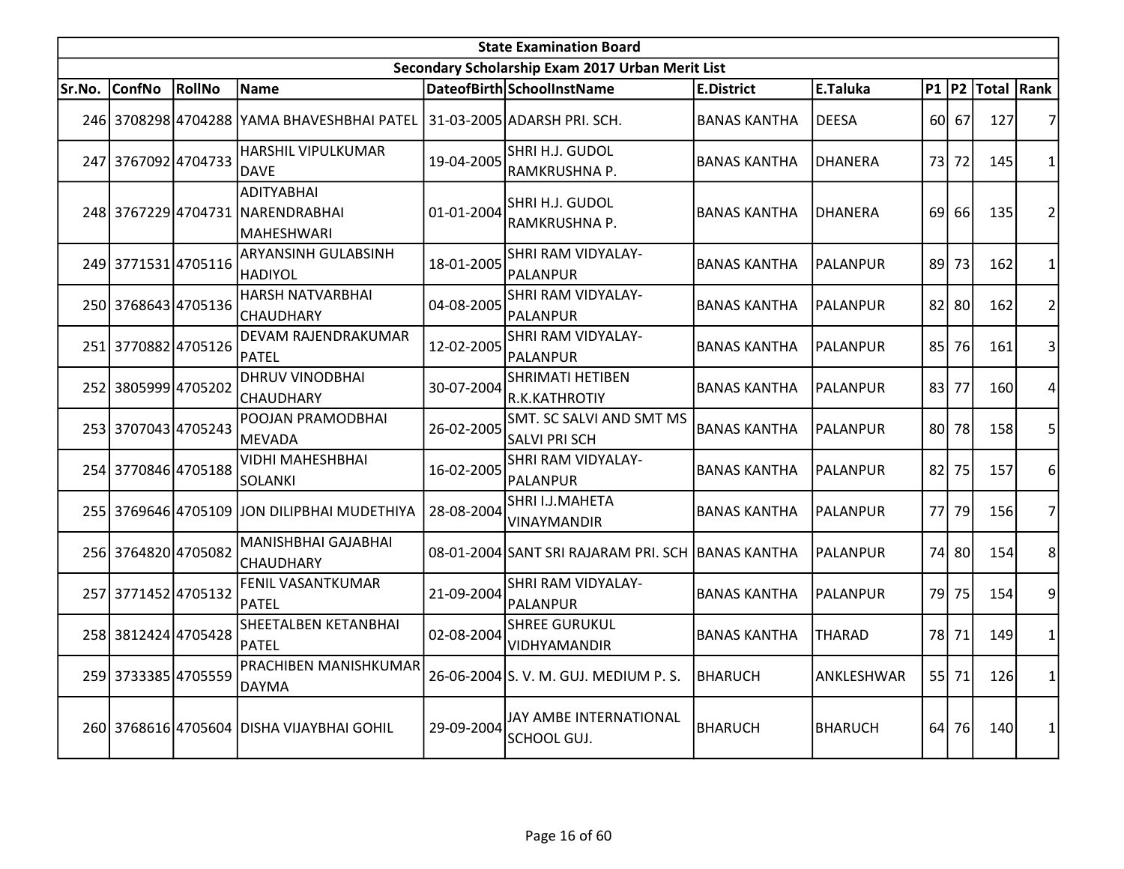|        | <b>State Examination Board</b><br>Secondary Scholarship Exam 2017 Urban Merit List |        |                                                                        |            |                                                         |                     |                 |                 |       |                  |                |  |  |
|--------|------------------------------------------------------------------------------------|--------|------------------------------------------------------------------------|------------|---------------------------------------------------------|---------------------|-----------------|-----------------|-------|------------------|----------------|--|--|
|        |                                                                                    |        |                                                                        |            |                                                         |                     |                 |                 |       |                  |                |  |  |
| Sr.No. | ConfNo                                                                             | RollNo | Name                                                                   |            | DateofBirth SchoolInstName                              | <b>E.District</b>   | E.Taluka        |                 |       | P1 P2 Total Rank |                |  |  |
|        |                                                                                    |        | 246 3708298 4704288 YAMA BHAVESHBHAI PATEL 31-03-2005 ADARSH PRI. SCH. |            |                                                         | <b>BANAS KANTHA</b> | <b>DEESA</b>    |                 | 60 67 | 127              | 7              |  |  |
|        | 247 3767092 4704733                                                                |        | <b>HARSHIL VIPULKUMAR</b><br>DAVE                                      | 19-04-2005 | SHRI H.J. GUDOL<br>RAMKRUSHNA P.                        | <b>BANAS KANTHA</b> | <b>DHANERA</b>  | 73              | 72    | 145              | $\mathbf 1$    |  |  |
|        |                                                                                    |        | <b>ADITYABHAI</b><br>248 3767229 4704731 NARENDRABHAI<br>MAHESHWARI    | 01-01-2004 | SHRI H.J. GUDOL<br>RAMKRUSHNA P.                        | <b>BANAS KANTHA</b> | <b>DHANERA</b>  | 69 <sup> </sup> | 66    | 135              | $\overline{2}$ |  |  |
|        | 249 3771531 4705116                                                                |        | <b>ARYANSINH GULABSINH</b><br><b>HADIYOL</b>                           | 18-01-2005 | SHRI RAM VIDYALAY-<br>PALANPUR                          | <b>BANAS KANTHA</b> | IPALANPUR       |                 | 89 73 | 162              | $\mathbf 1$    |  |  |
|        | 250 3768643 4705136                                                                |        | HARSH NATVARBHAI<br><b>CHAUDHARY</b>                                   | 04-08-2005 | SHRI RAM VIDYALAY-<br>PALANPUR                          | <b>BANAS KANTHA</b> | <b>PALANPUR</b> |                 | 82 80 | 162              | $\overline{2}$ |  |  |
|        | 251 3770882 4705126                                                                |        | DEVAM RAJENDRAKUMAR<br><b>PATEL</b>                                    | 12-02-2005 | SHRI RAM VIDYALAY-<br>PALANPUR                          | <b>BANAS KANTHA</b> | PALANPUR        |                 | 85 76 | 161              | 3              |  |  |
|        | 252 3805999 4705202                                                                |        | <b>DHRUV VINODBHAI</b><br><b>CHAUDHARY</b>                             | 30-07-2004 | <b>SHRIMATI HETIBEN</b><br>R.K.KATHROTIY                | <b>BANAS KANTHA</b> | <b>PALANPUR</b> | 83              | 77    | 160              | 4              |  |  |
|        | 253 3707043 4705243                                                                |        | POOJAN PRAMODBHAI<br>MEVADA                                            | 26-02-2005 | <b>SMT. SC SALVI AND SMT MS</b><br><b>SALVI PRI SCH</b> | <b>BANAS KANTHA</b> | PALANPUR        |                 | 80 78 | 158              | 5              |  |  |
|        | 254 3770846 4705188                                                                |        | VIDHI MAHESHBHAI<br>SOLANKI                                            | 16-02-2005 | SHRI RAM VIDYALAY-<br><b>PALANPUR</b>                   | <b>BANAS KANTHA</b> | IPALANPUR       | 82              | 75    | 157              | 6              |  |  |
|        |                                                                                    |        | 255 3769646 4705109 JON DILIPBHAI MUDETHIYA                            | 28-08-2004 | SHRI I.J.MAHETA<br><b>VINAYMANDIR</b>                   | <b>BANAS KANTHA</b> | <b>PALANPUR</b> | 77I             | 79    | 156              | $\overline{7}$ |  |  |
|        | 256 3764820 4705082                                                                |        | <b>MANISHBHAI GAJABHAI</b><br><b>CHAUDHARY</b>                         |            | 08-01-2004 SANT SRI RAJARAM PRI. SCH BANAS KANTHA       |                     | <b>PALANPUR</b> | 74I             | 80l   | 154              | 8              |  |  |
|        | 257 3771452 4705132                                                                |        | <b>FENIL VASANTKUMAR</b><br>PATEL                                      | 21-09-2004 | SHRI RAM VIDYALAY-<br>PALANPUR                          | <b>BANAS KANTHA</b> | <b>PALANPUR</b> |                 | 79 75 | 154              | 9              |  |  |
|        | 258 3812424 4705428                                                                |        | SHEETALBEN KETANBHAI<br><b>PATEL</b>                                   | 02-08-2004 | <b>SHREE GURUKUL</b><br>VIDHYAMANDIR                    | <b>BANAS KANTHA</b> | <b>THARAD</b>   |                 | 78 71 | 149              | $\mathbf{1}$   |  |  |
|        | 259 3733385 4705559                                                                |        | PRACHIBEN MANISHKUMAR<br>DAYMA                                         |            | 26-06-2004 S.V. M. GUJ. MEDIUM P.S.                     | <b>BHARUCH</b>      | ANKLESHWAR      |                 | 55 71 | 126              | 1              |  |  |
|        |                                                                                    |        | 260 3768616 4705604 DISHA VIJAYBHAI GOHIL                              | 29-09-2004 | JAY AMBE INTERNATIONAL<br>SCHOOL GUJ.                   | BHARUCH             | <b>BHARUCH</b>  | 64              | 76    | 140              | 1              |  |  |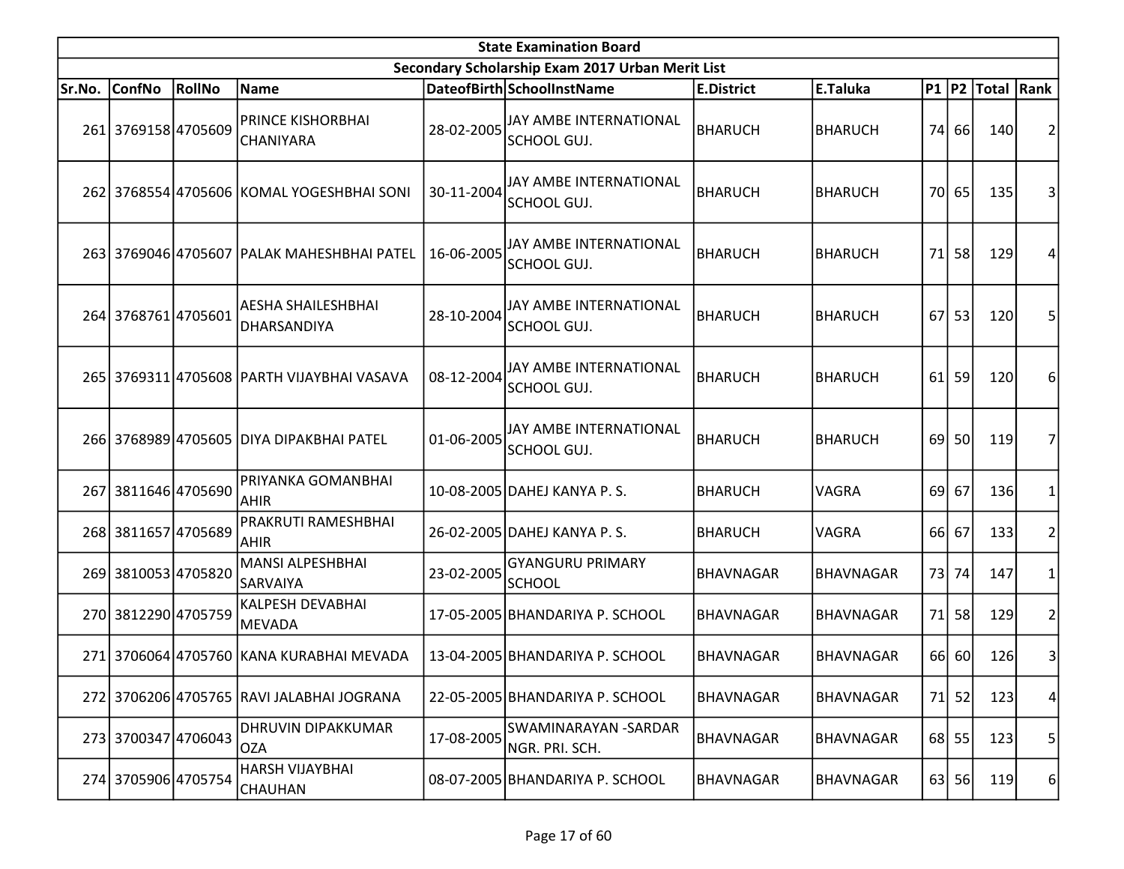|        | <b>State Examination Board</b> |               |                                            |            |                                                  |                   |                  |    |           |                     |                 |  |  |
|--------|--------------------------------|---------------|--------------------------------------------|------------|--------------------------------------------------|-------------------|------------------|----|-----------|---------------------|-----------------|--|--|
|        |                                |               |                                            |            | Secondary Scholarship Exam 2017 Urban Merit List |                   |                  |    |           |                     |                 |  |  |
| Sr.No. | <b>ConfNo</b>                  | <b>RollNo</b> | Name                                       |            | DateofBirth SchoolInstName                       | <b>E.District</b> | E.Taluka         |    |           | P1  P2  Total  Rank |                 |  |  |
|        | 261 3769158 4705609            |               | <b>PRINCE KISHORBHAI</b><br>CHANIYARA      | 28-02-2005 | <b>JAY AMBE INTERNATIONAL</b><br>SCHOOL GUJ.     | <b>BHARUCH</b>    | <b>BHARUCH</b>   | 74 | 66        | 140                 |                 |  |  |
|        |                                |               | 262 3768554 4705606 KOMAL YOGESHBHAI SONI  | 30-11-2004 | JAY AMBE INTERNATIONAL<br>SCHOOL GUJ.            | <b>BHARUCH</b>    | <b>BHARUCH</b>   |    | 70 65     | 135                 | 3               |  |  |
|        |                                |               | 263 3769046 4705607 PALAK MAHESHBHAI PATEL | 16-06-2005 | JAY AMBE INTERNATIONAL<br>SCHOOL GUJ.            | <b>BHARUCH</b>    | <b>BHARUCH</b>   | 71 | 58        | 129                 | 4               |  |  |
|        | 264 3768761 4705601            |               | AESHA SHAILESHBHAI<br>DHARSANDIYA          | 28-10-2004 | JAY AMBE INTERNATIONAL<br>SCHOOL GUJ.            | <b>BHARUCH</b>    | <b>BHARUCH</b>   | 67 | 53        | 120                 | 5               |  |  |
|        |                                |               | 265 3769311 4705608 PARTH VIJAYBHAI VASAVA | 08-12-2004 | JAY AMBE INTERNATIONAL<br>SCHOOL GUJ.            | <b>BHARUCH</b>    | <b>BHARUCH</b>   | 61 | 59        | 120                 | 6               |  |  |
|        |                                |               | 266 3768989 4705605 DIYA DIPAKBHAI PATEL   | 01-06-2005 | <b>JAY AMBE INTERNATIONAL</b><br>SCHOOL GUJ.     | <b>BHARUCH</b>    | <b>BHARUCH</b>   |    | 69 50     | 119                 |                 |  |  |
| 267    | 3811646 4705690                |               | PRIYANKA GOMANBHAI<br><b>AHIR</b>          |            | 10-08-2005 DAHEJ KANYA P.S.                      | <b>BHARUCH</b>    | VAGRA            |    | $69$ 67   | 136                 |                 |  |  |
|        | 268 3811657 4705689            |               | <b>PRAKRUTI RAMESHBHAI</b><br><b>AHIR</b>  |            | 26-02-2005 DAHEJ KANYA P.S.                      | <b>BHARUCH</b>    | VAGRA            |    | 66 67     | 133                 | 2               |  |  |
|        | 269 3810053 4705820            |               | MANSI ALPESHBHAI<br><b>SARVAIYA</b>        | 23-02-2005 | <b>GYANGURU PRIMARY</b><br><b>SCHOOL</b>         | <b>BHAVNAGAR</b>  | <b>BHAVNAGAR</b> | 73 | 74        | 147                 |                 |  |  |
|        | 270 3812290 4705759            |               | KALPESH DEVABHAI<br>MEVADA                 |            | 17-05-2005 BHANDARIYA P. SCHOOL                  | <b>BHAVNAGAR</b>  | <b>BHAVNAGAR</b> | 71 | 58        | 129                 | 2               |  |  |
|        |                                |               | 271 3706064 4705760 KANA KURABHAI MEVADA   |            | 13-04-2005 BHANDARIYA P. SCHOOL                  | <b>BHAVNAGAR</b>  | <b>BHAVNAGAR</b> |    | 66 60     | 126                 | 3               |  |  |
|        |                                |               | 272 3706206 4705765 RAVI JALABHAI JOGRANA  |            | 22-05-2005 BHANDARIYA P. SCHOOL                  | <b>BHAVNAGAR</b>  | BHAVNAGAR        | 71 | 52        | 123                 | $\vert 4 \vert$ |  |  |
|        | 273 3700347 4706043            |               | DHRUVIN DIPAKKUMAR<br><b>OZA</b>           | 17-08-2005 | SWAMINARAYAN - SARDAR<br>NGR. PRI. SCH.          | <b>BHAVNAGAR</b>  | <b>BHAVNAGAR</b> |    | $68$   55 | 123                 | 5               |  |  |
|        | 274 3705906 4705754            |               | HARSH VIJAYBHAI<br>CHAUHAN                 |            | 08-07-2005 BHANDARIYA P. SCHOOL                  | BHAVNAGAR         | BHAVNAGAR        |    | $63$ 56   | 119                 | $6 \mid$        |  |  |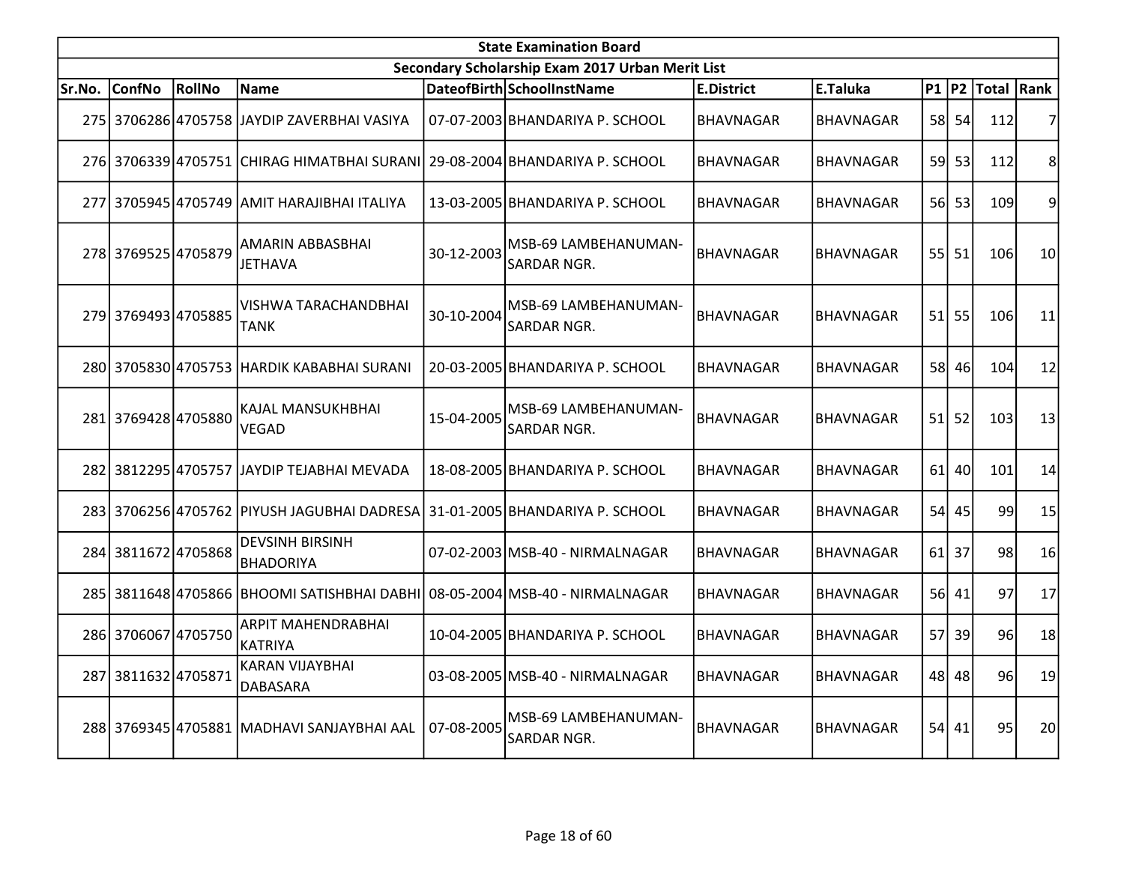|        | <b>State Examination Board</b><br>Secondary Scholarship Exam 2017 Urban Merit List |        |                                                                             |            |                                            |                   |                  |     |           |                  |    |  |  |
|--------|------------------------------------------------------------------------------------|--------|-----------------------------------------------------------------------------|------------|--------------------------------------------|-------------------|------------------|-----|-----------|------------------|----|--|--|
|        |                                                                                    |        |                                                                             |            |                                            |                   |                  |     |           |                  |    |  |  |
| Sr.No. | <b>ConfNo</b>                                                                      | RollNo | Name                                                                        |            | DateofBirth SchoolInstName                 | <b>E.District</b> | E.Taluka         |     |           | P1 P2 Total Rank |    |  |  |
|        |                                                                                    |        | 275 3706286 4705758 JAYDIP ZAVERBHAI VASIYA                                 |            | 07-07-2003 BHANDARIYA P. SCHOOL            | <b>BHAVNAGAR</b>  | <b>BHAVNAGAR</b> |     | 58 54     | 112              | 7  |  |  |
|        |                                                                                    |        | 276 3706339 4705751 CHIRAG HIMATBHAI SURANI 29-08-2004 BHANDARIYA P. SCHOOL |            |                                            | BHAVNAGAR         | BHAVNAGAR        |     | 59 53     | 112              | 8  |  |  |
|        |                                                                                    |        | 277  3705945 4705749 JAMIT HARAJIBHAI ITALIYA                               |            | 13-03-2005 BHANDARIYA P. SCHOOL            | BHAVNAGAR         | <b>BHAVNAGAR</b> |     | 56 53     | 109              | 9  |  |  |
|        | 278 3769525 4705879                                                                |        | AMARIN ABBASBHAI<br><b>JETHAVA</b>                                          | 30-12-2003 | MSB-69 LAMBEHANUMAN-<br><b>SARDAR NGR.</b> | <b>BHAVNAGAR</b>  | <b>BHAVNAGAR</b> |     | $55$   51 | 106              | 10 |  |  |
|        | 279 3769493 4705885                                                                |        | VISHWA TARACHANDBHAI<br>TANK                                                | 30-10-2004 | MSB-69 LAMBEHANUMAN-<br>SARDAR NGR.        | <b>BHAVNAGAR</b>  | <b>BHAVNAGAR</b> |     | $51$ 55   | 106              | 11 |  |  |
|        |                                                                                    |        | 280 3705830 4705753 HARDIK KABABHAI SURANI                                  |            | 20-03-2005 BHANDARIYA P. SCHOOL            | <b>BHAVNAGAR</b>  | <b>BHAVNAGAR</b> |     | 58 46     | 104              | 12 |  |  |
|        | 281 3769428 4705880                                                                |        | KAJAL MANSUKHBHAI<br><b>VEGAD</b>                                           | 15-04-2005 | MSB-69 LAMBEHANUMAN-<br>SARDAR NGR.        | BHAVNAGAR         | <b>BHAVNAGAR</b> |     | $51$ 52   | 103              | 13 |  |  |
|        |                                                                                    |        | 282 3812295 4705757 JJAYDIP TEJABHAI MEVADA                                 |            | 18-08-2005 BHANDARIYA P. SCHOOL            | <b>BHAVNAGAR</b>  | <b>BHAVNAGAR</b> | 61  | 40        | 101              | 14 |  |  |
|        |                                                                                    |        | 283 3706256 4705762 PIYUSH JAGUBHAI DADRESA                                 |            | 31-01-2005 BHANDARIYA P. SCHOOL            | BHAVNAGAR         | <b>BHAVNAGAR</b> |     | 54 45     | 99               | 15 |  |  |
|        | 284 3811672 4705868                                                                |        | <b>DEVSINH BIRSINH</b><br><b>BHADORIYA</b>                                  |            | 07-02-2003 MSB-40 - NIRMALNAGAR            | <b>BHAVNAGAR</b>  | <b>BHAVNAGAR</b> |     | $61$ 37   | 98               | 16 |  |  |
|        |                                                                                    |        | 285 3811648 4705866 BHOOMI SATISHBHAI DABHI 08-05-2004 MSB-40 - NIRMALNAGAR |            |                                            | <b>BHAVNAGAR</b>  | <b>BHAVNAGAR</b> |     | 56 41     | 97               | 17 |  |  |
|        | 286 3706067 4705750                                                                |        | ARPIT MAHENDRABHAI<br><b>KATRIYA</b>                                        |            | 10-04-2005 BHANDARIYA P. SCHOOL            | BHAVNAGAR         | <b>BHAVNAGAR</b> | 57I | 39        | 96               | 18 |  |  |
|        | 287 3811632 4705871                                                                |        | <b>KARAN VIJAYBHAI</b><br>DABASARA                                          |            | 03-08-2005 MSB-40 - NIRMALNAGAR            | <b>BHAVNAGAR</b>  | BHAVNAGAR        |     | 48 48     | 96               | 19 |  |  |
|        |                                                                                    |        | 288 3769345 4705881 MADHAVI SANJAYBHAI AAL                                  | 07-08-2005 | MSB-69 LAMBEHANUMAN-<br>SARDAR NGR.        | <b>BHAVNAGAR</b>  | <b>BHAVNAGAR</b> |     | 54 41     | 95               | 20 |  |  |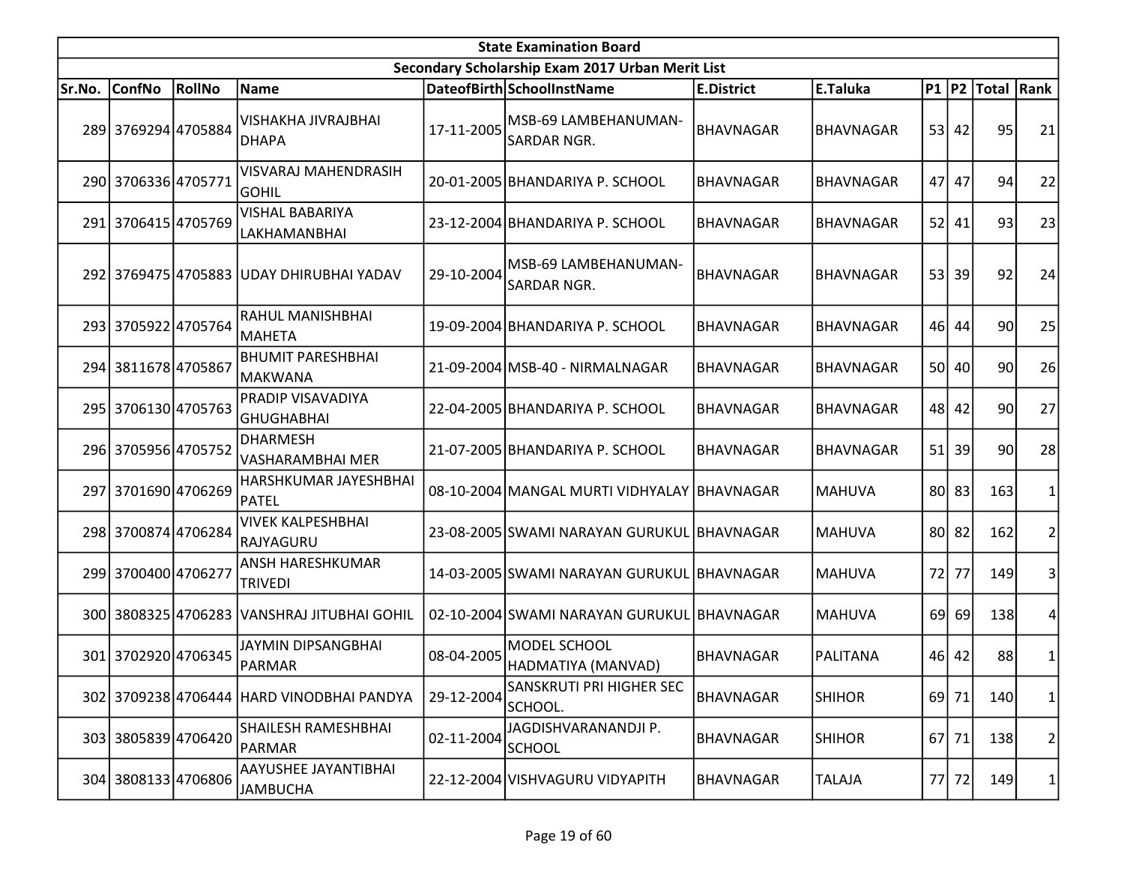|        | <b>State Examination Board</b><br>Secondary Scholarship Exam 2017 Urban Merit List |        |                                             |            |                                             |                   |                  |      |         |                     |    |  |  |
|--------|------------------------------------------------------------------------------------|--------|---------------------------------------------|------------|---------------------------------------------|-------------------|------------------|------|---------|---------------------|----|--|--|
|        |                                                                                    |        |                                             |            |                                             |                   |                  |      |         |                     |    |  |  |
| Sr.No. | <b>ConfNo</b>                                                                      | RollNo | Name                                        |            | DateofBirth SchoolInstName                  | <b>E.District</b> | E.Taluka         |      |         | P1  P2  Total  Rank |    |  |  |
|        | 289 3769294 4705884                                                                |        | <b>VISHAKHA JIVRAJBHAI</b><br><b>DHAPA</b>  | 17-11-2005 | MSB-69 LAMBEHANUMAN-<br>SARDAR NGR.         | <b>BHAVNAGAR</b>  | <b>BHAVNAGAR</b> |      | $53$ 42 | 95                  | 21 |  |  |
|        | 290 3706336 4705771                                                                |        | <b>VISVARAJ MAHENDRASIH</b><br><b>GOHIL</b> |            | 20-01-2005 BHANDARIYA P. SCHOOL             | <b>BHAVNAGAR</b>  | <b>BHAVNAGAR</b> | 47   | 47      | 94                  | 22 |  |  |
|        | 291 3706415 4705769                                                                |        | <b>VISHAL BABARIYA</b><br>LAKHAMANBHAI      |            | 23-12-2004 BHANDARIYA P. SCHOOL             | <b>BHAVNAGAR</b>  | <b>BHAVNAGAR</b> | 52 l | 41      | 93                  | 23 |  |  |
|        |                                                                                    |        | 292 3769475 4705883 UDAY DHIRUBHAI YADAV    | 29-10-2004 | MSB-69 LAMBEHANUMAN-<br><b>SARDAR NGR.</b>  | <b>BHAVNAGAR</b>  | <b>BHAVNAGAR</b> |      | 53 39   | 92                  | 24 |  |  |
|        | 293 3705922 4705764                                                                |        | RAHUL MANISHBHAI<br>MAHETA                  |            | 19-09-2004 BHANDARIYA P. SCHOOL             | <b>BHAVNAGAR</b>  | <b>BHAVNAGAR</b> |      | 46 44   | 90                  | 25 |  |  |
|        | 294 3811678 4705867                                                                |        | <b>BHUMIT PARESHBHAI</b><br> MAKWANA        |            | 21-09-2004 MSB-40 - NIRMALNAGAR             | <b>BHAVNAGAR</b>  | <b>BHAVNAGAR</b> |      | 50 40   | 90                  | 26 |  |  |
|        | 295 3706130 4705763                                                                |        | PRADIP VISAVADIYA<br>GHUGHABHAI             |            | 22-04-2005 BHANDARIYA P. SCHOOL             | <b>BHAVNAGAR</b>  | <b>BHAVNAGAR</b> |      | 48 42   | 90l                 | 27 |  |  |
|        | 296 3705956 4705752                                                                |        | <b>DHARMESH</b><br>VASHARAMBHAI MER         |            | 21-07-2005 BHANDARIYA P. SCHOOL             | <b>BHAVNAGAR</b>  | <b>BHAVNAGAR</b> |      | 51 39   | 90l                 | 28 |  |  |
|        | 297 3701690 4706269                                                                |        | HARSHKUMAR JAYESHBHAI<br>PATEL              |            | 08-10-2004 MANGAL MURTI VIDHYALAY BHAVNAGAR |                   | <b>MAHUVA</b>    |      | 80 83   | 163                 |    |  |  |
|        | 298 3700874 4706284                                                                |        | <b>VIVEK KALPESHBHAI</b><br>RAJYAGURU       |            | 23-08-2005 SWAMI NARAYAN GURUKUL BHAVNAGAR  |                   | <b>MAHUVA</b>    |      | 80 82   | 162                 | 2  |  |  |
|        | 299 3700400 4706277                                                                |        | ANSH HARESHKUMAR<br><b>TRIVEDI</b>          |            | 14-03-2005 SWAMI NARAYAN GURUKUL BHAVNAGAR  |                   | <b>MAHUVA</b>    | 72   | 77      | 149                 | 3  |  |  |
|        |                                                                                    |        | 300 3808325 4706283 VANSHRAJ JITUBHAI GOHIL |            | 02-10-2004 SWAMI NARAYAN GURUKUL BHAVNAGAR  |                   | <b>MAHUVA</b>    | 69   | 69      | 138                 | 4  |  |  |
|        | 301 3702920 4706345                                                                |        | JAYMIN DIPSANGBHAI<br>PARMAR                | 08-04-2005 | MODEL SCHOOL<br>HADMATIYA (MANVAD)          | <b>BHAVNAGAR</b>  | <b>PALITANA</b>  |      | 46 42   | 88                  | 1  |  |  |
|        |                                                                                    |        | 302 3709238 4706444 HARD VINODBHAI PANDYA   | 29-12-2004 | <b>SANSKRUTI PRI HIGHER SEC</b><br>SCHOOL.  | BHAVNAGAR         | <b>SHIHOR</b>    |      | 69 71   | 140                 | 1  |  |  |
|        | 303 3805839 4706420                                                                |        | <b>SHAILESH RAMESHBHAI</b><br>PARMAR        | 02-11-2004 | JAGDISHVARANANDJI P.<br><b>SCHOOL</b>       | <b>BHAVNAGAR</b>  | <b>SHIHOR</b>    |      | 67 71   | 138                 | 2  |  |  |
|        | 304 3808133 4706806                                                                |        | AAYUSHEE JAYANTIBHAI<br><b>JAMBUCHA</b>     |            | 22-12-2004 VISHVAGURU VIDYAPITH             | <b>BHAVNAGAR</b>  | <b>TALAJA</b>    |      | 77 72   | <b>149</b>          | 1  |  |  |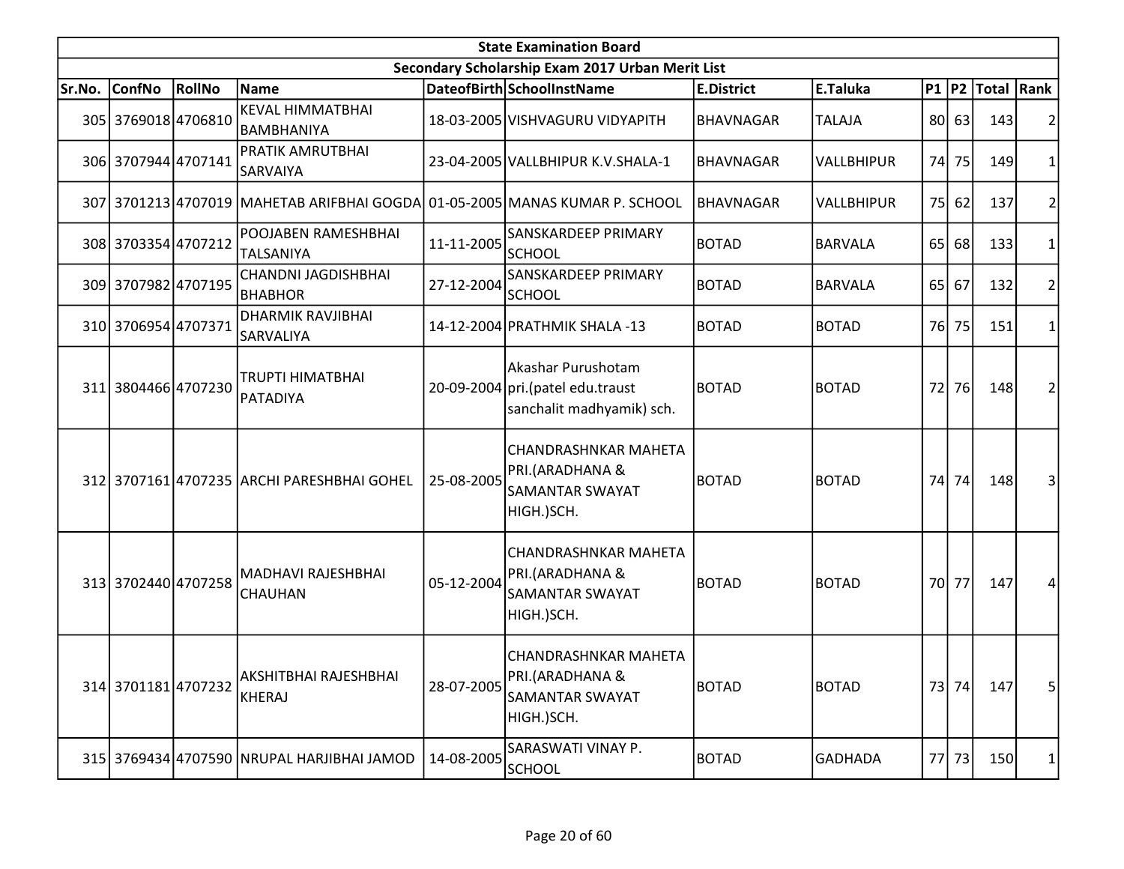|        | <b>State Examination Board</b> |        |                                               |            |                                                                                        |                   |                   |                 |       |                  |                |  |
|--------|--------------------------------|--------|-----------------------------------------------|------------|----------------------------------------------------------------------------------------|-------------------|-------------------|-----------------|-------|------------------|----------------|--|
|        |                                |        |                                               |            | Secondary Scholarship Exam 2017 Urban Merit List                                       |                   |                   |                 |       |                  |                |  |
| Sr.No. | <b>ConfNo</b>                  | RollNo | Name                                          |            | DateofBirth SchoolInstName                                                             | <b>E.District</b> | E.Taluka          |                 |       | P1 P2 Total Rank |                |  |
|        | 305 3769018 4706810            |        | <b>KEVAL HIMMATBHAI</b><br>BAMBHANIYA         |            | 18-03-2005 VISHVAGURU VIDYAPITH                                                        | <b>BHAVNAGAR</b>  | <b>TALAJA</b>     |                 | 80 63 | 143              | 2              |  |
|        | 306 3707944 4707141            |        | PRATIK AMRUTBHAI<br>SARVAIYA                  |            | 23-04-2005 VALLBHIPUR K.V.SHALA-1                                                      | <b>BHAVNAGAR</b>  | <b>VALLBHIPUR</b> | 74I             | 75    | 149              | 1              |  |
|        |                                |        | 307 3701213 4707019 MAHETAB ARIFBHAI GOGDA    |            | 01-05-2005 MANAS KUMAR P. SCHOOL                                                       | <b>BHAVNAGAR</b>  | VALLBHIPUR        | 75              | 62    | 137              | $\overline{c}$ |  |
|        | 308 3703354 4707212            |        | POOJABEN RAMESHBHAI<br>TALSANIYA              | 11-11-2005 | SANSKARDEEP PRIMARY<br>SCHOOL                                                          | <b>BOTAD</b>      | <b>BARVALA</b>    | 65              | 68    | 133              | $\mathbf{1}$   |  |
|        | 309 3707982 4707195            |        | CHANDNI JAGDISHBHAI<br><b>BHABHOR</b>         | 27-12-2004 | <b>SANSKARDEEP PRIMARY</b><br><b>SCHOOL</b>                                            | <b>BOTAD</b>      | <b>BARVALA</b>    | 65 <sup> </sup> | 67    | 132              | 2              |  |
|        | 310 3706954 4707371            |        | <b>DHARMIK RAVJIBHAI</b><br>SARVALIYA         |            | 14-12-2004 PRATHMIK SHALA -13                                                          | <b>BOTAD</b>      | <b>BOTAD</b>      | 76              | 75    | 151              | 1              |  |
|        | 311 3804466 4707230            |        | <b>TRUPTI HIMATBHAI</b><br>PATADIYA           |            | Akashar Purushotam<br>20-09-2004 pri. (patel edu.traust<br>sanchalit madhyamik) sch.   | <b>BOTAD</b>      | <b>BOTAD</b>      | 72              | 76    | 148              | $\overline{2}$ |  |
|        |                                |        | 312 3707161 4707235 ARCHI PARESHBHAI GOHEL    | 25-08-2005 | <b>CHANDRASHNKAR MAHETA</b><br>PRI.(ARADHANA &<br><b>SAMANTAR SWAYAT</b><br>HIGH.)SCH. | <b>BOTAD</b>      | <b>BOTAD</b>      | 74              | 74    | 148              | 3              |  |
|        | 313 3702440 4707258            |        | <b>MADHAVI RAJESHBHAI</b><br>CHAUHAN          | 05-12-2004 | <b>CHANDRASHNKAR MAHETA</b><br>PRI.(ARADHANA &<br><b>SAMANTAR SWAYAT</b><br>HIGH.)SCH. | <b>BOTAD</b>      | <b>BOTAD</b>      | 70I             | 77    | 147              | 4              |  |
|        | 314 3701181 4707232            |        | <b>AKSHITBHAI RAJESHBHAI</b><br><b>KHERAJ</b> | 28-07-2005 | CHANDRASHNKAR MAHETA<br>PRI.(ARADHANA &<br><b>SAMANTAR SWAYAT</b><br>HIGH.)SCH.        | <b>BOTAD</b>      | <b>BOTAD</b>      |                 | 73 74 | 147              | 5 <sup>1</sup> |  |
|        |                                |        | 315 3769434 4707590 NRUPAL HARJIBHAI JAMOD    | 14-08-2005 | SARASWATI VINAY P.<br><b>SCHOOL</b>                                                    | <b>BOTAD</b>      | GADHADA           |                 | 77 73 | 150              | 1              |  |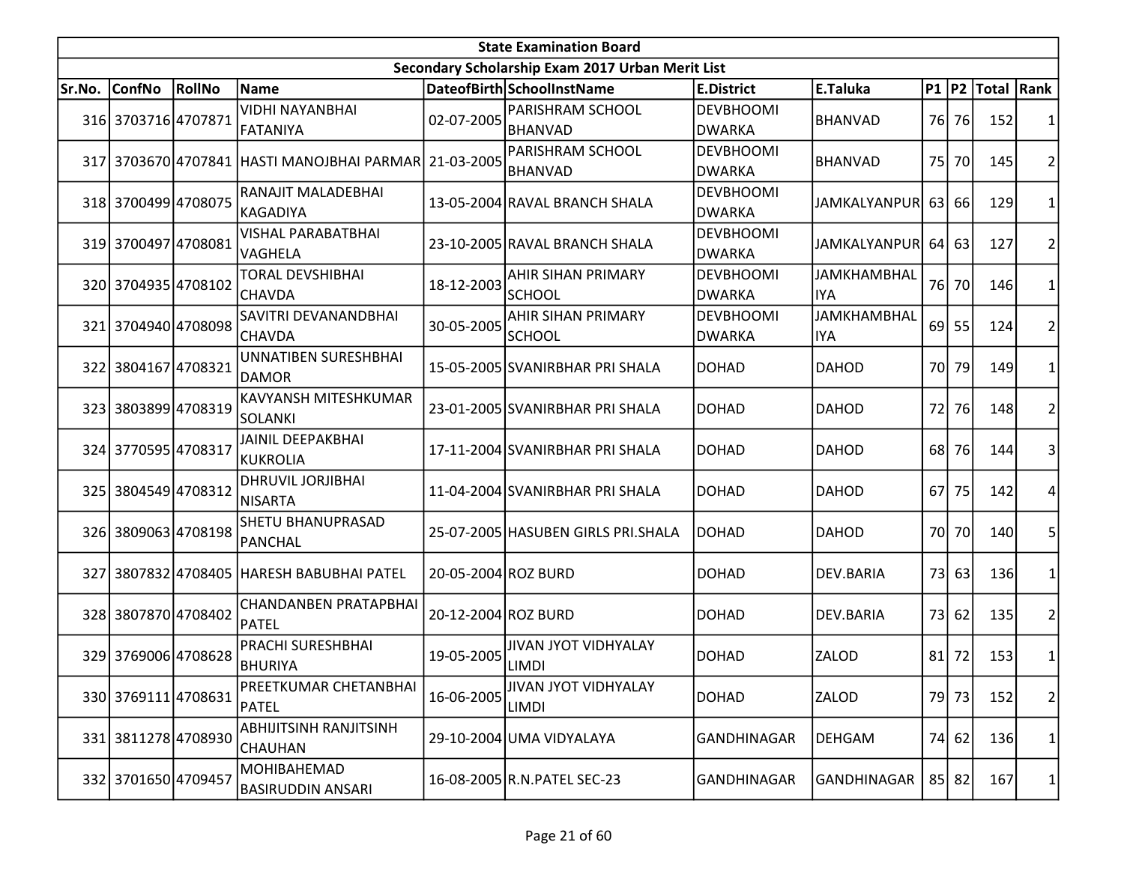| <b>State Examination Board</b> |                     |        |                                                       |                     |                                                  |                                   |                                  |      |       |                     |                |  |
|--------------------------------|---------------------|--------|-------------------------------------------------------|---------------------|--------------------------------------------------|-----------------------------------|----------------------------------|------|-------|---------------------|----------------|--|
|                                |                     |        |                                                       |                     | Secondary Scholarship Exam 2017 Urban Merit List |                                   |                                  |      |       |                     |                |  |
| Sr.No.                         | <b>ConfNo</b>       | RollNo | <b>Name</b>                                           |                     | DateofBirth SchoolInstName                       | <b>E.District</b>                 | E.Taluka                         |      |       | P1  P2  Total  Rank |                |  |
|                                | 316 3703716 4707871 |        | <b>VIDHI NAYANBHAI</b><br>FATANIYA                    | 02-07-2005          | <b>PARISHRAM SCHOOL</b><br><b>BHANVAD</b>        | <b>DEVBHOOMI</b><br><b>DWARKA</b> | BHANVAD                          |      | 76 76 | 152                 | 1              |  |
|                                |                     |        | 317 3703670 4707841 HASTI MANOJBHAI PARMAR 21-03-2005 |                     | <b>PARISHRAM SCHOOL</b><br><b>BHANVAD</b>        | <b>DEVBHOOMI</b><br><b>DWARKA</b> | BHANVAD                          |      | 75 70 | 145                 | $\overline{2}$ |  |
|                                | 318 3700499 4708075 |        | RANAJIT MALADEBHAI<br> KAGADIYA                       |                     | 13-05-2004 RAVAL BRANCH SHALA                    | <b>DEVBHOOMI</b><br><b>DWARKA</b> | <b>JAMKALYANPUR</b>              | 63   | 66    | 129                 | $\mathbf{1}$   |  |
|                                | 319 3700497 4708081 |        | <b>VISHAL PARABATBHAI</b><br>VAGHELA                  |                     | 23-10-2005 RAVAL BRANCH SHALA                    | <b>DEVBHOOMI</b><br><b>DWARKA</b> | <b>JAMKALYANPUR</b>              | 64   | 63    | 127                 | $\overline{2}$ |  |
|                                | 320 3704935 4708102 |        | <b>TORAL DEVSHIBHAI</b><br><b>CHAVDA</b>              | 18-12-2003          | AHIR SIHAN PRIMARY<br><b>SCHOOL</b>              | <b>DEVBHOOMI</b><br><b>DWARKA</b> | <b>JAMKHAMBHAL</b><br><b>IYA</b> |      | 76 70 | 146                 | 1              |  |
|                                | 321 3704940 4708098 |        | SAVITRI DEVANANDBHAI<br><b>CHAVDA</b>                 | 30-05-2005          | <b>AHIR SIHAN PRIMARY</b><br><b>SCHOOL</b>       | <b>DEVBHOOMI</b><br><b>DWARKA</b> | <b>JAMKHAMBHAL</b><br><b>IYA</b> | 69   | 55    | 124                 | $\overline{2}$ |  |
|                                | 322 3804167 4708321 |        | UNNATIBEN SURESHBHAI<br>DAMOR                         |                     | 15-05-2005 SVANIRBHAR PRI SHALA                  | <b>DOHAD</b>                      | <b>DAHOD</b>                     | 70I  | 79    | 149                 | 1              |  |
|                                | 323 3803899 4708319 |        | KAVYANSH MITESHKUMAR<br><b>SOLANKI</b>                |                     | 23-01-2005 SVANIRBHAR PRI SHALA                  | <b>DOHAD</b>                      | <b>DAHOD</b>                     | 72   | 76    | 148                 | $\overline{2}$ |  |
|                                | 324 3770595 4708317 |        | <b>JAINIL DEEPAKBHAI</b><br>KUKROLIA                  |                     | 17-11-2004 SVANIRBHAR PRI SHALA                  | <b>DOHAD</b>                      | <b>DAHOD</b>                     | 68 l | 76    | 144                 | 3              |  |
|                                | 325 3804549 4708312 |        | <b>DHRUVIL JORJIBHAI</b><br><b>NISARTA</b>            |                     | 11-04-2004 SVANIRBHAR PRI SHALA                  | <b>DOHAD</b>                      | <b>DAHOD</b>                     | 67   | 75    | 142                 | 4              |  |
|                                | 326 3809063 4708198 |        | SHETU BHANUPRASAD<br>PANCHAL                          |                     | 25-07-2005 HASUBEN GIRLS PRI.SHALA               | <b>DOHAD</b>                      | <b>DAHOD</b>                     | 70I  | 70l   | 140                 | 5              |  |
|                                |                     |        | 327 3807832 4708405 HARESH BABUBHAI PATEL             | 20-05-2004 ROZ BURD |                                                  | <b>DOHAD</b>                      | DEV.BARIA                        | 73   | 63    | 136                 | 1              |  |
|                                | 328 3807870 4708402 |        | <b>CHANDANBEN PRATAPBHAI</b><br>PATEL                 | 20-12-2004 ROZ BURD |                                                  | <b>DOHAD</b>                      | <b>DEV.BARIA</b>                 | 73   | 62    | 135                 | $\overline{2}$ |  |
|                                | 329 3769006 4708628 |        | PRACHI SURESHBHAI<br><b>BHURIYA</b>                   | 19-05-2005          | <b>JIVAN JYOT VIDHYALAY</b><br>LIMDI             | <b>DOHAD</b>                      | ZALOD                            | 81   | 72    | 153                 | $\mathbf 1$    |  |
|                                | 330 3769111 4708631 |        | PREETKUMAR CHETANBHAI<br><b>PATEL</b>                 | 16-06-2005          | <b>JIVAN JYOT VIDHYALAY</b><br>LIMDI             | <b>DOHAD</b>                      | ZALOD                            |      | 79 73 | 152                 | $\overline{2}$ |  |
|                                | 331 3811278 4708930 |        | <b>ABHIJITSINH RANJITSINH</b><br><b>CHAUHAN</b>       |                     | 29-10-2004 UMA VIDYALAYA                         | GANDHINAGAR                       | <b>DEHGAM</b>                    |      | 74 62 | 136                 | 1              |  |
|                                | 332 3701650 4709457 |        | MOHIBAHEMAD<br><b>BASIRUDDIN ANSARI</b>               |                     | 16-08-2005 R.N. PATEL SEC-23                     | GANDHINAGAR                       | GANDHINAGAR                      |      | 85 82 | 167                 | 1              |  |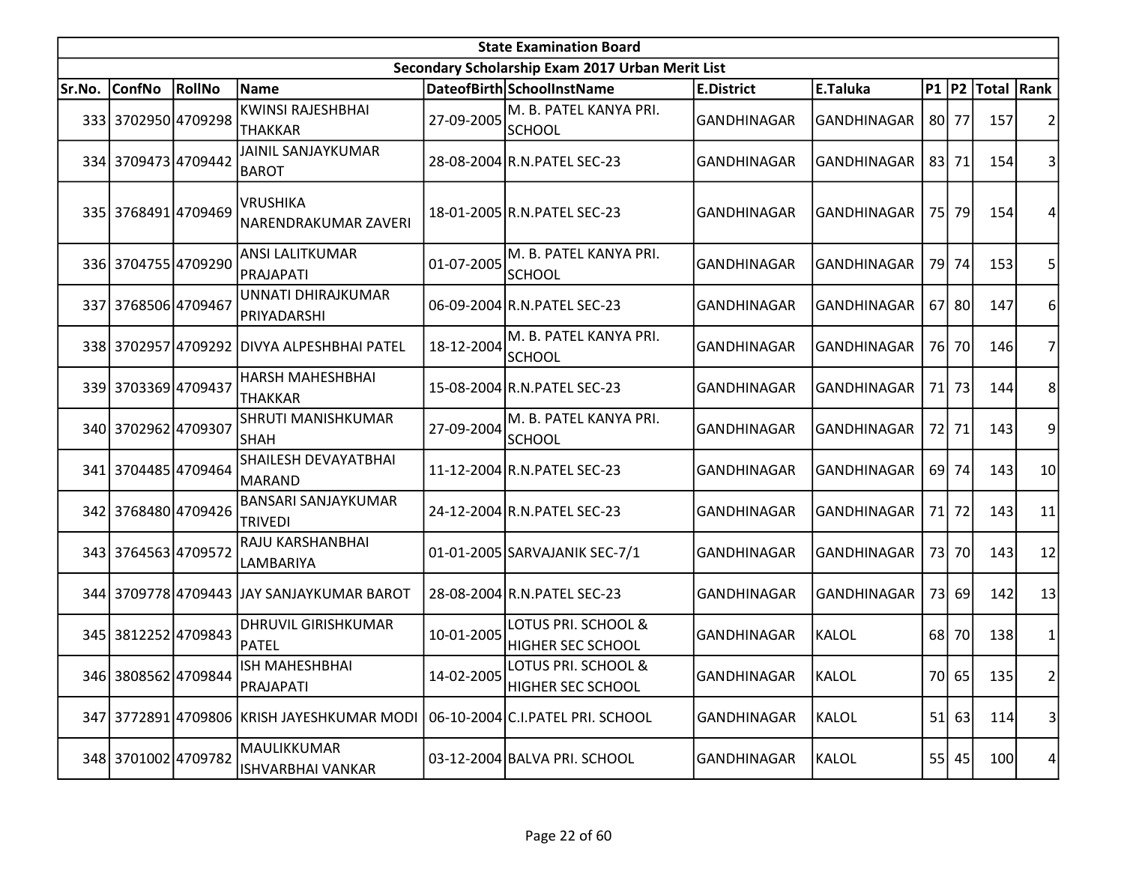|        | <b>State Examination Board</b><br>Secondary Scholarship Exam 2017 Urban Merit List |        |                                              |            |                                                 |                    |                    |    |           |                     |    |  |  |
|--------|------------------------------------------------------------------------------------|--------|----------------------------------------------|------------|-------------------------------------------------|--------------------|--------------------|----|-----------|---------------------|----|--|--|
|        |                                                                                    |        |                                              |            |                                                 |                    |                    |    |           |                     |    |  |  |
| Sr.No. | <b>ConfNo</b>                                                                      | RollNo | Name                                         |            | DateofBirth SchoolInstName                      | <b>E.District</b>  | E.Taluka           |    |           | P1  P2  Total  Rank |    |  |  |
|        | 333 3702950 4709298                                                                |        | <b>KWINSI RAJESHBHAI</b><br>THAKKAR          | 27-09-2005 | M. B. PATEL KANYA PRI.<br><b>SCHOOL</b>         | <b>GANDHINAGAR</b> | GANDHINAGAR        |    | 80 77     | 157                 |    |  |  |
|        | 334 3709473 4709442                                                                |        | <b>JAINIL SANJAYKUMAR</b><br><b>BAROT</b>    |            | 28-08-2004 R.N. PATEL SEC-23                    | GANDHINAGAR        | GANDHINAGAR        |    | 83 71     | 154                 | 3  |  |  |
|        | 335 3768491 4709469                                                                |        | <b>VRUSHIKA</b><br>NARENDRAKUMAR ZAVERI      |            | 18-01-2005 R.N. PATEL SEC-23                    | <b>GANDHINAGAR</b> | GANDHINAGAR        |    | 75 79     | 154                 | 4  |  |  |
|        | 336 3704755 4709290                                                                |        | <b>ANSI LALITKUMAR</b><br>PRAJAPATI          | 01-07-2005 | M. B. PATEL KANYA PRI.<br><b>SCHOOL</b>         | GANDHINAGAR        | GANDHINAGAR        |    | 79 74     | 153                 | 5  |  |  |
|        | 337 3768506 4709467                                                                |        | UNNATI DHIRAJKUMAR<br>PRIYADARSHI            |            | 06-09-2004 R.N. PATEL SEC-23                    | <b>GANDHINAGAR</b> | GANDHINAGAR        |    | 67 80     | 147                 | 6  |  |  |
|        |                                                                                    |        | 338 3702957 4709292 DIVYA ALPESHBHAI PATEL   | 18-12-2004 | M. B. PATEL KANYA PRI.<br><b>SCHOOL</b>         | GANDHINAGAR        | GANDHINAGAR        |    | 76 70     | 146                 | 7  |  |  |
|        | 339 3703369 4709437                                                                |        | HARSH MAHESHBHAI<br><b>THAKKAR</b>           |            | 15-08-2004 R.N. PATEL SEC-23                    | <b>GANDHINAGAR</b> | GANDHINAGAR        |    | 71 73     | 144                 | 8  |  |  |
|        | 340 3702962 4709307                                                                |        | SHRUTI MANISHKUMAR<br><b>SHAH</b>            | 27-09-2004 | M. B. PATEL KANYA PRI.<br><b>SCHOOL</b>         | <b>GANDHINAGAR</b> | GANDHINAGAR        |    | 72 71     | 143                 | 9  |  |  |
|        | 341 3704485 4709464                                                                |        | <b>SHAILESH DEVAYATBHAI</b><br>IMARAND       |            | 11-12-2004 R.N. PATEL SEC-23                    | <b>GANDHINAGAR</b> | <b>GANDHINAGAR</b> |    | 69 74     | 143                 | 10 |  |  |
|        | 342 3768480 4709426                                                                |        | <b>BANSARI SANJAYKUMAR</b><br><b>TRIVEDI</b> |            | 24-12-2004 R.N. PATEL SEC-23                    | <b>GANDHINAGAR</b> | <b>GANDHINAGAR</b> |    | 71 72     | 143                 | 11 |  |  |
|        | 343 3764563 4709572                                                                |        | RAJU KARSHANBHAI<br>LAMBARIYA                |            | 01-01-2005 SARVAJANIK SEC-7/1                   | GANDHINAGAR        | GANDHINAGAR        |    | 73 70     | 143                 | 12 |  |  |
|        |                                                                                    |        | 344 3709778 4709443 JJAY SANJAYKUMAR BAROT   |            | 28-08-2004 R.N. PATEL SEC-23                    | <b>GANDHINAGAR</b> | GANDHINAGAR        | 73 | <b>69</b> | 142                 | 13 |  |  |
|        | 345 3812252 4709843                                                                |        | <b>DHRUVIL GIRISHKUMAR</b><br>PATEL          | 10-01-2005 | LOTUS PRI. SCHOOL &<br><b>HIGHER SEC SCHOOL</b> | GANDHINAGAR        | <b>KALOL</b>       |    | 68 70     | 138                 | 1  |  |  |
|        | 346 3808562 4709844                                                                |        | <b>ISH MAHESHBHAI</b><br>PRAJAPATI           | 14-02-2005 | LOTUS PRI. SCHOOL &<br><b>HIGHER SEC SCHOOL</b> | GANDHINAGAR        | KALOL              |    | 70 65     | 135                 | 2  |  |  |
|        |                                                                                    |        | 347 3772891 4709806 KRISH JAYESHKUMAR MODI   |            | 06-10-2004 C.I.PATEL PRI. SCHOOL                | GANDHINAGAR        | KALOL              |    | 51 63     | 114                 | 3  |  |  |
|        | 348 3701002 4709782                                                                |        | MAULIKKUMAR<br>ISHVARBHAI VANKAR             |            | 03-12-2004 BALVA PRI. SCHOOL                    | <b>GANDHINAGAR</b> | KALOL              |    | 55 45     | 100                 | 4  |  |  |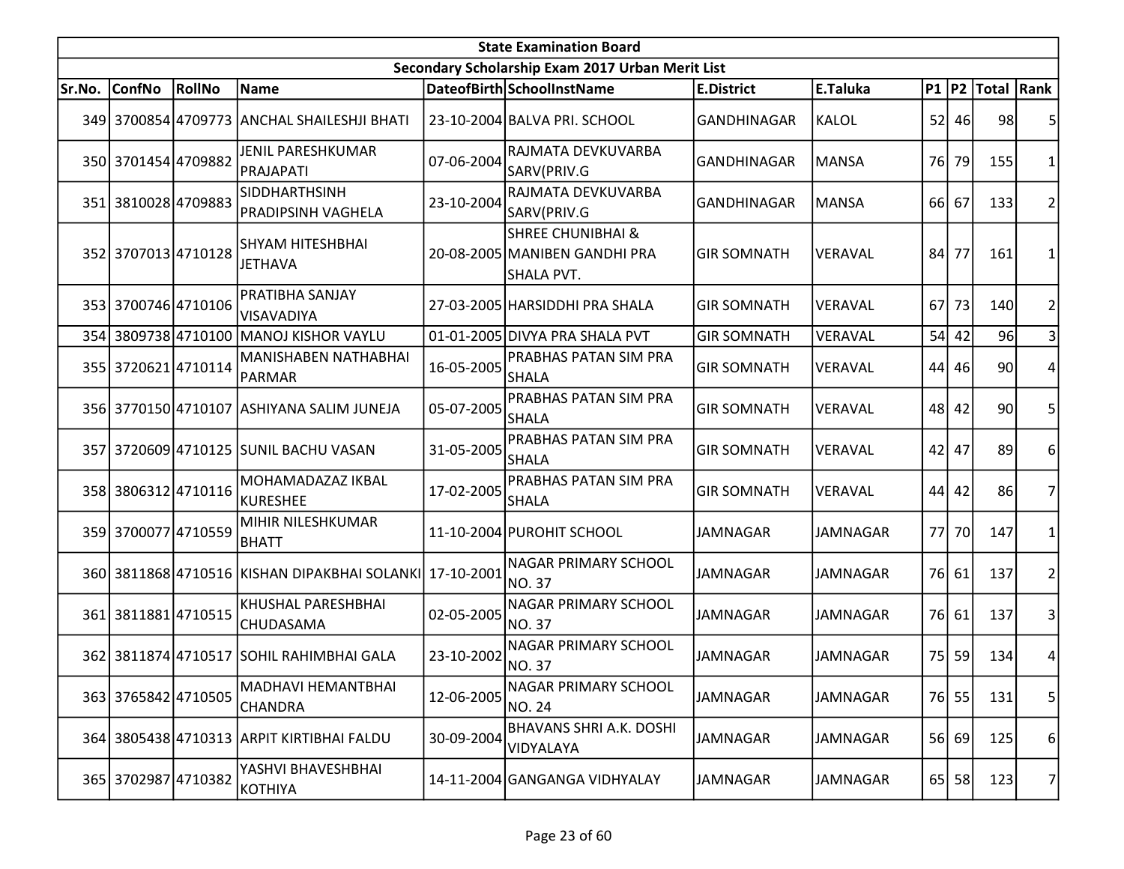|        | <b>State Examination Board</b><br>Secondary Scholarship Exam 2017 Urban Merit List |        |                                                         |            |                                                                             |                    |                 |      |           |                     |                |  |  |
|--------|------------------------------------------------------------------------------------|--------|---------------------------------------------------------|------------|-----------------------------------------------------------------------------|--------------------|-----------------|------|-----------|---------------------|----------------|--|--|
|        |                                                                                    |        |                                                         |            |                                                                             |                    |                 |      |           |                     |                |  |  |
| Sr.No. | <b>ConfNo</b>                                                                      | RollNo | Name                                                    |            | DateofBirth SchoolInstName                                                  | <b>E.District</b>  | E.Taluka        |      |           | P1  P2  Total  Rank |                |  |  |
|        |                                                                                    |        | 349 3700854 4709773 ANCHAL SHAILESHJI BHATI             |            | 23-10-2004 BALVA PRI. SCHOOL                                                | <b>GANDHINAGAR</b> | <b>KALOL</b>    |      | 52 46     | 98                  | 5              |  |  |
|        | 350 3701454 4709882                                                                |        | <b>JENIL PARESHKUMAR</b><br>PRAJAPATI                   | 07-06-2004 | RAJMATA DEVKUVARBA<br>SARV(PRIV.G                                           | GANDHINAGAR        | <b>MANSA</b>    |      | 76 79     | 155                 | 1              |  |  |
|        | 351 3810028 4709883                                                                |        | <b>SIDDHARTHSINH</b><br><b>PRADIPSINH VAGHELA</b>       | 23-10-2004 | RAJMATA DEVKUVARBA<br>SARV(PRIV.G                                           | <b>GANDHINAGAR</b> | <b>MANSA</b>    |      | 66 67     | 133                 | 2              |  |  |
|        | 352 3707013 4710128                                                                |        | SHYAM HITESHBHAI<br><b>JETHAVA</b>                      |            | <b>SHREE CHUNIBHAI &amp;</b><br>20-08-2005 MANIBEN GANDHI PRA<br>SHALA PVT. | <b>GIR SOMNATH</b> | VERAVAL         | 84   | 77        | 161                 | 1              |  |  |
|        | 353 3700746 4710106                                                                |        | PRATIBHA SANJAY<br>VISAVADIYA                           |            | 27-03-2005 HARSIDDHI PRA SHALA                                              | <b>GIR SOMNATH</b> | VERAVAL         | 67   | 73        | 140                 | 2              |  |  |
|        |                                                                                    |        | 354 3809738 4710100 MANOJ KISHOR VAYLU                  |            | 01-01-2005 DIVYA PRA SHALA PVT                                              | <b>GIR SOMNATH</b> | VERAVAL         |      | 54 42     | 96                  | 3              |  |  |
|        | 355 3720621 4710114                                                                |        | <b>MANISHABEN NATHABHAI</b><br><b>PARMAR</b>            | 16-05-2005 | PRABHAS PATAN SIM PRA<br><b>SHALA</b>                                       | <b>GIR SOMNATH</b> | VERAVAL         |      | 44 46     | 90                  | 4              |  |  |
|        |                                                                                    |        | 356 3770150 4710107 ASHIYANA SALIM JUNEJA               | 05-07-2005 | <b>PRABHAS PATAN SIM PRA</b><br><b>SHALA</b>                                | <b>GIR SOMNATH</b> | <b>VERAVAL</b>  |      | 48 42     | 90                  | 5              |  |  |
|        |                                                                                    |        | 357 3720609 4710125 SUNIL BACHU VASAN                   | 31-05-2005 | <b>PRABHAS PATAN SIM PRA</b><br><b>SHALA</b>                                | <b>GIR SOMNATH</b> | VERAVAL         |      | $42$ 47   | 89                  | 6              |  |  |
|        | 358 3806312 4710116                                                                |        | MOHAMADAZAZ IKBAL<br>KURESHEE                           | 17-02-2005 | PRABHAS PATAN SIM PRA<br><b>SHALA</b>                                       | <b>GIR SOMNATH</b> | VERAVAL         | 44   | 42        | 86                  | 7              |  |  |
|        | 359 3700077 4710559                                                                |        | MIHIR NILESHKUMAR<br><b>BHATT</b>                       |            | 11-10-2004 PUROHIT SCHOOL                                                   | <b>JAMNAGAR</b>    | <b>JAMNAGAR</b> | 77 I | <b>70</b> | 147                 |                |  |  |
|        |                                                                                    |        | 360 3811868 4710516 KISHAN DIPAKBHAI SOLANKI 17-10-2001 |            | NAGAR PRIMARY SCHOOL<br><b>NO.37</b>                                        | <b>JAMNAGAR</b>    | <b>JAMNAGAR</b> |      | 76 61     | 137                 | $\overline{2}$ |  |  |
|        | 361 3811881 4710515                                                                |        | KHUSHAL PARESHBHAI<br>CHUDASAMA                         | 02-05-2005 | NAGAR PRIMARY SCHOOL<br><b>NO.37</b>                                        | <b>JAMNAGAR</b>    | <b>JAMNAGAR</b> |      | 76 61     | 137                 | 3              |  |  |
|        |                                                                                    |        | 362 3811874 4710517 SOHIL RAHIMBHAI GALA                | 23-10-2002 | <b>NAGAR PRIMARY SCHOOL</b><br><b>NO.37</b>                                 | <b>JAMNAGAR</b>    | <b>JAMNAGAR</b> |      | 75 59     | 134                 | 4              |  |  |
|        | 363 3765842 4710505                                                                |        | MADHAVI HEMANTBHAI<br>CHANDRA                           | 12-06-2005 | <b>NAGAR PRIMARY SCHOOL</b><br>NO. 24                                       | <b>JAMNAGAR</b>    | JAMNAGAR        |      | 76 55     | 131                 | 5 <sup>1</sup> |  |  |
|        |                                                                                    |        | 364 3805438 4710313 ARPIT KIRTIBHAI FALDU               | 30-09-2004 | <b>BHAVANS SHRI A.K. DOSHI</b><br>VIDYALAYA                                 | <b>JAMNAGAR</b>    | <b>JAMNAGAR</b> |      | 56 69     | 125                 | 6              |  |  |
|        | 365 3702987 4710382                                                                |        | YASHVI BHAVESHBHAI<br>KOTHIYA                           |            | 14-11-2004 GANGANGA VIDHYALAY                                               | <b>JAMNAGAR</b>    | JAMNAGAR        |      | $65$   58 | 123                 | $\overline{7}$ |  |  |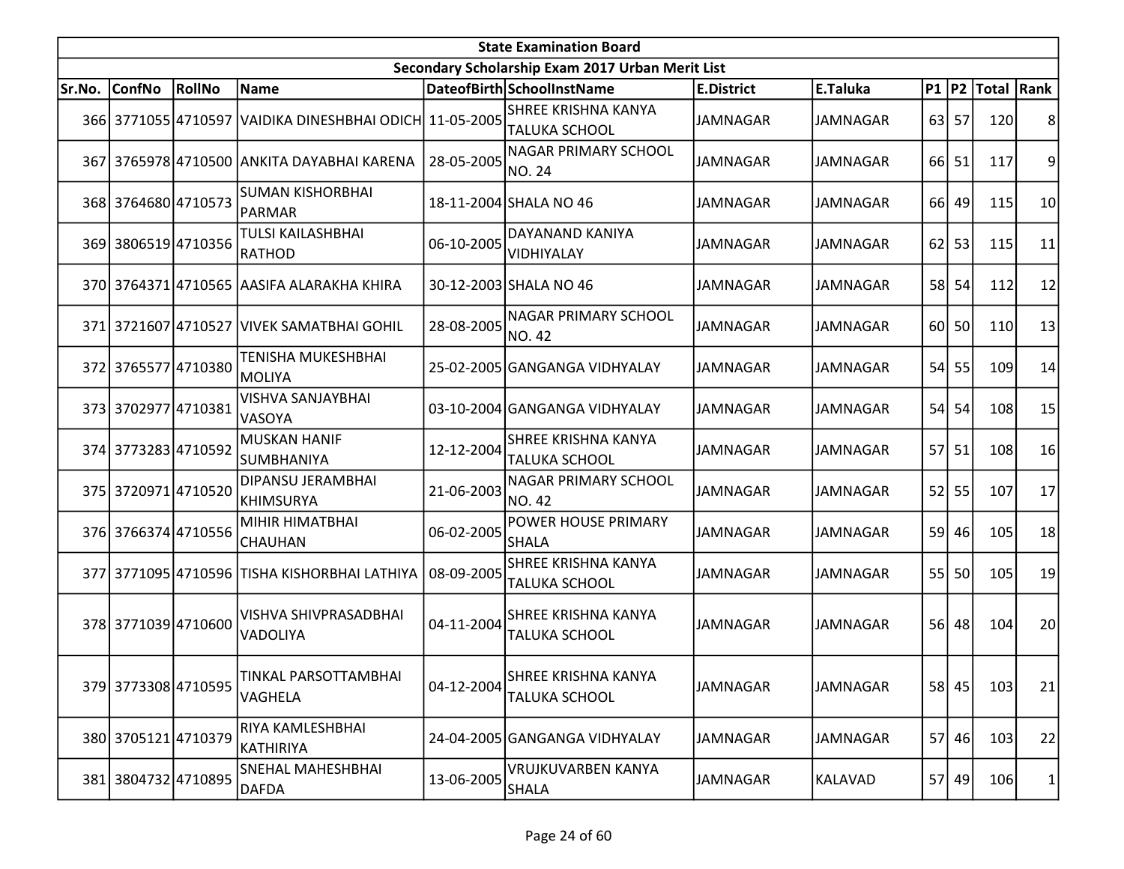|        |                     |        |                                                         |            | <b>State Examination Board</b>                     |                   |                 |      |         |                        |                |
|--------|---------------------|--------|---------------------------------------------------------|------------|----------------------------------------------------|-------------------|-----------------|------|---------|------------------------|----------------|
|        |                     |        |                                                         |            | Secondary Scholarship Exam 2017 Urban Merit List   |                   |                 |      |         |                        |                |
| Sr.No. | <b>ConfNo</b>       | RollNo | Name                                                    |            | DateofBirth SchoolInstName                         | <b>E.District</b> | E.Taluka        |      |         | P1   P2   Total   Rank |                |
|        |                     |        | 366 3771055 4710597 VAIDIKA DINESHBHAI ODICH 11-05-2005 |            | SHREE KRISHNA KANYA<br><b>TALUKA SCHOOL</b>        | <b>JAMNAGAR</b>   | JAMNAGAR        |      | $63$ 57 | 120                    | 8              |
|        |                     |        | 367 3765978 4710500 ANKITA DAYABHAI KARENA              | 28-05-2005 | <b>NAGAR PRIMARY SCHOOL</b><br><b>NO. 24</b>       | <b>JAMNAGAR</b>   | JAMNAGAR        |      | 66 51   | 117                    | $\overline{9}$ |
|        | 368 3764680 4710573 |        | <b>SUMAN KISHORBHAI</b><br>PARMAR                       |            | 18-11-2004 SHALA NO 46                             | <b>JAMNAGAR</b>   | <b>JAMNAGAR</b> | 66 l | 49      | 115                    | 10             |
|        | 369 3806519 4710356 |        | <b>TULSI KAILASHBHAI</b><br>RATHOD                      | 06-10-2005 | DAYANAND KANIYA<br>VIDHIYALAY                      | <b>JAMNAGAR</b>   | <b>JAMNAGAR</b> | 62   | 53      | 115                    | 11             |
|        |                     |        | 370 3764371 4710565 AASIFA ALARAKHA KHIRA               |            | 30-12-2003 SHALA NO 46                             | <b>JAMNAGAR</b>   | JAMNAGAR        | 58 l | 54      | 112                    | 12             |
|        |                     |        | 371 3721607 4710527 VIVEK SAMATBHAI GOHIL               | 28-08-2005 | NAGAR PRIMARY SCHOOL<br>NO. 42                     | <b>JAMNAGAR</b>   | JAMNAGAR        | 60I  | 50      | 110                    | 13             |
|        | 372 3765577 4710380 |        | <b>TENISHA MUKESHBHAI</b><br><b>MOLIYA</b>              |            | 25-02-2005 GANGANGA VIDHYALAY                      | <b>JAMNAGAR</b>   | <b>JAMNAGAR</b> | 54   | 55      | 109                    | 14             |
|        | 373 3702977 4710381 |        | VISHVA SANJAYBHAI<br><b>VASOYA</b>                      |            | 03-10-2004 GANGANGA VIDHYALAY                      | <b>JAMNAGAR</b>   | <b>JAMNAGAR</b> | 54   | 54      | 108                    | 15             |
|        | 374 3773283 4710592 |        | <b>MUSKAN HANIF</b><br>SUMBHANIYA                       | 12-12-2004 | <b>SHREE KRISHNA KANYA</b><br><b>TALUKA SCHOOL</b> | <b>JAMNAGAR</b>   | JAMNAGAR        |      | 57 51   | 108                    | 16             |
|        | 375 3720971 4710520 |        | DIPANSU JERAMBHAI<br><b>KHIMSURYA</b>                   | 21-06-2003 | <b>NAGAR PRIMARY SCHOOL</b><br><b>NO. 42</b>       | <b>JAMNAGAR</b>   | <b>JAMNAGAR</b> | 52   | 55      | 107                    | 17             |
|        | 376 3766374 4710556 |        | MIHIR HIMATBHAI<br>CHAUHAN                              | 06-02-2005 | POWER HOUSE PRIMARY<br><b>SHALA</b>                | <b>JAMNAGAR</b>   | JAMNAGAR        |      | 59 46   | 105                    | 18             |
|        |                     |        | 377 3771095 4710596 TISHA KISHORBHAI LATHIYA            | 08-09-2005 | <b>SHREE KRISHNA KANYA</b><br><b>TALUKA SCHOOL</b> | <b>JAMNAGAR</b>   | <b>JAMNAGAR</b> | 55   | 50      | 105                    | 19             |
|        | 378 3771039 4710600 |        | <b>VISHVA SHIVPRASADBHAI</b><br>VADOLIYA                | 04-11-2004 | <b>SHREE KRISHNA KANYA</b><br><b>TALUKA SCHOOL</b> | <b>JAMNAGAR</b>   | <b>JAMNAGAR</b> |      | 56 48   | 104                    | 20             |
|        | 379 3773308 4710595 |        | TINKAL PARSOTTAMBHAI<br>VAGHELA                         | 04-12-2004 | <b>SHREE KRISHNA KANYA</b><br>TALUKA SCHOOL        | JAMNAGAR          | JAMNAGAR        |      | 58 45   | 103                    | 21             |
|        | 380 3705121 4710379 |        | RIYA KAMLESHBHAI<br>KATHIRIYA                           |            | 24-04-2005 GANGANGA VIDHYALAY                      | JAMNAGAR          | JAMNAGAR        |      | 57 46   | 103                    | 22             |
|        | 381 3804732 4710895 |        | SNEHAL MAHESHBHAI<br>DAFDA                              | 13-06-2005 | <b>VRUJKUVARBEN KANYA</b><br>SHALA                 | JAMNAGAR          | KALAVAD         |      | 57 49   | 106                    | 1              |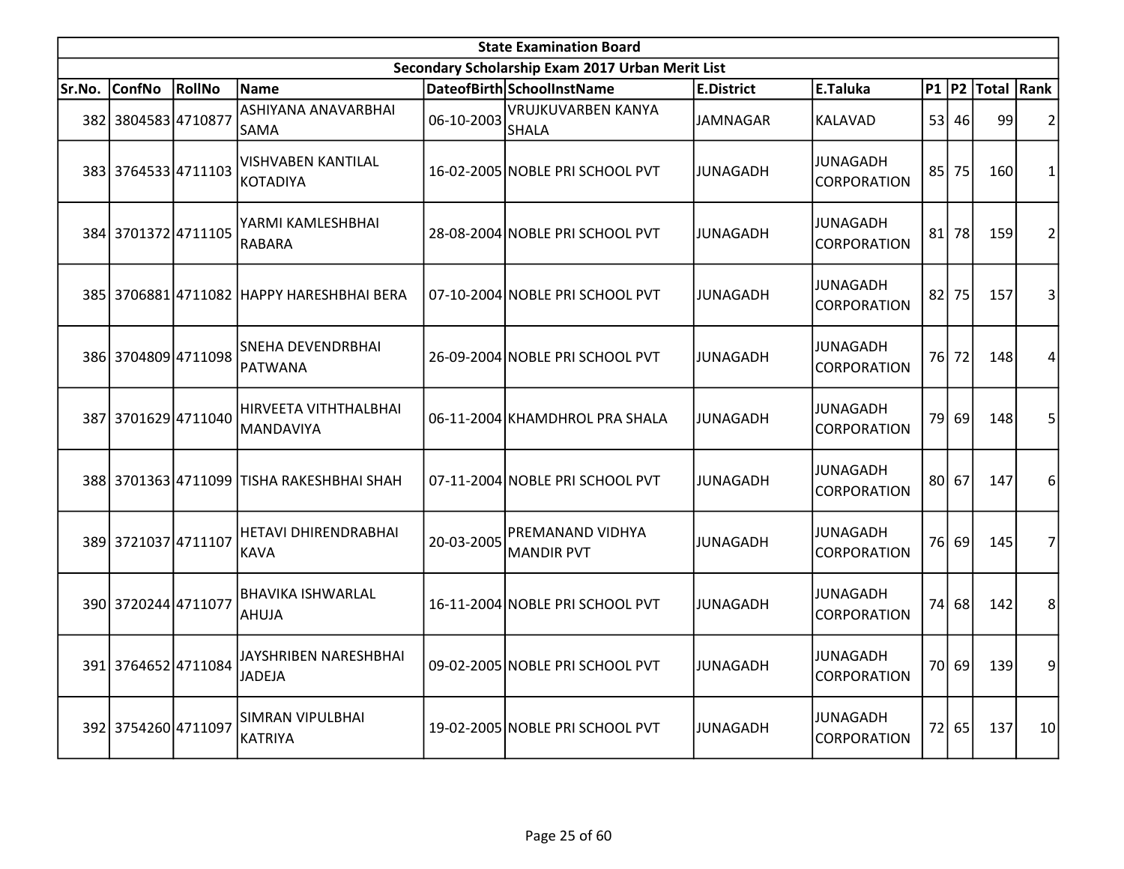|        | <b>State Examination Board</b> |        |                                           |            |                                                  |                   |                                       |                 |         |                        |                 |  |  |
|--------|--------------------------------|--------|-------------------------------------------|------------|--------------------------------------------------|-------------------|---------------------------------------|-----------------|---------|------------------------|-----------------|--|--|
|        |                                |        |                                           |            | Secondary Scholarship Exam 2017 Urban Merit List |                   |                                       |                 |         |                        |                 |  |  |
| Sr.No. | <b>ConfNo</b>                  | RollNo | <b>Name</b>                               |            | DateofBirth SchoolInstName                       | <b>E.District</b> | E.Taluka                              |                 |         | P1   P2   Total   Rank |                 |  |  |
|        | 382 3804583 4710877            |        | ASHIYANA ANAVARBHAI<br>SAMA               | 06-10-2003 | <b>VRUJKUVARBEN KANYA</b><br>SHALA               | JAMNAGAR          | KALAVAD                               |                 | 53 46   | 99                     | $\overline{2}$  |  |  |
|        | 383 3764533 4711103            |        | VISHVABEN KANTILAL<br>KOTADIYA            |            | 16-02-2005 NOBLE PRI SCHOOL PVT                  | JUNAGADH          | JUNAGADH<br><b>CORPORATION</b>        |                 | 85 75   | 160                    | 1               |  |  |
|        | 384 3701372 4711105            |        | YARMI KAMLESHBHAI<br><b>RABARA</b>        |            | 28-08-2004 NOBLE PRI SCHOOL PVT                  | <b>JUNAGADH</b>   | <b>JUNAGADH</b><br><b>CORPORATION</b> | 81              | 78      | 159                    | $\overline{2}$  |  |  |
|        |                                |        | 385 3706881 4711082 HAPPY HARESHBHAI BERA |            | 07-10-2004 NOBLE PRI SCHOOL PVT                  | JUNAGADH          | <b>JUNAGADH</b><br><b>CORPORATION</b> |                 | $82$ 75 | 157                    | 3               |  |  |
|        | 386 3704809 4711098            |        | SNEHA DEVENDRBHAI<br>PATWANA              |            | 26-09-2004 NOBLE PRI SCHOOL PVT                  | <b>JUNAGADH</b>   | <b>JUNAGADH</b><br><b>CORPORATION</b> |                 | 76 72   | 148                    | 4               |  |  |
|        | 387 3701629 4711040            |        | HIRVEETA VITHTHALBHAI<br><b>MANDAVIYA</b> |            | 06-11-2004 KHAMDHROL PRA SHALA                   | JUNAGADH          | <b>JUNAGADH</b><br><b>CORPORATION</b> | 79 <sub>l</sub> | 69      | 148                    | 5               |  |  |
|        |                                |        | 388 3701363 4711099 TISHA RAKESHBHAI SHAH |            | 07-11-2004 NOBLE PRI SCHOOL PVT                  | JUNAGADH          | <b>JUNAGADH</b><br><b>CORPORATION</b> |                 | 80 67   | 147                    | 6               |  |  |
|        | 389 3721037 4711107            |        | HETAVI DHIRENDRABHAI<br>KAVA              | 20-03-2005 | PREMANAND VIDHYA<br><b>MANDIR PVT</b>            | <b>JUNAGADH</b>   | JUNAGADH<br><b>CORPORATION</b>        |                 | 76 69   | 145                    | 7               |  |  |
|        | 390 3720244 4711077            |        | <b>BHAVIKA ISHWARLAL</b><br><b>AHUJA</b>  |            | 16-11-2004 NOBLE PRI SCHOOL PVT                  | JUNAGADH          | <b>JUNAGADH</b><br><b>CORPORATION</b> | 74 l            | 68      | 142                    | 8               |  |  |
|        | 391 3764652 4711084            |        | JAYSHRIBEN NARESHBHAI<br><b>JADEJA</b>    |            | 09-02-2005 NOBLE PRI SCHOOL PVT                  | <b>JUNAGADH</b>   | <b>JUNAGADH</b><br>CORPORATION        |                 | 70 69   | 139                    | 9               |  |  |
|        | 392 3754260 4711097            |        | <b>SIMRAN VIPULBHAI</b><br>KATRIYA        |            | 19-02-2005 NOBLE PRI SCHOOL PVT                  | JUNAGADH          | <b>JUNAGADH</b><br>CORPORATION        |                 | 72 65   | 137                    | 10 <sup>1</sup> |  |  |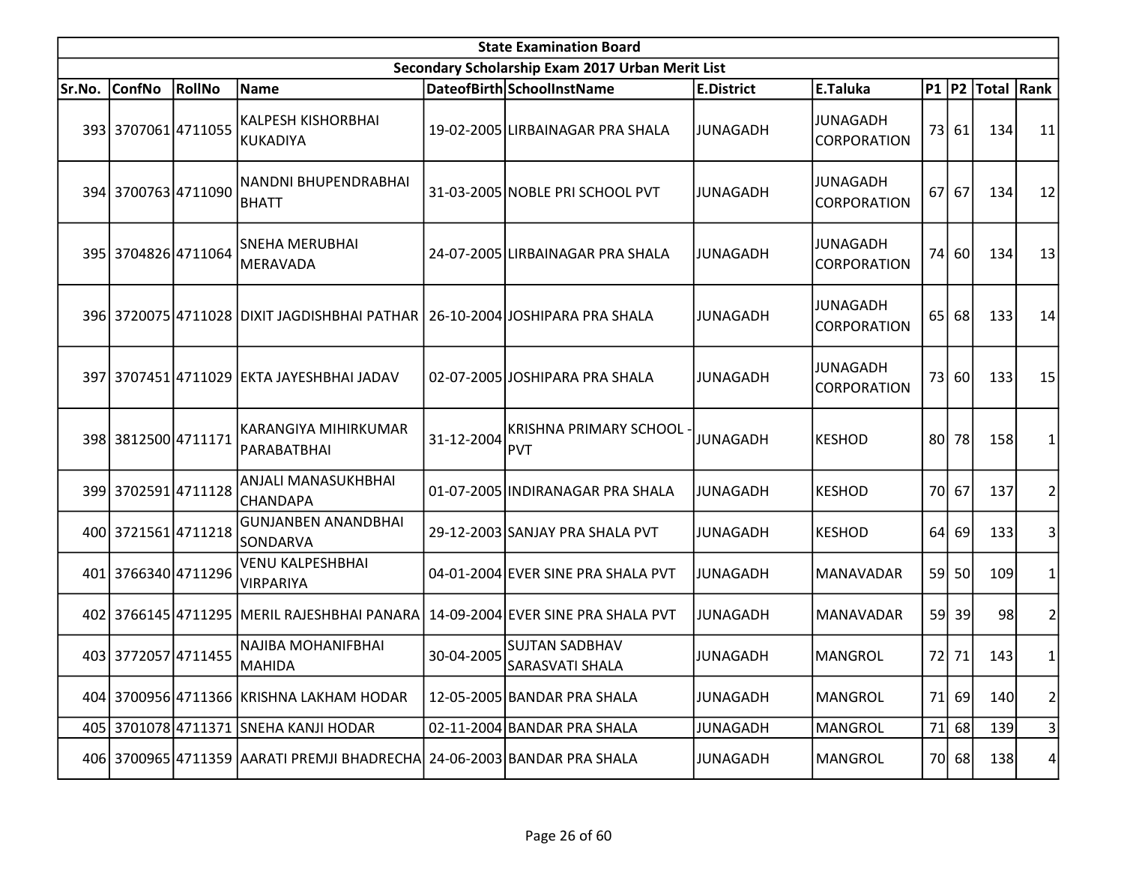|        | <b>State Examination Board</b> |        |                                                                         |            |                                                  |                   |                                |    |           |                  |                |  |  |
|--------|--------------------------------|--------|-------------------------------------------------------------------------|------------|--------------------------------------------------|-------------------|--------------------------------|----|-----------|------------------|----------------|--|--|
|        |                                |        |                                                                         |            | Secondary Scholarship Exam 2017 Urban Merit List |                   |                                |    |           |                  |                |  |  |
| Sr.No. | <b>ConfNo</b>                  | RollNo | Name                                                                    |            | DateofBirth SchoolInstName                       | <b>E.District</b> | E.Taluka                       |    |           | P1 P2 Total Rank |                |  |  |
|        | 393 3707061 4711055            |        | <b>KALPESH KISHORBHAI</b><br>KUKADIYA                                   |            | 19-02-2005 LIRBAINAGAR PRA SHALA                 | <b>JUNAGADH</b>   | <b>JUNAGADH</b><br>CORPORATION |    | 73 61     | 134              | 11             |  |  |
|        | 394 3700763 4711090            |        | NANDNI BHUPENDRABHAI<br><b>BHATT</b>                                    |            | 31-03-2005 NOBLE PRI SCHOOL PVT                  | <b>JUNAGADH</b>   | <b>JUNAGADH</b><br>CORPORATION |    | $67$ 67   | 134              | 12             |  |  |
|        | 395 3704826 4711064            |        | <b>SNEHA MERUBHAI</b><br>MERAVADA                                       |            | 24-07-2005 LIRBAINAGAR PRA SHALA                 | <b>JUNAGADH</b>   | <b>JUNAGADH</b><br>CORPORATION |    | 74 60     | 134              | 13             |  |  |
|        |                                |        | 396 3720075 4711028 DIXIT JAGDISHBHAI PATHAR                            |            | 26-10-2004 JOSHIPARA PRA SHALA                   | <b>JUNAGADH</b>   | <b>JUNAGADH</b><br>CORPORATION |    | $65$   68 | 133              | 14             |  |  |
|        |                                |        | 397 3707451 4711029 EKTA JAYESHBHAI JADAV                               |            | 02-07-2005 JOSHIPARA PRA SHALA                   | <b>JUNAGADH</b>   | <b>JUNAGADH</b><br>CORPORATION |    | 73 60     | 133              | 15             |  |  |
|        | 398 3812500 4711171            |        | KARANGIYA MIHIRKUMAR<br>PARABATBHAI                                     | 31-12-2004 | <b>KRISHNA PRIMARY SCHOOL</b><br><b>PVT</b>      | <b>JUNAGADH</b>   | <b>KESHOD</b>                  |    | 80 78     | 158              |                |  |  |
|        | 399 3702591 4711128            |        | ANJALI MANASUKHBHAI<br>CHANDAPA                                         |            | 01-07-2005 INDIRANAGAR PRA SHALA                 | <b>JUNAGADH</b>   | <b>KESHOD</b>                  |    | 70 67     | 137              | 2              |  |  |
|        | 400 3721561 4711218            |        | <b>GUNJANBEN ANANDBHAI</b><br>SONDARVA                                  |            | 29-12-2003 SANJAY PRA SHALA PVT                  | JUNAGADH          | <b>KESHOD</b>                  | 64 | 69        | 133              | 3              |  |  |
|        | 401 3766340 4711296            |        | <b>VENU KALPESHBHAI</b><br><b>VIRPARIYA</b>                             |            | 04-01-2004 EVER SINE PRA SHALA PVT               | <b>JUNAGADH</b>   | MANAVADAR                      | 59 | 50        | 109              |                |  |  |
|        |                                |        | 402 3766145 4711295 MERIL RAJESHBHAI PANARA                             |            | 14-09-2004 EVER SINE PRA SHALA PVT               | <b>JUNAGADH</b>   | <b>MANAVADAR</b>               | 59 | 39        | 98               | 2              |  |  |
|        | 403 3772057 4711455            |        | NAJIBA MOHANIFBHAI<br>MAHIDA                                            | 30-04-2005 | <b>SUJTAN SADBHAV</b><br><b>SARASVATI SHALA</b>  | <b>JUNAGADH</b>   | <b>MANGROL</b>                 |    | 72 71     | 143              | 1              |  |  |
|        |                                |        | 404 3700956 4711366 KRISHNA LAKHAM HODAR                                |            | 12-05-2005 BANDAR PRA SHALA                      | <b>JUNAGADH</b>   | <b>MANGROL</b>                 | 71 | 69        | 140              | 2              |  |  |
|        |                                |        | 405 3701078 4711371 SNEHA KANJI HODAR                                   |            | 02-11-2004 BANDAR PRA SHALA                      | <b>JUNAGADH</b>   | <b>MANGROL</b>                 | 71 | 68        | 139              | 3              |  |  |
|        |                                |        | 406 3700965 4711359 AARATI PREMJI BHADRECHA 24-06-2003 BANDAR PRA SHALA |            |                                                  | <b>JUNAGADH</b>   | <b>MANGROL</b>                 |    | 70 68     | 138              | 4 <sup>1</sup> |  |  |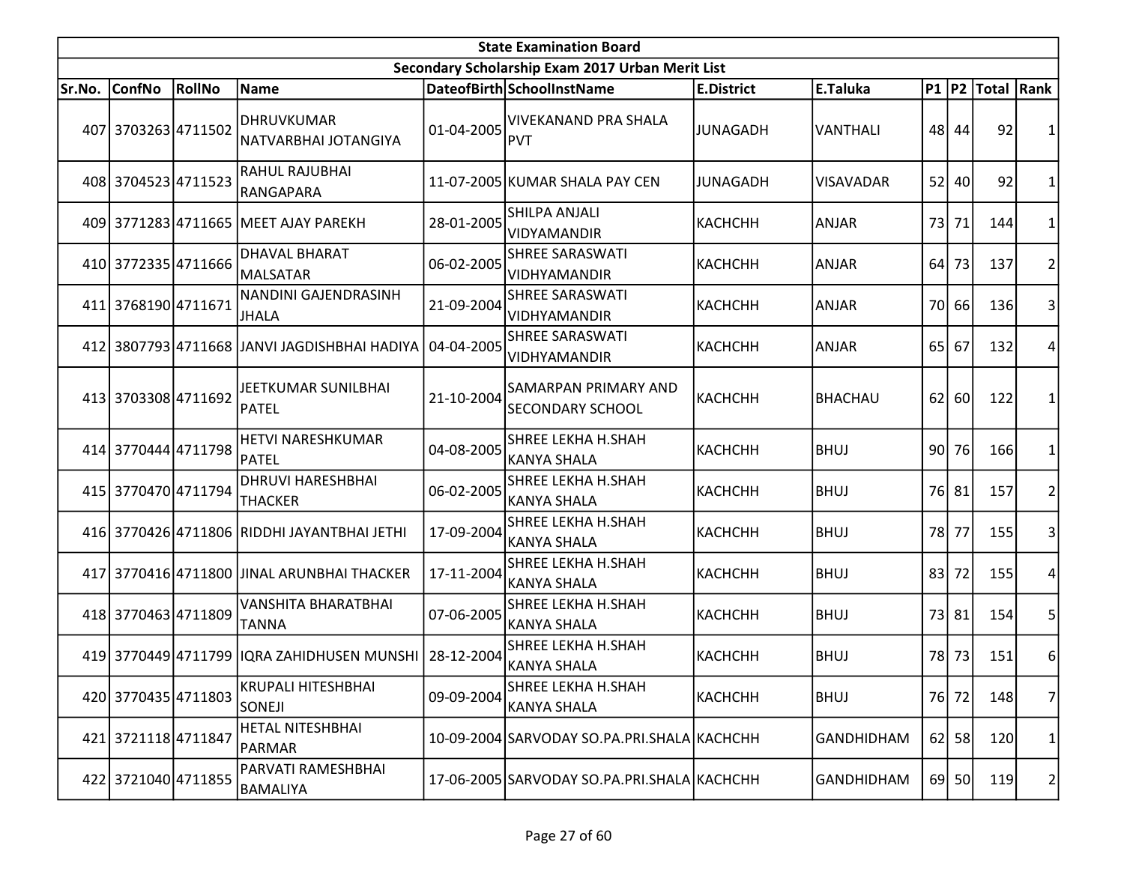|        | <b>State Examination Board</b> |        |                                                       |            |                                                  |                   |                   |     |       |                  |                |  |  |
|--------|--------------------------------|--------|-------------------------------------------------------|------------|--------------------------------------------------|-------------------|-------------------|-----|-------|------------------|----------------|--|--|
|        |                                |        |                                                       |            | Secondary Scholarship Exam 2017 Urban Merit List |                   |                   |     |       |                  |                |  |  |
| Sr.No. | <b>ConfNo</b>                  | RollNo | Name                                                  |            | DateofBirth SchoolInstName                       | <b>E.District</b> | E.Taluka          |     |       | P1 P2 Total Rank |                |  |  |
|        | 407 3703263 4711502            |        | DHRUVKUMAR<br>NATVARBHAI JOTANGIYA                    | 01-04-2005 | <b>VIVEKANAND PRA SHALA</b><br><b>PVT</b>        | JUNAGADH          | VANTHALI          |     | 48 44 | 92               | 1              |  |  |
|        | 408 3704523 4711523            |        | RAHUL RAJUBHAI<br>RANGAPARA                           |            | 11-07-2005 KUMAR SHALA PAY CEN                   | <b>JUNAGADH</b>   | <b>VISAVADAR</b>  | 52  | 40    | 92               | 1              |  |  |
|        |                                |        | 409 3771283 4711665 MEET AJAY PAREKH                  | 28-01-2005 | <b>SHILPA ANJALI</b><br><b>VIDYAMANDIR</b>       | <b>КАСНСНН</b>    | ANJAR             | 73  | 71    | 144              | 1              |  |  |
|        | 410 3772335 4711666            |        | <b>DHAVAL BHARAT</b><br>MALSATAR                      | 06-02-2005 | <b>SHREE SARASWATI</b><br><b>VIDHYAMANDIR</b>    | KACHCHH           | ANJAR             | 64  | 73    | 137              | $\overline{2}$ |  |  |
|        | 411 3768190 4711671            |        | NANDINI GAJENDRASINH<br>JHALA                         | 21-09-2004 | <b>SHREE SARASWATI</b><br><b>VIDHYAMANDIR</b>    | KACHCHH           | <b>ANJAR</b>      |     | 70 66 | 136              | 3              |  |  |
|        |                                |        | 412 3807793 4711668 JJANVI JAGDISHBHAI HADIYA         | 04-04-2005 | SHREE SARASWATI<br>VIDHYAMANDIR                  | KACHCHH           | <b>ANJAR</b>      | 65  | 67    | 132              | 4              |  |  |
|        | 413 3703308 4711692            |        | JEETKUMAR SUNILBHAI<br>PATEL                          | 21-10-2004 | SAMARPAN PRIMARY AND<br><b>SECONDARY SCHOOL</b>  | KACHCHH           | <b>BHACHAU</b>    | 62  | 60    | 122              | 1              |  |  |
|        | 414 3770444 4711798            |        | <b>HETVI NARESHKUMAR</b><br>PATEL                     | 04-08-2005 | <b>SHREE LEKHA H.SHAH</b><br><b>KANYA SHALA</b>  | KACHCHH           | <b>BHUJ</b>       | 90I | 76    | 166              | 1              |  |  |
|        | 415 3770470 4711794            |        | <b>DHRUVI HARESHBHAI</b><br><b>THACKER</b>            | 06-02-2005 | <b>SHREE LEKHA H.SHAH</b><br><b>KANYA SHALA</b>  | KACHCHH           | <b>BHUJ</b>       |     | 76 81 | 157              | 2              |  |  |
|        |                                |        | 416 3770426 4711806 RIDDHI JAYANTBHAI JETHI           | 17-09-2004 | <b>SHREE LEKHA H.SHAH</b><br><b>KANYA SHALA</b>  | KACHCHH           | <b>BHUJ</b>       | 78I | 77    | 155              | 3              |  |  |
|        |                                |        | 417 3770416 4711800 JJINAL ARUNBHAI THACKER           | 17-11-2004 | <b>SHREE LEKHA H.SHAH</b><br><b>KANYA SHALA</b>  | <b>КАСНСНН</b>    | <b>BHUJ</b>       | 83  | 72    | 155              | 4              |  |  |
|        | 418 3770463 4711809            |        | VANSHITA BHARATBHAI<br><b>TANNA</b>                   | 07-06-2005 | <b>SHREE LEKHA H.SHAH</b><br><b>KANYA SHALA</b>  | KACHCHH           | <b>BHUJ</b>       |     | 73 81 | 154              | 5              |  |  |
|        |                                |        | 419 3770449 4711799 IQRA ZAHIDHUSEN MUNSHI 28-12-2004 |            | <b>SHREE LEKHA H.SHAH</b><br><b>KANYA SHALA</b>  | KACHCHH           | <b>BHUJ</b>       |     | 78 73 | 151              | 6              |  |  |
|        | 420 3770435 4711803            |        | <b>KRUPALI HITESHBHAI</b><br><b>SONEJI</b>            | 09-09-2004 | <b>SHREE LEKHA H.SHAH</b><br><b>KANYA SHALA</b>  | КАСНСНН           | <b>BHUJ</b>       |     | 76 72 | 148              | $\overline{7}$ |  |  |
|        | 421 3721118 4711847            |        | HETAL NITESHBHAI<br>PARMAR                            |            | 10-09-2004 SARVODAY SO.PA.PRI.SHALA KACHCHH      |                   | <b>GANDHIDHAM</b> | 62  | 58    | 120              | 1              |  |  |
|        | 422 3721040 4711855            |        | PARVATI RAMESHBHAI<br>BAMALIYA                        |            | 17-06-2005 SARVODAY SO.PA.PRI.SHALA KACHCHH      |                   | <b>GANDHIDHAM</b> |     | 69 50 | 119              | 2              |  |  |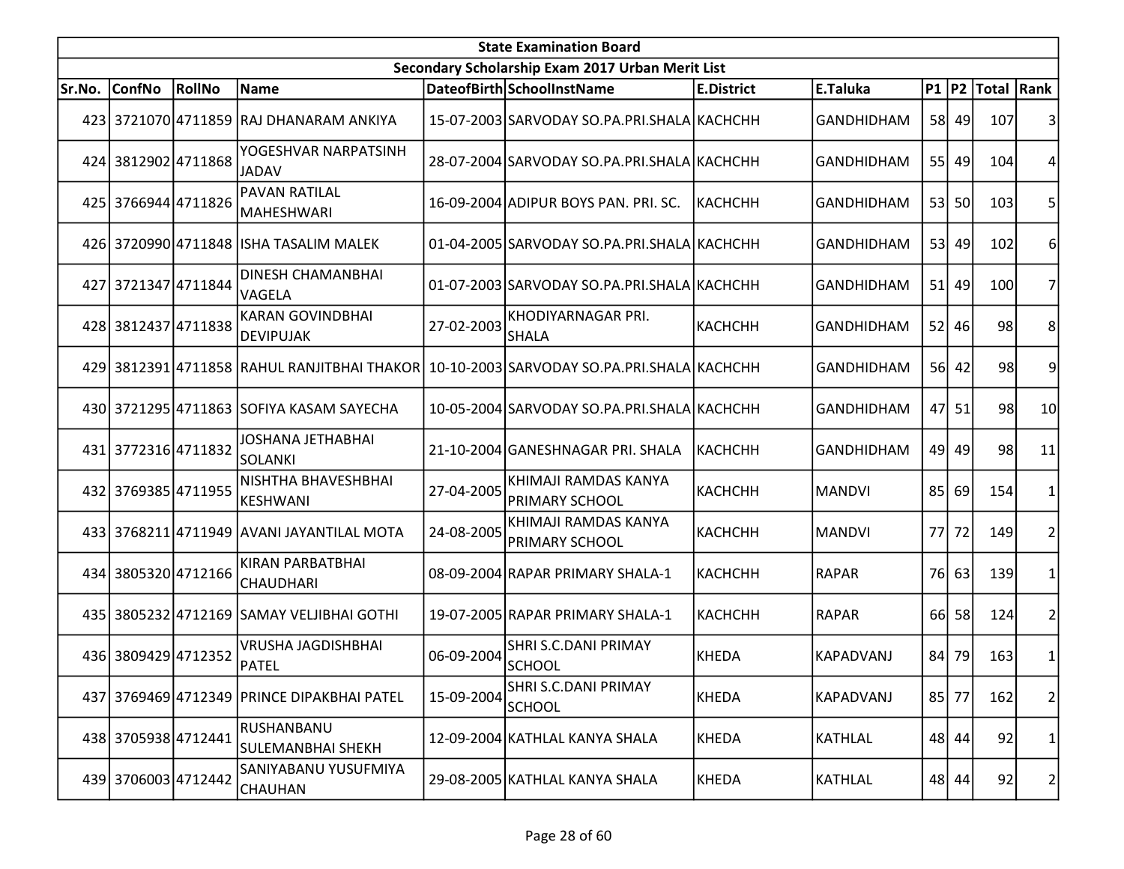| <b>State Examination Board</b> |                     |        |                                             |            |                                                                                         |                   |                   |     |           |                     |                |  |
|--------------------------------|---------------------|--------|---------------------------------------------|------------|-----------------------------------------------------------------------------------------|-------------------|-------------------|-----|-----------|---------------------|----------------|--|
|                                |                     |        |                                             |            | Secondary Scholarship Exam 2017 Urban Merit List                                        |                   |                   |     |           |                     |                |  |
| lSr.No.                        | <b>ConfNo</b>       | RollNo | Name                                        |            | DateofBirth SchoolInstName                                                              | <b>E.District</b> | E.Taluka          |     |           | P1  P2  Total  Rank |                |  |
|                                |                     |        | 423 3721070 4711859 RAJ DHANARAM ANKIYA     |            | 15-07-2003 SARVODAY SO.PA.PRI.SHALA KACHCHH                                             |                   | <b>GANDHIDHAM</b> |     | 58 49     | 107                 | 3              |  |
|                                | 424 3812902 4711868 |        | YOGESHVAR NARPATSINH<br>JADAV               |            | 28-07-2004 SARVODAY SO.PA.PRI.SHALA KACHCHH                                             |                   | <b>GANDHIDHAM</b> |     | 55 49     | 104                 | 4              |  |
|                                | 425 3766944 4711826 |        | <b>PAVAN RATILAL</b><br> MAHESHWARI         |            | 16-09-2004 ADIPUR BOYS PAN. PRI. SC.                                                    | <b>KACHCHH</b>    | <b>GANDHIDHAM</b> |     | 53 50     | 103                 | 5              |  |
|                                |                     |        | 426 3720990 4711848 ISHA TASALIM MALEK      |            | 01-04-2005 SARVODAY SO.PA.PRI.SHALA KACHCHH                                             |                   | <b>GANDHIDHAM</b> |     | 53 49     | 102                 | 6              |  |
|                                | 427 3721347 4711844 |        | <b>DINESH CHAMANBHAI</b><br>VAGELA          |            | 01-07-2003 SARVODAY SO.PA.PRI.SHALA KACHCHH                                             |                   | <b>GANDHIDHAM</b> | 51  | 49        | 100                 |                |  |
|                                | 428 3812437 4711838 |        | <b>KARAN GOVINDBHAI</b><br>DEVIPUJAK        | 27-02-2003 | KHODIYARNAGAR PRI.<br><b>SHALA</b>                                                      | <b>КАСНСНН</b>    | <b>GANDHIDHAM</b> |     | $52$ 46   | 98                  | 8              |  |
|                                |                     |        |                                             |            | 429 3812391 4711858 RAHUL RANJITBHAI THAKOR 10-10-2003 SARVODAY SO.PA.PRI.SHALA KACHCHH |                   | <b>GANDHIDHAM</b> |     | 56 42     | 98                  | 9              |  |
|                                |                     |        | 430 3721295 4711863 SOFIYA KASAM SAYECHA    |            | 10-05-2004 SARVODAY SO.PA.PRI.SHALA KACHCHH                                             |                   | <b>GANDHIDHAM</b> | 47  | 51        | 98                  | 10             |  |
|                                | 431 3772316 4711832 |        | <b>JOSHANA JETHABHAI</b><br>SOLANKI         |            | 21-10-2004 GANESHNAGAR PRI. SHALA                                                       | <b>KACHCHH</b>    | <b>GANDHIDHAM</b> |     | 49 49     | 98                  | 11             |  |
|                                | 432 3769385 4711955 |        | NISHTHA BHAVESHBHAI<br><b>KESHWANI</b>      | 27-04-2005 | KHIMAJI RAMDAS KANYA<br><b>PRIMARY SCHOOL</b>                                           | <b>КАСНСНН</b>    | <b>MANDVI</b>     |     | 85 69     | 154                 | 1              |  |
|                                |                     |        | 433 3768211 4711949 AVANI JAYANTILAL MOTA   | 24-08-2005 | KHIMAJI RAMDAS KANYA<br>PRIMARY SCHOOL                                                  | <b>KACHCHH</b>    | <b>MANDVI</b>     |     | 77 72     | 149                 | $\overline{2}$ |  |
|                                | 434 3805320 4712166 |        | <b>KIRAN PARBATBHAI</b><br><b>CHAUDHARI</b> |            | 08-09-2004 RAPAR PRIMARY SHALA-1                                                        | <b>KACHCHH</b>    | <b>RAPAR</b>      | 76I | 63        | 139                 |                |  |
|                                |                     |        | 435 3805232 4712169 SAMAY VELJIBHAI GOTHI   |            | 19-07-2005 RAPAR PRIMARY SHALA-1                                                        | <b>KACHCHH</b>    | <b>RAPAR</b>      | 66I | 58        | 124                 | 2              |  |
|                                | 436 3809429 4712352 |        | <b>VRUSHA JAGDISHBHAI</b><br>PATEL          | 06-09-2004 | <b>SHRI S.C.DANI PRIMAY</b><br><b>SCHOOL</b>                                            | KHEDA             | KAPADVANJ         |     | 84 79     | 163                 | 1              |  |
|                                |                     |        | 437 3769469 4712349 PRINCE DIPAKBHAI PATEL  | 15-09-2004 | SHRI S.C.DANI PRIMAY<br><b>SCHOOL</b>                                                   | <b>KHEDA</b>      | KAPADVANJ         |     | $85$   77 | 162                 | $\overline{2}$ |  |
|                                | 438 3705938 4712441 |        | RUSHANBANU<br><b>SULEMANBHAI SHEKH</b>      |            | 12-09-2004 KATHLAL KANYA SHALA                                                          | <b>KHEDA</b>      | <b>KATHLAL</b>    |     | 48 44     | 92                  | $\mathbf{1}$   |  |
|                                | 439 3706003 4712442 |        | SANIYABANU YUSUFMIYA<br><b>CHAUHAN</b>      |            | 29-08-2005 KATHLAL KANYA SHALA                                                          | <b>KHEDA</b>      | <b>KATHLAL</b>    |     | 48 44     | 92                  | 2              |  |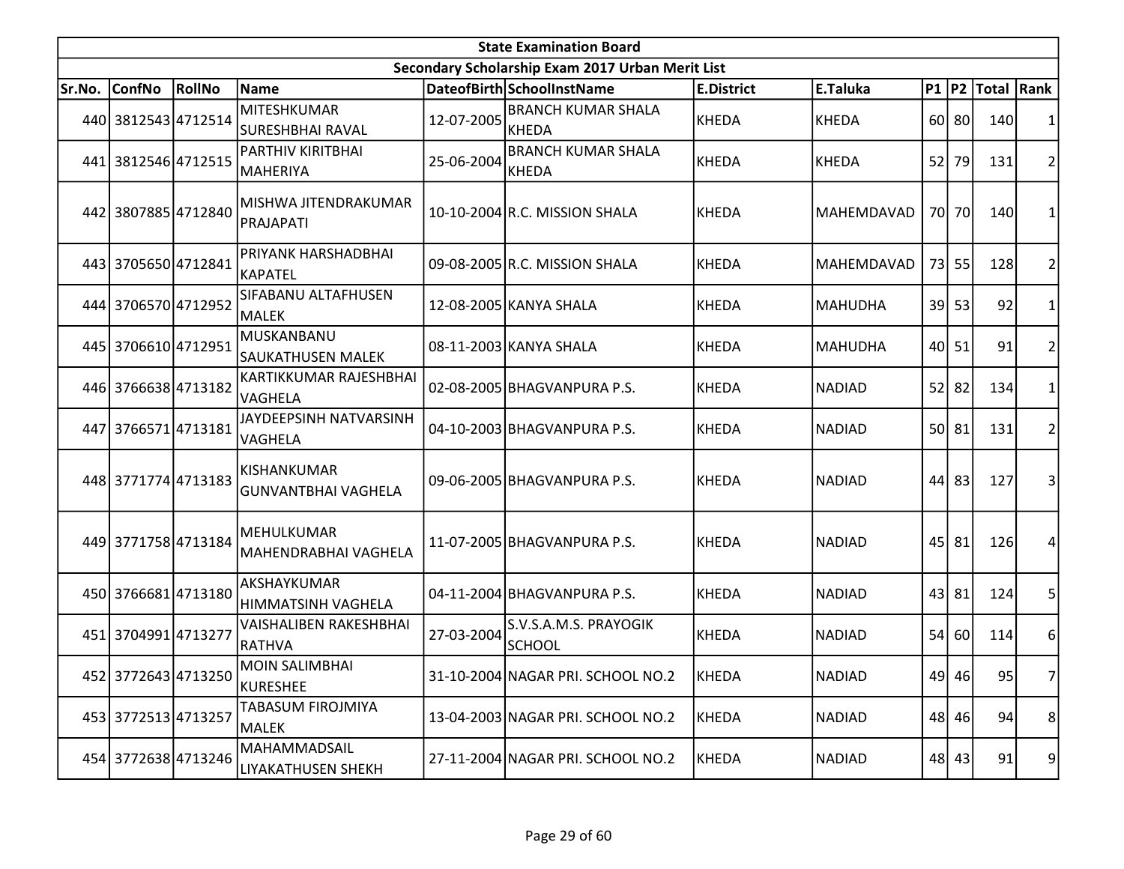|        | <b>State Examination Board</b> |        |                                                  |            |                                                  |                   |                |    |           |                  |                |  |  |
|--------|--------------------------------|--------|--------------------------------------------------|------------|--------------------------------------------------|-------------------|----------------|----|-----------|------------------|----------------|--|--|
|        |                                |        |                                                  |            | Secondary Scholarship Exam 2017 Urban Merit List |                   |                |    |           |                  |                |  |  |
| Sr.No. | <b>ConfNo</b>                  | RollNo | Name                                             |            | DateofBirth SchoolInstName                       | <b>E.District</b> | E.Taluka       |    |           | P1 P2 Total Rank |                |  |  |
|        | 440 3812543 4712514            |        | <b>MITESHKUMAR</b><br>SURESHBHAI RAVAL           | 12-07-2005 | <b>BRANCH KUMAR SHALA</b><br>KHEDA               | <b>KHEDA</b>      | KHEDA          |    | 60 80     | 140              | 1              |  |  |
|        | 441 3812546 4712515            |        | PARTHIV KIRITBHAI<br><b>MAHERIYA</b>             | 25-06-2004 | <b>BRANCH KUMAR SHALA</b><br><b>KHEDA</b>        | KHEDA             | KHEDA          | 52 | 79        | 131              | $\overline{2}$ |  |  |
|        | 442 3807885 4712840            |        | MISHWA JITENDRAKUMAR<br>PRAJAPATI                |            | 10-10-2004 R.C. MISSION SHALA                    | KHEDA             | MAHEMDAVAD     |    | 70 70     | 140              | 1              |  |  |
|        | 443 3705650 4712841            |        | PRIYANK HARSHADBHAI<br><b>KAPATEL</b>            |            | 09-08-2005 R.C. MISSION SHALA                    | <b>KHEDA</b>      | MAHEMDAVAD     |    | 73 55     | 128              | $\overline{2}$ |  |  |
|        | 444 3706570 4712952            |        | SIFABANU ALTAFHUSEN<br>MALEK                     |            | 12-08-2005 KANYA SHALA                           | <b>KHEDA</b>      | <b>MAHUDHA</b> |    | 39 53     | 92               | 1              |  |  |
|        | 445 3706610 4712951            |        | MUSKANBANU<br><b>SAUKATHUSEN MALEK</b>           |            | 08-11-2003 KANYA SHALA                           | <b>KHEDA</b>      | <b>MAHUDHA</b> |    | 40 51     | 91               | $\overline{2}$ |  |  |
|        | 446 3766638 4713182            |        | KARTIKKUMAR RAJESHBHAI<br>VAGHELA                |            | 02-08-2005 BHAGVANPURA P.S.                      | <b>KHEDA</b>      | <b>NADIAD</b>  |    | $52$ 82   | 134              | 1              |  |  |
|        | 447 3766571 4713181            |        | JAYDEEPSINH NATVARSINH<br>VAGHELA                |            | 04-10-2003 BHAGVANPURA P.S.                      | <b>KHEDA</b>      | <b>NADIAD</b>  |    | 50 81     | 131              | $\overline{2}$ |  |  |
|        | 448 3771774 4713183            |        | <b>KISHANKUMAR</b><br><b>GUNVANTBHAI VAGHELA</b> |            | 09-06-2005 BHAGVANPURA P.S.                      | <b>KHEDA</b>      | <b>NADIAD</b>  | 44 | 83        | 127              | 3              |  |  |
|        | 449 3771758 4713184            |        | MEHULKUMAR<br>MAHENDRABHAI VAGHELA               |            | 11-07-2005 BHAGVANPURA P.S.                      | <b>KHEDA</b>      | <b>NADIAD</b>  |    | $45$   81 | 126              | 4              |  |  |
|        | 450 3766681 4713180            |        | AKSHAYKUMAR<br>HIMMATSINH VAGHELA                |            | 04-11-2004 BHAGVANPURA P.S.                      | <b>KHEDA</b>      | <b>NADIAD</b>  |    | $43$ 81   | 124              | 5              |  |  |
|        | 451 3704991 4713277            |        | <b>VAISHALIBEN RAKESHBHAI</b><br>RATHVA          | 27-03-2004 | S.V.S.A.M.S. PRAYOGIK<br><b>SCHOOL</b>           | <b>KHEDA</b>      | <b>NADIAD</b>  | 54 | 60        | 114              | 6              |  |  |
|        | 452 3772643 4713250            |        | <b>MOIN SALIMBHAI</b><br>KURESHEE                |            | 31-10-2004 NAGAR PRI. SCHOOL NO.2                | KHEDA             | <b>NADIAD</b>  |    | 49 46     | 95               | 7              |  |  |
|        | 453 3772513 4713257            |        | TABASUM FIROJMIYA<br><b>MALEK</b>                |            | 13-04-2003 NAGAR PRI. SCHOOL NO.2                | KHEDA             | <b>NADIAD</b>  |    | 48 46     | 94               | 8              |  |  |
|        | 454 3772638 4713246            |        | MAHAMMADSAIL<br>LIYAKATHUSEN SHEKH               |            | 27-11-2004 NAGAR PRI. SCHOOL NO.2                | <b>KHEDA</b>      | <b>NADIAD</b>  |    | 48 43     | 91               | 9              |  |  |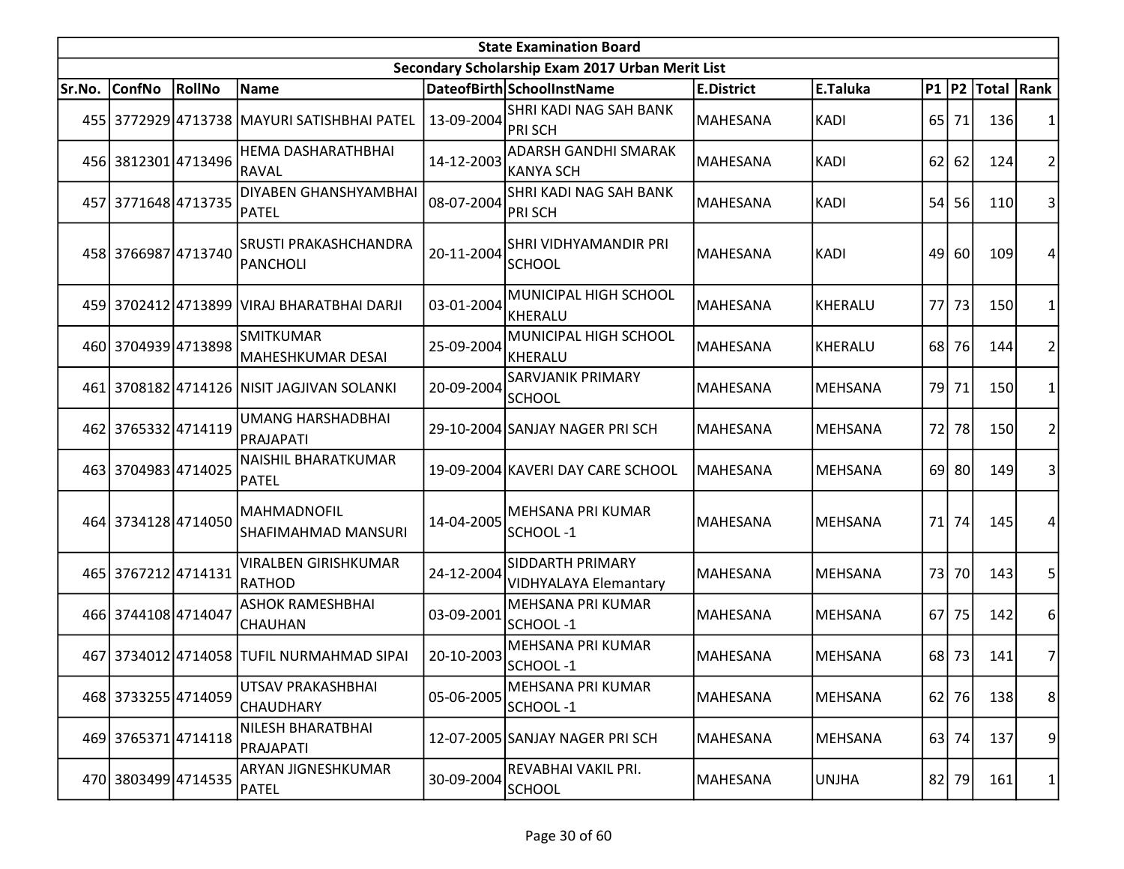|        | <b>State Examination Board</b> |        |                                             |            |                                                         |                   |                |                 |         |                     |                         |  |
|--------|--------------------------------|--------|---------------------------------------------|------------|---------------------------------------------------------|-------------------|----------------|-----------------|---------|---------------------|-------------------------|--|
|        |                                |        |                                             |            | Secondary Scholarship Exam 2017 Urban Merit List        |                   |                |                 |         |                     |                         |  |
| Sr.No. | <b>ConfNo</b>                  | RollNo | Name                                        |            | DateofBirth SchoolInstName                              | <b>E.District</b> | E.Taluka       |                 |         | P1  P2  Total  Rank |                         |  |
|        |                                |        | 455 3772929 4713738 MAYURI SATISHBHAI PATEL | 13-09-2004 | SHRI KADI NAG SAH BANK<br><b>PRISCH</b>                 | MAHESANA          | <b>KADI</b>    | 65 <sup> </sup> | 71      | 136                 | 1                       |  |
|        | 456 3812301 4713496            |        | HEMA DASHARATHBHAI<br>RAVAL                 | 14-12-2003 | <b>ADARSH GANDHI SMARAK</b><br><b>KANYA SCH</b>         | MAHESANA          | <b>KADI</b>    | 62              | 62      | 124                 | $\overline{2}$          |  |
|        | 457 3771648 4713735            |        | DIYABEN GHANSHYAMBHAI<br>PATEL              | 08-07-2004 | SHRI KADI NAG SAH BANK<br><b>PRISCH</b>                 | MAHESANA          | <b>KADI</b>    | 54              | 56      | 110                 | 3                       |  |
|        | 458 3766987 4713740            |        | <b>SRUSTI PRAKASHCHANDRA</b><br>PANCHOLI    | 20-11-2004 | SHRI VIDHYAMANDIR PRI<br><b>SCHOOL</b>                  | <b>MAHESANA</b>   | <b>KADI</b>    | 49              | 60      | 109                 | 4                       |  |
|        |                                |        | 459 3702412 4713899 VIRAJ BHARATBHAI DARJI  | 03-01-2004 | MUNICIPAL HIGH SCHOOL<br>KHERALU                        | <b>MAHESANA</b>   | <b>KHERALU</b> | 77              | 73      | 150                 | 1                       |  |
|        | 460 3704939 4713898            |        | <b>SMITKUMAR</b><br>MAHESHKUMAR DESAI       | 25-09-2004 | MUNICIPAL HIGH SCHOOL<br>KHERALU                        | MAHESANA          | <b>KHERALU</b> | 68              | 76      | 144                 | $\overline{2}$          |  |
|        |                                |        | 461 3708182 4714126 NISIT JAGJIVAN SOLANKI  | 20-09-2004 | <b>SARVJANIK PRIMARY</b><br><b>SCHOOL</b>               | MAHESANA          | <b>MEHSANA</b> | 79              | 71      | 150                 | 1                       |  |
|        | 462 3765332 4714119            |        | <b>UMANG HARSHADBHAI</b><br>PRAJAPATI       |            | 29-10-2004 SANJAY NAGER PRI SCH                         | MAHESANA          | <b>MEHSANA</b> | 72              | 78      | 150                 | $\overline{\mathbf{c}}$ |  |
|        | 463 3704983 4714025            |        | NAISHIL BHARATKUMAR<br>PATEL                |            | 19-09-2004 KAVERI DAY CARE SCHOOL                       | MAHESANA          | MEHSANA        |                 | 69 80   | 149                 | 3                       |  |
|        | 464 3734128 4714050            |        | MAHMADNOFIL<br><b>SHAFIMAHMAD MANSURI</b>   | 14-04-2005 | MEHSANA PRI KUMAR<br>SCHOOL-1                           | <b>MAHESANA</b>   | <b>MEHSANA</b> | 71              | 74      | 145                 | 4                       |  |
|        | 465 3767212 4714131            |        | <b>VIRALBEN GIRISHKUMAR</b><br>Irathod      | 24-12-2004 | <b>SIDDARTH PRIMARY</b><br><b>VIDHYALAYA Elemantary</b> | MAHESANA          | <b>MEHSANA</b> | 73              | 70      | 143                 | 5                       |  |
|        | 466 3744108 4714047            |        | <b>ASHOK RAMESHBHAI</b><br><b>CHAUHAN</b>   | 03-09-2001 | MEHSANA PRI KUMAR<br>SCHOOL-1                           | MAHESANA          | <b>MEHSANA</b> | 67              | 75      | 142                 | 6                       |  |
|        |                                |        | 467 3734012 4714058 TUFIL NURMAHMAD SIPAI   | 20-10-2003 | <b>MEHSANA PRI KUMAR</b><br>SCHOOL-1                    | MAHESANA          | <b>MEHSANA</b> | 68              | 73      | 141                 | 7                       |  |
|        | 468 3733255 4714059            |        | UTSAV PRAKASHBHAI<br>CHAUDHARY              | 05-06-2005 | MEHSANA PRI KUMAR<br>SCHOOL-1                           | MAHESANA          | <b>MEHSANA</b> |                 | $62$ 76 | 138                 | 8                       |  |
|        | 469 3765371 4714118            |        | NILESH BHARATBHAI<br>PRAJAPATI              |            | 12-07-2005 SANJAY NAGER PRI SCH                         | MAHESANA          | <b>MEHSANA</b> |                 | 63 74   | 137                 | 9                       |  |
|        | 470 3803499 4714535            |        | ARYAN JIGNESHKUMAR<br>PATEL                 | 30-09-2004 | REVABHAI VAKIL PRI.<br><b>SCHOOL</b>                    | MAHESANA          | <b>UNJHA</b>   |                 | 82 79   | 161                 | 1                       |  |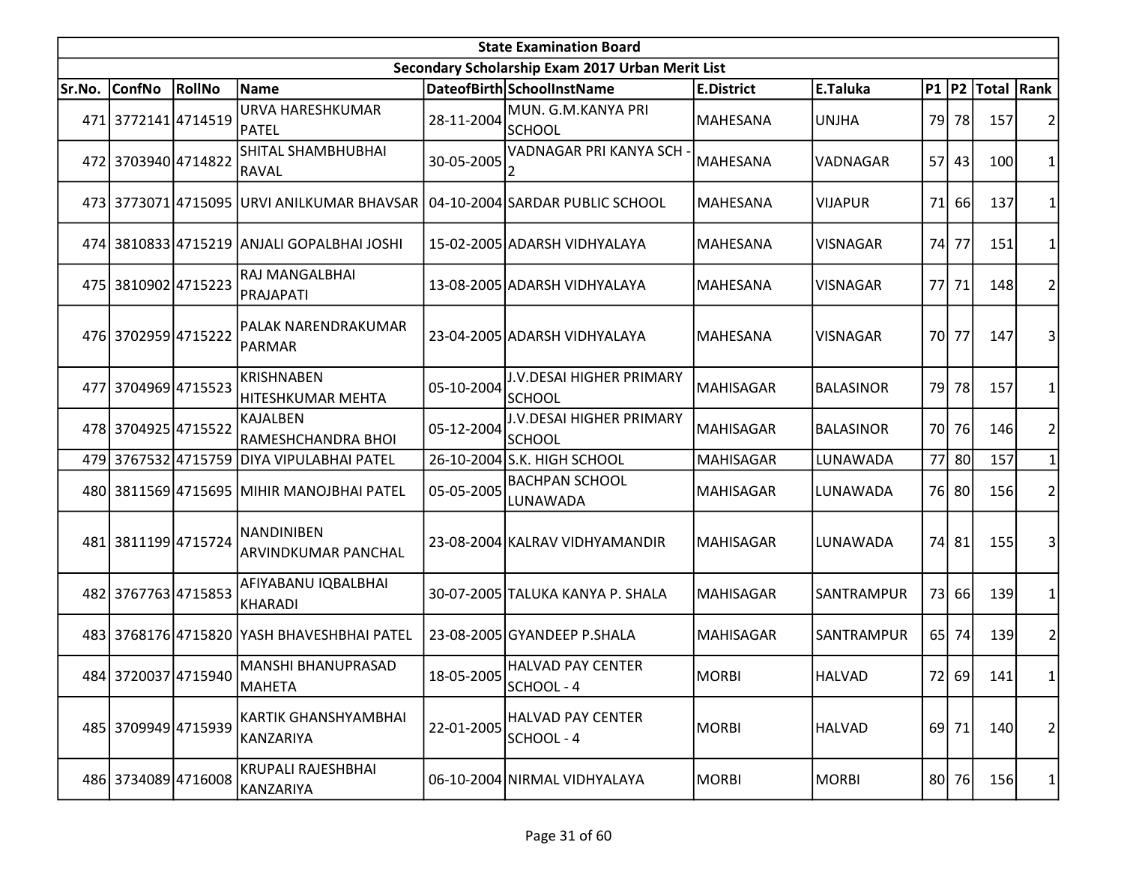|        | <b>State Examination Board</b> |        |                                                                            |            |                                                  |                   |                  |           |           |                  |                |  |  |
|--------|--------------------------------|--------|----------------------------------------------------------------------------|------------|--------------------------------------------------|-------------------|------------------|-----------|-----------|------------------|----------------|--|--|
|        |                                |        |                                                                            |            | Secondary Scholarship Exam 2017 Urban Merit List |                   |                  |           |           |                  |                |  |  |
| Sr.No. | <b>ConfNo</b>                  | RollNo | <b>Name</b>                                                                |            | DateofBirth SchoolInstName                       | <b>E.District</b> | E.Taluka         |           |           | P1 P2 Total Rank |                |  |  |
|        | 471 3772141 4714519            |        | URVA HARESHKUMAR<br>PATEL                                                  | 28-11-2004 | MUN. G.M.KANYA PRI<br><b>SCHOOL</b>              | MAHESANA          | <b>UNJHA</b>     |           | 79 78     | 157              |                |  |  |
|        | 472 3703940 4714822            |        | SHITAL SHAMBHUBHAI<br><b>RAVAL</b>                                         | 30-05-2005 | VADNAGAR PRI KANYA SCH -<br>2                    | <b>MAHESANA</b>   | VADNAGAR         |           | 57 43     | 100              |                |  |  |
|        |                                |        | 473 3773071 4715095 URVI ANILKUMAR BHAVSAR 04-10-2004 SARDAR PUBLIC SCHOOL |            |                                                  | <b>MAHESANA</b>   | <b>VIJAPUR</b>   | <b>71</b> | <b>66</b> | 137              |                |  |  |
|        |                                |        | 474 3810833 4715219 ANJALI GOPALBHAI JOSHI                                 |            | 15-02-2005 ADARSH VIDHYALAYA                     | <b>MAHESANA</b>   | <b>VISNAGAR</b>  | 74        | 77        | 151              |                |  |  |
|        | 475 3810902 4715223            |        | RAJ MANGALBHAI<br>PRAJAPATI                                                |            | 13-08-2005 ADARSH VIDHYALAYA                     | <b>MAHESANA</b>   | <b>VISNAGAR</b>  |           | 77 71     | 148              |                |  |  |
|        | 476 3702959 4715222            |        | PALAK NARENDRAKUMAR<br>PARMAR                                              |            | 23-04-2005 ADARSH VIDHYALAYA                     | <b>MAHESANA</b>   | <b>VISNAGAR</b>  |           | 70 77     | 147              | 3              |  |  |
| 477l   | 37049694715523                 |        | <b>KRISHNABEN</b><br>HITESHKUMAR MEHTA                                     | 05-10-2004 | J.V.DESAI HIGHER PRIMARY<br><b>SCHOOL</b>        | <b>MAHISAGAR</b>  | <b>BALASINOR</b> |           | 79 78     | 157              |                |  |  |
|        | 478 3704925 4715522            |        | <b>KAJALBEN</b><br>RAMESHCHANDRA BHOI                                      | 05-12-2004 | J.V.DESAI HIGHER PRIMARY<br><b>SCHOOL</b>        | <b>MAHISAGAR</b>  | <b>BALASINOR</b> |           | 70 76     | 146              | 2              |  |  |
|        |                                |        | 479 3767532 4715759 DIYA VIPULABHAI PATEL                                  |            | 26-10-2004 S.K. HIGH SCHOOL                      | <b>MAHISAGAR</b>  | LUNAWADA         |           | 77 80     | 157              |                |  |  |
|        |                                |        | 480 3811569 4715695 MIHIR MANOJBHAI PATEL                                  | 05-05-2005 | <b>BACHPAN SCHOOL</b><br>LUNAWADA                | <b>MAHISAGAR</b>  | LUNAWADA         |           | 76 80     | 156              | 2              |  |  |
|        | 481 3811199 4715724            |        | NANDINIBEN<br>ARVINDKUMAR PANCHAL                                          |            | 23-08-2004 KALRAV VIDHYAMANDIR                   | <b>MAHISAGAR</b>  | LUNAWADA         |           | 74 81     | 155              | 3              |  |  |
|        | 482 3767763 4715853            |        | AFIYABANU IQBALBHAI<br><b>KHARADI</b>                                      |            | 30-07-2005 TALUKA KANYA P. SHALA                 | <b>MAHISAGAR</b>  | SANTRAMPUR       | 73        | 66        | 139              | 1              |  |  |
|        |                                |        | 483 3768176 4715820 YASH BHAVESHBHAI PATEL                                 |            | 23-08-2005 GYANDEEP P.SHALA                      | MAHISAGAR         | SANTRAMPUR       |           | 65 74     | 139              | 2              |  |  |
|        | 484 3720037 4715940            |        | MANSHI BHANUPRASAD<br>MAHETA                                               | 18-05-2005 | <b>HALVAD PAY CENTER</b><br>SCHOOL - 4           | <b>MORBI</b>      | <b>HALVAD</b>    |           | 72 69     | 141              | 1              |  |  |
|        | 485 3709949 4715939            |        | KARTIK GHANSHYAMBHAI<br>KANZARIYA                                          | 22-01-2005 | <b>HALVAD PAY CENTER</b><br>SCHOOL - 4           | <b>MORBI</b>      | <b>HALVAD</b>    |           | 69 71     | 140              | $\overline{2}$ |  |  |
|        | 486 3734089 4716008            |        | KRUPALI RAJESHBHAI<br>KANZARIYA                                            |            | 06-10-2004 NIRMAL VIDHYALAYA                     | <b>MORBI</b>      | <b>MORBI</b>     |           | 80 76     | <b>156</b>       | 1              |  |  |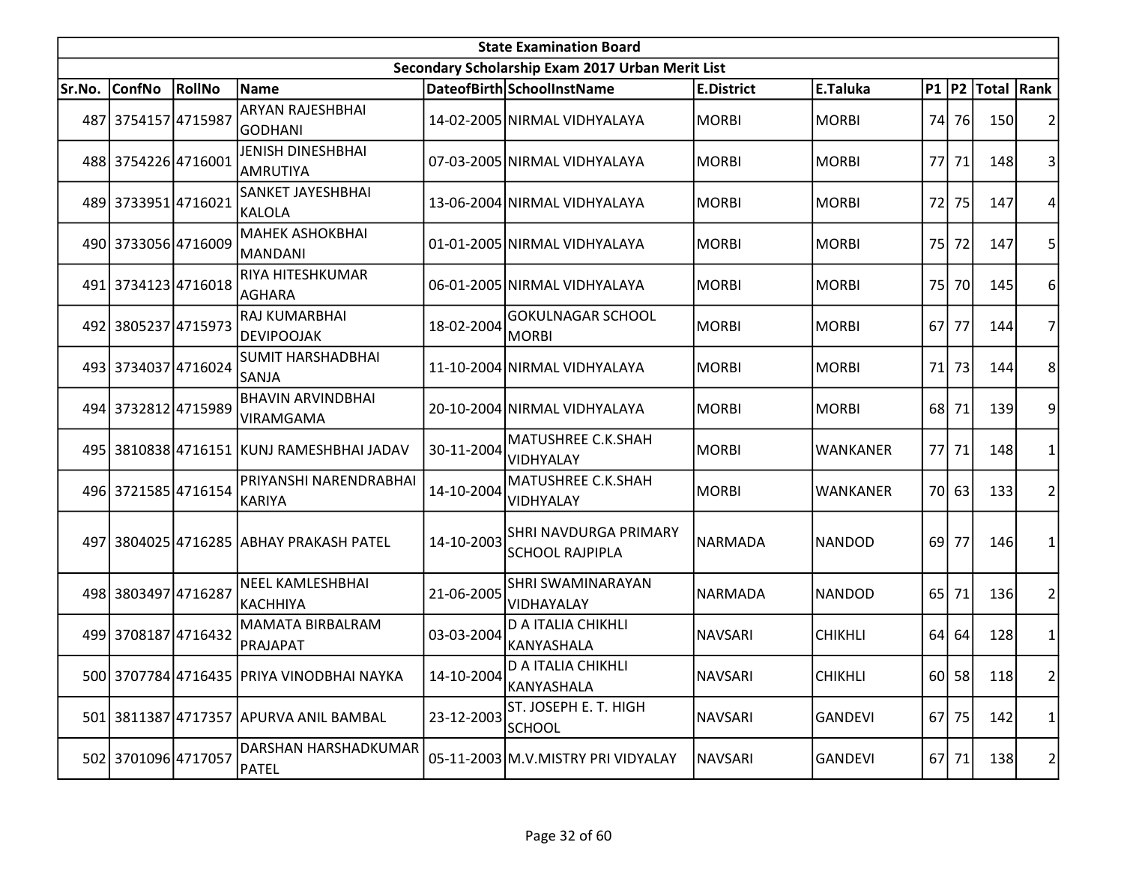|        | <b>State Examination Board</b><br>Secondary Scholarship Exam 2017 Urban Merit List |        |                                            |            |                                                 |                   |                 |                 |           |                  |                |  |  |
|--------|------------------------------------------------------------------------------------|--------|--------------------------------------------|------------|-------------------------------------------------|-------------------|-----------------|-----------------|-----------|------------------|----------------|--|--|
|        |                                                                                    |        |                                            |            |                                                 |                   |                 |                 |           |                  |                |  |  |
| Sr.No. | <b>ConfNo</b>                                                                      | RollNo | <b>Name</b>                                |            | DateofBirth SchoolInstName                      | <b>E.District</b> | E.Taluka        |                 |           | P1 P2 Total Rank |                |  |  |
|        | 487 3754157 4715987                                                                |        | <b>ARYAN RAJESHBHAI</b><br>GODHANI         |            | 14-02-2005 NIRMAL VIDHYALAYA                    | <b>MORBI</b>      | <b>MORBI</b>    |                 | 74 76     | 150              | $\overline{2}$ |  |  |
|        | 488 3754226 4716001                                                                |        | <b>JENISH DINESHBHAI</b><br>AMRUTIYA       |            | 07-03-2005 NIRMAL VIDHYALAYA                    | <b>MORBI</b>      | <b>MORBI</b>    |                 | 77 71     | 148              | 3              |  |  |
|        | 489 3733951 4716021                                                                |        | SANKET JAYESHBHAI<br>KALOLA                |            | 13-06-2004 NIRMAL VIDHYALAYA                    | <b>MORBI</b>      | <b>MORBI</b>    | 72              | 75        | 147              | 4              |  |  |
|        | 490 3733056 4716009                                                                |        | <b>MAHEK ASHOKBHAI</b><br><b>MANDANI</b>   |            | 01-01-2005 NIRMAL VIDHYALAYA                    | <b>MORBI</b>      | <b>MORBI</b>    | 75              | 72        | 147              | 5              |  |  |
|        | 491 3734123 4716018                                                                |        | RIYA HITESHKUMAR<br>AGHARA                 |            | 06-01-2005 NIRMAL VIDHYALAYA                    | <b>MORBI</b>      | <b>MORBI</b>    | 75I             | <b>70</b> | 145              | 6              |  |  |
|        | 492 3805237 4715973                                                                |        | RAJ KUMARBHAI<br><b>DEVIPOOJAK</b>         | 18-02-2004 | <b>GOKULNAGAR SCHOOL</b><br>MORBI               | <b>MORBI</b>      | <b>MORBI</b>    | 67              | 77        | 144              | 7              |  |  |
|        | 493 3734037 4716024                                                                |        | <b>SUMIT HARSHADBHAI</b><br>SANJA          |            | 11-10-2004 NIRMAL VIDHYALAYA                    | <b>MORBI</b>      | <b>MORBI</b>    | 71              | 73        | 144              | 8              |  |  |
|        | 494 3732812 4715989                                                                |        | <b>BHAVIN ARVINDBHAI</b><br>VIRAMGAMA      |            | 20-10-2004 NIRMAL VIDHYALAYA                    | <b>MORBI</b>      | <b>MORBI</b>    | 68 l            | 71        | 139              | 9              |  |  |
|        |                                                                                    |        | 495 3810838 4716151 KUNJ RAMESHBHAI JADAV  | 30-11-2004 | MATUSHREE C.K.SHAH<br>VIDHYALAY                 | <b>MORBI</b>      | <b>WANKANER</b> |                 | 77 71     | 148              | 1              |  |  |
|        | 496 3721585 4716154                                                                |        | PRIYANSHI NARENDRABHAI<br><b>KARIYA</b>    | 14-10-2004 | MATUSHREE C.K.SHAH<br><b>VIDHYALAY</b>          | <b>MORBI</b>      | <b>WANKANER</b> |                 | 70 63     | 133              | $\overline{2}$ |  |  |
|        |                                                                                    |        | 497 3804025 4716285 ABHAY PRAKASH PATEL    | 14-10-2003 | SHRI NAVDURGA PRIMARY<br><b>SCHOOL RAJPIPLA</b> | NARMADA           | <b>NANDOD</b>   | 69 <sup> </sup> | 77        | 146              | 1              |  |  |
|        | 498 3803497 4716287                                                                |        | <b>NEEL KAMLESHBHAI</b><br><b>KACHHIYA</b> | 21-06-2005 | <b>SHRI SWAMINARAYAN</b><br>VIDHAYALAY          | <b>NARMADA</b>    | <b>NANDOD</b>   | 65              | 71        | 136              | $\overline{2}$ |  |  |
|        | 499 3708187 4716432                                                                |        | <b>MAMATA BIRBALRAM</b><br>PRAJAPAT        | 03-03-2004 | <b>D A ITALIA CHIKHLI</b><br>KANYASHALA         | NAVSARI           | <b>CHIKHLI</b>  |                 | 64 64     | 128              | $\mathbf{1}$   |  |  |
|        |                                                                                    |        | 500 3707784 4716435 PRIYA VINODBHAI NAYKA  | 14-10-2004 | D A ITALIA CHIKHLI<br><b>KANYASHALA</b>         | NAVSARI           | <b>CHIKHLI</b>  |                 | $60$   58 | 118              | $\overline{2}$ |  |  |
|        |                                                                                    |        | 501 3811387 4717357 APURVA ANIL BAMBAL     | 23-12-2003 | ST. JOSEPH E. T. HIGH<br><b>SCHOOL</b>          | <b>NAVSARI</b>    | <b>GANDEVI</b>  |                 | 67 75     | 142              | 1              |  |  |
|        | 502 3701096 4717057                                                                |        | DARSHAN HARSHADKUMAR<br><b>PATEL</b>       |            | 05-11-2003 M.V.MISTRY PRI VIDYALAY              | <b>NAVSARI</b>    | <b>GANDEVI</b>  |                 | 67 71     | 138              | 2              |  |  |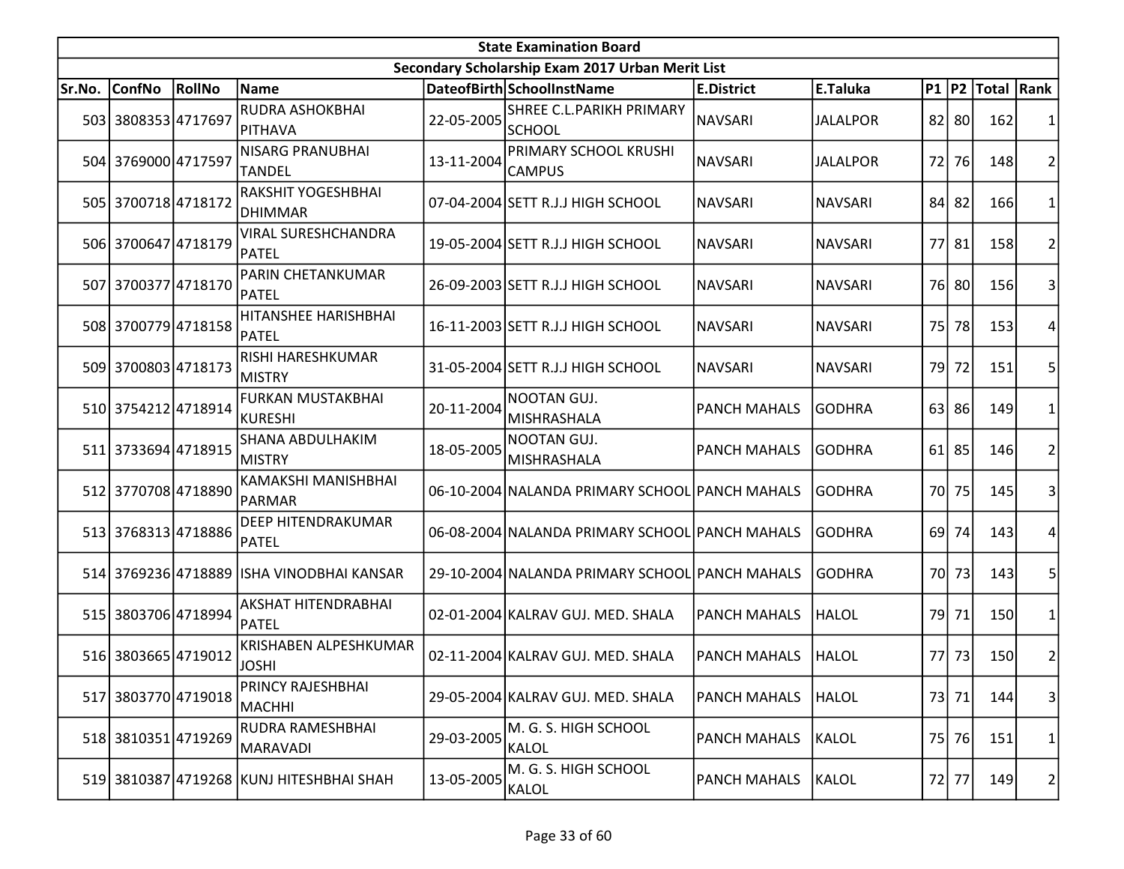| <b>State Examination Board</b> |                     |        |                                           |            |                                                  |                     |                 |     |           |                     |                |  |
|--------------------------------|---------------------|--------|-------------------------------------------|------------|--------------------------------------------------|---------------------|-----------------|-----|-----------|---------------------|----------------|--|
|                                |                     |        |                                           |            | Secondary Scholarship Exam 2017 Urban Merit List |                     |                 |     |           |                     |                |  |
| Sr.No.                         | <b>ConfNo</b>       | RollNo | <b>Name</b>                               |            | DateofBirth SchoolInstName                       | <b>E.District</b>   | E.Taluka        |     |           | P1  P2  Total  Rank |                |  |
|                                | 503 3808353 4717697 |        | <b>RUDRA ASHOKBHAI</b><br> PITHAVA        | 22-05-2005 | SHREE C.L.PARIKH PRIMARY<br><b>SCHOOL</b>        | <b>NAVSARI</b>      | <b>JALALPOR</b> |     | 82 80     | 162                 |                |  |
|                                | 504 3769000 4717597 |        | <b>NISARG PRANUBHAI</b><br>TANDEL         | 13-11-2004 | PRIMARY SCHOOL KRUSHI<br><b>CAMPUS</b>           | <b>NAVSARI</b>      | <b>JALALPOR</b> |     | 72 76     | 148                 | 2              |  |
|                                | 505 3700718 4718172 |        | RAKSHIT YOGESHBHAI<br>DHIMMAR             |            | 07-04-2004 SETT R.J.J HIGH SCHOOL                | <b>NAVSARI</b>      | <b>NAVSARI</b>  | 84  | 82        | 166                 |                |  |
|                                | 506 3700647 4718179 |        | <b>VIRAL SURESHCHANDRA</b><br>PATEL       |            | 19-05-2004 SETT R.J.J HIGH SCHOOL                | <b>NAVSARI</b>      | <b>NAVSARI</b>  |     | 77 81     | <b>158</b>          | 2              |  |
|                                | 507 3700377 4718170 |        | PARIN CHETANKUMAR<br><b>PATEL</b>         |            | 26-09-2003 SETT R.J.J HIGH SCHOOL                | <b>NAVSARI</b>      | <b>NAVSARI</b>  |     | 76 80     | 156                 | 3              |  |
|                                | 508 3700779 4718158 |        | HITANSHEE HARISHBHAI<br>IPATEL            |            | 16-11-2003 SETT R.J.J HIGH SCHOOL                | <b>NAVSARI</b>      | <b>NAVSARI</b>  | 75  | 78        | 153                 |                |  |
|                                | 509 3700803 4718173 |        | RISHI HARESHKUMAR<br> MISTRY              |            | 31-05-2004 SETT R.J.J HIGH SCHOOL                | NAVSARI             | <b>NAVSARI</b>  | 79I | 72        | 151                 | 5              |  |
|                                | 510 3754212 4718914 |        | <b>FURKAN MUSTAKBHAI</b><br>KURESHI       | 20-11-2004 | NOOTAN GUJ.<br><b>MISHRASHALA</b>                | <b>PANCH MAHALS</b> | <b>GODHRA</b>   |     | 63 86     | 149                 | 1              |  |
|                                | 511 3733694 4718915 |        | <b>SHANA ABDULHAKIM</b><br>MISTRY         | 18-05-2005 | NOOTAN GUJ.<br>MISHRASHALA                       | <b>PANCH MAHALS</b> | GODHRA          |     | $61$   85 | 146                 | $\overline{2}$ |  |
|                                | 512 3770708 4718890 |        | KAMAKSHI MANISHBHAI<br>PARMAR             |            | 06-10-2004 NALANDA PRIMARY SCHOOL PANCH MAHALS   |                     | <b>GODHRA</b>   |     | 70 75     | 145                 | 3              |  |
|                                | 513 3768313 4718886 |        | <b>DEEP HITENDRAKUMAR</b><br>PATEL        |            | 06-08-2004 NALANDA PRIMARY SCHOOL PANCH MAHALS   |                     | <b>GODHRA</b>   |     | 69 74     | 143                 | 4              |  |
|                                |                     |        | 514 3769236 4718889 ISHA VINODBHAI KANSAR |            | 29-10-2004 NALANDA PRIMARY SCHOOL PANCH MAHALS   |                     | <b>GODHRA</b>   |     | 70 73     | 143                 | 5              |  |
|                                | 515 3803706 4718994 |        | AKSHAT HITENDRABHAI<br><b>PATEL</b>       |            | 02-01-2004 KALRAV GUJ. MED. SHALA                | <b>PANCH MAHALS</b> | <b>HALOL</b>    |     | 79 71     | 150                 | $\mathbf{1}$   |  |
|                                | 516 3803665 4719012 |        | KRISHABEN ALPESHKUMAR<br><b>JOSHI</b>     |            | 02-11-2004 KALRAV GUJ. MED. SHALA                | <b>PANCH MAHALS</b> | HALOL           |     | 77 73     | 150                 | 2              |  |
|                                | 517 3803770 4719018 |        | PRINCY RAJESHBHAI<br>MACHHI               |            | 29-05-2004 KALRAV GUJ. MED. SHALA                | <b>PANCH MAHALS</b> | <b>HALOL</b>    |     | 73 71     | 144                 | $\vert$ 3      |  |
|                                | 518 3810351 4719269 |        | RUDRA RAMESHBHAI<br>MARAVADI              | 29-03-2005 | M. G. S. HIGH SCHOOL<br>KALOL                    | <b>PANCH MAHALS</b> | <b>KALOL</b>    |     | 75 76     | 151                 | $\mathbf{1}$   |  |
|                                |                     |        | 519 3810387 4719268 KUNJ HITESHBHAI SHAH  | 13-05-2005 | M. G. S. HIGH SCHOOL<br>KALOL                    | <b>PANCH MAHALS</b> | <b>KALOL</b>    |     | 72 77     | 149                 | 2              |  |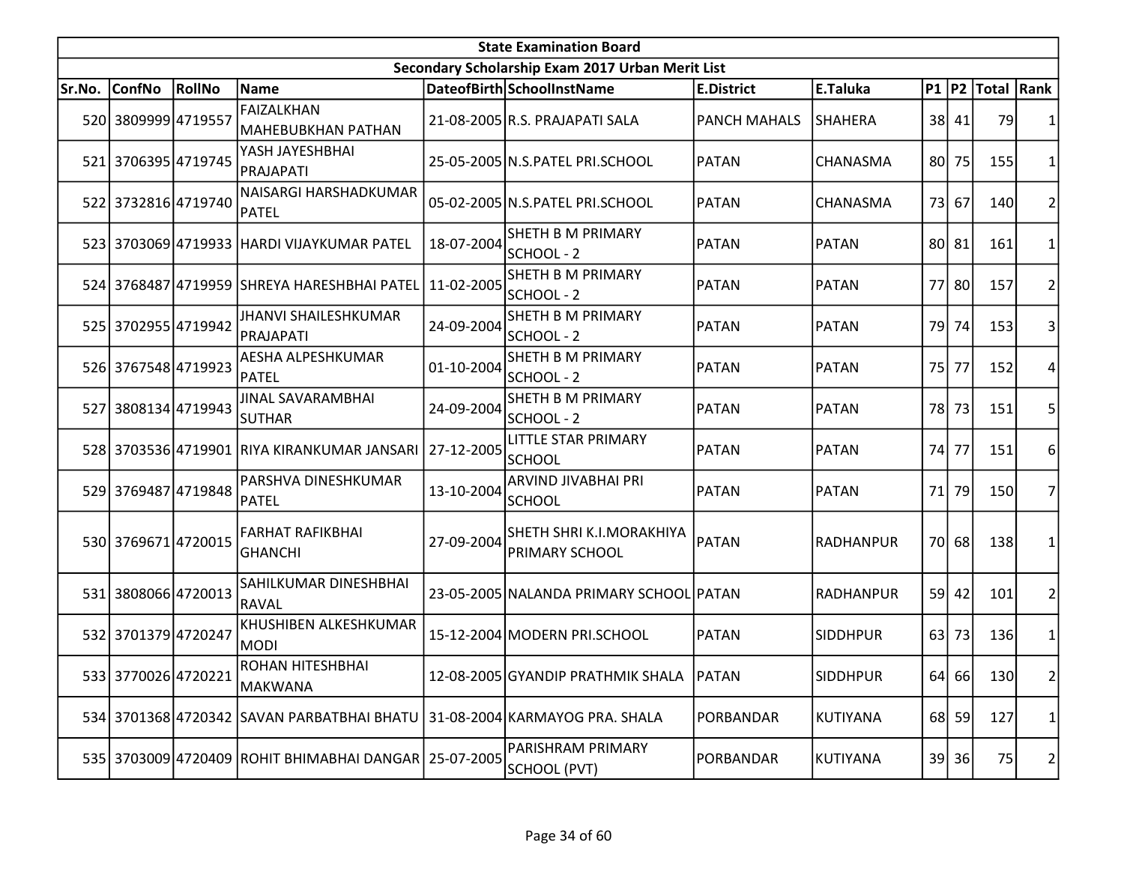|        | <b>State Examination Board</b> |        |                                                       |            |                                                          |                     |                  |      |       |                     |                |  |
|--------|--------------------------------|--------|-------------------------------------------------------|------------|----------------------------------------------------------|---------------------|------------------|------|-------|---------------------|----------------|--|
|        |                                |        |                                                       |            | Secondary Scholarship Exam 2017 Urban Merit List         |                     |                  |      |       |                     |                |  |
| Sr.No. | <b>ConfNo</b>                  | RollNo | Name                                                  |            | DateofBirth SchoolInstName                               | <b>E.District</b>   | E.Taluka         |      |       | P1  P2  Total  Rank |                |  |
|        | 520 3809999 4719557            |        | <b>FAIZALKHAN</b><br>MAHEBUBKHAN PATHAN               |            | 21-08-2005 R.S. PRAJAPATI SALA                           | <b>PANCH MAHALS</b> | <b>SHAHERA</b>   |      | 38 41 | 79                  |                |  |
|        | 521 3706395 4719745            |        | YASH JAYESHBHAI<br>PRAJAPATI                          |            | 25-05-2005 N.S.PATEL PRI.SCHOOL                          | PATAN               | CHANASMA         | 80I  | 75    | 155                 | 1              |  |
|        | 522 3732816 4719740            |        | NAISARGI HARSHADKUMAR<br>PATEL                        |            | 05-02-2005 N.S.PATEL PRI.SCHOOL                          | <b>PATAN</b>        | CHANASMA         | 73   | 67    | 140                 | $\overline{2}$ |  |
|        |                                |        | 523 3703069 4719933 HARDI VIJAYKUMAR PATEL            | 18-07-2004 | SHETH B M PRIMARY<br>SCHOOL - 2                          | <b>PATAN</b>        | <b>PATAN</b>     |      | 80 81 | 161                 | 1              |  |
|        |                                |        | 524 3768487 4719959 SHREYA HARESHBHAI PATEL           | 11-02-2005 | <b>SHETH B M PRIMARY</b><br>SCHOOL - 2                   | <b>PATAN</b>        | <b>PATAN</b>     |      | 77 80 | 157                 | $\overline{2}$ |  |
|        | 525 3702955 4719942            |        | <b>JHANVI SHAILESHKUMAR</b><br>PRAJAPATI              | 24-09-2004 | <b>SHETH B M PRIMARY</b><br>SCHOOL - 2                   | <b>PATAN</b>        | <b>PATAN</b>     | 79   | 74    | 153                 | 3              |  |
|        | 526 3767548 4719923            |        | <b>AESHA ALPESHKUMAR</b><br>PATEL                     | 01-10-2004 | <b>SHETH B M PRIMARY</b><br>lschool - 2                  | <b>PATAN</b>        | <b>PATAN</b>     | 75I  | 77    | 152                 | 4              |  |
|        | 527 3808134 4719943            |        | <b>JINAL SAVARAMBHAI</b><br><b>SUTHAR</b>             | 24-09-2004 | <b>SHETH B M PRIMARY</b><br>SCHOOL - 2                   | <b>PATAN</b>        | <b>PATAN</b>     |      | 78 73 | 151                 | 5              |  |
|        |                                |        | 528 3703536 4719901 RIYA KIRANKUMAR JANSARI           | 27-12-2005 | <b>LITTLE STAR PRIMARY</b><br><b>SCHOOL</b>              | <b>PATAN</b>        | <b>PATAN</b>     | 74I  | 77    | 151                 | 6              |  |
|        | 529 3769487 4719848            |        | PARSHVA DINESHKUMAR<br><b>PATEL</b>                   | 13-10-2004 | ARVIND JIVABHAI PRI<br><b>SCHOOL</b>                     | <b>PATAN</b>        | <b>PATAN</b>     | 71   | 79    | 150                 | 7              |  |
|        | 530 3769671 4720015            |        | <b>FARHAT RAFIKBHAI</b><br><b>GHANCHI</b>             | 27-09-2004 | <b>SHETH SHRI K.I.MORAKHIYA</b><br><b>PRIMARY SCHOOL</b> | PATAN               | <b>RADHANPUR</b> |      | 70 68 | 138                 | 1              |  |
|        | 531 3808066 4720013            |        | SAHILKUMAR DINESHBHAI<br>RAVAL                        |            | 23-05-2005 NALANDA PRIMARY SCHOOL PATAN                  |                     | <b>RADHANPUR</b> | 59 l | 42    | 101                 | $\overline{2}$ |  |
|        | 532 3701379 4720247            |        | KHUSHIBEN ALKESHKUMAR<br><b>MODI</b>                  |            | 15-12-2004 MODERN PRI.SCHOOL                             | <b>PATAN</b>        | <b>SIDDHPUR</b>  | 63   | 73    | 136                 | $\mathbf{1}$   |  |
|        | 533 3770026 4720221            |        | ROHAN HITESHBHAI<br>MAKWANA                           |            | 12-08-2005 GYANDIP PRATHMIK SHALA                        | <b>PATAN</b>        | <b>SIDDHPUR</b>  |      | 64 66 | 130                 | 2              |  |
|        |                                |        | 534 3701368 4720342 SAVAN PARBATBHAI BHATU            |            | 31-08-2004 KARMAYOG PRA. SHALA                           | PORBANDAR           | <b>KUTIYANA</b>  |      | 68 59 | 127                 | 1              |  |
|        |                                |        | 535 3703009 4720409 ROHIT BHIMABHAI DANGAR 25-07-2005 |            | <b>PARISHRAM PRIMARY</b><br>SCHOOL (PVT)                 | PORBANDAR           | KUTIYANA         |      | 39 36 | 75                  | 2              |  |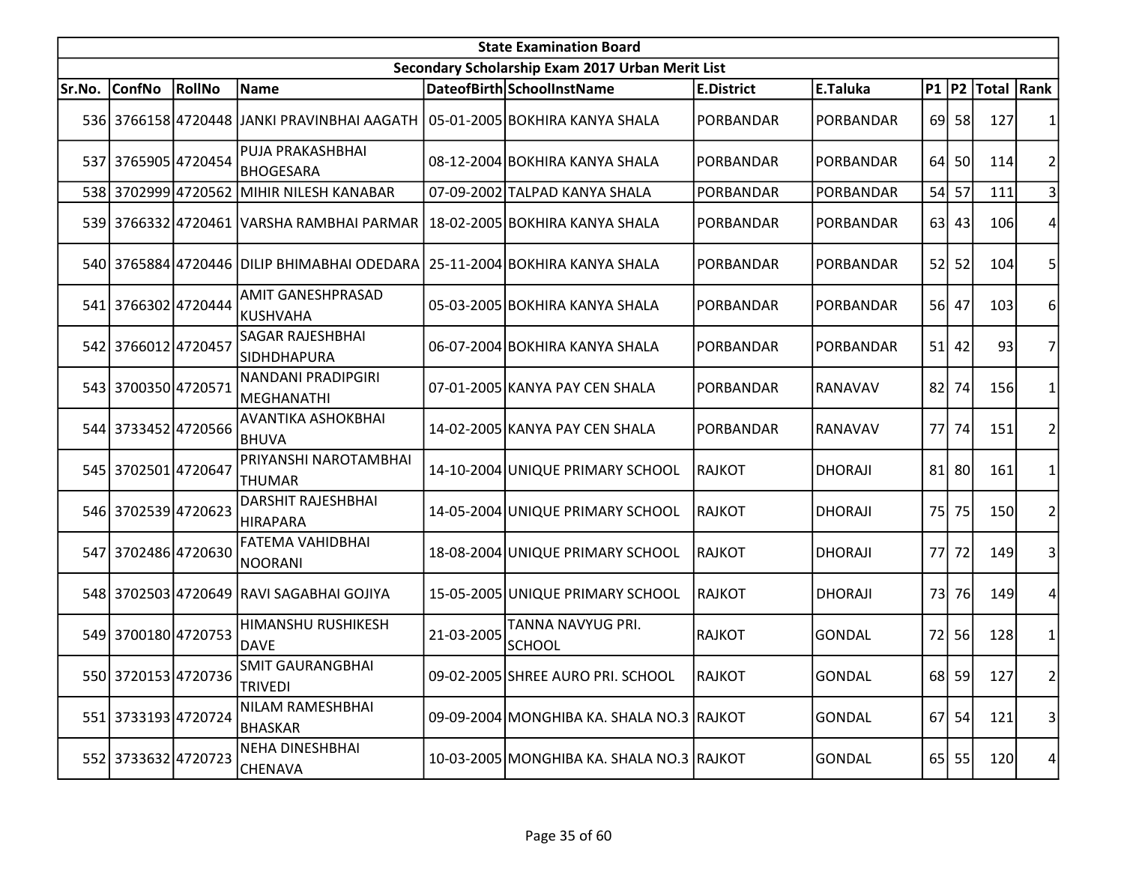|        | <b>State Examination Board</b> |                 |                                                                            |            |                                                  |                   |                  |      |         |                     |                |  |  |
|--------|--------------------------------|-----------------|----------------------------------------------------------------------------|------------|--------------------------------------------------|-------------------|------------------|------|---------|---------------------|----------------|--|--|
|        |                                |                 |                                                                            |            | Secondary Scholarship Exam 2017 Urban Merit List |                   |                  |      |         |                     |                |  |  |
| Sr.No. | <b>ConfNo</b>                  | RollNo          | Name                                                                       |            | DateofBirth SchoolInstName                       | <b>E.District</b> | E.Taluka         |      |         | P1  P2  Total  Rank |                |  |  |
|        |                                |                 | 536 3766158 4720448 JJANKI PRAVINBHAI AAGATH                               |            | 05-01-2005 BOKHIRA KANYA SHALA                   | PORBANDAR         | PORBANDAR        |      | 69 58   | 127                 |                |  |  |
|        | 537 3765905 4720454            |                 | PUJA PRAKASHBHAI<br><b>BHOGESARA</b>                                       |            | 08-12-2004 BOKHIRA KANYA SHALA                   | PORBANDAR         | PORBANDAR        |      | 64 50   | 114                 | 2              |  |  |
| 538    |                                | 3702999 4720562 | MIHIR NILESH KANABAR                                                       |            | 07-09-2002 TALPAD KANYA SHALA                    | PORBANDAR         | <b>PORBANDAR</b> |      | 54 57   | 111                 |                |  |  |
|        |                                |                 | 539 3766332 4720461 VARSHA RAMBHAI PARMAR                                  |            | 18-02-2005 BOKHIRA KANYA SHALA                   | PORBANDAR         | PORBANDAR        |      | $63$ 43 | 106                 |                |  |  |
|        |                                |                 | 540 3765884 4720446 DILIP BHIMABHAI ODEDARA 25-11-2004 BOKHIRA KANYA SHALA |            |                                                  | PORBANDAR         | PORBANDAR        |      | 52 52   | 104                 | 5              |  |  |
|        | 541 3766302 4720444            |                 | AMIT GANESHPRASAD<br>KUSHVAHA                                              |            | 05-03-2005 BOKHIRA KANYA SHALA                   | PORBANDAR         | PORBANDAR        |      | 56 47   | 103                 | 6              |  |  |
|        | 542 3766012 4720457            |                 | <b>SAGAR RAJESHBHAI</b><br><b>SIDHDHAPURA</b>                              |            | 06-07-2004 BOKHIRA KANYA SHALA                   | PORBANDAR         | PORBANDAR        | 51   | 42      | 93                  | 7              |  |  |
|        | 543 3700350 4720571            |                 | NANDANI PRADIPGIRI<br>MEGHANATHI                                           |            | 07-01-2005 KANYA PAY CEN SHALA                   | PORBANDAR         | RANAVAV          | 82   | 74      | 156                 |                |  |  |
|        | 544 3733452 4720566            |                 | <b>AVANTIKA ASHOKBHAI</b><br>BHUVA                                         |            | 14-02-2005 KANYA PAY CEN SHALA                   | PORBANDAR         | RANAVAV          | 77 I | 74      | 151                 | 2              |  |  |
|        | 545 3702501 4720647            |                 | PRIYANSHI NAROTAMBHAI<br><b>THUMAR</b>                                     |            | 14-10-2004 UNIQUE PRIMARY SCHOOL                 | <b>RAJKOT</b>     | <b>DHORAJI</b>   | 81   | 80      | 161                 |                |  |  |
|        | 546 3702539 4720623            |                 | <b>DARSHIT RAJESHBHAI</b><br>HIRAPARA                                      |            | 14-05-2004 UNIQUE PRIMARY SCHOOL                 | <b>RAJKOT</b>     | <b>DHORAJI</b>   | 75   | 75      | <b>150</b>          |                |  |  |
|        | 547 3702486 4720630            |                 | <b>FATEMA VAHIDBHAI</b><br>NOORANI                                         |            | 18-08-2004 UNIQUE PRIMARY SCHOOL                 | <b>RAJKOT</b>     | <b>DHORAJI</b>   |      | 77 72   | 149                 | 3              |  |  |
|        |                                |                 | 548 3702503 4720649 RAVI SAGABHAI GOJIYA                                   |            | 15-05-2005 UNIQUE PRIMARY SCHOOL                 | <b>RAJKOT</b>     | <b>DHORAJI</b>   | 73   | 76      | <u>149</u>          | 4              |  |  |
|        | 549 3700180 4720753            |                 | HIMANSHU RUSHIKESH<br><b>DAVE</b>                                          | 21-03-2005 | TANNA NAVYUG PRI.<br><b>SCHOOL</b>               | <b>RAJKOT</b>     | <b>GONDAL</b>    |      | 72 56   | 128                 | 1              |  |  |
|        | 550 3720153 4720736            |                 | <b>SMIT GAURANGBHAI</b><br><b>TRIVEDI</b>                                  |            | 09-02-2005 SHREE AURO PRI. SCHOOL                | RAJKOT            | <b>GONDAL</b>    |      | 68 59   | 127                 | 2              |  |  |
|        | 551 3733193 4720724            |                 | NILAM RAMESHBHAI<br>BHASKAR                                                |            | 09-09-2004 MONGHIBA KA. SHALA NO.3 RAJKOT        |                   | <b>GONDAL</b>    |      | 67 54   | 121                 | $\overline{3}$ |  |  |
|        | 552 3733632 4720723            |                 | NEHA DINESHBHAI<br><b>CHENAVA</b>                                          |            | 10-03-2005 MONGHIBA KA. SHALA NO.3 RAJKOT        |                   | <b>GONDAL</b>    |      | 65 55   | 120                 | 4              |  |  |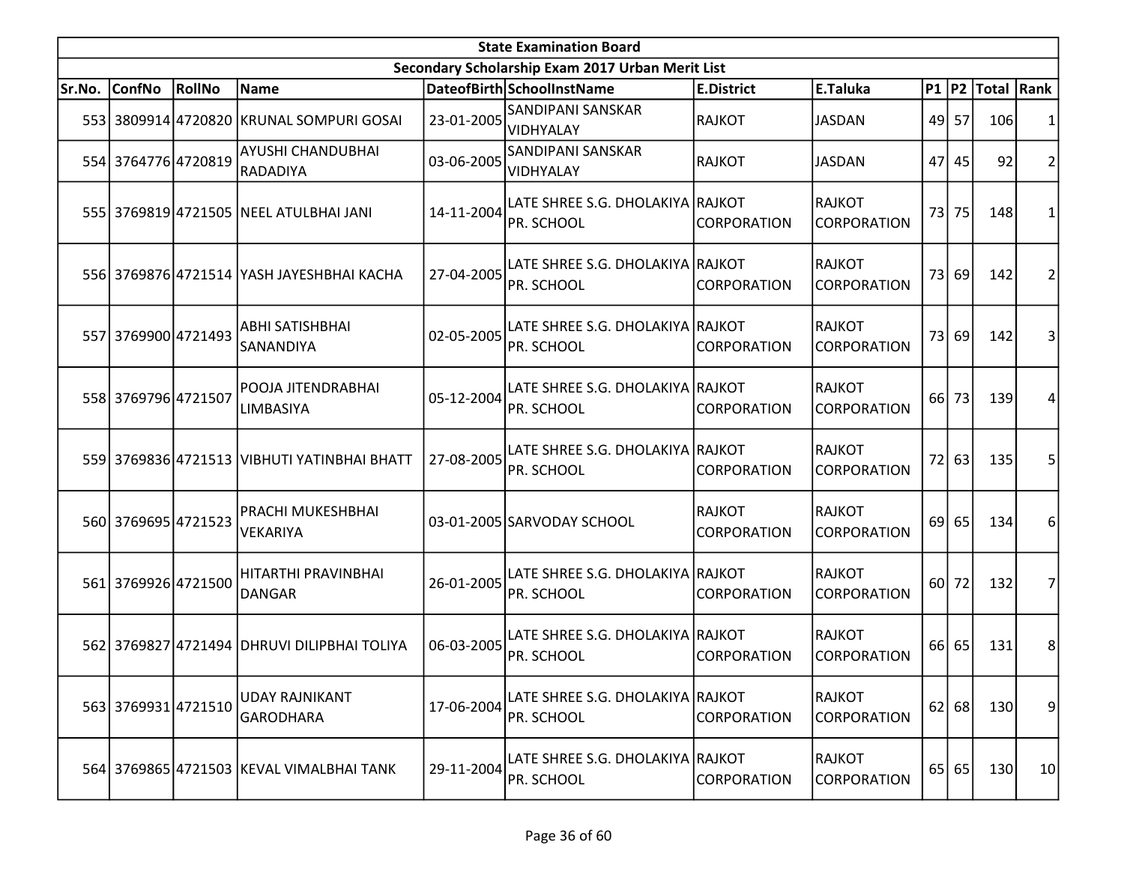|        | <b>State Examination Board</b> |        |                                             |            |                                                  |                                     |                                     |      |           |                     |                |  |  |
|--------|--------------------------------|--------|---------------------------------------------|------------|--------------------------------------------------|-------------------------------------|-------------------------------------|------|-----------|---------------------|----------------|--|--|
|        |                                |        |                                             |            | Secondary Scholarship Exam 2017 Urban Merit List |                                     |                                     |      |           |                     |                |  |  |
| Sr.No. | <b>ConfNo</b>                  | RollNo | Name                                        |            | DateofBirth SchoolInstName                       | <b>E.District</b>                   | E.Taluka                            |      |           | P1  P2  Total  Rank |                |  |  |
|        |                                |        | 553 3809914 4720820 KRUNAL SOMPURI GOSAI    | 23-01-2005 | <b>SANDIPANI SANSKAR</b><br>VIDHYALAY            | <b>RAJKOT</b>                       | <b>JASDAN</b>                       | 49   | 57        | 106                 | 1              |  |  |
|        | 554 3764776 4720819            |        | <b>AYUSHI CHANDUBHAI</b><br>RADADIYA        | 03-06-2005 | <b>SANDIPANI SANSKAR</b><br>VIDHYALAY            | RAJKOT                              | <b>JASDAN</b>                       |      | 47 45     | 92                  | $\overline{2}$ |  |  |
|        |                                |        | 555 3769819 4721505 NEEL ATULBHAI JANI      | 14-11-2004 | LATE SHREE S.G. DHOLAKIYA RAJKOT<br>PR. SCHOOL   | <b>CORPORATION</b>                  | RAJKOT<br><b>CORPORATION</b>        |      | 73 75     | 148                 | $\mathbf{1}$   |  |  |
|        |                                |        | 556 3769876 4721514 YASH JAYESHBHAI KACHA   | 27-04-2005 | LATE SHREE S.G. DHOLAKIYA RAJKOT<br>PR. SCHOOL   | <b>CORPORATION</b>                  | RAJKOT<br><b>CORPORATION</b>        |      | 73 69     | 142                 | $\overline{2}$ |  |  |
|        | 557 3769900 4721493            |        | <b>ABHI SATISHBHAI</b><br>SANANDIYA         | 02-05-2005 | LATE SHREE S.G. DHOLAKIYA RAJKOT<br>IPR. SCHOOL  | ICORPORATION                        | RAJKOT<br><b>CORPORATION</b>        |      | 73 69     | 142                 | 3              |  |  |
|        | 558 3769796 4721507            |        | POOJA JITENDRABHAI<br>LIMBASIYA             | 05-12-2004 | LATE SHREE S.G. DHOLAKIYA RAJKOT<br>PR. SCHOOL   | <b>CORPORATION</b>                  | RAJKOT<br><b>CORPORATION</b>        | 66 I | 73        | 139                 | 4              |  |  |
|        |                                |        | 559 3769836 4721513 VIBHUTI YATINBHAI BHATT | 27-08-2005 | LATE SHREE S.G. DHOLAKIYA RAJKOT<br>PR. SCHOOL   | <b>CORPORATION</b>                  | RAJKOT<br><b>CORPORATION</b>        |      | 72 63     | 135                 | 5              |  |  |
|        | 560 3769695 4721523            |        | <b>PRACHI MUKESHBHAI</b><br><b>VEKARIYA</b> |            | 03-01-2005 SARVODAY SCHOOL                       | <b>RAJKOT</b><br><b>CORPORATION</b> | RAJKOT<br><b>CORPORATION</b>        | 69   | 65        | 134                 | 6              |  |  |
|        | 561 3769926 4721500            |        | HITARTHI PRAVINBHAI<br>DANGAR               | 26-01-2005 | LATE SHREE S.G. DHOLAKIYA RAJKOT<br>PR. SCHOOL   | CORPORATION                         | <b>RAJKOT</b><br><b>CORPORATION</b> |      | $60$   72 | 132                 | $\overline{7}$ |  |  |
|        |                                |        | 562 3769827 4721494 DHRUVI DILIPBHAI TOLIYA | 06-03-2005 | LATE SHREE S.G. DHOLAKIYA RAJKOT<br>PR. SCHOOL   | <b>CORPORATION</b>                  | RAJKOT<br>CORPORATION               |      | 66 65     | 131                 | 8 <sup>1</sup> |  |  |
|        | 563 3769931 4721510            |        | <b>UDAY RAJNIKANT</b><br><b>GARODHARA</b>   | 17-06-2004 | LATE SHREE S.G. DHOLAKIYA RAJKOT<br>PR. SCHOOL   | <b>CORPORATION</b>                  | RAJKOT<br><b>CORPORATION</b>        |      | 62 68     | 130                 | $\overline{9}$ |  |  |
|        |                                |        | 564 3769865 4721503 KEVAL VIMALBHAI TANK    | 29-11-2004 | LATE SHREE S.G. DHOLAKIYA  RAJKOT<br>PR. SCHOOL  | <b>CORPORATION</b>                  | <b>RAJKOT</b><br><b>CORPORATION</b> |      | 65 65     | 130                 | 10             |  |  |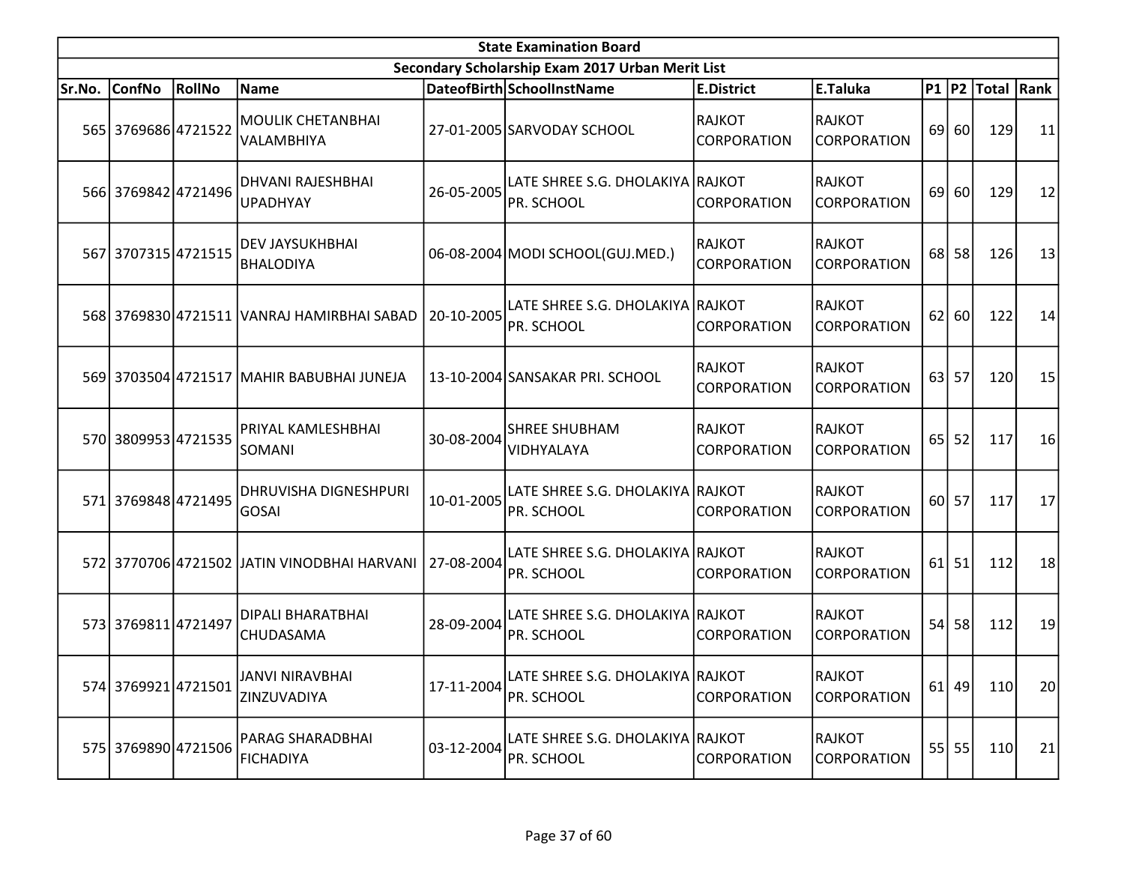|        | <b>State Examination Board</b><br>Secondary Scholarship Exam 2017 Urban Merit List |        |                                              |            |                                                |                                     |                                     |                 |           |                        |    |  |  |
|--------|------------------------------------------------------------------------------------|--------|----------------------------------------------|------------|------------------------------------------------|-------------------------------------|-------------------------------------|-----------------|-----------|------------------------|----|--|--|
|        |                                                                                    |        |                                              |            |                                                |                                     |                                     |                 |           |                        |    |  |  |
| Sr.No. | ConfNo                                                                             | RollNo | Name                                         |            | DateofBirth SchoolInstName                     | <b>E.District</b>                   | E.Taluka                            |                 |           | P1   P2   Total   Rank |    |  |  |
|        | 565 3769686 4721522                                                                |        | <b>MOULIK CHETANBHAI</b><br>VALAMBHIYA       |            | 27-01-2005 SARVODAY SCHOOL                     | RAJKOT<br><b>CORPORATION</b>        | <b>RAJKOT</b><br><b>CORPORATION</b> |                 | 69 60     | 129                    | 11 |  |  |
|        | 566 3769842 4721496                                                                |        | <b>DHVANI RAJESHBHAI</b><br><b>UPADHYAY</b>  | 26-05-2005 | LATE SHREE S.G. DHOLAKIYA RAJKOT<br>PR. SCHOOL | CORPORATION                         | <b>RAJKOT</b><br><b>CORPORATION</b> | 69              | 60        | 129                    | 12 |  |  |
|        | 567 3707315 4721515                                                                |        | <b>DEV JAYSUKHBHAI</b><br><b>BHALODIYA</b>   |            | 06-08-2004 MODI SCHOOL (GUJ.MED.)              | RAJKOT<br><b>CORPORATION</b>        | <b>RAJKOT</b><br><b>CORPORATION</b> |                 | 68 58     | 126                    | 13 |  |  |
|        |                                                                                    |        | 568 3769830 4721511 VANRAJ HAMIRBHAI SABAD   | 20-10-2005 | LATE SHREE S.G. DHOLAKIYA RAJKOT<br>PR. SCHOOL | <b>CORPORATION</b>                  | <b>RAJKOT</b><br><b>CORPORATION</b> | 62              | 60        | 122                    | 14 |  |  |
|        |                                                                                    |        | 569 3703504 4721517 MAHIR BABUBHAI JUNEJA    |            | 13-10-2004 SANSAKAR PRI. SCHOOL                | <b>RAJKOT</b><br><b>CORPORATION</b> | <b>RAJKOT</b><br><b>CORPORATION</b> |                 | 63 57     | 120                    | 15 |  |  |
|        | 570 3809953 4721535                                                                |        | PRIYAL KAMLESHBHAI<br>SOMANI                 | 30-08-2004 | <b>SHREE SHUBHAM</b><br>VIDHYALAYA             | RAJKOT<br><b>CORPORATION</b>        | <b>RAJKOT</b><br><b>CORPORATION</b> | 65 <sup> </sup> | 52        | 117                    | 16 |  |  |
|        | 571 3769848 4721495                                                                |        | <b>DHRUVISHA DIGNESHPURI</b><br><b>GOSAI</b> | 10-01-2005 | LATE SHREE S.G. DHOLAKIYA RAJKOT<br>PR. SCHOOL | CORPORATION                         | <b>RAJKOT</b><br><b>CORPORATION</b> |                 | 60 57     | 117                    | 17 |  |  |
|        |                                                                                    |        | 572 3770706 4721502 JJATIN VINODBHAI HARVANI | 27-08-2004 | LATE SHREE S.G. DHOLAKIYA RAJKOT<br>PR. SCHOOL | <b>CORPORATION</b>                  | <b>RAJKOT</b><br><b>CORPORATION</b> |                 | $61$ 51   | 112                    | 18 |  |  |
|        | 573 3769811 4721497                                                                |        | <b>DIPALI BHARATBHAI</b><br>CHUDASAMA        | 28-09-2004 | LATE SHREE S.G. DHOLAKIYA RAJKOT<br>PR. SCHOOL | <b>CORPORATION</b>                  | <b>RAJKOT</b><br><b>CORPORATION</b> |                 | $54$ 58   | 112                    | 19 |  |  |
|        | 574 3769921 4721501                                                                |        | JANVI NIRAVBHAI<br>ZINZUVADIYA               | 17-11-2004 | LATE SHREE S.G. DHOLAKIYA RAJKOT<br>PR. SCHOOL | <b>CORPORATION</b>                  | <b>RAJKOT</b><br><b>CORPORATION</b> |                 | $61$   49 | 110                    | 20 |  |  |
|        | 575 3769890 4721506                                                                |        | PARAG SHARADBHAI<br><b>FICHADIYA</b>         | 03-12-2004 | LATE SHREE S.G. DHOLAKIYA RAJKOT<br>PR. SCHOOL | <b>CORPORATION</b>                  | <b>RAJKOT</b><br><b>CORPORATION</b> |                 | 55 55     | 110                    | 21 |  |  |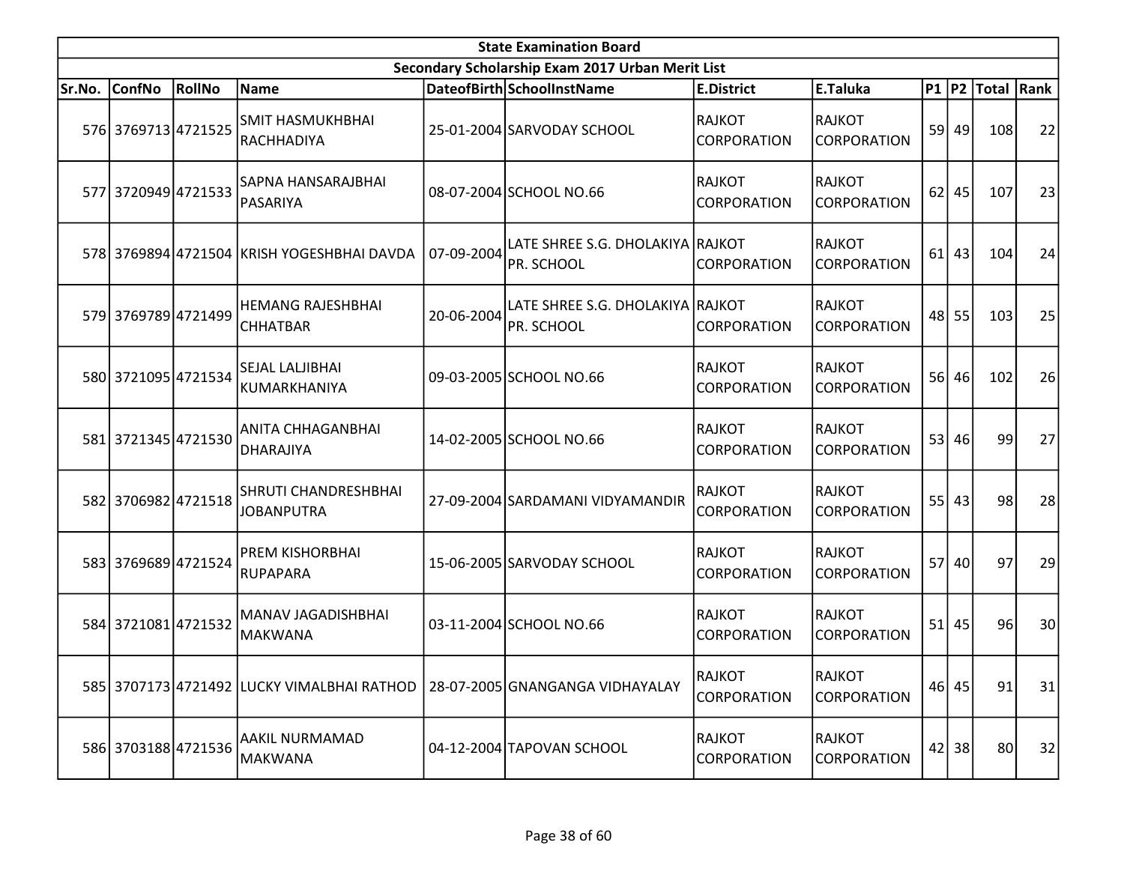|        | <b>State Examination Board</b> |        |                                                                              |            |                                                  |                              |                                     |           |           |                        |    |  |  |
|--------|--------------------------------|--------|------------------------------------------------------------------------------|------------|--------------------------------------------------|------------------------------|-------------------------------------|-----------|-----------|------------------------|----|--|--|
|        |                                |        |                                                                              |            | Secondary Scholarship Exam 2017 Urban Merit List |                              |                                     |           |           |                        |    |  |  |
| Sr.No. | ConfNo                         | RollNo | Name                                                                         |            | DateofBirth SchoolInstName                       | <b>E.District</b>            | E.Taluka                            |           |           | P1   P2   Total   Rank |    |  |  |
|        | 576 3769713 4721525            |        | <b>SMIT HASMUKHBHAI</b><br>RACHHADIYA                                        |            | 25-01-2004 SARVODAY SCHOOL                       | RAJKOT<br><b>CORPORATION</b> | <b>RAJKOT</b><br><b>CORPORATION</b> |           | $59$ 49   | 108                    | 22 |  |  |
|        | 577 3720949 4721533            |        | SAPNA HANSARAJBHAI<br>PASARIYA                                               |            | 08-07-2004 SCHOOL NO.66                          | RAJKOT<br><b>CORPORATION</b> | <b>RAJKOT</b><br><b>CORPORATION</b> | 62        | 45        | 107                    | 23 |  |  |
|        |                                |        | 578 3769894 4721504 KRISH YOGESHBHAI DAVDA                                   | 07-09-2004 | LATE SHREE S.G. DHOLAKIYA RAJKOT<br>PR. SCHOOL   | <b>CORPORATION</b>           | <b>RAJKOT</b><br>CORPORATION        |           | $61$   43 | 104                    | 24 |  |  |
|        | 579 3769789 4721499            |        | <b>HEMANG RAJESHBHAI</b><br><b>CHHATBAR</b>                                  | 20-06-2004 | LATE SHREE S.G. DHOLAKIYA RAJKOT<br>PR. SCHOOL   | <b>CORPORATION</b>           | <b>RAJKOT</b><br><b>CORPORATION</b> |           | 48 55     | 103                    | 25 |  |  |
|        | 580 3721095 4721534            |        | SEJAL LALJIBHAI<br>KUMARKHANIYA                                              |            | 09-03-2005 SCHOOL NO.66                          | RAJKOT<br><b>CORPORATION</b> | <b>RAJKOT</b><br><b>CORPORATION</b> | <b>56</b> | 46        | 102                    | 26 |  |  |
|        | 581 3721345 4721530            |        | <b>ANITA CHHAGANBHAI</b><br><b>DHARAJIYA</b>                                 |            | 14-02-2005 SCHOOL NO.66                          | RAJKOT<br><b>CORPORATION</b> | <b>RAJKOT</b><br><b>CORPORATION</b> |           | 53 46     | 99                     | 27 |  |  |
|        | 582 3706982 4721518            |        | <b>SHRUTI CHANDRESHBHAI</b><br><b>JOBANPUTRA</b>                             |            | 27-09-2004 SARDAMANI VIDYAMANDIR                 | <b>RAJKOT</b><br>CORPORATION | <b>RAJKOT</b><br><b>CORPORATION</b> |           | $55$ 43   | 98                     | 28 |  |  |
|        | 583 3769689 4721524            |        | <b>PREM KISHORBHAI</b><br><b>RUPAPARA</b>                                    |            | 15-06-2005 SARVODAY SCHOOL                       | RAJKOT<br><b>CORPORATION</b> | <b>RAJKOT</b><br><b>CORPORATION</b> |           | 57 40     | 97                     | 29 |  |  |
|        | 584 3721081 4721532            |        | MANAV JAGADISHBHAI<br><b>MAKWANA</b>                                         |            | 03-11-2004 SCHOOL NO.66                          | RAJKOT<br><b>CORPORATION</b> | <b>RAJKOT</b><br><b>CORPORATION</b> |           | $51$ 45   | 96                     | 30 |  |  |
|        |                                |        | 585 3707173 4721492 LUCKY VIMALBHAI RATHOD   28-07-2005 GNANGANGA VIDHAYALAY |            |                                                  | RAJKOT<br><b>CORPORATION</b> | <b>RAJKOT</b><br><b>CORPORATION</b> |           | $46$ 45   | 91                     | 31 |  |  |
|        | 586 3703188 4721536            |        | AAKIL NURMAMAD<br><b>MAKWANA</b>                                             |            | 04-12-2004 TAPOVAN SCHOOL                        | RAJKOT<br><b>CORPORATION</b> | <b>RAJKOT</b><br>CORPORATION        |           | $42$   38 | 80 <sup>1</sup>        | 32 |  |  |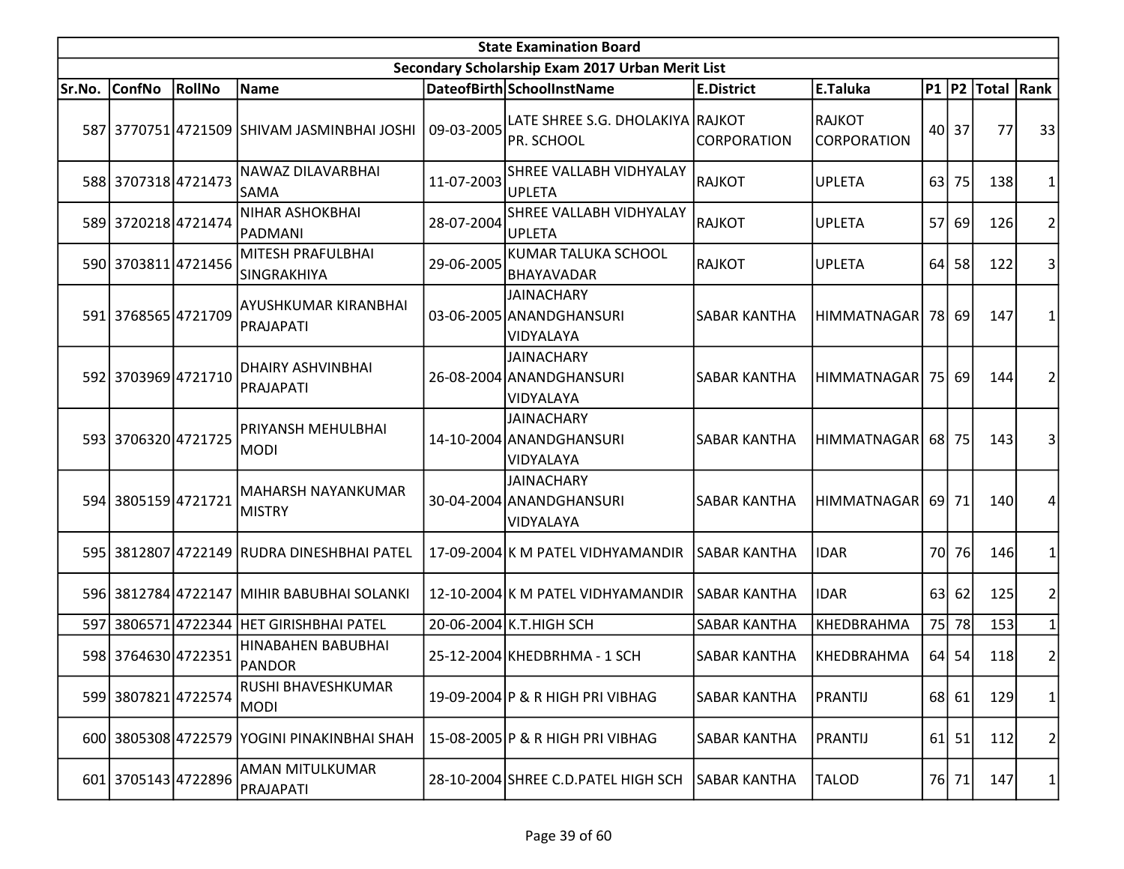|        | <b>State Examination Board</b> |               |                                             |            |                                                            |                     |                                     |    |                 |                     |    |  |  |
|--------|--------------------------------|---------------|---------------------------------------------|------------|------------------------------------------------------------|---------------------|-------------------------------------|----|-----------------|---------------------|----|--|--|
|        |                                |               |                                             |            | Secondary Scholarship Exam 2017 Urban Merit List           |                     |                                     |    |                 |                     |    |  |  |
| Sr.No. | <b>ConfNo</b>                  | <b>RollNo</b> | Name                                        |            | DateofBirth SchoolInstName                                 | <b>E.District</b>   | E.Taluka                            |    |                 | P1  P2  Total  Rank |    |  |  |
|        |                                |               | 587 3770751 4721509 SHIVAM JASMINBHAI JOSHI | 09-03-2005 | LATE SHREE S.G. DHOLAKIYA RAJKOT<br>PR. SCHOOL             | <b>CORPORATION</b>  | <b>RAJKOT</b><br><b>CORPORATION</b> |    | 40 37           | 77                  | 33 |  |  |
|        | 588 3707318 4721473            |               | NAWAZ DILAVARBHAI<br><b>SAMA</b>            | 11-07-2003 | SHREE VALLABH VIDHYALAY<br><b>UPLETA</b>                   | <b>RAJKOT</b>       | <b>UPLETA</b>                       | 63 | 75              | 138                 |    |  |  |
|        | 589 3720218 4721474            |               | <b>NIHAR ASHOKBHAI</b><br>PADMANI           | 28-07-2004 | SHREE VALLABH VIDHYALAY<br><b>UPLETA</b>                   | <b>RAJKOT</b>       | <b>UPLETA</b>                       |    | 57 69           | 126                 | 2  |  |  |
|        | 590 3703811 4721456            |               | MITESH PRAFULBHAI<br>SINGRAKHIYA            | 29-06-2005 | <b>KUMAR TALUKA SCHOOL</b><br><b>BHAYAVADAR</b>            | <b>RAJKOT</b>       | <b>UPLETA</b>                       | 64 | 58              | 122                 | 3  |  |  |
|        | 591 3768565 4721709            |               | AYUSHKUMAR KIRANBHAI<br>PRAJAPATI           |            | <b>JAINACHARY</b><br>03-06-2005 ANANDGHANSURI<br>VIDYALAYA | <b>SABAR KANTHA</b> | HIMMATNAGAR                         |    | 78 69           | 147                 |    |  |  |
|        | 592 3703969 4721710            |               | DHAIRY ASHVINBHAI<br>PRAJAPATI              |            | <b>JAINACHARY</b><br>26-08-2004 ANANDGHANSURI<br>VIDYALAYA | <b>SABAR KANTHA</b> | HIMMATNAGAR                         |    | -75 <b> </b> 69 | 144                 | 2  |  |  |
|        | 593 3706320 4721725            |               | PRIYANSH MEHULBHAI<br><b>MODI</b>           |            | <b>JAINACHARY</b><br>14-10-2004 ANANDGHANSURI<br>VIDYALAYA | <b>SABAR KANTHA</b> | <b>HIMMATNAGAR</b>                  |    | 68 75           | 143                 | 3  |  |  |
|        | 594 3805159 4721721            |               | MAHARSH NAYANKUMAR<br>MISTRY                |            | <b>JAINACHARY</b><br>30-04-2004 ANANDGHANSURI<br>VIDYALAYA | <b>SABAR KANTHA</b> | HIMMATNAGAR                         |    | 69 71           | 140                 | 4  |  |  |
|        |                                |               | 595 3812807 4722149 RUDRA DINESHBHAI PATEL  |            | 17-09-2004 K M PATEL VIDHYAMANDIR                          | SABAR KANTHA        | <b>IDAR</b>                         |    | 70 76           | 146                 |    |  |  |
|        |                                |               | 596 3812784 4722147 MIHIR BABUBHAI SOLANKI  |            | 12-10-2004 K M PATEL VIDHYAMANDIR                          | <b>SABAR KANTHA</b> | <b>IDAR</b>                         | 63 | 62              | 125                 | 2  |  |  |
|        |                                |               | 597 3806571 4722344 HET GIRISHBHAI PATEL    |            | 20-06-2004 K.T. HIGH SCH                                   | <b>SABAR KANTHA</b> | KHEDBRAHMA                          |    | 75 78           | 153                 |    |  |  |
|        | 598 3764630 4722351            |               | HINABAHEN BABUBHAI<br>PANDOR                |            | 25-12-2004 KHEDBRHMA - 1 SCH                               | SABAR KANTHA        | KHEDBRAHMA                          |    | $64$ 54         | 118                 | 2  |  |  |
|        | 599 3807821 4722574            |               | RUSHI BHAVESHKUMAR<br><b>MODI</b>           |            | 19-09-2004 P & R HIGH PRI VIBHAG                           | SABAR KANTHA        | <b>PRANTIJ</b>                      |    | 68 61           | 129                 | 1  |  |  |
|        |                                |               | 600 3805308 4722579 YOGINI PINAKINBHAI SHAH |            | 15-08-2005 P & R HIGH PRI VIBHAG                           | <b>SABAR KANTHA</b> | <b>PRANTIJ</b>                      |    | $61$ 51         | 112                 | 2  |  |  |
|        | 601 3705143 4722896            |               | AMAN MITULKUMAR<br>PRAJAPATI                |            | 28-10-2004 SHREE C.D. PATEL HIGH SCH                       | <b>SABAR KANTHA</b> | <b>TALOD</b>                        |    | 76 71           | 147                 | 1  |  |  |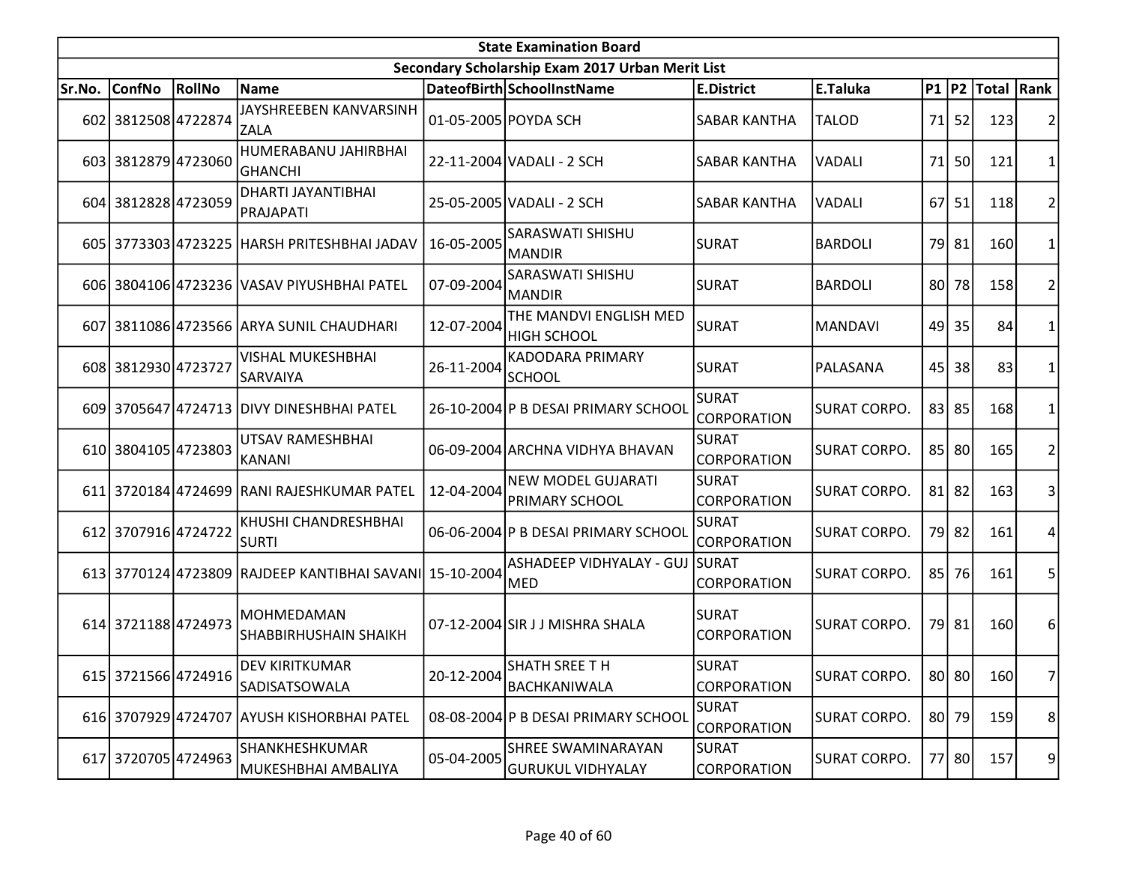|        | <b>State Examination Board</b> |        |                                                         |            |                                                  |                                    |                     |           |           |                     |                |  |
|--------|--------------------------------|--------|---------------------------------------------------------|------------|--------------------------------------------------|------------------------------------|---------------------|-----------|-----------|---------------------|----------------|--|
|        |                                |        |                                                         |            | Secondary Scholarship Exam 2017 Urban Merit List |                                    |                     |           |           |                     |                |  |
| Sr.No. | <b>ConfNo</b>                  | RollNo | <b>Name</b>                                             |            | DateofBirth SchoolInstName                       | <b>E.District</b>                  | E.Taluka            |           |           | P1  P2  Total  Rank |                |  |
|        | 602 3812508 4722874            |        | JAYSHREEBEN KANVARSINH<br><b>ZALA</b>                   |            | 01-05-2005 POYDA SCH                             | <b>SABAR KANTHA</b>                | <b>TALOD</b>        | 71        | 52        | 123                 |                |  |
|        | 603 3812879 4723060            |        | HUMERABANU JAHIRBHAI<br><b>GHANCHI</b>                  |            | 22-11-2004 VADALI - 2 SCH                        | <b>SABAR KANTHA</b>                | <b>VADALI</b>       | 71        | <b>50</b> | 121                 | 1              |  |
|        | 604 3812828 4723059            |        | DHARTI JAYANTIBHAI<br>PRAJAPATI                         |            | 25-05-2005 VADALI - 2 SCH                        | <b>SABAR KANTHA</b>                | <b>VADALI</b>       | <b>67</b> | 51        | 118                 | $\overline{2}$ |  |
|        |                                |        | 605 3773303 4723225 HARSH PRITESHBHAI JADAV             | 16-05-2005 | <b>SARASWATI SHISHU</b><br><b>MANDIR</b>         | <b>SURAT</b>                       | <b>BARDOLI</b>      |           | 79 81     | 160                 | 1              |  |
|        |                                |        | 606 3804106 4723236 VASAV PIYUSHBHAI PATEL              | 07-09-2004 | <b>SARASWATI SHISHU</b><br><b>MANDIR</b>         | <b>SURAT</b>                       | <b>BARDOLI</b>      | 80 l      | 78        | 158                 | $\overline{2}$ |  |
|        |                                |        | 607 3811086 4723566 ARYA SUNIL CHAUDHARI                | 12-07-2004 | THE MANDVI ENGLISH MED<br><b>HIGH SCHOOL</b>     | <b>SURAT</b>                       | <b>MANDAVI</b>      |           | 49 35     | 84                  | 1              |  |
|        | 608 3812930 4723727            |        | <b>VISHAL MUKESHBHAI</b><br>ISARVAIYA                   | 26-11-2004 | <b>KADODARA PRIMARY</b><br><b>SCHOOL</b>         | <b>SURAT</b>                       | PALASANA            | 45        | 38        | 83                  | 1              |  |
|        |                                |        | 609 3705647 4724713 DIVY DINESHBHAI PATEL               |            | 26-10-2004 P B DESAI PRIMARY SCHOOL              | <b>SURAT</b><br>CORPORATION        | <b>SURAT CORPO.</b> |           | 83 85     | 168                 | 1              |  |
|        | 610 3804105 4723803            |        | UTSAV RAMESHBHAI<br>KANANI                              |            | 06-09-2004 ARCHNA VIDHYA BHAVAN                  | <b>SURAT</b><br><b>CORPORATION</b> | <b>SURAT CORPO.</b> |           | 85 80     | 165                 | $\overline{2}$ |  |
|        |                                |        | 611 3720184 4724699 RANI RAJESHKUMAR PATEL              | 12-04-2004 | <b>NEW MODEL GUJARATI</b><br>PRIMARY SCHOOL      | <b>SURAT</b><br><b>CORPORATION</b> | <b>SURAT CORPO.</b> |           | $81$   82 | 163                 | 3              |  |
|        | 612 3707916 4724722            |        | KHUSHI CHANDRESHBHAI<br><b>SURTI</b>                    |            | 06-06-2004 P B DESAI PRIMARY SCHOOL              | <b>SURAT</b><br><b>CORPORATION</b> | <b>SURAT CORPO.</b> |           | 79 82     | 161                 | 4              |  |
|        |                                |        | 613 3770124 4723809 RAJDEEP KANTIBHAI SAVANI 15-10-2004 |            | ASHADEEP VIDHYALAY - GUJ<br><b>MED</b>           | <b>SURAT</b><br><b>CORPORATION</b> | <b>SURAT CORPO.</b> |           | 85 76     | 161                 | 5              |  |
|        | 614 3721188 4724973            |        | <b>MOHMEDAMAN</b><br>SHABBIRHUSHAIN SHAIKH              |            | 07-12-2004 SIR J J MISHRA SHALA                  | <b>SURAT</b><br><b>CORPORATION</b> | <b>SURAT CORPO.</b> |           | 79 81     | 160                 | 6              |  |
|        | 615 3721566 4724916            |        | DEV KIRITKUMAR<br>SADISATSOWALA                         | 20-12-2004 | <b>SHATH SREE T H</b><br>BACHKANIWALA            | <b>SURAT</b><br><b>CORPORATION</b> | SURAT CORPO.        |           | 80 80     | 160                 | 7              |  |
|        |                                |        | 616 3707929 4724707 AYUSH KISHORBHAI PATEL              |            | 08-08-2004 P B DESAI PRIMARY SCHOOL              | <b>SURAT</b><br><b>CORPORATION</b> | <b>SURAT CORPO.</b> |           | 80 79     | 159                 | 8              |  |
|        | 617 3720705 4724963            |        | SHANKHESHKUMAR<br> MUKESHBHAI AMBALIYA                  | 05-04-2005 | SHREE SWAMINARAYAN<br><b>GURUKUL VIDHYALAY</b>   | <b>SURAT</b><br><b>CORPORATION</b> | <b>SURAT CORPO.</b> |           | 77 80     | 157                 | 9              |  |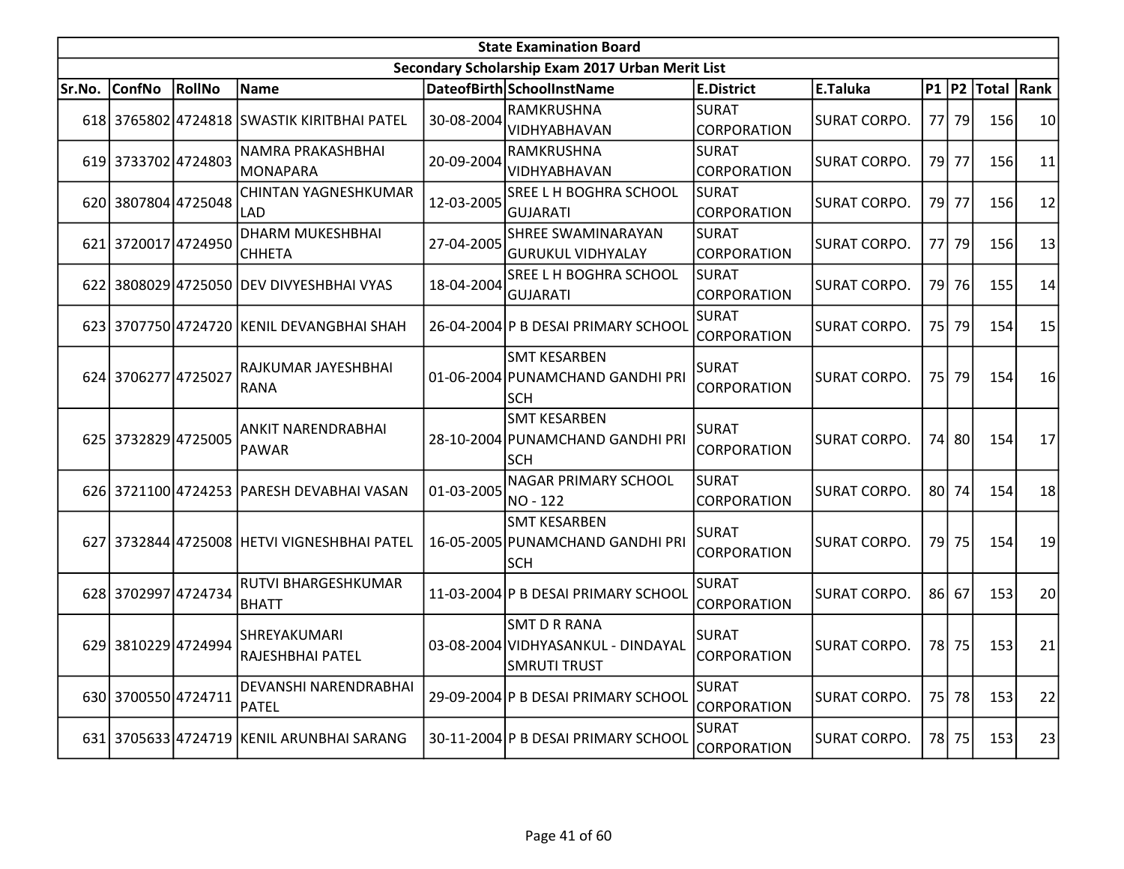|        |                     |        |                                             |            | <b>State Examination Board</b>                                                   |                                    |                     |       |                        |    |
|--------|---------------------|--------|---------------------------------------------|------------|----------------------------------------------------------------------------------|------------------------------------|---------------------|-------|------------------------|----|
|        |                     |        |                                             |            | Secondary Scholarship Exam 2017 Urban Merit List                                 |                                    |                     |       |                        |    |
| Sr.No. | <b>ConfNo</b>       | RollNo | <b>Name</b>                                 |            | DateofBirth SchoolInstName                                                       | E.District                         | E.Taluka            |       | P1   P2   Total   Rank |    |
|        |                     |        | 618 3765802 4724818 SWASTIK KIRITBHAI PATEL | 30-08-2004 | RAMKRUSHNA<br>VIDHYABHAVAN                                                       | SURAT<br>CORPORATION               | <b>SURAT CORPO.</b> | 77 79 | 156                    | 10 |
|        | 619 3733702 4724803 |        | NAMRA PRAKASHBHAI<br>MONAPARA               | 20-09-2004 | RAMKRUSHNA<br>VIDHYABHAVAN                                                       | <b>SURAT</b><br><b>CORPORATION</b> | <b>SURAT CORPO.</b> | 79 77 | 156                    | 11 |
|        | 620 3807804 4725048 |        | <b>CHINTAN YAGNESHKUMAR</b><br><b>LAD</b>   | 12-03-2005 | SREE L H BOGHRA SCHOOL<br><b>GUJARATI</b>                                        | SURAT<br><b>CORPORATION</b>        | <b>SURAT CORPO.</b> | 79 77 | 156                    | 12 |
|        | 621 3720017 4724950 |        | <b>DHARM MUKESHBHAI</b><br><b> СННЕТА</b>   | 27-04-2005 | <b>SHREE SWAMINARAYAN</b><br><b>GURUKUL VIDHYALAY</b>                            | SURAT<br><b>CORPORATION</b>        | <b>SURAT CORPO.</b> | 77 79 | 156                    | 13 |
|        |                     |        | 622 3808029 4725050 DEV DIVYESHBHAI VYAS    | 18-04-2004 | SREE L H BOGHRA SCHOOL<br><b>GUJARATI</b>                                        | <b>SURAT</b><br><b>CORPORATION</b> | SURAT CORPO.        | 79 76 | 155                    | 14 |
|        |                     |        | 623 3707750 4724720 KENIL DEVANGBHAI SHAH   |            | 26-04-2004 P B DESAI PRIMARY SCHOOL                                              | <b>SURAT</b><br>CORPORATION        | <b>SURAT CORPO.</b> | 75 79 | 154                    | 15 |
|        | 624 3706277 4725027 |        | RAJKUMAR JAYESHBHAI<br>RANA                 |            | <b>SMT KESARBEN</b><br>01-06-2004 PUNAMCHAND GANDHI PRI<br><b>SCH</b>            | <b>SURAT</b><br><b>CORPORATION</b> | SURAT CORPO.        | 75 79 | 154                    | 16 |
|        | 625 3732829 4725005 |        | <b>ANKIT NARENDRABHAI</b><br>PAWAR          |            | <b>SMT KESARBEN</b><br>28-10-2004 PUNAMCHAND GANDHI PRI<br><b>SCH</b>            | <b>SURAT</b><br>CORPORATION        | <b>SURAT CORPO.</b> | 74 80 | 154                    | 17 |
|        |                     |        | 626 3721100 4724253 PARESH DEVABHAI VASAN   | 01-03-2005 | <b>NAGAR PRIMARY SCHOOL</b><br>NO - 122                                          | SURAT<br><b>CORPORATION</b>        | SURAT CORPO.        | 80 74 | 154                    | 18 |
|        |                     |        | 627 3732844 4725008 HETVI VIGNESHBHAI PATEL |            | <b>SMT KESARBEN</b><br>16-05-2005 PUNAMCHAND GANDHI PRI<br><b>SCH</b>            | <b>SURAT</b><br><b>CORPORATION</b> | SURAT CORPO.        | 79 75 | 154                    | 19 |
|        | 628 3702997 4724734 |        | RUTVI BHARGESHKUMAR<br><b>BHATT</b>         |            | 11-03-2004 P B DESAI PRIMARY SCHOOL                                              | <b>SURAT</b><br>CORPORATION        | <b>SURAT CORPO.</b> | 86 67 | 153                    | 20 |
|        | 629 3810229 4724994 |        | ISHREYAKUMARI<br>RAJESHBHAI PATEL           |            | <b>SMT D R RANA</b><br>03-08-2004 VIDHYASANKUL - DINDAYAL<br><b>SMRUTI TRUST</b> | SURAT<br><b>CORPORATION</b>        | <b>SURAT CORPO.</b> | 78 75 | 153                    | 21 |
|        | 630 3700550 4724711 |        | DEVANSHI NARENDRABHAI<br><b>PATEL</b>       |            | 29-09-2004 P B DESAI PRIMARY SCHOOL                                              | <b>SURAT</b><br><b>CORPORATION</b> | <b>SURAT CORPO.</b> | 75 78 | 153                    | 22 |
|        |                     |        | 631 3705633 4724719 KENIL ARUNBHAI SARANG   |            | 30-11-2004 P B DESAI PRIMARY SCHOOL                                              | <b>SURAT</b><br><b>CORPORATION</b> | <b>SURAT CORPO.</b> | 78 75 | 153                    | 23 |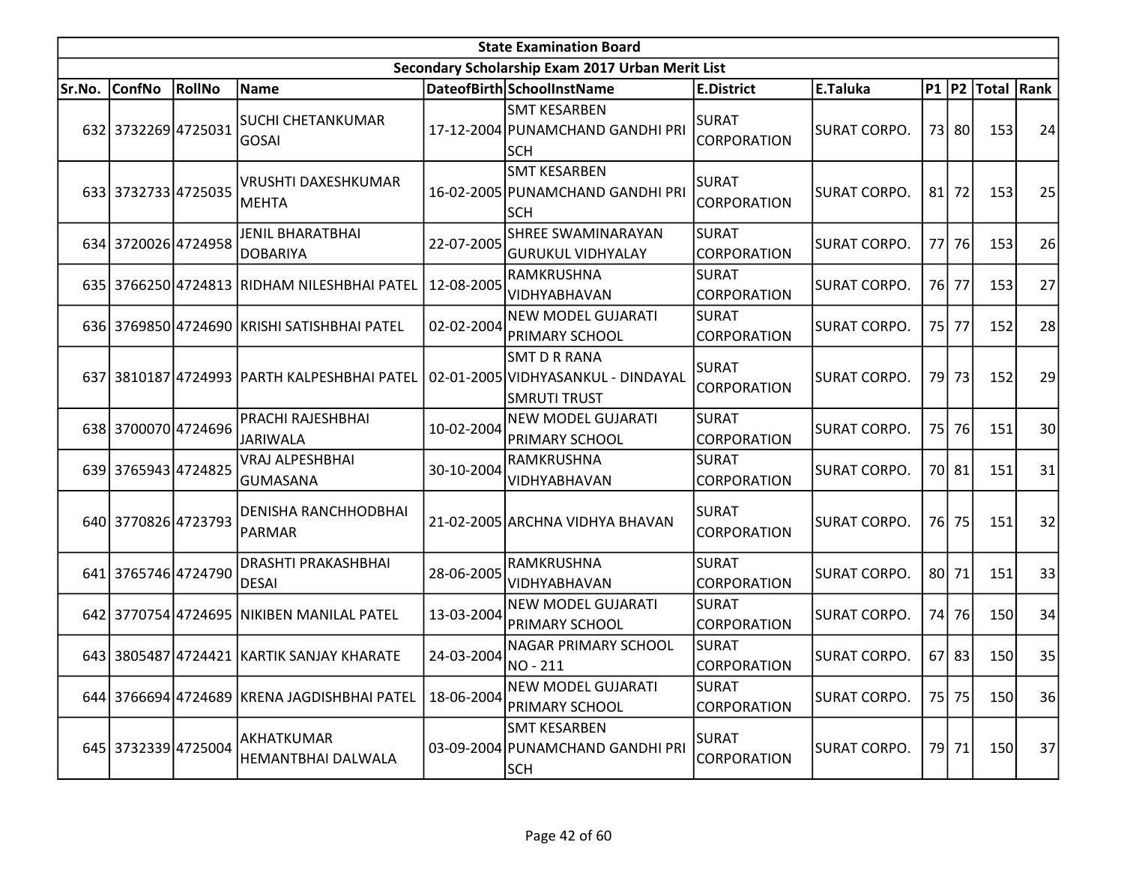|        |                     |               |                                              |            | <b>State Examination Board</b>                                                   |                                    |                     |           |           |            |                 |
|--------|---------------------|---------------|----------------------------------------------|------------|----------------------------------------------------------------------------------|------------------------------------|---------------------|-----------|-----------|------------|-----------------|
|        |                     |               |                                              |            | Secondary Scholarship Exam 2017 Urban Merit List                                 |                                    |                     |           |           |            |                 |
| Sr.No. | <b>ConfNo</b>       | <b>RollNo</b> | Name                                         |            | DateofBirth SchoolInstName                                                       | <b>E.District</b>                  | E.Taluka            |           | $P1$  P2  | Total Rank |                 |
|        | 632 3732269 4725031 |               | <b>SUCHI CHETANKUMAR</b><br><b>GOSAI</b>     |            | <b>SMT KESARBEN</b><br>17-12-2004 PUNAMCHAND GANDHI PRI<br><b>SCH</b>            | <b>SURAT</b><br><b>CORPORATION</b> | SURAT CORPO.        |           | 73 80     | 153        | 24              |
|        | 633 3732733 4725035 |               | <b>VRUSHTI DAXESHKUMAR</b><br><b>MEHTA</b>   |            | <b>SMT KESARBEN</b><br>16-02-2005 PUNAMCHAND GANDHI PRI<br><b>SCH</b>            | <b>SURAT</b><br>CORPORATION        | SURAT CORPO.        | 81        | 72        | 153        | 25              |
|        | 634 3720026 4724958 |               | JENIL BHARATBHAI<br><b>DOBARIYA</b>          | 22-07-2005 | SHREE SWAMINARAYAN<br><b>GURUKUL VIDHYALAY</b>                                   | <b>SURAT</b><br>CORPORATION        | SURAT CORPO.        | 77        | <b>76</b> | 153        | 26              |
|        |                     |               | 635 3766250 4724813 RIDHAM NILESHBHAI PATEL  | 12-08-2005 | RAMKRUSHNA<br>VIDHYABHAVAN                                                       | <b>SURAT</b><br>CORPORATION        | <b>SURAT CORPO.</b> |           | 76 77     | 153        | 27              |
|        |                     |               | 636 3769850 4724690 KRISHI SATISHBHAI PATEL  | 02-02-2004 | <b>NEW MODEL GUJARATI</b><br><b>PRIMARY SCHOOL</b>                               | <b>SURAT</b><br>CORPORATION        | SURAT CORPO.        |           | 75 77     | 152        | 28              |
|        |                     |               | 637 3810187 4724993 PARTH KALPESHBHAI PATEL  |            | <b>SMT D R RANA</b><br>02-01-2005 VIDHYASANKUL - DINDAYAL<br><b>SMRUTI TRUST</b> | <b>SURAT</b><br><b>CORPORATION</b> | <b>SURAT CORPO.</b> | 79 l      | 73        | 152        | 29              |
|        | 638 3700070 4724696 |               | PRACHI RAJESHBHAI<br><b>JARIWALA</b>         | 10-02-2004 | <b>NEW MODEL GUJARATI</b><br>PRIMARY SCHOOL                                      | <b>SURAT</b><br>CORPORATION        | <b>SURAT CORPO.</b> | <b>75</b> | 76        | 151        | 30 <sup>1</sup> |
|        | 639 3765943 4724825 |               | VRAJ ALPESHBHAI<br>GUMASANA                  | 30-10-2004 | RAMKRUSHNA<br>VIDHYABHAVAN                                                       | <b>SURAT</b><br>CORPORATION        | <b>SURAT CORPO.</b> |           | 70 81     | 151        | 31              |
|        | 640 3770826 4723793 |               | <b>DENISHA RANCHHODBHAI</b><br><b>PARMAR</b> |            | 21-02-2005 ARCHNA VIDHYA BHAVAN                                                  | ISURAT<br>CORPORATION              | SURAT CORPO.        |           | 76 75     | 151        | 32              |
|        | 641 3765746 4724790 |               | <b>DRASHTI PRAKASHBHAI</b><br><b>DESAI</b>   | 28-06-2005 | RAMKRUSHNA<br>VIDHYABHAVAN                                                       | <b>SURAT</b><br><b>CORPORATION</b> | <b>SURAT CORPO.</b> |           | 80 71     | 151        | 33              |
|        |                     |               | 642 3770754 4724695 NIKIBEN MANILAL PATEL    | 13-03-2004 | <b>NEW MODEL GUJARATI</b><br>PRIMARY SCHOOL                                      | <b>SURAT</b><br><b>CORPORATION</b> | <b>SURAT CORPO.</b> | 74        | 76        | 150        | 34              |
|        |                     |               | 643 3805487 4724421 KARTIK SANJAY KHARATE    | 24-03-2004 | NAGAR PRIMARY SCHOOL<br>NO-211                                                   | <b>SURAT</b><br>CORPORATION        | <b>SURAT CORPO.</b> |           | $67$   83 | 150        | 35              |
|        |                     |               | 644 3766694 4724689 KRENA JAGDISHBHAI PATEL  | 18-06-2004 | <b>NEW MODEL GUJARATI</b><br>PRIMARY SCHOOL                                      | <b>SURAT</b><br><b>CORPORATION</b> | SURAT CORPO.        |           | 75 75     | <b>150</b> | 36              |
|        | 645 3732339 4725004 |               | AKHATKUMAR<br>HEMANTBHAI DALWALA             |            | <b>SMT KESARBEN</b><br>03-09-2004 PUNAMCHAND GANDHI PRI<br><b>SCH</b>            | <b>SURAT</b><br>CORPORATION        | SURAT CORPO.        |           | 79 71     | <b>150</b> | 37              |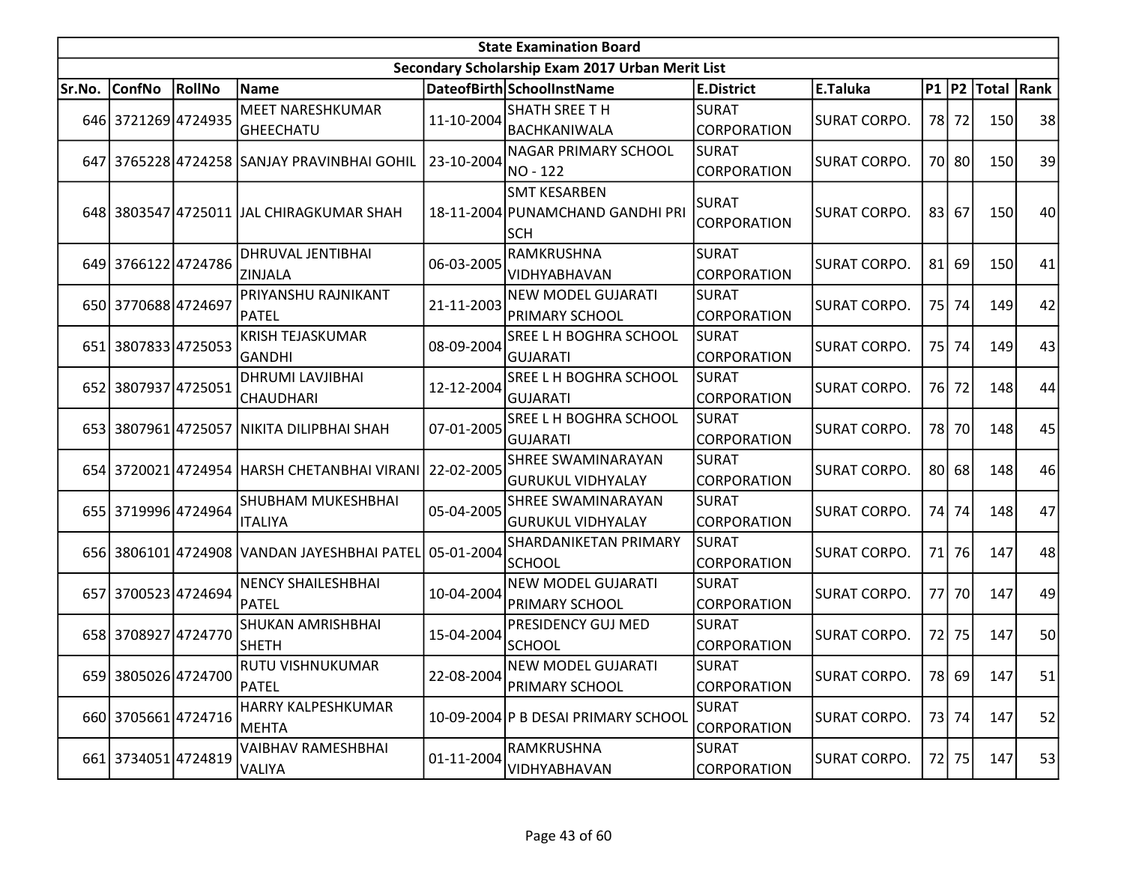|        |                     |               |                                                        |            | <b>State Examination Board</b>                                        |                                    |                     |    |         |                        |    |
|--------|---------------------|---------------|--------------------------------------------------------|------------|-----------------------------------------------------------------------|------------------------------------|---------------------|----|---------|------------------------|----|
|        |                     |               |                                                        |            | Secondary Scholarship Exam 2017 Urban Merit List                      |                                    |                     |    |         |                        |    |
| Sr.No. | <b>ConfNo</b>       | <b>RollNo</b> | <b>Name</b>                                            |            | DateofBirth SchoolInstName                                            | E.District                         | E.Taluka            |    |         | P1   P2   Total   Rank |    |
|        | 646 3721269 4724935 |               | MEET NARESHKUMAR<br><b>GHEECHATU</b>                   | 11-10-2004 | <b>SHATH SREE TH</b><br>BACHKANIWALA                                  | SURAT<br>CORPORATION               | <b>SURAT CORPO.</b> |    | 78 72   | 150                    | 38 |
|        |                     |               | 647 3765228 4724258 SANJAY PRAVINBHAI GOHIL            | 23-10-2004 | <b>NAGAR PRIMARY SCHOOL</b><br>NO - 122                               | SURAT<br>CORPORATION               | SURAT CORPO.        |    | 70 80   | 150                    | 39 |
|        |                     |               | 648 3803547 4725011 JAL CHIRAGKUMAR SHAH               |            | <b>SMT KESARBEN</b><br>18-11-2004 PUNAMCHAND GANDHI PRI<br><b>SCH</b> | <b>SURAT</b><br><b>CORPORATION</b> | <b>SURAT CORPO.</b> |    | 83 67   | 150                    | 40 |
|        | 649 3766122 4724786 |               | DHRUVAL JENTIBHAI<br><b>ZINJALA</b>                    | 06-03-2005 | RAMKRUSHNA<br>VIDHYABHAVAN                                            | <b>SURAT</b><br><b>CORPORATION</b> | SURAT CORPO.        |    | $81$ 69 | 150                    | 41 |
|        | 650 3770688 4724697 |               | PRIYANSHU RAJNIKANT<br>PATEL                           | 21-11-2003 | NEW MODEL GUJARATI<br>PRIMARY SCHOOL                                  | SURAT<br><b>CORPORATION</b>        | <b>SURAT CORPO.</b> |    | 75 74   | 149                    | 42 |
|        | 651 3807833 4725053 |               | <b>KRISH TEJASKUMAR</b><br><b>GANDHI</b>               | 08-09-2004 | SREE L H BOGHRA SCHOOL<br><b>GUJARATI</b>                             | <b>SURAT</b><br><b>CORPORATION</b> | <b>SURAT CORPO.</b> |    | 75 74   | 149                    | 43 |
|        | 652 3807937 4725051 |               | DHRUMI LAVJIBHAI<br><b>CHAUDHARI</b>                   | 12-12-2004 | SREE L H BOGHRA SCHOOL<br><b>GUJARATI</b>                             | SURAT<br>CORPORATION               | <b>SURAT CORPO.</b> |    | 76 72   | 148                    | 44 |
|        |                     |               | 653 3807961 4725057 NIKITA DILIPBHAI SHAH              | 07-01-2005 | <b>SREE L H BOGHRA SCHOOL</b><br><b>GUJARATI</b>                      | SURAT<br><b>CORPORATION</b>        | SURAT CORPO.        |    | 78 70   | 148                    | 45 |
|        |                     |               | 654 3720021 4724954 HARSH CHETANBHAI VIRANI 22-02-2005 |            | SHREE SWAMINARAYAN<br><b>GURUKUL VIDHYALAY</b>                        | <b>SURAT</b><br><b>CORPORATION</b> | <b>SURAT CORPO.</b> |    | $80$ 68 | 148                    | 46 |
|        | 655 3719996 4724964 |               | SHUBHAM MUKESHBHAI<br><b>ITALIYA</b>                   | 05-04-2005 | SHREE SWAMINARAYAN<br><b>GURUKUL VIDHYALAY</b>                        | <b>SURAT</b><br><b>CORPORATION</b> | SURAT CORPO.        |    | 74 74   | 148                    | 47 |
|        |                     |               | 656 3806101 4724908 VANDAN JAYESHBHAI PATEL 05-01-2004 |            | SHARDANIKETAN PRIMARY<br><b>SCHOOL</b>                                | <b>SURAT</b><br>CORPORATION        | SURAT CORPO.        |    | 71 76   | 147                    | 48 |
|        | 657 3700523 4724694 |               | <b>NENCY SHAILESHBHAI</b><br><b>PATEL</b>              | 10-04-2004 | <b>NEW MODEL GUJARATI</b><br>PRIMARY SCHOOL                           | SURAT<br><b>CORPORATION</b>        | SURAT CORPO.        | 77 | 70      | 147                    | 49 |
|        | 658 3708927 4724770 |               | SHUKAN AMRISHBHAI<br><b>SHETH</b>                      | 15-04-2004 | <b>PRESIDENCY GUJ MED</b><br><b>SCHOOL</b>                            | <b>SURAT</b><br><b>CORPORATION</b> | <b>SURAT CORPO.</b> |    | 72 75   | 147                    | 50 |
|        | 659 3805026 4724700 |               | RUTU VISHNUKUMAR<br>PATEL                              | 22-08-2004 | <b>NEW MODEL GUJARATI</b><br><b>PRIMARY SCHOOL</b>                    | <b>SURAT</b><br><b>CORPORATION</b> | SURAT CORPO.        |    | 78 69   | 147                    | 51 |
|        | 660 3705661 4724716 |               | HARRY KALPESHKUMAR<br><b>MEHTA</b>                     |            | 10-09-2004 P B DESAI PRIMARY SCHOOL                                   | <b>SURAT</b><br><b>CORPORATION</b> | SURAT CORPO.        |    | 73 74   | 147                    | 52 |
|        | 661 3734051 4724819 |               | VAIBHAV RAMESHBHAI<br>VALIYA                           | 01-11-2004 | RAMKRUSHNA<br>VIDHYABHAVAN                                            | SURAT<br><b>CORPORATION</b>        | <b>SURAT CORPO.</b> |    | 72 75   | 147                    | 53 |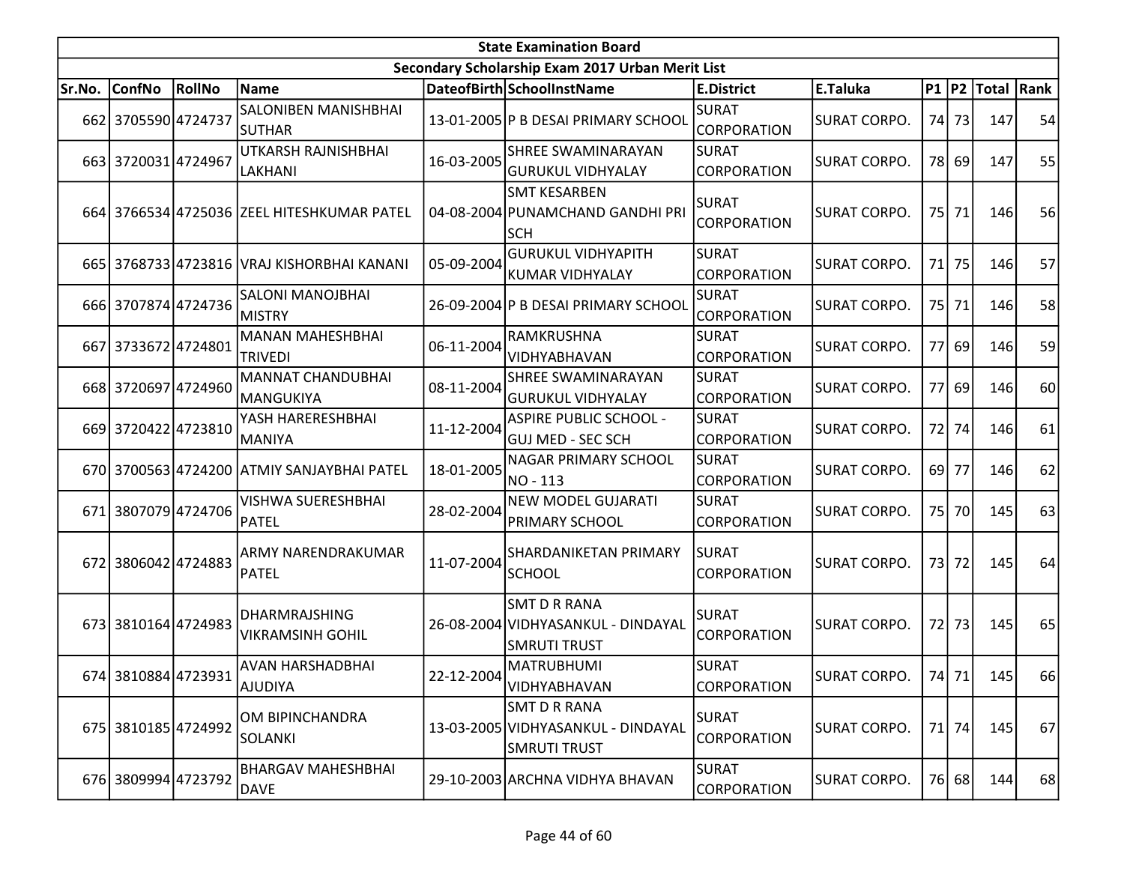|        | <b>State Examination Board</b><br>Secondary Scholarship Exam 2017 Urban Merit List |        |                                                 |            |                                                                                  |                                    |                     |    |       |                        |    |  |  |  |
|--------|------------------------------------------------------------------------------------|--------|-------------------------------------------------|------------|----------------------------------------------------------------------------------|------------------------------------|---------------------|----|-------|------------------------|----|--|--|--|
|        |                                                                                    |        |                                                 |            |                                                                                  |                                    |                     |    |       |                        |    |  |  |  |
| Sr.No. | <b>ConfNo</b>                                                                      | RollNo | Name                                            |            | DateofBirth SchoolInstName                                                       | <b>E.District</b>                  | E.Taluka            |    |       | P1   P2   Total   Rank |    |  |  |  |
|        | 662 3705590 4724737                                                                |        | SALONIBEN MANISHBHAI<br><b>SUTHAR</b>           |            | 13-01-2005 P B DESAI PRIMARY SCHOOL                                              | SURAT<br><b>CORPORATION</b>        | <b>SURAT CORPO.</b> |    | 74 73 | 147                    | 54 |  |  |  |
|        | 663 3720031 4724967                                                                |        | UTKARSH RAJNISHBHAI<br>LAKHANI                  | 16-03-2005 | SHREE SWAMINARAYAN<br><b>GURUKUL VIDHYALAY</b>                                   | SURAT<br>CORPORATION               | SURAT CORPO.        |    | 78 69 | 147                    | 55 |  |  |  |
|        |                                                                                    |        | 664 3766534 4725036 ZEEL HITESHKUMAR PATEL      |            | <b>SMT KESARBEN</b><br>04-08-2004 PUNAMCHAND GANDHI PRI<br><b>SCH</b>            | <b>SURAT</b><br>CORPORATION        | SURAT CORPO.        |    | 75 71 | 146                    | 56 |  |  |  |
|        |                                                                                    |        | 665 3768733 4723816 VRAJ KISHORBHAI KANANI      | 05-09-2004 | <b>GURUKUL VIDHYAPITH</b><br><b>KUMAR VIDHYALAY</b>                              | SURAT<br>CORPORATION               | <b>SURAT CORPO.</b> |    | 71 75 | 146                    | 57 |  |  |  |
|        | 666 3707874 4724736                                                                |        | SALONI MANOJBHAI<br><b>MISTRY</b>               |            | 26-09-2004 P B DESAI PRIMARY SCHOOL                                              | <b>SURAT</b><br>CORPORATION        | <b>SURAT CORPO.</b> |    | 75 71 | 146                    | 58 |  |  |  |
|        | 667 3733672 4724801                                                                |        | <b>MANAN MAHESHBHAI</b><br><b>TRIVEDI</b>       | 06-11-2004 | RAMKRUSHNA<br>VIDHYABHAVAN                                                       | <b>SURAT</b><br>CORPORATION        | <b>SURAT CORPO.</b> | 77 | 69    | 146                    | 59 |  |  |  |
|        | 668 3720697 4724960                                                                |        | <b>MANNAT CHANDUBHAI</b><br>MANGUKIYA           | 08-11-2004 | SHREE SWAMINARAYAN<br><b>GURUKUL VIDHYALAY</b>                                   | <b>SURAT</b><br><b>CORPORATION</b> | <b>SURAT CORPO.</b> |    | 77 69 | 146                    | 60 |  |  |  |
|        | 669 3720422 4723810                                                                |        | YASH HARERESHBHAI<br>MANIYA                     | 11-12-2004 | <b>ASPIRE PUBLIC SCHOOL -</b><br><b>GUJ MED - SEC SCH</b>                        | SURAT<br><b>CORPORATION</b>        | SURAT CORPO.        |    | 72 74 | 146                    | 61 |  |  |  |
|        |                                                                                    |        | 670 3700563 4724200 ATMIY SANJAYBHAI PATEL      | 18-01-2005 | NAGAR PRIMARY SCHOOL<br>NO - 113                                                 | <b>SURAT</b><br><b>CORPORATION</b> | <b>SURAT CORPO.</b> |    | 69 77 | 146                    | 62 |  |  |  |
|        | 671 3807079 4724706                                                                |        | VISHWA SUERESHBHAI<br><b>PATEL</b>              | 28-02-2004 | <b>NEW MODEL GUJARATI</b><br>PRIMARY SCHOOL                                      | SURAT<br>CORPORATION               | SURAT CORPO.        |    | 75 70 | 145                    | 63 |  |  |  |
|        | 672 3806042 4724883                                                                |        | ARMY NARENDRAKUMAR<br><b>PATEL</b>              | 11-07-2004 | <b>SHARDANIKETAN PRIMARY</b><br><b>SCHOOL</b>                                    | ISURAT<br><b>CORPORATION</b>       | <b>SURAT CORPO.</b> |    | 73 72 | 145                    | 64 |  |  |  |
|        | 673 3810164 4724983                                                                |        | <b>DHARMRAJSHING</b><br><b>VIKRAMSINH GOHIL</b> |            | <b>SMT D R RANA</b><br>26-08-2004 VIDHYASANKUL - DINDAYAL<br><b>SMRUTI TRUST</b> | <b>SURAT</b><br>CORPORATION        | <b>SURAT CORPO.</b> |    | 72 73 | 145                    | 65 |  |  |  |
|        | 674 3810884 4723931                                                                |        | AVAN HARSHADBHAI<br>AJUDIYA                     | 22-12-2004 | <b>MATRUBHUMI</b><br>VIDHYABHAVAN                                                | SURAT<br><b>CORPORATION</b>        | <b>SURAT CORPO.</b> |    | 74 71 | 145                    | 66 |  |  |  |
|        | 675 3810185 4724992                                                                |        | OM BIPINCHANDRA<br><b>SOLANKI</b>               |            | <b>SMT D R RANA</b><br>13-03-2005 VIDHYASANKUL - DINDAYAL<br><b>SMRUTI TRUST</b> | <b>SURAT</b><br>CORPORATION        | SURAT CORPO.        |    | 71 74 | 145                    | 67 |  |  |  |
|        | 676 3809994 4723792                                                                |        | <b>BHARGAV MAHESHBHAI</b><br><b>DAVE</b>        |            | 29-10-2003 ARCHNA VIDHYA BHAVAN                                                  | <b>SURAT</b><br><b>CORPORATION</b> | SURAT CORPO.        |    | 76 68 | 144                    | 68 |  |  |  |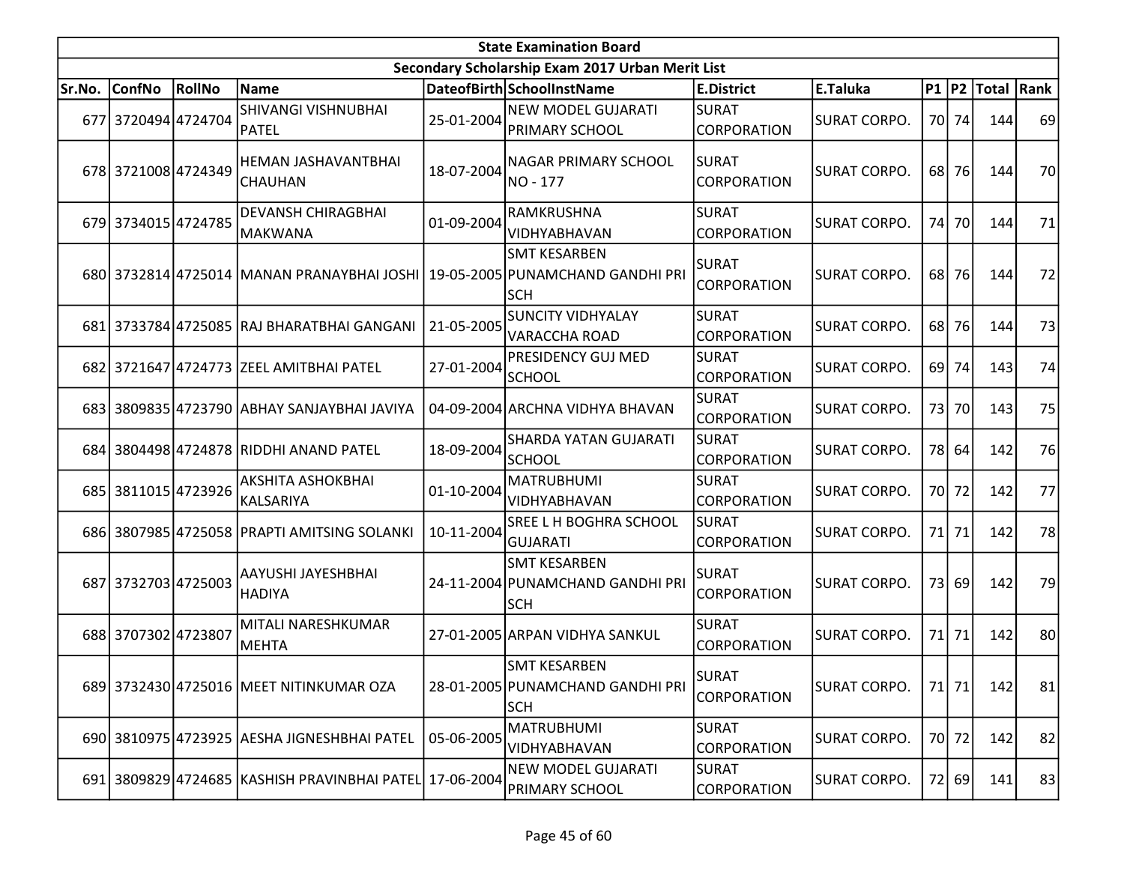|        |                     |                 |                                                                             |            | <b>State Examination Board</b>                                        |                                    |                     |       |                        |    |
|--------|---------------------|-----------------|-----------------------------------------------------------------------------|------------|-----------------------------------------------------------------------|------------------------------------|---------------------|-------|------------------------|----|
|        |                     |                 |                                                                             |            | Secondary Scholarship Exam 2017 Urban Merit List                      |                                    |                     |       |                        |    |
| Sr.No. | <b>ConfNo</b>       | <b>RollNo</b>   | <b>Name</b>                                                                 |            | DateofBirth SchoolInstName                                            | <b>E.District</b>                  | E.Taluka            |       | P1   P2   Total   Rank |    |
|        | 677 3720494 4724704 |                 | SHIVANGI VISHNUBHAI<br><b>PATEL</b>                                         | 25-01-2004 | <b>NEW MODEL GUJARATI</b><br>PRIMARY SCHOOL                           | <b>SURAT</b><br><b>CORPORATION</b> | <b>SURAT CORPO.</b> | 70 74 | 144                    | 69 |
|        | 678 3721008 4724349 |                 | HEMAN JASHAVANTBHAI<br><b>CHAUHAN</b>                                       | 18-07-2004 | NAGAR PRIMARY SCHOOL<br>NO - 177                                      | <b>SURAT</b><br><b>CORPORATION</b> | <b>SURAT CORPO.</b> | 68 76 | 144                    | 70 |
|        | 679 3734015 4724785 |                 | <b>DEVANSH CHIRAGBHAI</b><br> MAKWANA                                       | 01-09-2004 | RAMKRUSHNA<br><b>VIDHYABHAVAN</b>                                     | SURAT<br>CORPORATION               | <b>SURAT CORPO.</b> | 74 70 | 144                    | 71 |
|        |                     |                 | 680 3732814 4725014 MANAN PRANAYBHAI JOSHI 19-05-2005 PUNAMCHAND GANDHI PRI |            | <b>SMT KESARBEN</b><br><b>SCH</b>                                     | SURAT<br><b>CORPORATION</b>        | SURAT CORPO.        | 68 76 | 144                    | 72 |
|        |                     |                 | 681 3733784 4725085 RAJ BHARATBHAI GANGANI                                  | 21-05-2005 | <b>SUNCITY VIDHYALAY</b><br><b>VARACCHA ROAD</b>                      | <b>SURAT</b><br><b>CORPORATION</b> | SURAT CORPO.        | 68 76 | 144                    | 73 |
|        |                     |                 | 682 3721647 4724773 ZEEL AMITBHAI PATEL                                     | 27-01-2004 | <b>PRESIDENCY GUJ MED</b><br><b>SCHOOL</b>                            | <b>SURAT</b><br><b>CORPORATION</b> | <b>SURAT CORPO.</b> | 69 74 | 143                    | 74 |
|        |                     |                 | 683 3809835 4723790 ABHAY SANJAYBHAI JAVIYA                                 |            | 04-09-2004 ARCHNA VIDHYA BHAVAN                                       | <b>SURAT</b><br><b>CORPORATION</b> | <b>SURAT CORPO.</b> | 73 70 | 143                    | 75 |
|        |                     |                 | 684 3804498 4724878 RIDDHI ANAND PATEL                                      | 18-09-2004 | <b>SHARDA YATAN GUJARATI</b><br>SCHOOL                                | SURAT<br><b>CORPORATION</b>        | <b>SURAT CORPO.</b> | 78 64 | 142                    | 76 |
| 685    |                     | 3811015 4723926 | AKSHITA ASHOKBHAI<br>KALSARIYA                                              | 01-10-2004 | <b>MATRUBHUMI</b><br>VIDHYABHAVAN                                     | <b>SURAT</b><br><b>CORPORATION</b> | <b>SURAT CORPO.</b> | 70 72 | 142                    | 77 |
|        |                     |                 | 686 3807985 4725058 PRAPTI AMITSING SOLANKI                                 | 10-11-2004 | SREE L H BOGHRA SCHOOL<br><b>GUJARATI</b>                             | SURAT<br><b>CORPORATION</b>        | SURAT CORPO.        | 71 71 | 142                    | 78 |
|        | 687 3732703 4725003 |                 | AAYUSHI JAYESHBHAI<br><b>HADIYA</b>                                         |            | <b>SMT KESARBEN</b><br>24-11-2004 PUNAMCHAND GANDHI PRI<br><b>SCH</b> | <b>SURAT</b><br>CORPORATION        | <b>SURAT CORPO.</b> | 73 69 | 142                    | 79 |
|        | 688 3707302 4723807 |                 | MITALI NARESHKUMAR<br><b>MEHTA</b>                                          |            | 27-01-2005 ARPAN VIDHYA SANKUL                                        | SURAT<br><b>CORPORATION</b>        | <b>SURAT CORPO.</b> | 71 71 | 142                    | 80 |
|        |                     |                 | 689 3732430 4725016 MEET NITINKUMAR OZA                                     |            | <b>SMT KESARBEN</b><br>28-01-2005 PUNAMCHAND GANDHI PRI<br><b>SCH</b> | <b>SURAT</b><br>CORPORATION        | <b>SURAT CORPO.</b> | 71 71 | 142                    | 81 |
|        |                     |                 | 690 3810975 4723925 AESHA JIGNESHBHAI PATEL                                 | 05-06-2005 | <b>MATRUBHUMI</b><br><b>VIDHYABHAVAN</b>                              | <b>SURAT</b><br>CORPORATION        | <b>SURAT CORPO.</b> | 70 72 | 142                    | 82 |
|        |                     |                 | 691 3809829 4724685 KASHISH PRAVINBHAI PATEL 17-06-2004                     |            | NEW MODEL GUJARATI<br>PRIMARY SCHOOL                                  | <b>SURAT</b><br><b>CORPORATION</b> | <b>SURAT CORPO.</b> | 72 69 | 141                    | 83 |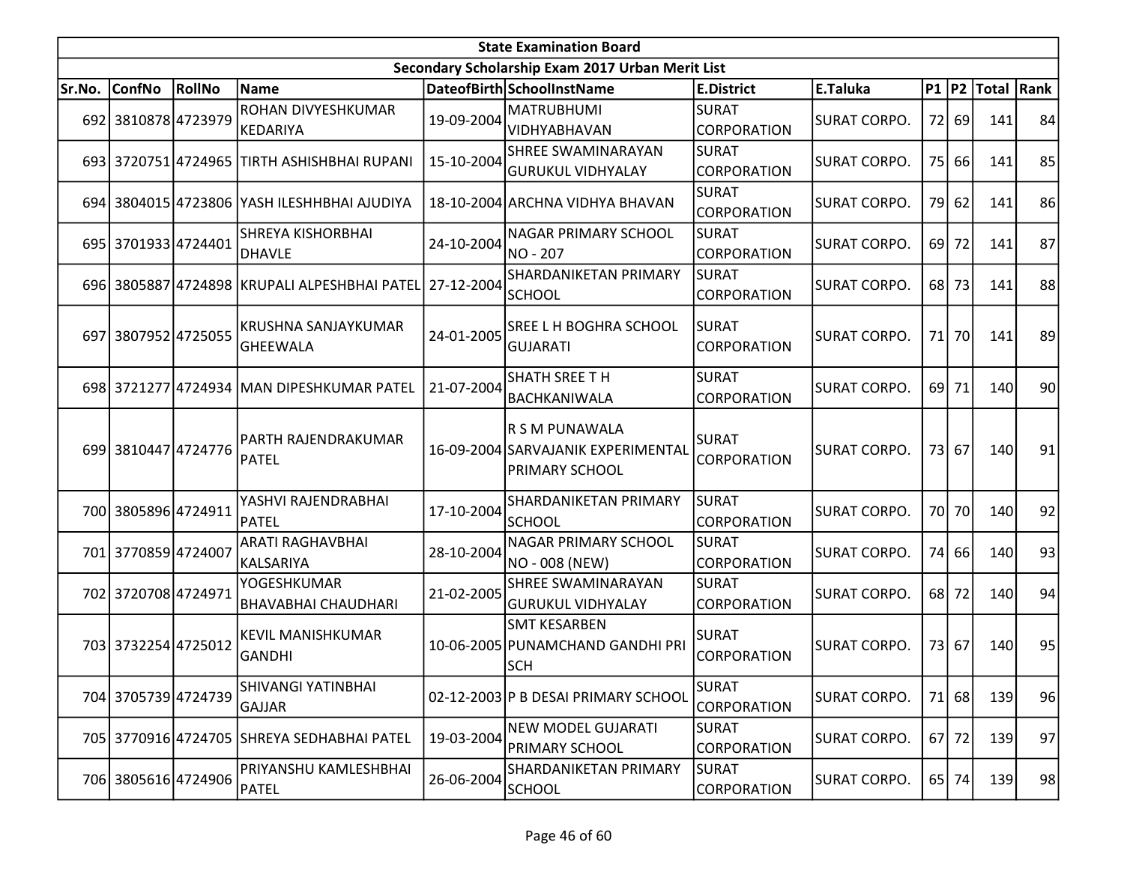|        | <b>State Examination Board</b> |        |                                                         |            |                                                                        |                                    |                     |    |         |                  |                 |  |  |
|--------|--------------------------------|--------|---------------------------------------------------------|------------|------------------------------------------------------------------------|------------------------------------|---------------------|----|---------|------------------|-----------------|--|--|
|        |                                |        |                                                         |            | Secondary Scholarship Exam 2017 Urban Merit List                       |                                    |                     |    |         |                  |                 |  |  |
| Sr.No. | <b>ConfNo</b>                  | RollNo | Name                                                    |            | DateofBirth SchoolInstName                                             | <b>E.District</b>                  | E.Taluka            |    |         | P1 P2 Total Rank |                 |  |  |
|        | 692 3810878 4723979            |        | ROHAN DIVYESHKUMAR<br>KEDARIYA                          | 19-09-2004 | <b>MATRUBHUMI</b><br><b>VIDHYABHAVAN</b>                               | SURAT<br><b>CORPORATION</b>        | <b>SURAT CORPO.</b> |    | 72 69   | 141              | 84              |  |  |
|        |                                |        | 693 3720751 4724965 TIRTH ASHISHBHAI RUPANI             | 15-10-2004 | <b>SHREE SWAMINARAYAN</b><br><b>GURUKUL VIDHYALAY</b>                  | SURAT<br>CORPORATION               | <b>SURAT CORPO.</b> |    | 75 66   | 141              | 85              |  |  |
|        |                                |        | 694 3804015 4723806 YASH ILESHHBHAI AJUDIYA             |            | 18-10-2004 ARCHNA VIDHYA BHAVAN                                        | SURAT<br><b>CORPORATION</b>        | <b>SURAT CORPO.</b> | 79 | 62      | 141              | 86              |  |  |
|        | 695 3701933 4724401            |        | <b>SHREYA KISHORBHAI</b><br><b>DHAVLE</b>               | 24-10-2004 | <b>NAGAR PRIMARY SCHOOL</b><br><b>NO-207</b>                           | <b>SURAT</b><br><b>CORPORATION</b> | <b>SURAT CORPO.</b> |    | 69 72   | 141              | 87              |  |  |
|        |                                |        | 696 3805887 4724898 KRUPALI ALPESHBHAI PATEL 27-12-2004 |            | SHARDANIKETAN PRIMARY<br><b>SCHOOL</b>                                 | <b>SURAT</b><br><b>CORPORATION</b> | <b>SURAT CORPO.</b> |    | 68 73   | 141              | 88              |  |  |
|        | 697 3807952 4725055            |        | <b>KRUSHNA SANJAYKUMAR</b><br><b>GHEEWALA</b>           | 24-01-2005 | <b>SREE L H BOGHRA SCHOOL</b><br><b>GUJARATI</b>                       | SURAT<br><b>CORPORATION</b>        | <b>SURAT CORPO.</b> |    | 71 70   | 141              | 89              |  |  |
|        |                                |        | 698 3721277 4724934 MAN DIPESHKUMAR PATEL               | 21-07-2004 | <b>SHATH SREE TH</b><br><b>BACHKANIWALA</b>                            | <b>SURAT</b><br><b>CORPORATION</b> | <b>SURAT CORPO.</b> |    | 69 71   | 140              | 90 <sub>0</sub> |  |  |
|        | 699 3810447 4724776            |        | PARTH RAJENDRAKUMAR<br><b>PATEL</b>                     |            | R S M PUNAWALA<br>16-09-2004 SARVAJANIK EXPERIMENTAL<br>PRIMARY SCHOOL | <b>SURAT</b><br><b>CORPORATION</b> | <b>SURAT CORPO.</b> |    | 73 67   | 140              | 91              |  |  |
|        | 700 3805896 4724911            |        | YASHVI RAJENDRABHAI<br><b>PATEL</b>                     | 17-10-2004 | SHARDANIKETAN PRIMARY<br><b>SCHOOL</b>                                 | SURAT<br><b>CORPORATION</b>        | <b>SURAT CORPO.</b> |    | 70 70   | 140              | 92              |  |  |
|        | 701 3770859 4724007            |        | <b>ARATI RAGHAVBHAI</b><br>KALSARIYA                    | 28-10-2004 | <b>NAGAR PRIMARY SCHOOL</b><br>NO - 008 (NEW)                          | SURAT<br><b>CORPORATION</b>        | <b>SURAT CORPO.</b> |    | 74 66   | 140              | 93              |  |  |
|        | 702 3720708 4724971            |        | YOGESHKUMAR<br><b>BHAVABHAI CHAUDHARI</b>               | 21-02-2005 | <b>SHREE SWAMINARAYAN</b><br><b>GURUKUL VIDHYALAY</b>                  | SURAT<br><b>CORPORATION</b>        | <b>SURAT CORPO.</b> |    | 68 72   | 140              | 94              |  |  |
|        | 703 3732254 4725012            |        | <b>KEVIL MANISHKUMAR</b><br><b>GANDHI</b>               |            | <b>SMT KESARBEN</b><br>10-06-2005 PUNAMCHAND GANDHI PRI<br><b>SCH</b>  | SURAT<br><b>CORPORATION</b>        | <b>SURAT CORPO.</b> |    | 73 67   | 140              | 95              |  |  |
|        | 704 3705739 4724739            |        | SHIVANGI YATINBHAI<br><b>GAJJAR</b>                     |            | 02-12-2003 P B DESAI PRIMARY SCHOOL                                    | <b>SURAT</b><br>CORPORATION        | <b>SURAT CORPO.</b> |    | 71 68   | 139              | 96              |  |  |
|        |                                |        | 705 3770916 4724705 SHREYA SEDHABHAI PATEL              | 19-03-2004 | <b>NEW MODEL GUJARATI</b><br><b>PRIMARY SCHOOL</b>                     | <b>SURAT</b><br>CORPORATION        | <b>SURAT CORPO.</b> |    | $67$ 72 | 139              | 97              |  |  |
|        | 706 3805616 4724906            |        | PRIYANSHU KAMLESHBHAI<br>PATEL                          | 26-06-2004 | SHARDANIKETAN PRIMARY<br><b>SCHOOL</b>                                 | SURAT<br><b>CORPORATION</b>        | <b>SURAT CORPO.</b> |    | 65 74   | 139              | 98              |  |  |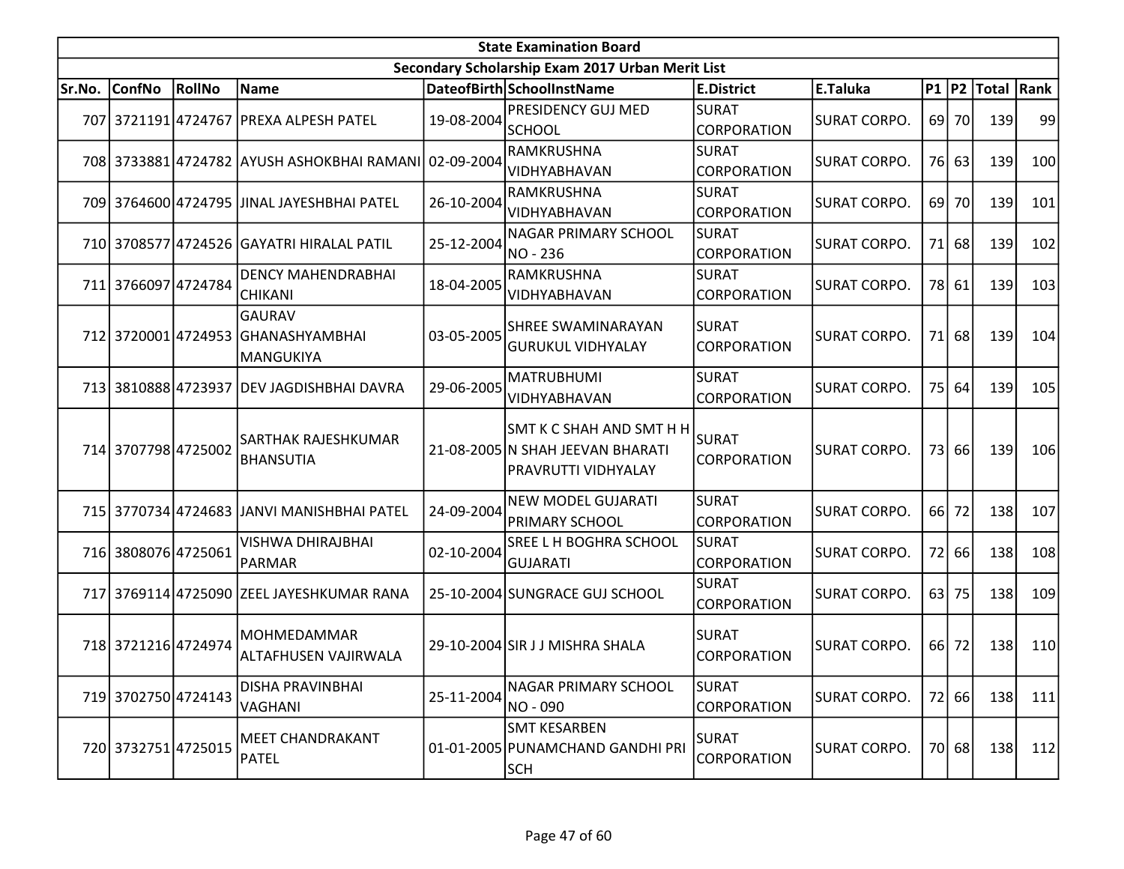|        |                     |               |                                                       |            | <b>State Examination Board</b>                                                             |                                    |                     |           |       |            |     |
|--------|---------------------|---------------|-------------------------------------------------------|------------|--------------------------------------------------------------------------------------------|------------------------------------|---------------------|-----------|-------|------------|-----|
|        |                     |               |                                                       |            | Secondary Scholarship Exam 2017 Urban Merit List                                           |                                    |                     |           |       |            |     |
| Sr.No. | <b>ConfNo</b>       | <b>RollNo</b> | <b>Name</b>                                           |            | DateofBirth SchoolInstName                                                                 | E.District                         | <b>E.Taluka</b>     | $P1$  P2  |       | Total Rank |     |
|        |                     |               | 707 3721191 4724767 PREXA ALPESH PATEL                | 19-08-2004 | PRESIDENCY GUJ MED<br><b>SCHOOL</b>                                                        | SURAT<br><b>CORPORATION</b>        | <b>SURAT CORPO.</b> | 69 l      | 70I   | 139        | 99  |
|        |                     |               | 708 3733881 4724782 AYUSH ASHOKBHAI RAMANI 02-09-2004 |            | RAMKRUSHNA<br><b>VIDHYABHAVAN</b>                                                          | <b>SURAT</b><br><b>CORPORATION</b> | SURAT CORPO.        |           | 76 63 | 139        | 100 |
|        |                     |               | 709 3764600 4724795 JJINAL JAYESHBHAI PATEL           | 26-10-2004 | RAMKRUSHNA<br>VIDHYABHAVAN                                                                 | <b>SURAT</b><br><b>CORPORATION</b> | <b>SURAT CORPO.</b> | 69        | 70    | 139        | 101 |
|        |                     |               | 710 3708577 4724526 GAYATRI HIRALAL PATIL             | 25-12-2004 | <b>NAGAR PRIMARY SCHOOL</b><br>NO - 236                                                    | SURAT<br><b>CORPORATION</b>        | ISURAT CORPO.       | 71        | 68    | 139        | 102 |
|        | 711 3766097 4724784 |               | <b>DENCY MAHENDRABHAI</b><br><b>CHIKANI</b>           | 18-04-2005 | RAMKRUSHNA<br>VIDHYABHAVAN                                                                 | <b>SURAT</b><br>CORPORATION        | <b>SURAT CORPO.</b> | 78        | 61    | 139        | 103 |
|        | 712 3720001 4724953 |               | <b>GAURAV</b><br><b>GHANASHYAMBHAI</b><br>MANGUKIYA   | 03-05-2005 | SHREE SWAMINARAYAN<br><b>GURUKUL VIDHYALAY</b>                                             | <b>SURAT</b><br>CORPORATION        | ISURAT CORPO.       | 71        | 68    | 139        | 104 |
|        | 713 3810888 4723937 |               | DEV JAGDISHBHAI DAVRA                                 | 29-06-2005 | <b>MATRUBHUMI</b><br>VIDHYABHAVAN                                                          | SURAT<br><b>CORPORATION</b>        | <b>SURAT CORPO.</b> | 75        | 64    | 139        | 105 |
|        | 714 3707798 4725002 |               | <b>SARTHAK RAJESHKUMAR</b><br><b>BHANSUTIA</b>        |            | <b>SMT K C SHAH AND SMT H H</b><br>21-08-2005 N SHAH JEEVAN BHARATI<br>PRAVRUTTI VIDHYALAY | SURAT<br>CORPORATION               | <b>SURAT CORPO.</b> | 73        | 66    | 139        | 106 |
|        |                     |               | 715 3770734 4724683 JJANVI MANISHBHAI PATEL           | 24-09-2004 | <b>NEW MODEL GUJARATI</b><br><b>PRIMARY SCHOOL</b>                                         | SURAT<br><b>CORPORATION</b>        | <b>SURAT CORPO.</b> | <b>66</b> | 72    | 138        | 107 |
|        | 716 3808076 4725061 |               | VISHWA DHIRAJBHAI<br><b>PARMAR</b>                    | 02-10-2004 | SREE L H BOGHRA SCHOOL<br><b>GUJARATI</b>                                                  | SURAT<br><b>CORPORATION</b>        | <b>SURAT CORPO.</b> | 72        | 66    | 138        | 108 |
|        |                     |               | 717 3769114 4725090 ZEEL JAYESHKUMAR RANA             |            | 25-10-2004 SUNGRACE GUJ SCHOOL                                                             | SURAT<br><b>CORPORATION</b>        | <b>SURAT CORPO.</b> | 63        | 75    | 138        | 109 |
|        | 718 3721216 4724974 |               | MOHMEDAMMAR<br>ALTAFHUSEN VAJIRWALA                   |            | 29-10-2004 SIR J J MISHRA SHALA                                                            | SURAT<br>CORPORATION               | ISURAT CORPO.       | 66        | 72    | 138        | 110 |
|        | 719 3702750 4724143 |               | DISHA PRAVINBHAI<br>VAGHANI                           | 25-11-2004 | <b>NAGAR PRIMARY SCHOOL</b><br>NO - 090                                                    | <b>SURAT</b><br><b>CORPORATION</b> | SURAT CORPO.        | 72        | 66    | 138        | 111 |
|        | 720 3732751 4725015 |               | <b>MEET CHANDRAKANT</b><br>PATEL                      |            | <b>SMT KESARBEN</b><br>01-01-2005 PUNAMCHAND GANDHI PRI<br> SCH                            | <b>SURAT</b><br>CORPORATION        | SURAT CORPO.        |           | 70 68 | <b>138</b> | 112 |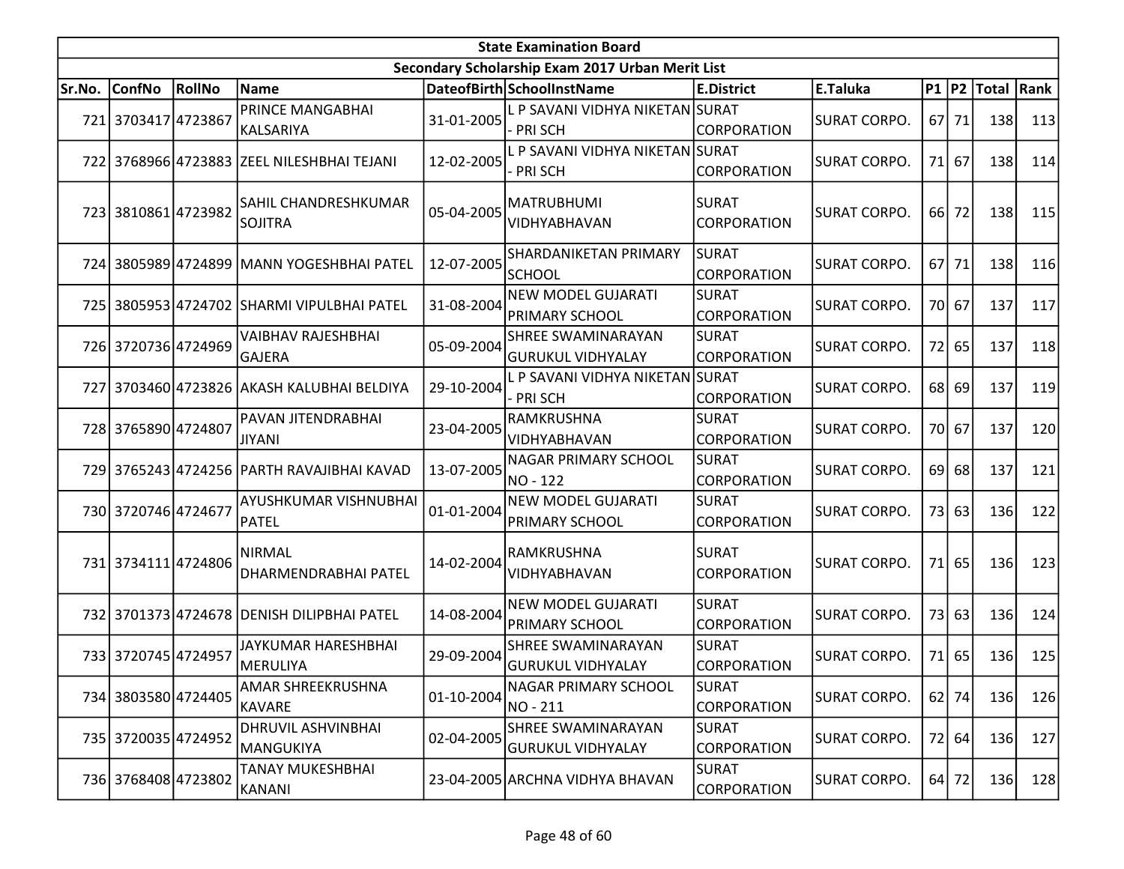|        | <b>State Examination Board</b><br>Secondary Scholarship Exam 2017 Urban Merit List |               |                                            |            |                                                       |                                    |                     |    |         |                  |     |  |  |  |
|--------|------------------------------------------------------------------------------------|---------------|--------------------------------------------|------------|-------------------------------------------------------|------------------------------------|---------------------|----|---------|------------------|-----|--|--|--|
|        |                                                                                    |               |                                            |            |                                                       |                                    |                     |    |         |                  |     |  |  |  |
| Sr.No. | <b>ConfNo</b>                                                                      | <b>RollNo</b> | Name                                       |            | DateofBirth SchoolInstName                            | <b>E.District</b>                  | E.Taluka            |    |         | P1 P2 Total Rank |     |  |  |  |
|        | 721 3703417 4723867                                                                |               | PRINCE MANGABHAI<br> KALSARIYA             | 31-01-2005 | L P SAVANI VIDHYA NIKETAN SURAT<br>- PRI SCH          | <b>CORPORATION</b>                 | <b>SURAT CORPO.</b> |    | 67 71   | 138              | 113 |  |  |  |
|        |                                                                                    |               | 722 3768966 4723883 ZEEL NILESHBHAI TEJANI | 12-02-2005 | L P SAVANI VIDHYA NIKETAN SURAT<br><b>PRISCH</b>      | CORPORATION                        | SURAT CORPO.        | 71 | 67      | 138              | 114 |  |  |  |
|        | 723 3810861 4723982                                                                |               | SAHIL CHANDRESHKUMAR<br><b>SOJITRA</b>     | 05-04-2005 | <b>MATRUBHUMI</b><br>VIDHYABHAVAN                     | <b>SURAT</b><br><b>CORPORATION</b> | SURAT CORPO.        |    | 66 72   | 138              | 115 |  |  |  |
|        |                                                                                    |               | 724 3805989 4724899 MANN YOGESHBHAI PATEL  | 12-07-2005 | SHARDANIKETAN PRIMARY<br><b>SCHOOL</b>                | <b>SURAT</b><br><b>CORPORATION</b> | <b>SURAT CORPO.</b> |    | 67 71   | 138              | 116 |  |  |  |
|        |                                                                                    |               | 725 3805953 4724702 SHARMI VIPULBHAI PATEL | 31-08-2004 | <b>NEW MODEL GUJARATI</b><br>PRIMARY SCHOOL           | <b>SURAT</b><br><b>CORPORATION</b> | SURAT CORPO.        | 70 | 67      | 137              | 117 |  |  |  |
|        | 726 3720736 4724969                                                                |               | <b>VAIBHAV RAJESHBHAI</b><br><b>GAJERA</b> | 05-09-2004 | SHREE SWAMINARAYAN<br><b>GURUKUL VIDHYALAY</b>        | <b>SURAT</b><br>CORPORATION        | <b>SURAT CORPO.</b> | 72 | 65      | 137              | 118 |  |  |  |
|        |                                                                                    |               | 727 3703460 4723826 AKASH KALUBHAI BELDIYA | 29-10-2004 | L P SAVANI VIDHYA NIKETAN<br>- PRI SCH                | <b>SURAT</b><br><b>CORPORATION</b> | SURAT CORPO.        | 68 | 69      | 137              | 119 |  |  |  |
|        | 728 3765890 4724807                                                                |               | PAVAN JITENDRABHAI<br><b>JIYANI</b>        | 23-04-2005 | RAMKRUSHNA<br>VIDHYABHAVAN                            | <b>SURAT</b><br><b>CORPORATION</b> | SURAT CORPO.        |    | 70 67   | 137              | 120 |  |  |  |
|        |                                                                                    |               | 729 3765243 4724256 PARTH RAVAJIBHAI KAVAD | 13-07-2005 | NAGAR PRIMARY SCHOOL<br>NO - 122                      | <b>SURAT</b><br><b>CORPORATION</b> | SURAT CORPO.        | 69 | 68      | 137              | 121 |  |  |  |
|        | 730 3720746 4724677                                                                |               | AYUSHKUMAR VISHNUBHAI<br>PATEL             | 01-01-2004 | <b>NEW MODEL GUJARATI</b><br>PRIMARY SCHOOL           | <b>SURAT</b><br>CORPORATION        | <b>SURAT CORPO.</b> | 73 | 63      | 136              | 122 |  |  |  |
|        | 731 3734111 4724806                                                                |               | NIRMAL<br>DHARMENDRABHAI PATEL             | 14-02-2004 | RAMKRUSHNA<br>VIDHYABHAVAN                            | <b>SURAT</b><br>CORPORATION        | SURAT CORPO.        | 71 | 65      | 136              | 123 |  |  |  |
|        |                                                                                    |               | 732 3701373 4724678 DENISH DILIPBHAI PATEL | 14-08-2004 | <b>NEW MODEL GUJARATI</b><br>PRIMARY SCHOOL           | <b>SURAT</b><br><b>CORPORATION</b> | <b>SURAT CORPO.</b> | 73 | 63      | 136              | 124 |  |  |  |
|        | 733 3720745 4724957                                                                |               | JAYKUMAR HARESHBHAI<br>MERULIYA            | 29-09-2004 | <b>SHREE SWAMINARAYAN</b><br><b>GURUKUL VIDHYALAY</b> | <b>SURAT</b><br><b>CORPORATION</b> | SURAT CORPO.        | 71 | 65      | 136              | 125 |  |  |  |
|        | 734 3803580 4724405                                                                |               | AMAR SHREEKRUSHNA<br><b>KAVARE</b>         | 01-10-2004 | NAGAR PRIMARY SCHOOL<br>NO - 211                      | <b>SURAT</b><br>CORPORATION        | SURAT CORPO.        |    | $62$ 74 | 136              | 126 |  |  |  |
|        | 735 3720035 4724952                                                                |               | DHRUVIL ASHVINBHAI<br> MANGUKIYA           | 02-04-2005 | SHREE SWAMINARAYAN<br><b>GURUKUL VIDHYALAY</b>        | <b>SURAT</b><br>CORPORATION        | SURAT CORPO.        | 72 | 64      | 136              | 127 |  |  |  |
|        | 736 3768408 4723802                                                                |               | TANAY MUKESHBHAI<br>KANANI                 |            | 23-04-2005 ARCHNA VIDHYA BHAVAN                       | <b>SURAT</b><br><b>CORPORATION</b> | <b>SURAT CORPO.</b> |    | 64 72   | 136              | 128 |  |  |  |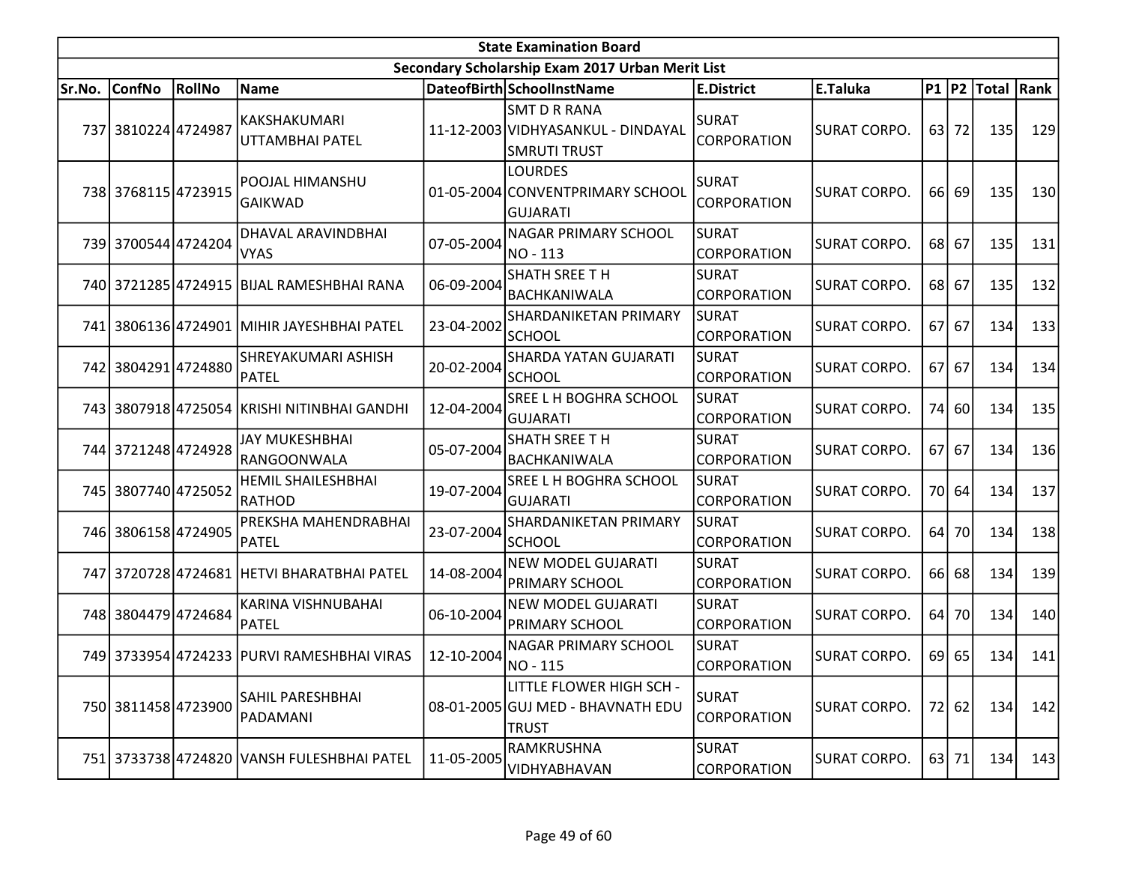|        |                     |               |                                               |            | <b>State Examination Board</b>                                                   |                                    |                     |    |         |                        |     |
|--------|---------------------|---------------|-----------------------------------------------|------------|----------------------------------------------------------------------------------|------------------------------------|---------------------|----|---------|------------------------|-----|
|        |                     |               |                                               |            | Secondary Scholarship Exam 2017 Urban Merit List                                 |                                    |                     |    |         |                        |     |
| Sr.No. | <b>ConfNo</b>       | <b>RollNo</b> | Name                                          |            | DateofBirth SchoolInstName                                                       | <b>E.District</b>                  | E.Taluka            |    |         | P1   P2   Total   Rank |     |
|        | 737 3810224 4724987 |               | KAKSHAKUMARI<br>UTTAMBHAI PATEL               |            | <b>SMT D R RANA</b><br>11-12-2003 VIDHYASANKUL - DINDAYAL<br><b>SMRUTI TRUST</b> | <b>SURAT</b><br>CORPORATION        | <b>SURAT CORPO.</b> | 63 | 72      | 135                    | 129 |
|        | 738 3768115 4723915 |               | POOJAL HIMANSHU<br><b>GAIKWAD</b>             |            | <b>LOURDES</b><br>01-05-2004 CONVENTPRIMARY SCHOOL<br><b>GUJARATI</b>            | <b>SURAT</b><br>CORPORATION        | <b>SURAT CORPO.</b> | 66 | 69      | 135                    | 130 |
|        | 739 3700544 4724204 |               | DHAVAL ARAVINDBHAI<br><b>VYAS</b>             | 07-05-2004 | <b>NAGAR PRIMARY SCHOOL</b><br>NO - 113                                          | <b>SURAT</b><br><b>CORPORATION</b> | <b>SURAT CORPO.</b> | 68 | 67      | 135                    | 131 |
|        |                     |               | 740 3721285 4724915 BIJAL RAMESHBHAI RANA     | 06-09-2004 | SHATH SREE TH<br><b>BACHKANIWALA</b>                                             | <b>SURAT</b><br>CORPORATION        | <b>SURAT CORPO.</b> | 68 | 67      | 135                    | 132 |
|        |                     |               | 741 3806136 4724901 MIHIR JAYESHBHAI PATEL    | 23-04-2002 | SHARDANIKETAN PRIMARY<br><b>SCHOOL</b>                                           | <b>SURAT</b><br><b>CORPORATION</b> | <b>SURAT CORPO.</b> | 67 | 67      | 134                    | 133 |
|        | 742 3804291 4724880 |               | SHREYAKUMARI ASHISH<br>PATEL                  | 20-02-2004 | <b>SHARDA YATAN GUJARATI</b><br><b>SCHOOL</b>                                    | <b>SURAT</b><br><b>CORPORATION</b> | <b>SURAT CORPO.</b> | 67 | 67      | 134                    | 134 |
|        |                     |               | 743   3807918 4725054 KRISHI NITINBHAI GANDHI | 12-04-2004 | SREE L H BOGHRA SCHOOL<br><b>GUJARATI</b>                                        | <b>SURAT</b><br>CORPORATION        | <b>SURAT CORPO.</b> | 74 | 60      | 134                    | 135 |
|        | 744 3721248 4724928 |               | <b>JAY MUKESHBHAI</b><br>RANGOONWALA          | 05-07-2004 | <b>SHATH SREE TH</b><br>BACHKANIWALA                                             | <b>SURAT</b><br>CORPORATION        | SURAT CORPO.        | 67 | 67      | 134                    | 136 |
|        | 745 3807740 4725052 |               | <b>HEMIL SHAILESHBHAI</b><br>RATHOD           | 19-07-2004 | SREE L H BOGHRA SCHOOL<br><b>GUJARATI</b>                                        | <b>SURAT</b><br><b>CORPORATION</b> | <b>SURAT CORPO.</b> | 70 | 64      | 134                    | 137 |
|        | 746 3806158 4724905 |               | PREKSHA MAHENDRABHAI<br>PATEL                 | 23-07-2004 | SHARDANIKETAN PRIMARY<br><b>SCHOOL</b>                                           | <b>SURAT</b><br><b>CORPORATION</b> | <b>SURAT CORPO.</b> | 64 | 70      | 134                    | 138 |
|        |                     |               | 747 3720728 4724681 HETVI BHARATBHAI PATEL    | 14-08-2004 | <b>NEW MODEL GUJARATI</b><br><b>PRIMARY SCHOOL</b>                               | <b>SURAT</b><br><b>CORPORATION</b> | SURAT CORPO.        | 66 | 68      | 134                    | 139 |
|        | 748 3804479 4724684 |               | KARINA VISHNUBAHAI<br>PATEL                   | 06-10-2004 | <b>NEW MODEL GUJARATI</b><br><b>PRIMARY SCHOOL</b>                               | <b>SURAT</b><br><b>CORPORATION</b> | <b>SURAT CORPO.</b> | 64 | 70      | 134                    | 140 |
|        |                     |               | 749 3733954 4724233 PURVI RAMESHBHAI VIRAS    | 12-10-2004 | NAGAR PRIMARY SCHOOL<br>NO - 115                                                 | <b>SURAT</b><br>CORPORATION        | <b>SURAT CORPO.</b> |    | $69$ 65 | 134                    | 141 |
|        | 750 3811458 4723900 |               | SAHIL PARESHBHAI<br>PADAMANI                  |            | LITTLE FLOWER HIGH SCH -<br>08-01-2005 GUJ MED - BHAVNATH EDU<br><b>TRUST</b>    | <b>SURAT</b><br><b>CORPORATION</b> | SURAT CORPO.        |    | 72 62   | 134                    | 142 |
|        |                     |               | 751 3733738 4724820 VANSH FULESHBHAI PATEL    | 11-05-2005 | <b>RAMKRUSHNA</b><br>VIDHYABHAVAN                                                | <b>SURAT</b><br><b>CORPORATION</b> | SURAT CORPO.        |    | $63$ 71 | 134                    | 143 |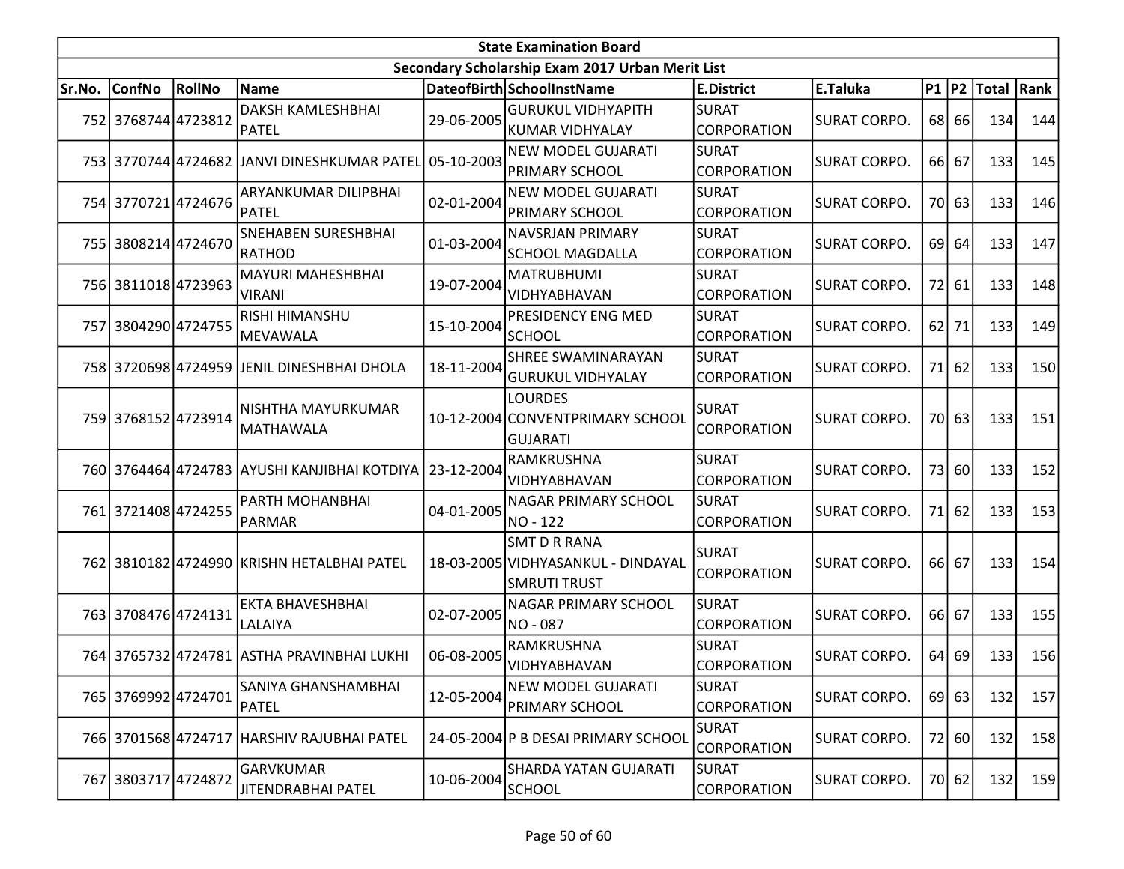|        |                     |        |                                                           |            | <b>State Examination Board</b>                                                   |                                    |                     |    |         |                        |     |
|--------|---------------------|--------|-----------------------------------------------------------|------------|----------------------------------------------------------------------------------|------------------------------------|---------------------|----|---------|------------------------|-----|
|        |                     |        |                                                           |            | Secondary Scholarship Exam 2017 Urban Merit List                                 |                                    |                     |    |         |                        |     |
| Sr.No. | <b>ConfNo</b>       | RollNo | Name                                                      |            | DateofBirth SchoolInstName                                                       | <b>E.District</b>                  | E.Taluka            |    |         | P1   P2   Total   Rank |     |
|        | 752 3768744 4723812 |        | <b>DAKSH KAMLESHBHAI</b><br>PATEL                         | 29-06-2005 | <b>GURUKUL VIDHYAPITH</b><br> KUMAR VIDHYALAY                                    | SURAT<br><b>CORPORATION</b>        | <b>SURAT CORPO.</b> |    | 68 66   | 134                    | 144 |
|        |                     |        | 753 3770744 4724682 JJANVI DINESHKUMAR PATEL 05-10-2003   |            | <b>NEW MODEL GUJARATI</b><br>PRIMARY SCHOOL                                      | SURAT<br>CORPORATION               | <b>SURAT CORPO.</b> |    | 66 67   | 133                    | 145 |
|        | 754 3770721 4724676 |        | ARYANKUMAR DILIPBHAI<br>PATEL                             | 02-01-2004 | <b>NEW MODEL GUJARATI</b><br><b>PRIMARY SCHOOL</b>                               | <b>SURAT</b><br><b>CORPORATION</b> | <b>SURAT CORPO.</b> |    | 70 63   | 133                    | 146 |
|        | 755 3808214 4724670 |        | <b>SNEHABEN SURESHBHAI</b><br><b>RATHOD</b>               | 01-03-2004 | <b>NAVSRJAN PRIMARY</b><br><b>SCHOOL MAGDALLA</b>                                | <b>SURAT</b><br><b>CORPORATION</b> | <b>SURAT CORPO.</b> | 69 | 64      | 133                    | 147 |
|        | 756 3811018 4723963 |        | <b>MAYURI MAHESHBHAI</b><br><b>VIRANI</b>                 | 19-07-2004 | <b>MATRUBHUMI</b><br>VIDHYABHAVAN                                                | <b>SURAT</b><br><b>CORPORATION</b> | <b>SURAT CORPO.</b> |    | 72 61   | 133                    | 148 |
|        | 757 3804290 4724755 |        | RISHI HIMANSHU<br>MEVAWALA                                | 15-10-2004 | PRESIDENCY ENG MED<br><b>SCHOOL</b>                                              | <b>SURAT</b><br><b>CORPORATION</b> | <b>SURAT CORPO.</b> |    | $62$ 71 | 133                    | 149 |
|        |                     |        | 758 3720698 4724959 JENIL DINESHBHAI DHOLA                | 18-11-2004 | SHREE SWAMINARAYAN<br>GURUKUL VIDHYALAY                                          | SURAT<br>CORPORATION               | <b>SURAT CORPO.</b> |    | $71$ 62 | 133                    | 150 |
|        | 759 3768152 4723914 |        | NISHTHA MAYURKUMAR<br><b>MATHAWALA</b>                    |            | <b>LOURDES</b><br>10-12-2004 CONVENTPRIMARY SCHOOL<br><b>GUJARATI</b>            | <b>SURAT</b><br><b>CORPORATION</b> | <b>SURAT CORPO.</b> |    | 70 63   | 133                    | 151 |
|        |                     |        | 760 3764464 4724783 AYUSHI KANJIBHAI KOTDIYA   23-12-2004 |            | RAMKRUSHNA<br>VIDHYABHAVAN                                                       | <b>SURAT</b><br><b>CORPORATION</b> | <b>SURAT CORPO.</b> |    | 73 60   | 133                    | 152 |
|        | 761 3721408 4724255 |        | PARTH MOHANBHAI<br><b>PARMAR</b>                          | 04-01-2005 | NAGAR PRIMARY SCHOOL<br>NO - 122                                                 | SURAT<br><b>CORPORATION</b>        | <b>SURAT CORPO.</b> |    | $71$ 62 | 133                    | 153 |
|        |                     |        | 762 3810182 4724990 KRISHN HETALBHAI PATEL                |            | <b>SMT D R RANA</b><br>18-03-2005 VIDHYASANKUL - DINDAYAL<br><b>SMRUTI TRUST</b> | <b>SURAT</b><br><b>CORPORATION</b> | <b>SURAT CORPO.</b> |    | 66 67   | 133                    | 154 |
|        | 763 3708476 4724131 |        | <b>EKTA BHAVESHBHAI</b><br>LALAIYA                        | 02-07-2005 | NAGAR PRIMARY SCHOOL<br>NO - 087                                                 | SURAT<br><b>CORPORATION</b>        | <b>SURAT CORPO.</b> |    | 66 67   | 133                    | 155 |
|        |                     |        | 764 3765732 4724781 ASTHA PRAVINBHAI LUKHI                | 06-08-2005 | RAMKRUSHNA<br>VIDHYABHAVAN                                                       | <b>SURAT</b><br>CORPORATION        | <b>SURAT CORPO.</b> |    | $64$ 69 | 133                    | 156 |
|        | 765 3769992 4724701 |        | SANIYA GHANSHAMBHAI<br><b>PATEL</b>                       | 12-05-2004 | <b>NEW MODEL GUJARATI</b><br><b>PRIMARY SCHOOL</b>                               | <b>SURAT</b><br>CORPORATION        | <b>SURAT CORPO.</b> |    | 69 63   | 132                    | 157 |
|        | 766 3701568 4724717 |        | <b>HARSHIV RAJUBHAI PATEL</b>                             |            | 24-05-2004 P B DESAI PRIMARY SCHOOL                                              | <b>SURAT</b><br><b>CORPORATION</b> | <b>SURAT CORPO.</b> |    | 72 60   | 132                    | 158 |
|        | 767 3803717 4724872 |        | <b>GARVKUMAR</b><br>JITENDRABHAI PATEL                    | 10-06-2004 | SHARDA YATAN GUJARATI<br><b>SCHOOL</b>                                           | SURAT<br><b>CORPORATION</b>        | <b>SURAT CORPO.</b> |    | 70 62   | 132                    | 159 |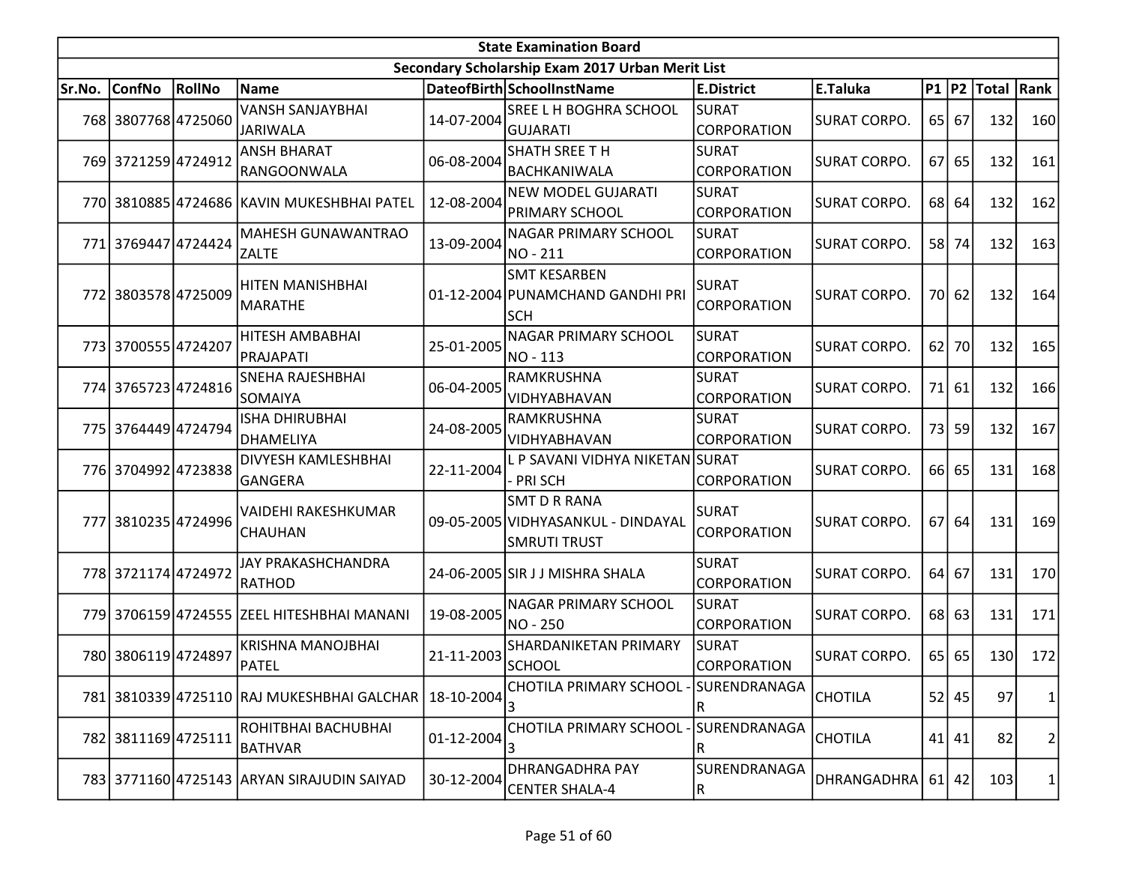|        | <b>State Examination Board</b> |        |                                                         |            |                                                                                  |                                    |                     |      |           |                        |                |  |
|--------|--------------------------------|--------|---------------------------------------------------------|------------|----------------------------------------------------------------------------------|------------------------------------|---------------------|------|-----------|------------------------|----------------|--|
|        |                                |        |                                                         |            | Secondary Scholarship Exam 2017 Urban Merit List                                 |                                    |                     |      |           |                        |                |  |
| Sr.No. | <b>ConfNo</b>                  | RollNo | Name                                                    |            | DateofBirth SchoolInstName                                                       | <b>E.District</b>                  | E.Taluka            |      |           | P1   P2   Total   Rank |                |  |
|        | 768 3807768 4725060            |        | <b>VANSH SANJAYBHAI</b><br><b>JARIWALA</b>              | 14-07-2004 | <b>SREE L H BOGHRA SCHOOL</b><br><b>GUJARATI</b>                                 | <b>SURAT</b><br><b>CORPORATION</b> | <b>SURAT CORPO.</b> |      | $65$   67 | 132                    | 160            |  |
|        | 769 3721259 4724912            |        | <b>ANSH BHARAT</b><br>RANGOONWALA                       | 06-08-2004 | <b>SHATH SREE TH</b><br>BACHKANIWALA                                             | <b>SURAT</b><br>CORPORATION        | SURAT CORPO.        |      | $67$ 65   | 132                    | 161            |  |
|        |                                |        | 770 3810885 4724686 KAVIN MUKESHBHAI PATEL              | 12-08-2004 | <b>NEW MODEL GUJARATI</b><br>PRIMARY SCHOOL                                      | <b>SURAT</b><br><b>CORPORATION</b> | <b>SURAT CORPO.</b> | 68 l | 64        | 132                    | 162            |  |
| 771l   | 3769447 4724424                |        | <b>MAHESH GUNAWANTRAO</b><br><b>ZALTE</b>               | 13-09-2004 | <b>NAGAR PRIMARY SCHOOL</b><br>NO-211                                            | <b>SURAT</b><br><b>CORPORATION</b> | <b>SURAT CORPO.</b> | 58 l | 74        | 132                    | 163            |  |
|        | 772 3803578 4725009            |        | HITEN MANISHBHAI<br><b>MARATHE</b>                      |            | <b>SMT KESARBEN</b><br>01-12-2004 PUNAMCHAND GANDHI PRI<br><b>SCH</b>            | <b>SURAT</b><br>CORPORATION        | <b>SURAT CORPO.</b> | 70   | 62        | 132                    | 164            |  |
|        | 773 3700555 4724207            |        | HITESH AMBABHAI<br>PRAJAPATI                            | 25-01-2005 | <b>NAGAR PRIMARY SCHOOL</b><br>NO - 113                                          | <b>SURAT</b><br><b>CORPORATION</b> | <b>SURAT CORPO.</b> | 62   | 70        | 132                    | 165            |  |
|        | 774 3765723 4724816            |        | SNEHA RAJESHBHAI<br>SOMAIYA                             | 06-04-2005 | RAMKRUSHNA<br>VIDHYABHAVAN                                                       | <b>SURAT</b><br><b>CORPORATION</b> | <b>SURAT CORPO.</b> | 71   | 61        | 132                    | 166            |  |
|        | 775 3764449 4724794            |        | ISHA DHIRUBHAI<br><b>DHAMELIYA</b>                      | 24-08-2005 | <b>RAMKRUSHNA</b><br>VIDHYABHAVAN                                                | <b>SURAT</b><br><b>CORPORATION</b> | <b>SURAT CORPO.</b> |      | 73 59     | 132                    | 167            |  |
|        | 776 3704992 4723838            |        | DIVYESH KAMLESHBHAI<br>GANGERA                          | 22-11-2004 | L P SAVANI VIDHYA NIKETAN SURAT<br>- PRI SCH                                     | <b>CORPORATION</b>                 | <b>SURAT CORPO.</b> |      | 66 65     | 131                    | 168            |  |
|        | 777 3810235 4724996            |        | VAIDEHI RAKESHKUMAR<br><b>CHAUHAN</b>                   |            | <b>SMT D R RANA</b><br>09-05-2005 VIDHYASANKUL - DINDAYAL<br><b>SMRUTI TRUST</b> | <b>SURAT</b><br>CORPORATION        | <b>SURAT CORPO.</b> |      | $67$ 64   | 131                    | 169            |  |
|        | 778 3721174 4724972            |        | JAY PRAKASHCHANDRA<br>RATHOD                            |            | 24-06-2005 SIR J J MISHRA SHALA                                                  | <b>SURAT</b><br>CORPORATION        | <b>SURAT CORPO.</b> | 64   | 67        | 131                    | 170            |  |
|        |                                |        | 779 3706159 4724555 ZEEL HITESHBHAI MANANI              | 19-08-2005 | NAGAR PRIMARY SCHOOL<br>NO - 250                                                 | <b>SURAT</b><br><b>CORPORATION</b> | <b>SURAT CORPO.</b> | 68 l | 63        | 131                    | 171            |  |
|        | 780 3806119 4724897            |        | <b>KRISHNA MANOJBHAI</b><br><b>PATEL</b>                | 21-11-2003 | <b>SHARDANIKETAN PRIMARY</b><br>SCHOOL                                           | <b>SURAT</b><br><b>CORPORATION</b> | SURAT CORPO.        |      | $65$   65 | 130                    | 172            |  |
|        |                                |        | 781 3810339 4725110 RAJ MUKESHBHAI GALCHAR   18-10-2004 |            | CHOTILA PRIMARY SCHOOL - SURENDRANAGA<br>3                                       | R                                  | <b>CHOTILA</b>      |      | $52$ 45   | 97                     | $\mathbf{1}$   |  |
|        | 782 3811169 4725111            |        | ROHITBHAI BACHUBHAI<br><b>BATHVAR</b>                   | 01-12-2004 | CHOTILA PRIMARY SCHOOL -<br>3                                                    | SURENDRANAGA<br>R                  | <b>CHOTILA</b>      |      | $41$ 41   | 82                     | $\overline{2}$ |  |
|        |                                |        | 783 3771160 4725143 ARYAN SIRAJUDIN SAIYAD              | 30-12-2004 | DHRANGADHRA PAY<br><b>CENTER SHALA-4</b>                                         | SURENDRANAGA<br>R                  | DHRANGADHRA         |      | $61$   42 | 103                    | 1              |  |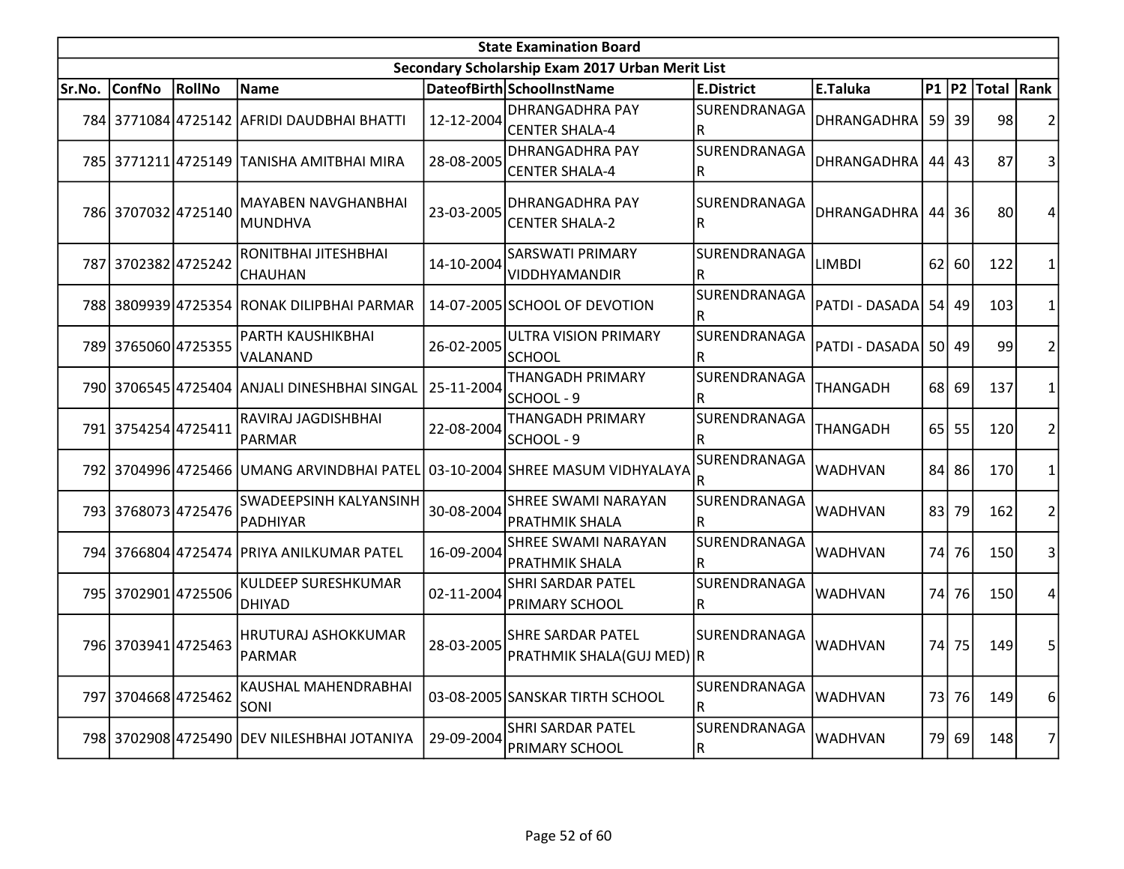|        |                     |        |                                                                              |            | <b>State Examination Board</b>                        |                              |                    |           |         |                        |                |
|--------|---------------------|--------|------------------------------------------------------------------------------|------------|-------------------------------------------------------|------------------------------|--------------------|-----------|---------|------------------------|----------------|
|        |                     |        |                                                                              |            | Secondary Scholarship Exam 2017 Urban Merit List      |                              |                    |           |         |                        |                |
| Sr.No. | <b>ConfNo</b>       | RollNo | <b>Name</b>                                                                  |            | DateofBirth SchoolInstName                            | <b>E.District</b>            | E.Taluka           |           |         | P1   P2   Total   Rank |                |
|        |                     |        | 784 3771084 4725142 AFRIDI DAUDBHAI BHATTI                                   | 12-12-2004 | <b>DHRANGADHRA PAY</b><br><b>CENTER SHALA-4</b>       | SURENDRANAGA<br>${\sf R}$    | <b>DHRANGADHRA</b> |           | $59$ 39 | 98                     | $\overline{2}$ |
|        |                     |        | 785 3771211 4725149 TANISHA AMITBHAI MIRA                                    | 28-08-2005 | <b>DHRANGADHRA PAY</b><br><b>CENTER SHALA-4</b>       | SURENDRANAGA<br>R            | DHRANGADHRA        |           | $44$ 43 | 87                     | 3              |
|        | 786 3707032 4725140 |        | <b>MAYABEN NAVGHANBHAI</b><br>MUNDHVA                                        | 23-03-2005 | <b>DHRANGADHRA PAY</b><br><b>CENTER SHALA-2</b>       | SURENDRANAGA<br>$\mathsf{R}$ | <b>DHRANGADHRA</b> |           | $44$ 36 | 80                     | 4              |
|        | 787 3702382 4725242 |        | RONITBHAI JITESHBHAI<br>CHAUHAN                                              | 14-10-2004 | <b>SARSWATI PRIMARY</b><br>VIDDHYAMANDIR              | SURENDRANAGA<br>$\mathsf R$  | <b>LIMBDI</b>      | 62        | 60      | 122                    | 1              |
|        |                     |        | 788 3809939 4725354 RONAK DILIPBHAI PARMAR                                   |            | 14-07-2005 SCHOOL OF DEVOTION                         | SURENDRANAGA<br>R            | PATDI - DASADA     |           | 54 49   | 103                    | $\mathbf{1}$   |
|        | 789 3765060 4725355 |        | PARTH KAUSHIKBHAI<br>VALANAND                                                | 26-02-2005 | ULTRA VISION PRIMARY<br>lschool                       | SURENDRANAGA<br>R            | PATDI - DASADA     |           | 50 49   | 99                     | $\overline{2}$ |
|        |                     |        | 790 3706545 4725404 ANJALI DINESHBHAI SINGAL                                 | 25-11-2004 | <b>THANGADH PRIMARY</b><br>SCHOOL - 9                 | SURENDRANAGA<br>R            | THANGADH           |           | 68 69   | 137                    | 1              |
|        | 791 3754254 4725411 |        | RAVIRAJ JAGDISHBHAI<br>PARMAR                                                | 22-08-2004 | <b>THANGADH PRIMARY</b><br>SCHOOL - 9                 | SURENDRANAGA<br>R            | <b>THANGADH</b>    |           | 65 55   | 120                    | $\overline{2}$ |
|        |                     |        | 792 3704996 4725466 UMANG ARVINDBHAI PATEL 03-10-2004 SHREE MASUM VIDHYALAYA |            |                                                       | SURENDRANAGA<br>R            | <b>WADHVAN</b>     |           | 84 86   | 170                    | $\mathbf{1}$   |
|        | 793 3768073 4725476 |        | <b>SWADEEPSINH KALYANSINH</b><br>PADHIYAR                                    | 30-08-2004 | <b>SHREE SWAMI NARAYAN</b><br><b>PRATHMIK SHALA</b>   | SURENDRANAGA<br>R            | <b>WADHVAN</b>     | 83        | 79      | 162                    | $\overline{2}$ |
|        |                     |        | 794 3766804 4725474 PRIYA ANILKUMAR PATEL                                    | 16-09-2004 | <b>SHREE SWAMI NARAYAN</b><br>PRATHMIK SHALA          | SURENDRANAGA<br>$\mathsf{R}$ | <b>WADHVAN</b>     | 74I       | 76      | 150                    | 3              |
|        | 795 3702901 4725506 |        | KULDEEP SURESHKUMAR<br><b>DHIYAD</b>                                         | 02-11-2004 | <b>SHRI SARDAR PATEL</b><br><b>PRIMARY SCHOOL</b>     | SURENDRANAGA<br>$\mathsf{R}$ | <b>WADHVAN</b>     | 74        | 76      | 150                    | 4              |
|        | 796 3703941 4725463 |        | HRUTURAJ ASHOKKUMAR<br>PARMAR                                                | 28-03-2005 | <b>SHRE SARDAR PATEL</b><br>PRATHMIK SHALA(GUJ MED) R | SURENDRANAGA                 | <b>WADHVAN</b>     | 74        | 75      | 149                    | 5              |
|        | 797 3704668 4725462 |        | KAUSHAL MAHENDRABHAI<br><b>SONI</b>                                          |            | 03-08-2005 SANSKAR TIRTH SCHOOL                       | SURENDRANAGA<br>R            | <b>WADHVAN</b>     | <b>73</b> | 76      | 149                    | 6              |
|        |                     |        | 798 3702908 4725490 DEV NILESHBHAI JOTANIYA                                  | 29-09-2004 | <b>SHRI SARDAR PATEL</b><br>PRIMARY SCHOOL            | SURENDRANAGA<br>${\sf R}$    | WADHVAN            |           | 79 69   | 148                    | $\overline{7}$ |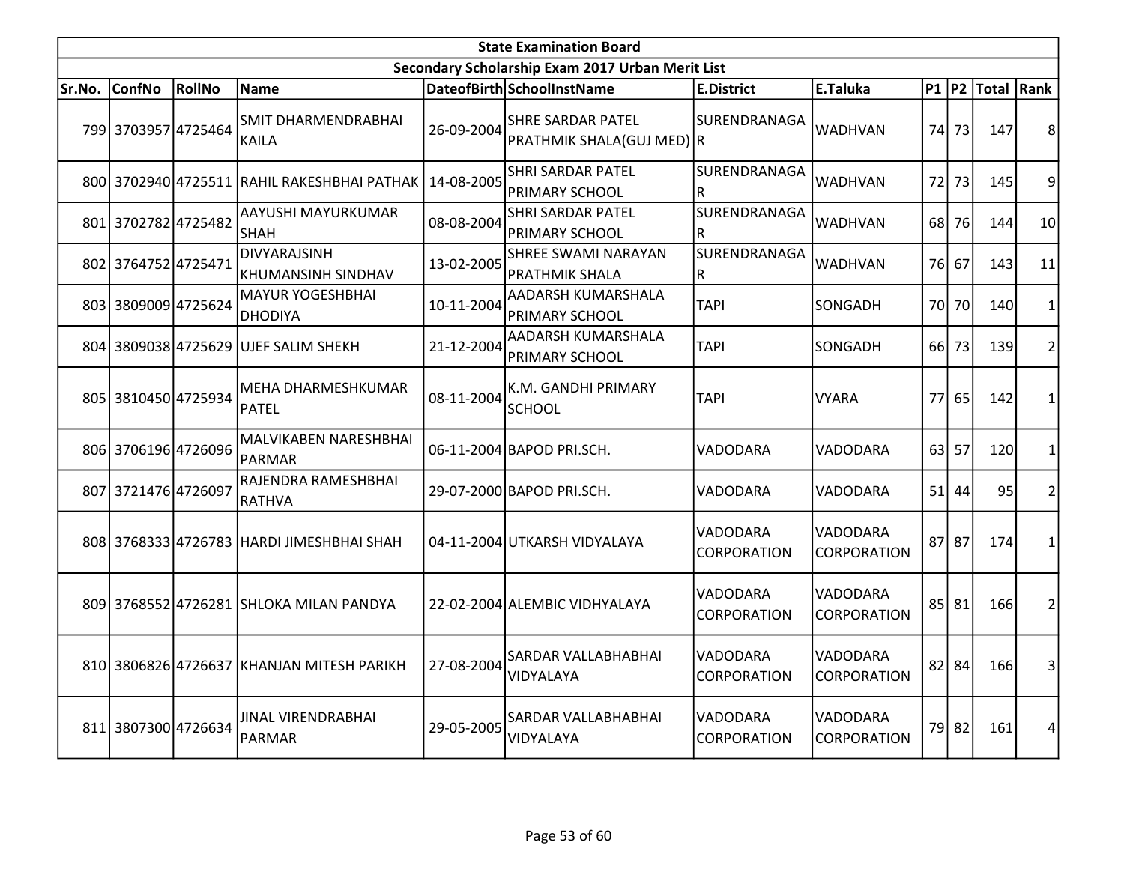|        |                     |        |                                             |            | <b>State Examination Board</b>                      |                                |                                |                 |             |                  |                |
|--------|---------------------|--------|---------------------------------------------|------------|-----------------------------------------------------|--------------------------------|--------------------------------|-----------------|-------------|------------------|----------------|
|        |                     |        |                                             |            | Secondary Scholarship Exam 2017 Urban Merit List    |                                |                                |                 |             |                  |                |
| Sr.No. | <b>ConfNo</b>       | RollNo | <b>Name</b>                                 |            | DateofBirth SchoolInstName                          | <b>E.District</b>              | E.Taluka                       |                 |             | P1 P2 Total Rank |                |
|        | 799 3703957 4725464 |        | <b>SMIT DHARMENDRABHAI</b><br><b>KAILA</b>  | 26-09-2004 | SHRE SARDAR PATEL<br>PRATHMIK SHALA(GUJ MED) R      | SURENDRANAGA                   | <b>WADHVAN</b>                 | 74              | 73          | 147              | 8              |
|        |                     |        | 800 3702940 4725511 RAHIL RAKESHBHAI PATHAK | 14-08-2005 | <b>SHRI SARDAR PATEL</b><br><b>PRIMARY SCHOOL</b>   | SURENDRANAGA<br>$\mathsf{R}$   | <b>WADHVAN</b>                 | 72              | 73          | 145              | 9              |
|        | 801 3702782 4725482 |        | AAYUSHI MAYURKUMAR<br><b>SHAH</b>           | 08-08-2004 | <b>SHRI SARDAR PATEL</b><br><b>PRIMARY SCHOOL</b>   | SURENDRANAGA<br>${\sf R}$      | <b>WADHVAN</b>                 | 68 l            | 76          | 144              | 10             |
|        | 802 3764752 4725471 |        | DIVYARAJSINH<br>KHUMANSINH SINDHAV          | 13-02-2005 | <b>SHREE SWAMI NARAYAN</b><br><b>PRATHMIK SHALA</b> | SURENDRANAGA<br>$\mathsf R$    | <b>WADHVAN</b>                 |                 | 76 67       | 143              | 11             |
|        | 803 3809009 4725624 |        | <b>MAYUR YOGESHBHAI</b><br>DHODIYA          | 10-11-2004 | AADARSH KUMARSHALA<br><b>PRIMARY SCHOOL</b>         | <b>TAPI</b>                    | SONGADH                        |                 | 70 70       | 140              | $\mathbf{1}$   |
|        | 804 3809038 4725629 |        | UJEF SALIM SHEKH                            | 21-12-2004 | <b>AADARSH KUMARSHALA</b><br>PRIMARY SCHOOL         | <b>TAPI</b>                    | SONGADH                        | 66 I            | 73          | 139              | 2              |
|        | 805 3810450 4725934 |        | <b>MEHA DHARMESHKUMAR</b><br>PATEL          | 08-11-2004 | K.M. GANDHI PRIMARY<br><b>SCHOOL</b>                | <b>TAPI</b>                    | <b>VYARA</b>                   | 77I             | 65          | 142              | 1              |
|        | 806 3706196 4726096 |        | MALVIKABEN NARESHBHAI<br>PARMAR             |            | 06-11-2004 BAPOD PRI.SCH.                           | VADODARA                       | VADODARA                       | 63 <sup>1</sup> | 57          | 120              | $\mathbf{1}$   |
|        | 807 3721476 4726097 |        | RAJENDRA RAMESHBHAI<br>RATHVA               |            | 29-07-2000 BAPOD PRI.SCH.                           | VADODARA                       | VADODARA                       | 51              | 44          | 95               | $\overline{c}$ |
|        |                     |        | 808 3768333 4726783 HARDI JIMESHBHAI SHAH   |            | 04-11-2004 UTKARSH VIDYALAYA                        | VADODARA<br><b>CORPORATION</b> | VADODARA<br>CORPORATION        |                 | 87 87       | 174              | $\mathbf{1}$   |
|        |                     |        | 809 3768552 4726281 SHLOKA MILAN PANDYA     |            | 22-02-2004 ALEMBIC VIDHYALAYA                       | VADODARA<br>CORPORATION        | VADODARA<br>CORPORATION        |                 | $85$   $81$ | 166              | $\overline{2}$ |
|        |                     |        | 810 3806826 4726637 KHANJAN MITESH PARIKH   | 27-08-2004 | SARDAR VALLABHABHAI<br>VIDYALAYA                    | VADODARA<br>CORPORATION        | VADODARA<br>CORPORATION        |                 | $82$   84   | 166              | 3              |
|        | 811 3807300 4726634 |        | JINAL VIRENDRABHAI<br>PARMAR                | 29-05-2005 | SARDAR VALLABHABHAI<br>VIDYALAYA                    | VADODARA<br>CORPORATION        | VADODARA<br><b>CORPORATION</b> |                 | 79 82       | 161              | 4              |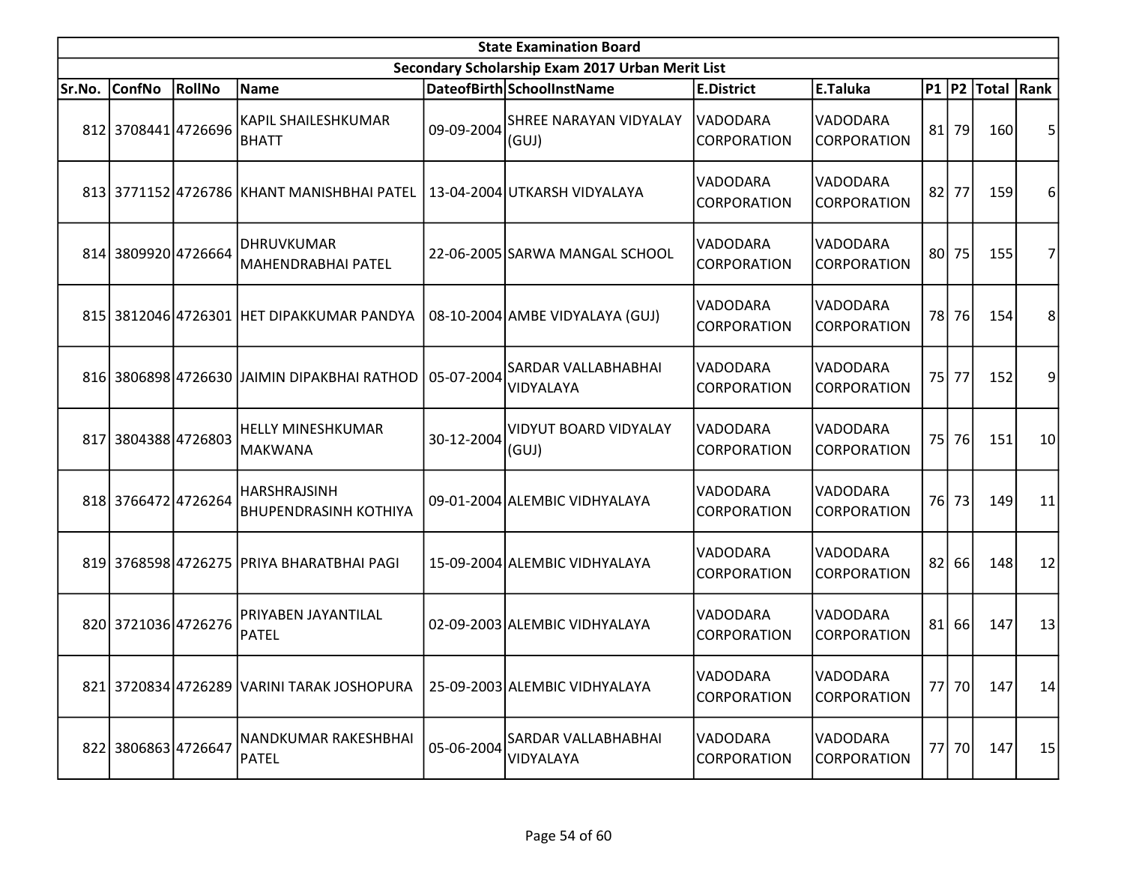|        | <b>State Examination Board</b> |        |                                                     |            |                                                  |                                |                                       |    |         |                        |    |  |  |
|--------|--------------------------------|--------|-----------------------------------------------------|------------|--------------------------------------------------|--------------------------------|---------------------------------------|----|---------|------------------------|----|--|--|
|        |                                |        |                                                     |            | Secondary Scholarship Exam 2017 Urban Merit List |                                |                                       |    |         |                        |    |  |  |
| Sr.No. | <b>ConfNo</b>                  | RollNo | Name                                                |            | DateofBirth SchoolInstName                       | <b>E.District</b>              | E.Taluka                              |    |         | P1   P2   Total   Rank |    |  |  |
|        | 812 3708441 4726696            |        | <b>KAPIL SHAILESHKUMAR</b><br><b>BHATT</b>          | 09-09-2004 | <b>SHREE NARAYAN VIDYALAY</b><br>(GUI)           | VADODARA<br><b>CORPORATION</b> | VADODARA<br><b>CORPORATION</b>        |    | $81$ 79 | 160                    | 5  |  |  |
|        |                                |        | 813 3771152 4726786 KHANT MANISHBHAI PATEL          |            | 13-04-2004 UTKARSH VIDYALAYA                     | VADODARA<br><b>CORPORATION</b> | VADODARA<br><b>CORPORATION</b>        | 82 | 77      | 159                    | 6  |  |  |
|        | 814 3809920 4726664            |        | <b>DHRUVKUMAR</b><br><b>MAHENDRABHAI PATEL</b>      |            | 22-06-2005 SARWA MANGAL SCHOOL                   | VADODARA<br><b>CORPORATION</b> | VADODARA<br><b>CORPORATION</b>        |    | 80 75   | 155                    | 7  |  |  |
|        |                                |        | 815 3812046 4726301 HET DIPAKKUMAR PANDYA           |            | 08-10-2004 AMBE VIDYALAYA (GUJ)                  | VADODARA<br>CORPORATION        | <b>VADODARA</b><br><b>CORPORATION</b> |    | 78 76   | 154                    | 8  |  |  |
|        |                                |        | 816 3806898 4726630 JAIMIN DIPAKBHAI RATHOD         | 05-07-2004 | <b>SARDAR VALLABHABHAI</b><br>VIDYALAYA          | VADODARA<br><b>CORPORATION</b> | <b>VADODARA</b><br><b>CORPORATION</b> |    | 75 77   | 152                    | 9  |  |  |
| 817    | 38043884726803                 |        | <b>HELLY MINESHKUMAR</b><br><b>MAKWANA</b>          | 30-12-2004 | VIDYUT BOARD VIDYALAY<br>(GUI)                   | VADODARA<br><b>CORPORATION</b> | <b>VADODARA</b><br><b>CORPORATION</b> | 75 | 76      | 151                    | 10 |  |  |
|        | 818 3766472 4726264            |        | <b>HARSHRAJSINH</b><br><b>BHUPENDRASINH KOTHIYA</b> |            | 09-01-2004 ALEMBIC VIDHYALAYA                    | VADODARA<br><b>CORPORATION</b> | VADODARA<br>CORPORATION               |    | 76 73   | 149                    | 11 |  |  |
|        |                                |        | 819 3768598 4726275 PRIYA BHARATBHAI PAGI           |            | 15-09-2004 ALEMBIC VIDHYALAYA                    | VADODARA<br>CORPORATION        | <b>VADODARA</b><br><b>CORPORATION</b> |    | 82 66   | 148                    | 12 |  |  |
|        | 820 3721036 4726276            |        | PRIYABEN JAYANTILAL<br><b>PATEL</b>                 |            | 02-09-2003 ALEMBIC VIDHYALAYA                    | VADODARA<br><b>CORPORATION</b> | VADODARA<br><b>CORPORATION</b>        |    | 81 66   | 147                    | 13 |  |  |
|        |                                |        | 821 3720834 4726289 VARINI TARAK JOSHOPURA          |            | 25-09-2003 ALEMBIC VIDHYALAYA                    | VADODARA<br>CORPORATION        | VADODARA<br><b>CORPORATION</b>        |    | 77 70   | 147                    | 14 |  |  |
|        | 822 3806863 4726647            |        | NANDKUMAR RAKESHBHAI<br><b>PATEL</b>                | 05-06-2004 | SARDAR VALLABHABHAI<br>VIDYALAYA                 | VADODARA<br>CORPORATION        | VADODARA<br><b>CORPORATION</b>        |    | 77 70   | 147                    | 15 |  |  |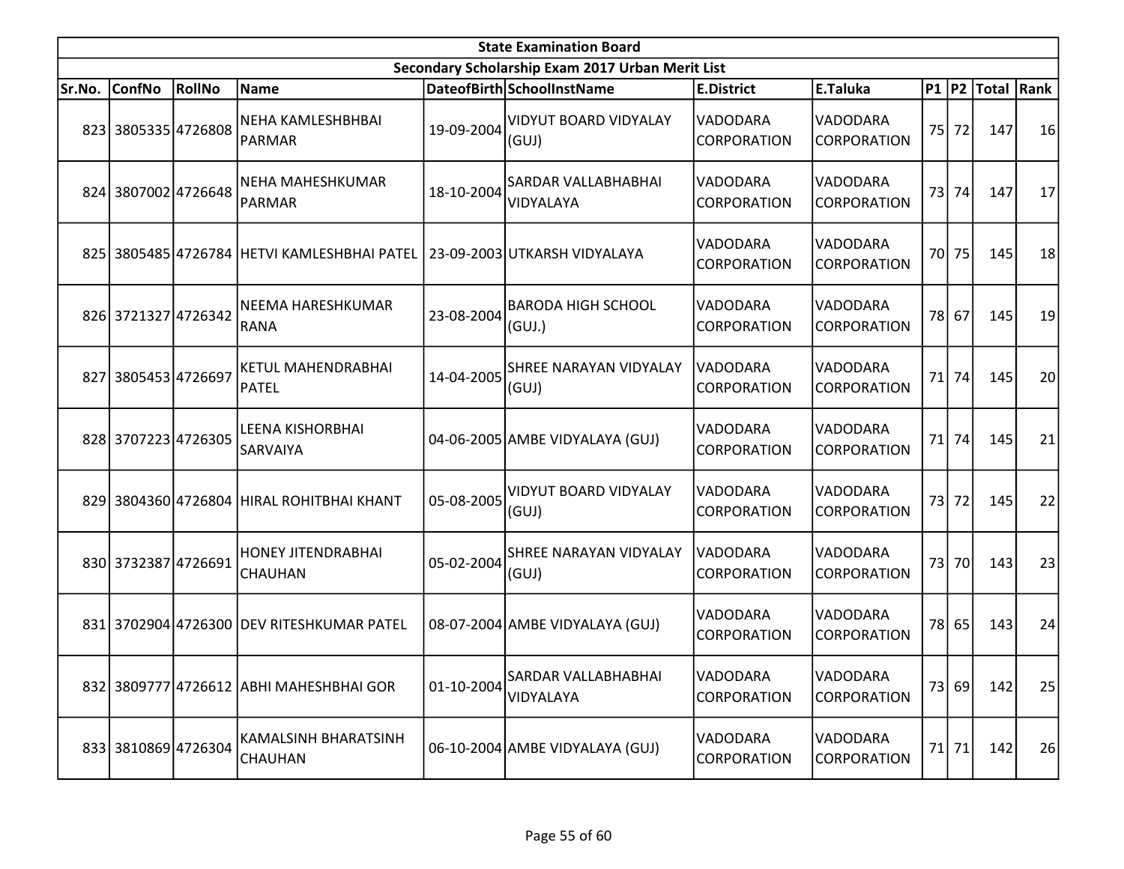|        | <b>State Examination Board</b><br>Secondary Scholarship Exam 2017 Urban Merit List |               |                                                                          |            |                                         |                                       |                                |  |       |                        |    |  |
|--------|------------------------------------------------------------------------------------|---------------|--------------------------------------------------------------------------|------------|-----------------------------------------|---------------------------------------|--------------------------------|--|-------|------------------------|----|--|
|        |                                                                                    |               |                                                                          |            |                                         |                                       |                                |  |       |                        |    |  |
| Sr.No. | ConfNo                                                                             | <b>RollNo</b> | Name                                                                     |            | DateofBirth SchoolInstName              | <b>E.District</b>                     | E.Taluka                       |  |       | P1   P2   Total   Rank |    |  |
|        | 823 3805335 4726808                                                                |               | NEHA KAMLESHBHBAI<br>PARMAR                                              | 19-09-2004 | <b>VIDYUT BOARD VIDYALAY</b><br>(GUI)   | VADODARA<br><b>CORPORATION</b>        | VADODARA<br><b>CORPORATION</b> |  | 75 72 | 147                    | 16 |  |
|        | 824 3807002 4726648                                                                |               | <b>NEHA MAHESHKUMAR</b><br>PARMAR                                        | 18-10-2004 | SARDAR VALLABHABHAI<br>VIDYALAYA        | <b>VADODARA</b><br><b>CORPORATION</b> | VADODARA<br><b>CORPORATION</b> |  | 73 74 | 147                    | 17 |  |
|        |                                                                                    |               | 825 3805485 4726784 HETVI KAMLESHBHAI PATEL 23-09-2003 UTKARSH VIDYALAYA |            |                                         | VADODARA<br><b>CORPORATION</b>        | VADODARA<br><b>CORPORATION</b> |  | 70 75 | 145                    | 18 |  |
|        | 826 3721327 4726342                                                                |               | NEEMA HARESHKUMAR<br>RANA                                                | 23-08-2004 | <b>BARODA HIGH SCHOOL</b><br>(GUI.)     | VADODARA<br><b>CORPORATION</b>        | VADODARA<br>CORPORATION        |  | 78 67 | 145                    | 19 |  |
|        | 827 3805453 4726697                                                                |               | <b>KETUL MAHENDRABHAI</b><br><b>PATEL</b>                                | 14-04-2005 | SHREE NARAYAN VIDYALAY<br>(GUI)         | <b>VADODARA</b><br>CORPORATION        | VADODARA<br><b>CORPORATION</b> |  | 71 74 | 145                    | 20 |  |
|        | 828 3707223 4726305                                                                |               | <b>LEENA KISHORBHAI</b><br><b>SARVAIYA</b>                               |            | 04-06-2005 AMBE VIDYALAYA (GUJ)         | <b>VADODARA</b><br><b>CORPORATION</b> | <b>VADODARA</b><br>CORPORATION |  | 71 74 | 145                    | 21 |  |
|        |                                                                                    |               | 829 3804360 4726804 HIRAL ROHITBHAI KHANT                                | 05-08-2005 | <b>VIDYUT BOARD VIDYALAY</b><br>(GUI)   | VADODARA<br>CORPORATION               | VADODARA<br>CORPORATION        |  | 73 72 | 145                    | 22 |  |
|        | 830 3732387 4726691                                                                |               | <b>HONEY JITENDRABHAI</b><br><b>CHAUHAN</b>                              | 05-02-2004 | SHREE NARAYAN VIDYALAY<br>(GUI)         | <b>VADODARA</b><br>CORPORATION        | VADODARA<br>CORPORATION        |  | 73 70 | 143                    | 23 |  |
|        |                                                                                    |               | 831 3702904 4726300 DEV RITESHKUMAR PATEL                                |            | 08-07-2004 AMBE VIDYALAYA (GUJ)         | VADODARA<br><b>CORPORATION</b>        | VADODARA<br><b>CORPORATION</b> |  | 78 65 | 143                    | 24 |  |
|        |                                                                                    |               | 832 3809777 4726612 ABHI MAHESHBHAI GOR                                  | 01-10-2004 | <b>SARDAR VALLABHABHAI</b><br>VIDYALAYA | VADODARA<br>CORPORATION               | VADODARA<br><b>CORPORATION</b> |  | 73 69 | 142                    | 25 |  |
|        | 833 3810869 4726304                                                                |               | KAMALSINH BHARATSINH<br><b>CHAUHAN</b>                                   |            | 06-10-2004 AMBE VIDYALAYA (GUJ)         | VADODARA<br><b>CORPORATION</b>        | VADODARA<br>CORPORATION        |  | 71 71 | 142                    | 26 |  |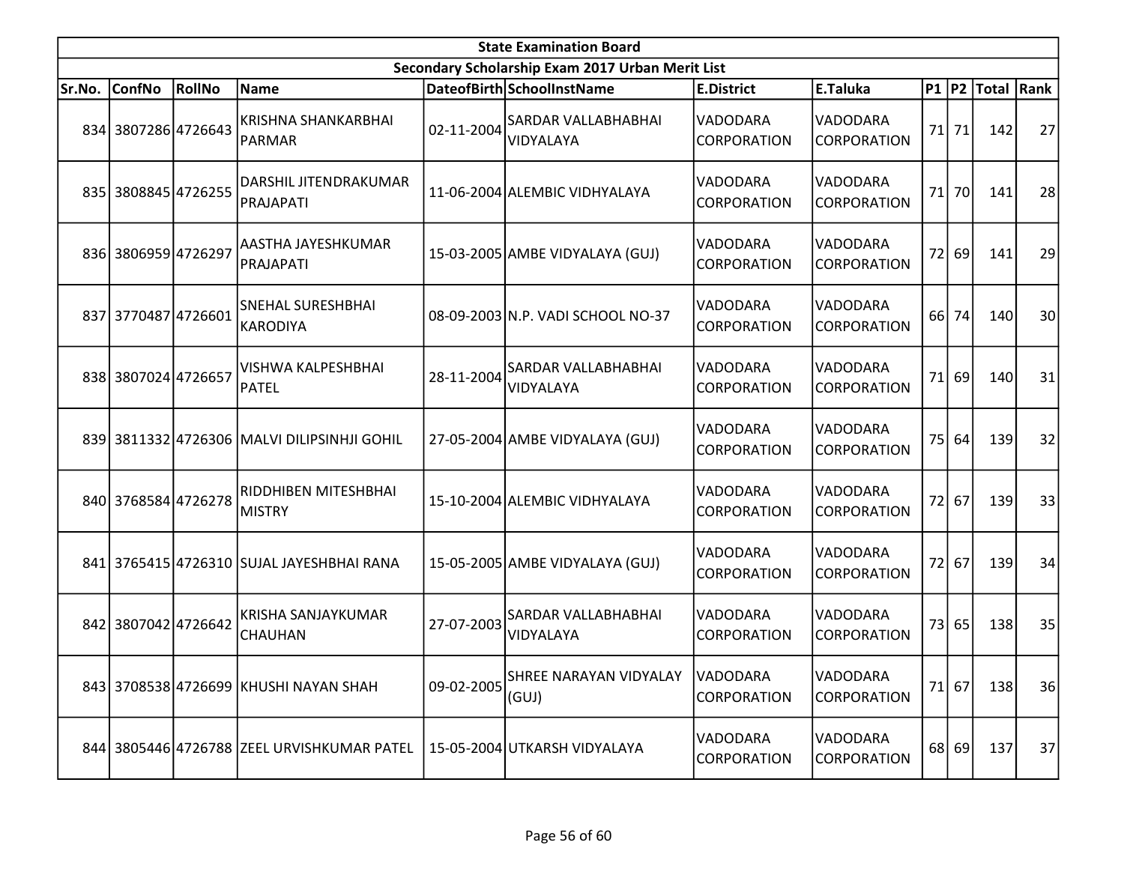|        | <b>State Examination Board</b><br>Secondary Scholarship Exam 2017 Urban Merit List |               |                                             |            |                                   |                                |                                |      |         |                  |    |  |
|--------|------------------------------------------------------------------------------------|---------------|---------------------------------------------|------------|-----------------------------------|--------------------------------|--------------------------------|------|---------|------------------|----|--|
|        |                                                                                    |               |                                             |            |                                   |                                |                                |      |         |                  |    |  |
| Sr.No. | <b>ConfNo</b>                                                                      | <b>RollNo</b> | <b>Name</b>                                 |            | DateofBirth SchoolInstName        | <b>E.District</b>              | E.Taluka                       |      |         | P1 P2 Total Rank |    |  |
|        | 834 3807286 4726643                                                                |               | <b>KRISHNA SHANKARBHAI</b><br>PARMAR        | 02-11-2004 | SARDAR VALLABHABHAI<br>VIDYALAYA  | VADODARA<br>CORPORATION        | VADODARA<br>CORPORATION        |      | 71 71   | 142              | 27 |  |
|        | 835 3808845 4726255                                                                |               | DARSHIL JITENDRAKUMAR<br>PRAJAPATI          |            | 11-06-2004 ALEMBIC VIDHYALAYA     | VADODARA<br>CORPORATION        | VADODARA<br>CORPORATION        | 71   | 70      | 141              | 28 |  |
|        | 836 3806959 4726297                                                                |               | AASTHA JAYESHKUMAR<br>PRAJAPATI             |            | 15-03-2005 AMBE VIDYALAYA (GUJ)   | VADODARA<br>CORPORATION        | VADODARA<br>CORPORATION        |      | 72 69   | 141              | 29 |  |
|        | 837 3770487 4726601                                                                |               | SNEHAL SURESHBHAI<br><b>KARODIYA</b>        |            | 08-09-2003 N.P. VADI SCHOOL NO-37 | VADODARA<br>CORPORATION        | VADODARA<br>CORPORATION        | 66 I | 74      | 140              | 30 |  |
|        | 838 3807024 4726657                                                                |               | <b>VISHWA KALPESHBHAI</b><br>PATEL          | 28-11-2004 | SARDAR VALLABHABHAI<br>VIDYALAYA  | VADODARA<br>CORPORATION        | VADODARA<br>CORPORATION        |      | $71$ 69 | 140              | 31 |  |
|        |                                                                                    |               | 839 3811332 4726306 MALVI DILIPSINHJI GOHIL |            | 27-05-2004 AMBE VIDYALAYA (GUJ)   | VADODARA<br>CORPORATION        | VADODARA<br><b>CORPORATION</b> |      | 75 64   | 139              | 32 |  |
|        | 840 3768584 4726278                                                                |               | RIDDHIBEN MITESHBHAI<br><b>MISTRY</b>       |            | 15-10-2004 ALEMBIC VIDHYALAYA     | VADODARA<br>CORPORATION        | VADODARA<br>CORPORATION        |      | 72 67   | 139              | 33 |  |
|        |                                                                                    |               | 841 3765415 4726310 SUJAL JAYESHBHAI RANA   |            | 15-05-2005 AMBE VIDYALAYA (GUJ)   | VADODARA<br>CORPORATION        | VADODARA<br>CORPORATION        | 72   | 67      | 139              | 34 |  |
|        | 842 3807042 4726642                                                                |               | KRISHA SANJAYKUMAR<br><b>CHAUHAN</b>        | 27-07-2003 | SARDAR VALLABHABHAI<br>VIDYALAYA  | VADODARA<br>CORPORATION        | VADODARA<br>CORPORATION        |      | 73 65   | 138              | 35 |  |
|        |                                                                                    |               | 843 3708538 4726699 KHUSHI NAYAN SHAH       | 09-02-2005 | SHREE NARAYAN VIDYALAY<br>(GUI)   | <b>VADODARA</b><br>CORPORATION | VADODARA<br>CORPORATION        |      | $71$ 67 | 138              | 36 |  |
|        |                                                                                    |               | 844 3805446 4726788 ZEEL URVISHKUMAR PATEL  |            | 15-05-2004 UTKARSH VIDYALAYA      | VADODARA<br>CORPORATION        | VADODARA<br>CORPORATION        |      | 68 69   | 137              | 37 |  |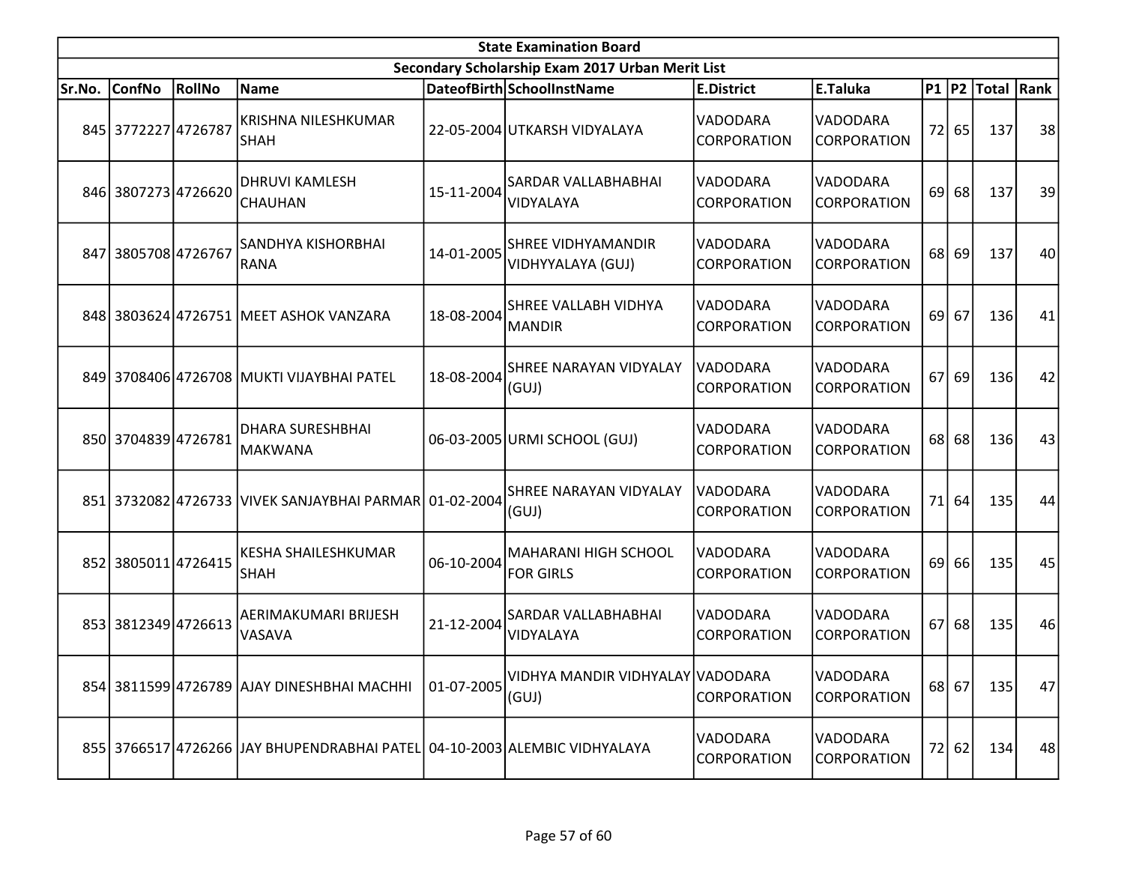|        | <b>State Examination Board</b> |               |                                                                           |            |                                                  |                                |                                       |    |         |                        |    |  |
|--------|--------------------------------|---------------|---------------------------------------------------------------------------|------------|--------------------------------------------------|--------------------------------|---------------------------------------|----|---------|------------------------|----|--|
|        |                                |               |                                                                           |            | Secondary Scholarship Exam 2017 Urban Merit List |                                |                                       |    |         |                        |    |  |
| Sr.No. | <b>ConfNo</b>                  | <b>RollNo</b> | Name                                                                      |            | DateofBirth SchoolInstName                       | <b>E.District</b>              | E.Taluka                              |    |         | P1   P2   Total   Rank |    |  |
|        | 845 3772227 4726787            |               | <b>KRISHNA NILESHKUMAR</b><br><b>SHAH</b>                                 |            | 22-05-2004 UTKARSH VIDYALAYA                     | VADODARA<br>CORPORATION        | VADODARA<br><b>CORPORATION</b>        | 72 | 65      | 137                    | 38 |  |
|        | 846 3807273 4726620            |               | <b>DHRUVI KAMLESH</b><br><b>CHAUHAN</b>                                   | 15-11-2004 | SARDAR VALLABHABHAI<br>VIDYALAYA                 | VADODARA<br><b>CORPORATION</b> | VADODARA<br><b>CORPORATION</b>        | 69 | 68      | 137                    | 39 |  |
|        | 847 3805708 4726767            |               | SANDHYA KISHORBHAI<br><b>RANA</b>                                         | 14-01-2005 | <b>SHREE VIDHYAMANDIR</b><br>VIDHYYALAYA (GUJ)   | VADODARA<br><b>CORPORATION</b> | VADODARA<br><b>CORPORATION</b>        | 68 | 69      | 137                    | 40 |  |
|        |                                |               | 848 3803624 4726751 MEET ASHOK VANZARA                                    | 18-08-2004 | SHREE VALLABH VIDHYA<br><b>MANDIR</b>            | VADODARA<br><b>CORPORATION</b> | <b>VADODARA</b><br><b>CORPORATION</b> | 69 | 67      | 136                    | 41 |  |
|        |                                |               | 849 3708406 4726708 MUKTI VIJAYBHAI PATEL                                 | 18-08-2004 | SHREE NARAYAN VIDYALAY<br>(GUI)                  | VADODARA<br><b>CORPORATION</b> | VADODARA<br><b>CORPORATION</b>        | 67 | 69      | 136                    | 42 |  |
|        | 850 3704839 4726781            |               | <b>DHARA SURESHBHAI</b><br><b>MAKWANA</b>                                 |            | 06-03-2005 URMI SCHOOL (GUJ)                     | VADODARA<br>CORPORATION        | VADODARA<br><b>CORPORATION</b>        | 68 | 68      | 136                    | 43 |  |
|        |                                |               | 851 3732082 4726733 VIVEK SANJAYBHAI PARMAR 01-02-2004                    |            | SHREE NARAYAN VIDYALAY<br>(GUI)                  | VADODARA<br><b>CORPORATION</b> | VADODARA<br>CORPORATION               | 71 | 64      | 135                    | 44 |  |
|        | 852 3805011 4726415            |               | <b>KESHA SHAILESHKUMAR</b><br><b>SHAH</b>                                 | 06-10-2004 | <b>MAHARANI HIGH SCHOOL</b><br><b>FOR GIRLS</b>  | VADODARA<br>CORPORATION        | VADODARA<br>CORPORATION               | 69 | 66      | 135                    | 45 |  |
|        | 853 3812349 4726613            |               | AERIMAKUMARI BRIJESH<br><b>VASAVA</b>                                     | 21-12-2004 | SARDAR VALLABHABHAI<br>VIDYALAYA                 | VADODARA<br>CORPORATION        | VADODARA<br><b>CORPORATION</b>        |    | $67$ 68 | 135                    | 46 |  |
|        |                                |               | 854 3811599 4726789 AJAY DINESHBHAI MACHHI                                | 01-07-2005 | VIDHYA MANDIR VIDHYALAY VADODARA<br>(GUJ)        | CORPORATION                    | VADODARA<br>CORPORATION               |    | 68 67   | 135                    | 47 |  |
|        |                                |               | 855 3766517 4726266 JAY BHUPENDRABHAI PATEL 04-10-2003 ALEMBIC VIDHYALAYA |            |                                                  | VADODARA<br><b>CORPORATION</b> | VADODARA<br>CORPORATION               |    | 72 62   | 134                    | 48 |  |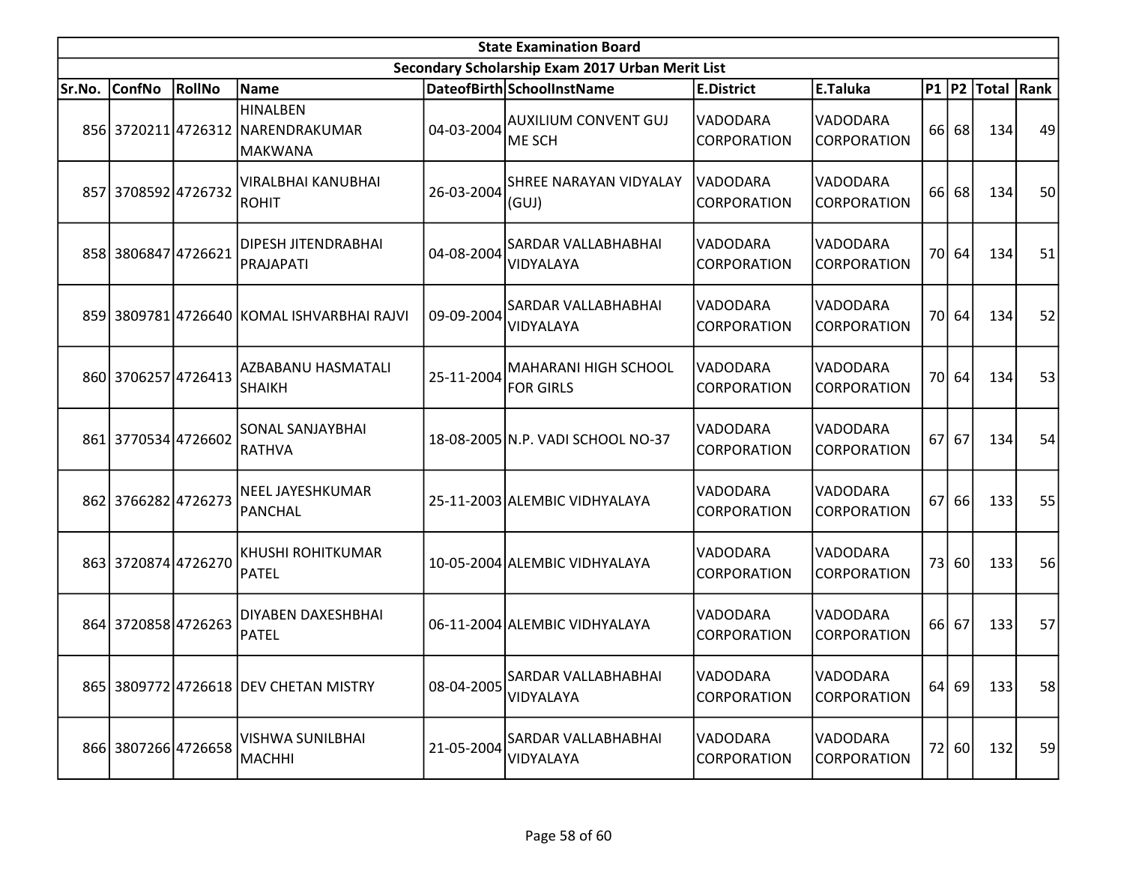|        | <b>State Examination Board</b><br>Secondary Scholarship Exam 2017 Urban Merit List |               |                                                                        |            |                                                 |                                       |                                |    |         |                        |    |  |  |
|--------|------------------------------------------------------------------------------------|---------------|------------------------------------------------------------------------|------------|-------------------------------------------------|---------------------------------------|--------------------------------|----|---------|------------------------|----|--|--|
|        |                                                                                    |               |                                                                        |            |                                                 |                                       |                                |    |         |                        |    |  |  |
| Sr.No. | <b>ConfNo</b>                                                                      | <b>RollNo</b> | Name                                                                   |            | DateofBirth SchoolInstName                      | <b>E.District</b>                     | E.Taluka                       |    |         | P1   P2   Total   Rank |    |  |  |
|        |                                                                                    |               | <b>HINALBEN</b><br>856 3720211 4726312 NARENDRAKUMAR<br><b>MAKWANA</b> | 04-03-2004 | <b>AUXILIUM CONVENT GUJ</b><br><b>ME SCH</b>    | VADODARA<br><b>CORPORATION</b>        | VADODARA<br><b>CORPORATION</b> |    | 66 68   | 134                    | 49 |  |  |
|        | 857 3708592 4726732                                                                |               | VIRALBHAI KANUBHAI<br>ROHIT                                            | 26-03-2004 | <b>SHREE NARAYAN VIDYALAY</b><br>(GUJ)          | <b>VADODARA</b><br><b>CORPORATION</b> | VADODARA<br><b>CORPORATION</b> | 66 | 68      | 134                    | 50 |  |  |
|        | 858 3806847 4726621                                                                |               | <b>DIPESH JITENDRABHAI</b><br>PRAJAPATI                                | 04-08-2004 | SARDAR VALLABHABHAI<br>VIDYALAYA                | <b>VADODARA</b><br><b>CORPORATION</b> | VADODARA<br><b>CORPORATION</b> |    | 70 64   | 134                    | 51 |  |  |
|        |                                                                                    |               | 859 3809781 4726640 KOMAL ISHVARBHAI RAJVI                             | 09-09-2004 | SARDAR VALLABHABHAI<br>VIDYALAYA                | <b>VADODARA</b><br><b>CORPORATION</b> | VADODARA<br>CORPORATION        |    | 70 64   | 134                    | 52 |  |  |
|        | 860 3706257 4726413                                                                |               | AZBABANU HASMATALI<br><b>SHAIKH</b>                                    | 25-11-2004 | <b>MAHARANI HIGH SCHOOL</b><br><b>FOR GIRLS</b> | VADODARA<br><b>CORPORATION</b>        | VADODARA<br><b>CORPORATION</b> |    | 70 64   | 134                    | 53 |  |  |
|        | 861 3770534 4726602                                                                |               | <b>SONAL SANJAYBHAI</b><br>RATHVA                                      |            | 18-08-2005 N.P. VADI SCHOOL NO-37               | <b>VADODARA</b><br><b>CORPORATION</b> | VADODARA<br><b>CORPORATION</b> | 67 | 67      | 134                    | 54 |  |  |
|        | 862 3766282 4726273                                                                |               | <b>NEEL JAYESHKUMAR</b><br>PANCHAL                                     |            | 25-11-2003 ALEMBIC VIDHYALAYA                   | VADODARA<br><b>CORPORATION</b>        | VADODARA<br>CORPORATION        | 67 | 66      | 133                    | 55 |  |  |
|        | 863 3720874 4726270                                                                |               | KHUSHI ROHITKUMAR<br><b>PATEL</b>                                      |            | 10-05-2004 ALEMBIC VIDHYALAYA                   | VADODARA<br>CORPORATION               | VADODARA<br>CORPORATION        |    | 73 60   | 133                    | 56 |  |  |
|        | 864 3720858 4726263                                                                |               | DIYABEN DAXESHBHAI<br>PATEL                                            |            | 06-11-2004 ALEMBIC VIDHYALAYA                   | VADODARA<br><b>CORPORATION</b>        | VADODARA<br><b>CORPORATION</b> |    | 66 67   | 133                    | 57 |  |  |
|        |                                                                                    |               | 865 3809772 4726618 DEV CHETAN MISTRY                                  | 08-04-2005 | <b>SARDAR VALLABHABHAI</b><br>VIDYALAYA         | VADODARA<br><b>CORPORATION</b>        | VADODARA<br>CORPORATION        |    | $64$ 69 | 133                    | 58 |  |  |
|        | 866 3807266 4726658                                                                |               | VISHWA SUNILBHAI<br><b>MACHHI</b>                                      | 21-05-2004 | SARDAR VALLABHABHAI<br>VIDYALAYA                | VADODARA<br><b>CORPORATION</b>        | VADODARA<br>CORPORATION        |    | 72 60   | 132                    | 59 |  |  |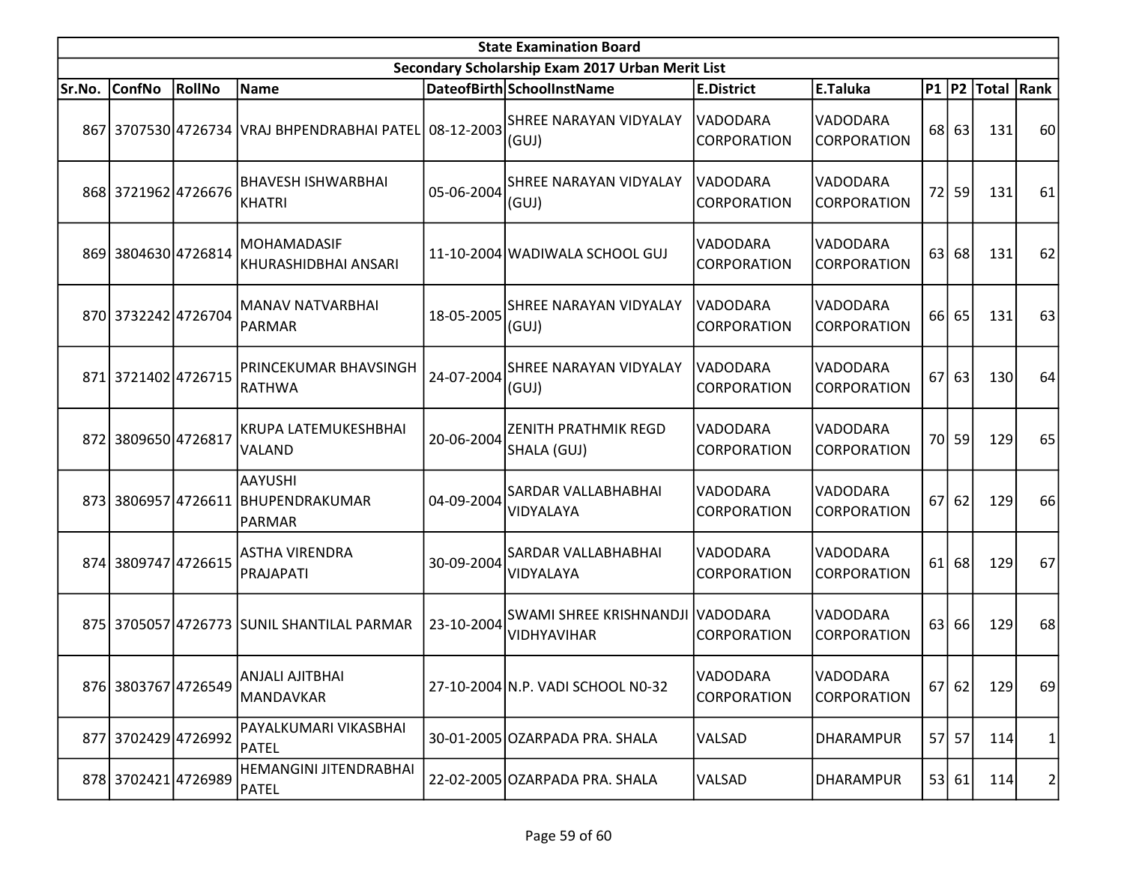| <b>State Examination Board</b> |                     |        |                                                                |            |                                                      |                                |                                |    |         |                  |    |
|--------------------------------|---------------------|--------|----------------------------------------------------------------|------------|------------------------------------------------------|--------------------------------|--------------------------------|----|---------|------------------|----|
|                                |                     |        |                                                                |            | Secondary Scholarship Exam 2017 Urban Merit List     |                                |                                |    |         |                  |    |
| Sr.No.                         | <b>ConfNo</b>       | RollNo | Name                                                           |            | DateofBirth SchoolInstName                           | <b>E.District</b>              | E.Taluka                       |    |         | P1 P2 Total Rank |    |
|                                |                     |        | 867   3707530 4726734   VRAJ BHPENDRABHAI PATEL 08-12-2003     |            | <b>SHREE NARAYAN VIDYALAY</b><br>(GUI)               | VADODARA<br><b>CORPORATION</b> | VADODARA<br><b>CORPORATION</b> | 68 | 63      | 131              | 60 |
|                                | 868 3721962 4726676 |        | <b>BHAVESH ISHWARBHAI</b><br><b>KHATRI</b>                     | 05-06-2004 | <b>SHREE NARAYAN VIDYALAY</b><br>(GUJ)               | VADODARA<br>CORPORATION        | VADODARA<br><b>CORPORATION</b> | 72 | 59      | 131              | 61 |
|                                | 869 3804630 4726814 |        | <b>MOHAMADASIF</b><br>KHURASHIDBHAI ANSARI                     |            | 11-10-2004 WADIWALA SCHOOL GUJ                       | VADODARA<br><b>CORPORATION</b> | VADODARA<br>CORPORATION        | 63 | 68      | 131              | 62 |
|                                | 870 3732242 4726704 |        | MANAV NATVARBHAI<br><b>PARMAR</b>                              | 18-05-2005 | <b>SHREE NARAYAN VIDYALAY</b><br>(GUJ)               | VADODARA<br>CORPORATION        | VADODARA<br><b>CORPORATION</b> |    | 66 65   | 131              | 63 |
|                                | 871 3721402 4726715 |        | PRINCEKUMAR BHAVSINGH<br><b>RATHWA</b>                         | 24-07-2004 | <b>SHREE NARAYAN VIDYALAY</b><br>(GUI)               | VADODARA<br>CORPORATION        | VADODARA<br>CORPORATION        | 67 | 63      | 130              | 64 |
|                                | 872 3809650 4726817 |        | KRUPA LATEMUKESHBHAI<br>VALAND                                 | 20-06-2004 | <b>ZENITH PRATHMIK REGD</b><br>SHALA (GUJ)           | VADODARA<br>CORPORATION        | VADODARA<br><b>CORPORATION</b> |    | 70 59   | 129              | 65 |
|                                |                     |        | <b>AAYUSHI</b><br>873 3806957 4726611 BHUPENDRAKUMAR<br>PARMAR | 04-09-2004 | <b>SARDAR VALLABHABHAI</b><br>VIDYALAYA              | <b>VADODARA</b><br>CORPORATION | VADODARA<br>CORPORATION        | 67 | 62      | 129              | 66 |
|                                | 874 3809747 4726615 |        | <b>ASTHA VIRENDRA</b><br>PRAJAPATI                             | 30-09-2004 | SARDAR VALLABHABHAI<br>VIDYALAYA                     | VADODARA<br>CORPORATION        | VADODARA<br>CORPORATION        |    | $61$ 68 | 129              | 67 |
|                                |                     |        | 875 3705057 4726773 SUNIL SHANTILAL PARMAR                     | 23-10-2004 | <b>SWAMI SHREE KRISHNANDJI</b><br><b>VIDHYAVIHAR</b> | <b>VADODARA</b><br>CORPORATION | VADODARA<br><b>CORPORATION</b> | 63 | 66      | 129              | 68 |
|                                | 876 3803767 4726549 |        | ANJALI AJITBHAI<br><b>MANDAVKAR</b>                            |            | 27-10-2004 N.P. VADI SCHOOL N0-32                    | VADODARA<br>CORPORATION        | VADODARA<br><b>CORPORATION</b> |    | 67 62   | 129              | 69 |
|                                | 877 3702429 4726992 |        | PAYALKUMARI VIKASBHAI<br>PATEL                                 |            | 30-01-2005 OZARPADA PRA. SHALA                       | VALSAD                         | <b>DHARAMPUR</b>               |    | 57 57   | 114              | 1  |
|                                | 878 3702421 4726989 |        | HEMANGINI JITENDRABHAI<br>PATEL                                |            | 22-02-2005 OZARPADA PRA. SHALA                       | VALSAD                         | <b>DHARAMPUR</b>               |    | 53 61   | 114              | 2  |